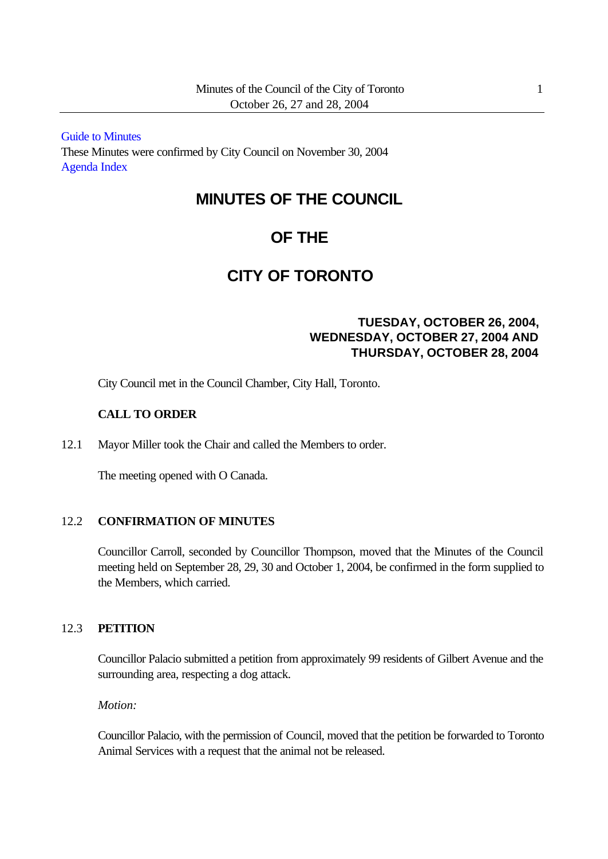[Guide to Minutes](http://www.toronto.ca/legdocs/2004/minutes/council/041026.pdf) These Minutes were confirmed by City Council on November 30, 2004 [Agenda](http://www.toronto.ca/legdocs/2004/agendas/council/cc041026/agendain.pdf) Index

# **MINUTES OF THE COUNCIL**

# **OF THE**

# **CITY OF TORONTO**

# **TUESDAY, OCTOBER 26, 2004, WEDNESDAY, OCTOBER 27, 2004 AND THURSDAY, OCTOBER 28, 2004**

City Council met in the Council Chamber, City Hall, Toronto.

## **CALL TO ORDER**

12.1 Mayor Miller took the Chair and called the Members to order.

The meeting opened with O Canada.

## 12.2 **CONFIRMATION OF MINUTES**

Councillor Carroll, seconded by Councillor Thompson, moved that the Minutes of the Council meeting held on September 28, 29, 30 and October 1, 2004, be confirmed in the form supplied to the Members, which carried.

## 12.3 **PETITION**

Councillor Palacio submitted a petition from approximately 99 residents of Gilbert Avenue and the surrounding area, respecting a dog attack.

*Motion:*

Councillor Palacio, with the permission of Council, moved that the petition be forwarded to Toronto Animal Services with a request that the animal not be released.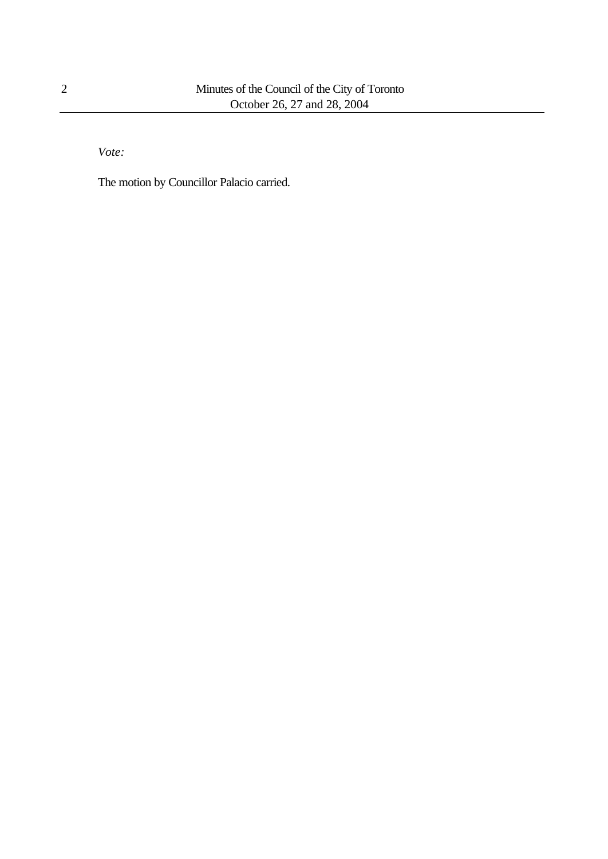*Vote:*

The motion by Councillor Palacio carried.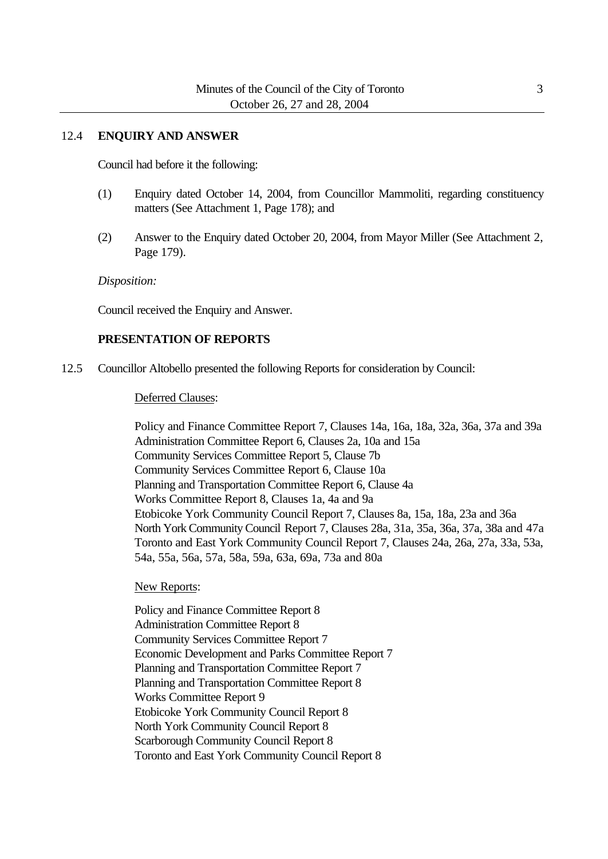#### 12.4 **ENQUIRY AND ANSWER**

Council had before it the following:

- (1) Enquiry dated October 14, 2004, from Councillor Mammoliti, regarding constituency matters (See Attachment 1, Page 178); and
- (2) Answer to the Enquiry dated October 20, 2004, from Mayor Miller (See Attachment 2, Page 179).

#### *Disposition:*

Council received the Enquiry and Answer.

#### **PRESENTATION OF REPORTS**

12.5 Councillor Altobello presented the following Reports for consideration by Council:

#### Deferred Clauses:

Policy and Finance Committee Report 7, Clauses 14a, 16a, 18a, 32a, 36a, 37a and 39a Administration Committee Report 6, Clauses 2a, 10a and 15a Community Services Committee Report 5, Clause 7b Community Services Committee Report 6, Clause 10a Planning and Transportation Committee Report 6, Clause 4a Works Committee Report 8, Clauses 1a, 4a and 9a Etobicoke York Community Council Report 7, Clauses 8a, 15a, 18a, 23a and 36a North York Community Council Report 7, Clauses 28a, 31a, 35a, 36a, 37a, 38a and 47a Toronto and East York Community Council Report 7, Clauses 24a, 26a, 27a, 33a, 53a, 54a, 55a, 56a, 57a, 58a, 59a, 63a, 69a, 73a and 80a

#### New Reports:

Policy and Finance Committee Report 8 Administration Committee Report 8 Community Services Committee Report 7 Economic Development and Parks Committee Report 7 Planning and Transportation Committee Report 7 Planning and Transportation Committee Report 8 Works Committee Report 9 Etobicoke York Community Council Report 8 North York Community Council Report 8 Scarborough Community Council Report 8 Toronto and East York Community Council Report 8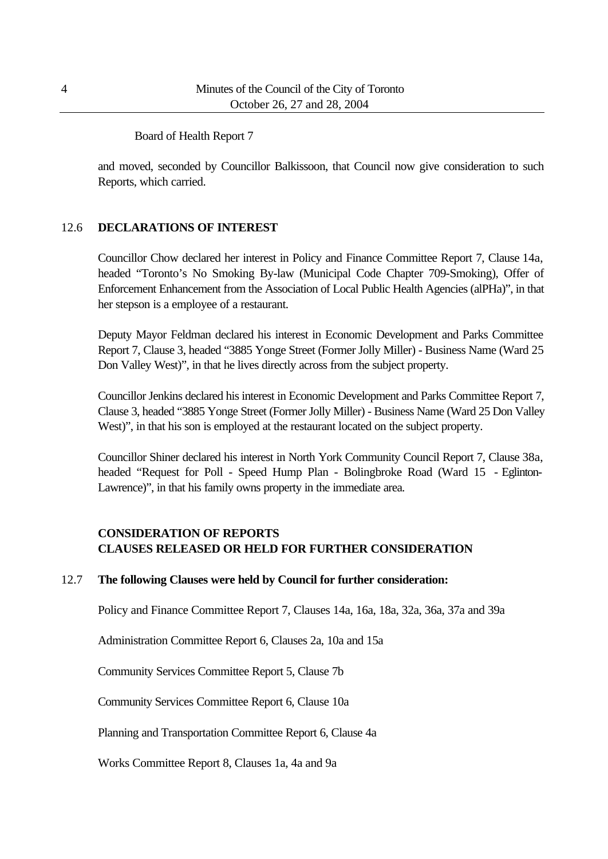#### Board of Health Report 7

and moved, seconded by Councillor Balkissoon, that Council now give consideration to such Reports, which carried.

## 12.6 **DECLARATIONS OF INTEREST**

Councillor Chow declared her interest in Policy and Finance Committee Report 7, Clause 14a, headed "Toronto's No Smoking By-law (Municipal Code Chapter 709-Smoking), Offer of Enforcement Enhancement from the Association of Local Public Health Agencies (alPHa)", in that her stepson is a employee of a restaurant.

Deputy Mayor Feldman declared his interest in Economic Development and Parks Committee Report 7, Clause 3, headed "3885 Yonge Street (Former Jolly Miller) - Business Name (Ward 25 Don Valley West)", in that he lives directly across from the subject property.

Councillor Jenkins declared his interest in Economic Development and Parks Committee Report 7, Clause 3, headed "3885 Yonge Street (Former Jolly Miller) - Business Name (Ward 25 Don Valley West)", in that his son is employed at the restaurant located on the subject property.

Councillor Shiner declared his interest in North York Community Council Report 7, Clause 38a, headed "Request for Poll - Speed Hump Plan - Bolingbroke Road (Ward 15 - Eglinton-Lawrence)", in that his family owns property in the immediate area.

# **CONSIDERATION OF REPORTS CLAUSES RELEASED OR HELD FOR FURTHER CONSIDERATION**

## 12.7 **The following Clauses were held by Council for further consideration:**

Policy and Finance Committee Report 7, Clauses 14a, 16a, 18a, 32a, 36a, 37a and 39a

Administration Committee Report 6, Clauses 2a, 10a and 15a

Community Services Committee Report 5, Clause 7b

Community Services Committee Report 6, Clause 10a

Planning and Transportation Committee Report 6, Clause 4a

Works Committee Report 8, Clauses 1a, 4a and 9a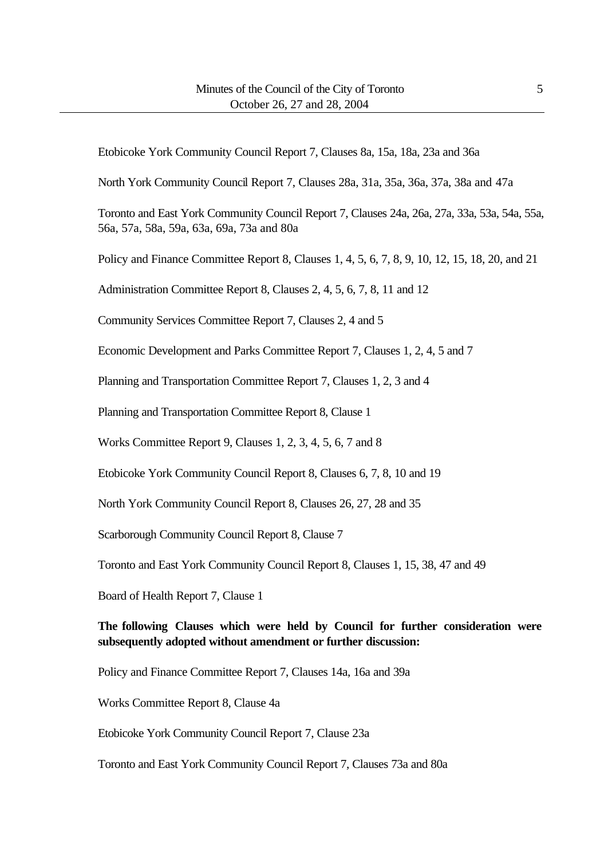Etobicoke York Community Council Report 7, Clauses 8a, 15a, 18a, 23a and 36a

North York Community Council Report 7, Clauses 28a, 31a, 35a, 36a, 37a, 38a and 47a

Toronto and East York Community Council Report 7, Clauses 24a, 26a, 27a, 33a, 53a, 54a, 55a, 56a, 57a, 58a, 59a, 63a, 69a, 73a and 80a

Policy and Finance Committee Report 8, Clauses 1, 4, 5, 6, 7, 8, 9, 10, 12, 15, 18, 20, and 21

Administration Committee Report 8, Clauses 2, 4, 5, 6, 7, 8, 11 and 12

Community Services Committee Report 7, Clauses 2, 4 and 5

Economic Development and Parks Committee Report 7, Clauses 1, 2, 4, 5 and 7

Planning and Transportation Committee Report 7, Clauses 1, 2, 3 and 4

Planning and Transportation Committee Report 8, Clause 1

Works Committee Report 9, Clauses 1, 2, 3, 4, 5, 6, 7 and 8

Etobicoke York Community Council Report 8, Clauses 6, 7, 8, 10 and 19

North York Community Council Report 8, Clauses 26, 27, 28 and 35

Scarborough Community Council Report 8, Clause 7

Toronto and East York Community Council Report 8, Clauses 1, 15, 38, 47 and 49

Board of Health Report 7, Clause 1

## **The following Clauses which were held by Council for further consideration were subsequently adopted without amendment or further discussion:**

Policy and Finance Committee Report 7, Clauses 14a, 16a and 39a

Works Committee Report 8, Clause 4a

Etobicoke York Community Council Report 7, Clause 23a

Toronto and East York Community Council Report 7, Clauses 73a and 80a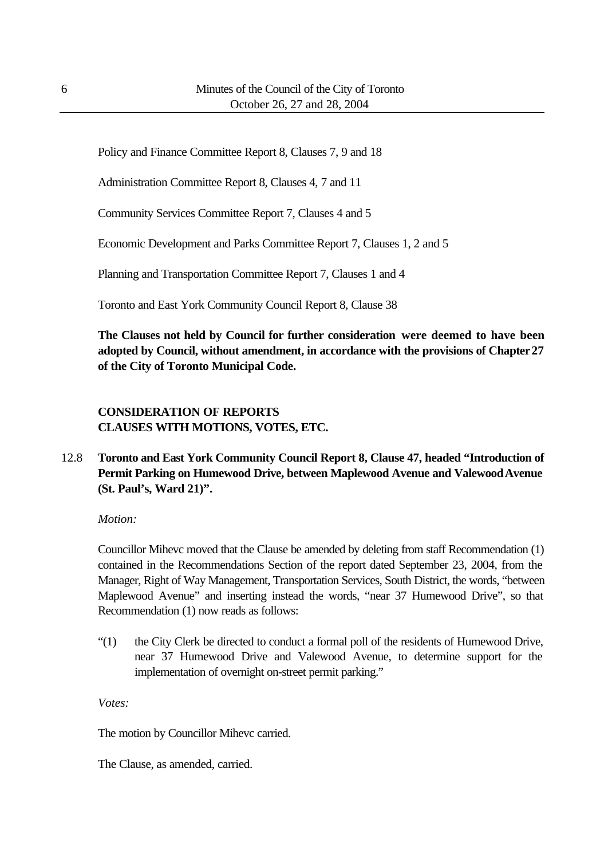Policy and Finance Committee Report 8, Clauses 7, 9 and 18

Administration Committee Report 8, Clauses 4, 7 and 11

Community Services Committee Report 7, Clauses 4 and 5

Economic Development and Parks Committee Report 7, Clauses 1, 2 and 5

Planning and Transportation Committee Report 7, Clauses 1 and 4

Toronto and East York Community Council Report 8, Clause 38

**The Clauses not held by Council for further consideration were deemed to have been adopted by Council, without amendment, in accordance with the provisions of Chapter 27 of the City of Toronto Municipal Code.**

# **CONSIDERATION OF REPORTS CLAUSES WITH MOTIONS, VOTES, ETC.**

12.8 **Toronto and East York Community Council Report 8, Clause 47, headed "Introduction of Permit Parking on Humewood Drive, between Maplewood Avenue and Valewood Avenue (St. Paul's, Ward 21)".**

*Motion:*

Councillor Mihevc moved that the Clause be amended by deleting from staff Recommendation (1) contained in the Recommendations Section of the report dated September 23, 2004, from the Manager, Right of Way Management, Transportation Services, South District, the words, "between Maplewood Avenue" and inserting instead the words, "near 37 Humewood Drive", so that Recommendation (1) now reads as follows:

"(1) the City Clerk be directed to conduct a formal poll of the residents of Humewood Drive, near 37 Humewood Drive and Valewood Avenue, to determine support for the implementation of overnight on-street permit parking."

*Votes:*

The motion by Councillor Mihevc carried.

The Clause, as amended, carried.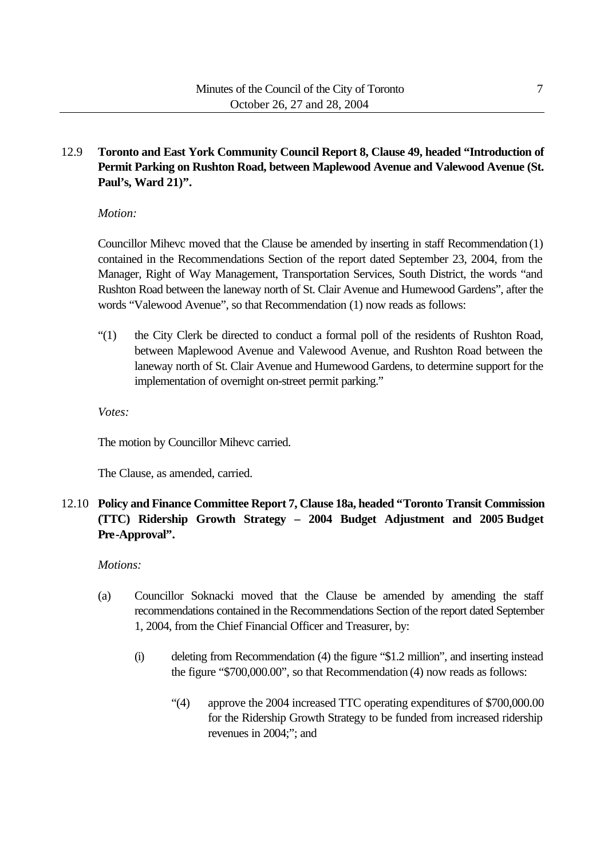## 12.9 **Toronto and East York Community Council Report 8, Clause 49, headed "Introduction of Permit Parking on Rushton Road, between Maplewood Avenue and Valewood Avenue (St. Paul's, Ward 21)".**

## *Motion:*

Councillor Mihevc moved that the Clause be amended by inserting in staff Recommendation (1) contained in the Recommendations Section of the report dated September 23, 2004, from the Manager, Right of Way Management, Transportation Services, South District, the words "and Rushton Road between the laneway north of St. Clair Avenue and Humewood Gardens", after the words "Valewood Avenue", so that Recommendation (1) now reads as follows:

"(1) the City Clerk be directed to conduct a formal poll of the residents of Rushton Road, between Maplewood Avenue and Valewood Avenue, and Rushton Road between the laneway north of St. Clair Avenue and Humewood Gardens, to determine support for the implementation of overnight on-street permit parking."

*Votes:*

The motion by Councillor Mihevc carried.

The Clause, as amended, carried.

# 12.10 **Policy and Finance Committee Report 7, Clause 18a, headed "Toronto Transit Commission (TTC) Ridership Growth Strategy – 2004 Budget Adjustment and 2005 Budget Pre-Approval".**

## *Motions:*

- (a) Councillor Soknacki moved that the Clause be amended by amending the staff recommendations contained in the Recommendations Section of the report dated September 1, 2004, from the Chief Financial Officer and Treasurer, by:
	- (i) deleting from Recommendation (4) the figure "\$1.2 million", and inserting instead the figure "\$700,000.00", so that Recommendation (4) now reads as follows:
		- "(4) approve the 2004 increased TTC operating expenditures of \$700,000.00 for the Ridership Growth Strategy to be funded from increased ridership revenues in 2004;"; and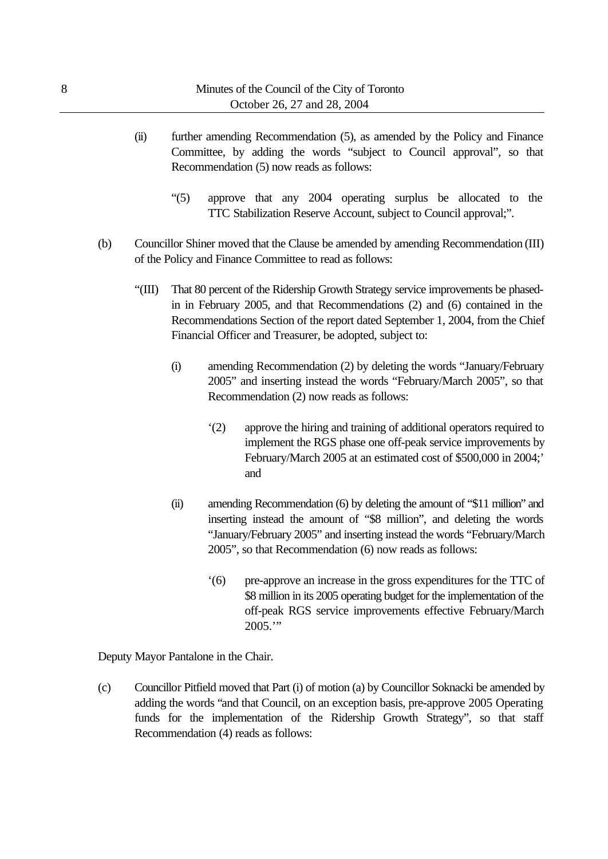- (ii) further amending Recommendation (5), as amended by the Policy and Finance Committee, by adding the words "subject to Council approval", so that Recommendation (5) now reads as follows:
	- "(5) approve that any 2004 operating surplus be allocated to the TTC Stabilization Reserve Account, subject to Council approval;".
- (b) Councillor Shiner moved that the Clause be amended by amending Recommendation (III) of the Policy and Finance Committee to read as follows:
	- "(III) That 80 percent of the Ridership Growth Strategy service improvements be phasedin in February 2005, and that Recommendations (2) and (6) contained in the Recommendations Section of the report dated September 1, 2004, from the Chief Financial Officer and Treasurer, be adopted, subject to:
		- (i) amending Recommendation (2) by deleting the words "January/February 2005" and inserting instead the words "February/March 2005", so that Recommendation (2) now reads as follows:
			- '(2) approve the hiring and training of additional operators required to implement the RGS phase one off-peak service improvements by February/March 2005 at an estimated cost of \$500,000 in 2004;' and
		- (ii) amending Recommendation (6) by deleting the amount of "\$11 million" and inserting instead the amount of "\$8 million", and deleting the words "January/February 2005" and inserting instead the words "February/March 2005", so that Recommendation (6) now reads as follows:
			- '(6) pre-approve an increase in the gross expenditures for the TTC of \$8 million in its 2005 operating budget for the implementation of the off-peak RGS service improvements effective February/March  $2005."$

Deputy Mayor Pantalone in the Chair.

(c) Councillor Pitfield moved that Part (i) of motion (a) by Councillor Soknacki be amended by adding the words "and that Council, on an exception basis, pre-approve 2005 Operating funds for the implementation of the Ridership Growth Strategy", so that staff Recommendation (4) reads as follows: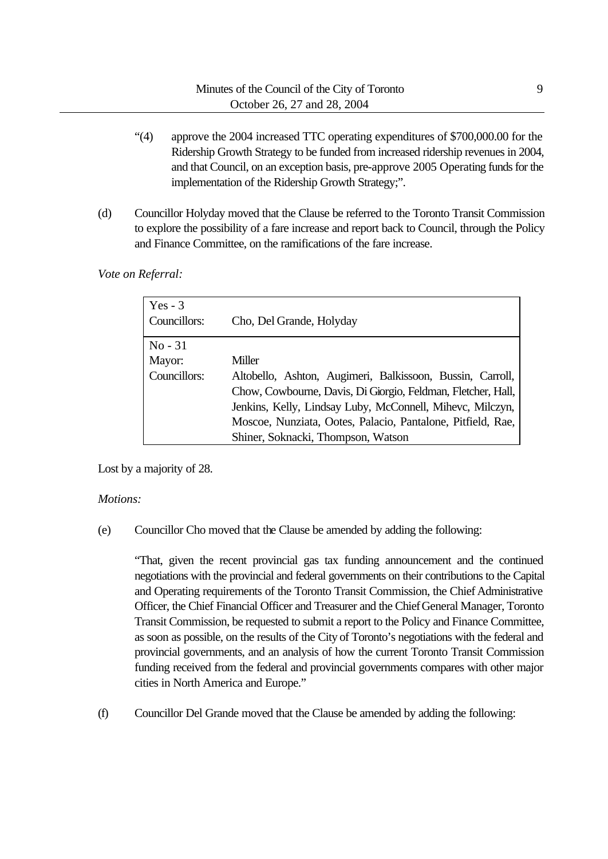- "(4) approve the 2004 increased TTC operating expenditures of \$700,000.00 for the Ridership Growth Strategy to be funded from increased ridership revenues in 2004, and that Council, on an exception basis, pre-approve 2005 Operating funds for the implementation of the Ridership Growth Strategy;".
- (d) Councillor Holyday moved that the Clause be referred to the Toronto Transit Commission to explore the possibility of a fare increase and report back to Council, through the Policy and Finance Committee, on the ramifications of the fare increase.

*Vote on Referral:*

| Yes $-3$<br>Councillors:            | Cho, Del Grande, Holyday                                                                                                                                                                                                                                                                              |
|-------------------------------------|-------------------------------------------------------------------------------------------------------------------------------------------------------------------------------------------------------------------------------------------------------------------------------------------------------|
| $No - 31$<br>Mayor:<br>Councillors: | Miller<br>Altobello, Ashton, Augimeri, Balkissoon, Bussin, Carroll,<br>Chow, Cowbourne, Davis, Di Giorgio, Feldman, Fletcher, Hall,<br>Jenkins, Kelly, Lindsay Luby, McConnell, Mihevc, Milczyn,<br>Moscoe, Nunziata, Ootes, Palacio, Pantalone, Pitfield, Rae,<br>Shiner, Soknacki, Thompson, Watson |

Lost by a majority of 28.

## *Motions:*

(e) Councillor Cho moved that the Clause be amended by adding the following:

"That, given the recent provincial gas tax funding announcement and the continued negotiations with the provincial and federal governments on their contributions to the Capital and Operating requirements of the Toronto Transit Commission, the Chief Administrative Officer, the Chief Financial Officer and Treasurer and the Chief General Manager, Toronto Transit Commission, be requested to submit a report to the Policy and Finance Committee, as soon as possible, on the results of the City of Toronto's negotiations with the federal and provincial governments, and an analysis of how the current Toronto Transit Commission funding received from the federal and provincial governments compares with other major cities in North America and Europe."

(f) Councillor Del Grande moved that the Clause be amended by adding the following: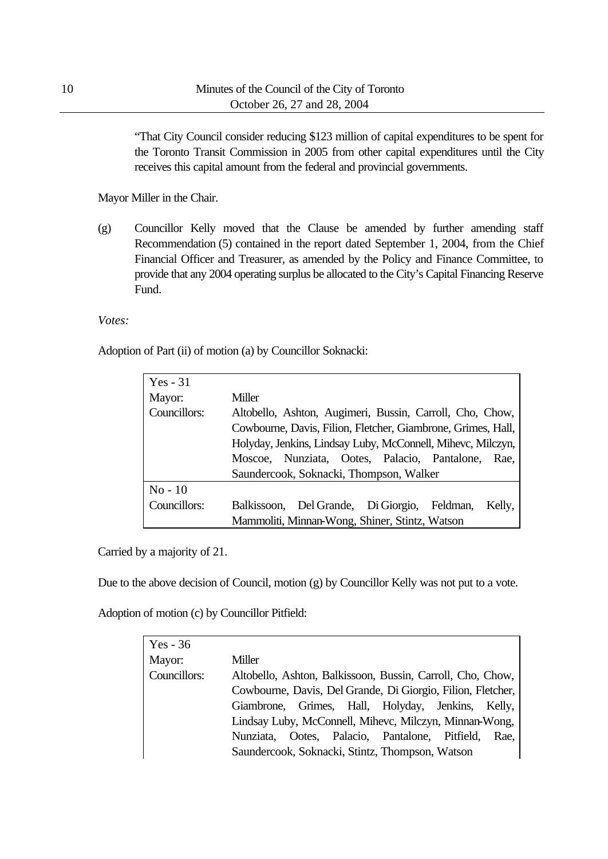"That City Council consider reducing \$123 million of capital expenditures to be spent for the Toronto Transit Commission in 2005 from other capital expenditures until the City receives this capital amount from the federal and provincial governments.

Mayor Miller in the Chair.

(g) Councillor Kelly moved that the Clause be amended by further amending staff Recommendation (5) contained in the report dated September 1, 2004, from the Chief Financial Officer and Treasurer, as amended by the Policy and Finance Committee, to provide that any 2004 operating surplus be allocated to the City's Capital Financing Reserve Fund.

*Votes:*

Adoption of Part (ii) of motion (a) by Councillor Soknacki:

| Yes $-31$    |                                                              |
|--------------|--------------------------------------------------------------|
| Mayor:       | Miller                                                       |
| Councillors: | Altobello, Ashton, Augimeri, Bussin, Carroll, Cho, Chow,     |
|              | Cowbourne, Davis, Filion, Fletcher, Giambrone, Grimes, Hall, |
|              | Holyday, Jenkins, Lindsay Luby, McConnell, Mihevc, Milczyn,  |
|              | Moscoe, Nunziata, Ootes, Palacio, Pantalone, Rae,            |
|              | Saundercook, Soknacki, Thompson, Walker                      |
| $No-10$      |                                                              |
| Councillors: | Balkissoon, Del Grande, Di Giorgio, Feldman,<br>Kelly,       |
|              | Mammoliti, Minnan-Wong, Shiner, Stintz, Watson               |

Carried by a majority of 21.

Due to the above decision of Council, motion (g) by Councillor Kelly was not put to a vote.

Adoption of motion (c) by Councillor Pitfield:

| $Yes - 36$   |                                                             |
|--------------|-------------------------------------------------------------|
| Mayor:       | Miller                                                      |
| Councillors: | Altobello, Ashton, Balkissoon, Bussin, Carroll, Cho, Chow,  |
|              | Cowbourne, Davis, Del Grande, Di Giorgio, Filion, Fletcher, |
|              | Giambrone, Grimes, Hall, Holyday, Jenkins, Kelly,           |
|              | Lindsay Luby, McConnell, Mihevc, Milczyn, Minnan-Wong,      |
|              | Nunziata, Ootes, Palacio, Pantalone, Pitfield,<br>Rae.      |
|              | Saundercook, Soknacki, Stintz, Thompson, Watson             |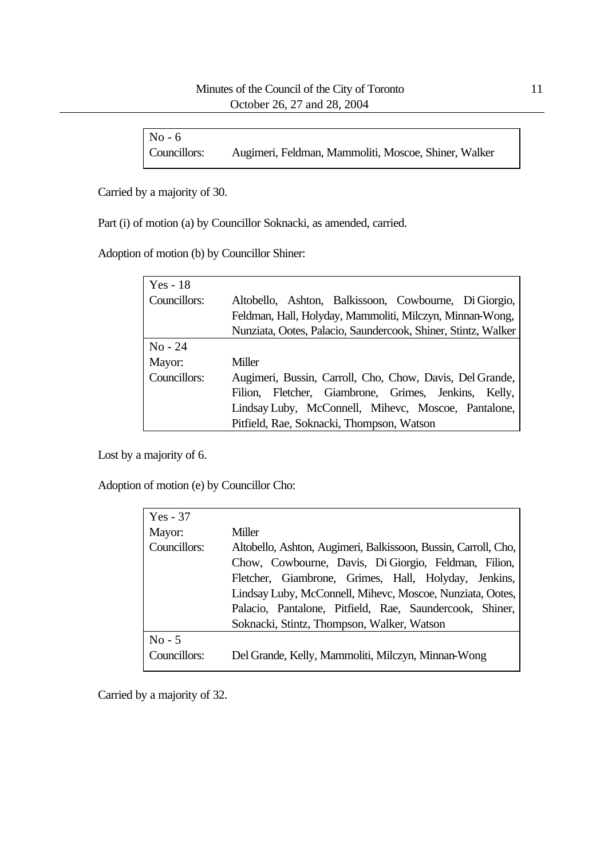| $No - 6$     |                                                      |
|--------------|------------------------------------------------------|
| Councillors: | Augimeri, Feldman, Mammoliti, Moscoe, Shiner, Walker |

Carried by a majority of 30.

Part (i) of motion (a) by Councillor Soknacki, as amended, carried.

Adoption of motion (b) by Councillor Shiner:

| Yes - $18$   |                                                               |
|--------------|---------------------------------------------------------------|
| Councillors: | Altobello, Ashton, Balkissoon, Cowbourne, Di Giorgio,         |
|              | Feldman, Hall, Holyday, Mammoliti, Milczyn, Minnan-Wong,      |
|              | Nunziata, Ootes, Palacio, Saundercook, Shiner, Stintz, Walker |
| $No - 24$    |                                                               |
| Mayor:       | Miller                                                        |
| Councillors: | Augimeri, Bussin, Carroll, Cho, Chow, Davis, Del Grande,      |
|              | Filion, Fletcher, Giambrone, Grimes, Jenkins, Kelly,          |
|              | Lindsay Luby, McConnell, Mihevc, Moscoe, Pantalone,           |
|              | Pitfield, Rae, Soknacki, Thompson, Watson                     |

Lost by a majority of 6.

Adoption of motion (e) by Councillor Cho:

| $Yes - 37$   |                                                                |
|--------------|----------------------------------------------------------------|
| Mayor:       | Miller                                                         |
| Councillors: | Altobello, Ashton, Augimeri, Balkissoon, Bussin, Carroll, Cho, |
|              | Chow, Cowbourne, Davis, Di Giorgio, Feldman, Filion,           |
|              | Fletcher, Giambrone, Grimes, Hall, Holyday, Jenkins,           |
|              | Lindsay Luby, McConnell, Mihevc, Moscoe, Nunziata, Ootes,      |
|              | Palacio, Pantalone, Pitfield, Rae, Saundercook, Shiner,        |
|              | Soknacki, Stintz, Thompson, Walker, Watson                     |
| $No - 5$     |                                                                |
| Councillors: | Del Grande, Kelly, Mammoliti, Milczyn, Minnan-Wong             |

Carried by a majority of 32.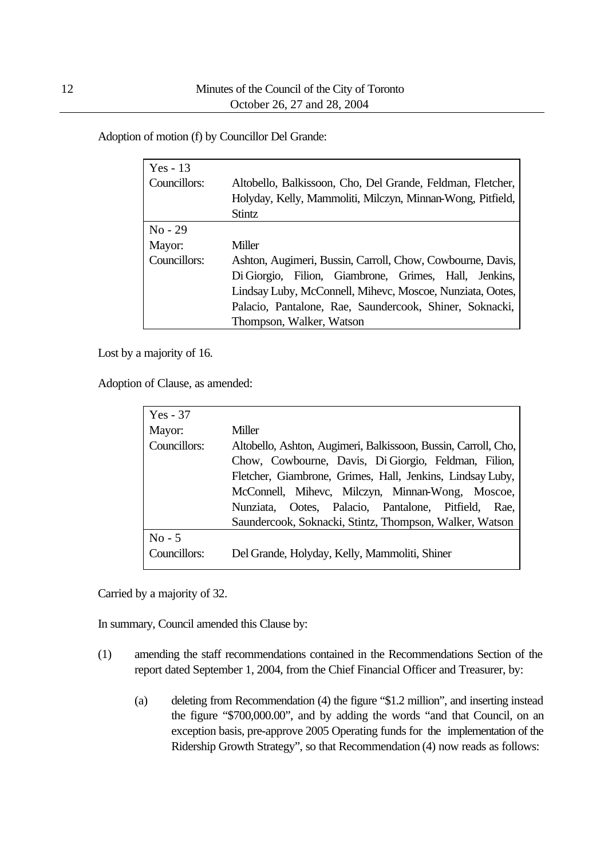Adoption of motion (f) by Councillor Del Grande:

| Yes - $13$   |                                                            |
|--------------|------------------------------------------------------------|
| Councillors: | Altobello, Balkissoon, Cho, Del Grande, Feldman, Fletcher, |
|              | Holyday, Kelly, Mammoliti, Milczyn, Minnan-Wong, Pitfield, |
|              | Stintz                                                     |
| $No - 29$    |                                                            |
| Mayor:       | Miller                                                     |
| Councillors: | Ashton, Augimeri, Bussin, Carroll, Chow, Cowbourne, Davis, |
|              | Di Giorgio, Filion, Giambrone, Grimes, Hall, Jenkins,      |
|              | Lindsay Luby, McConnell, Mihevc, Moscoe, Nunziata, Ootes,  |
|              | Palacio, Pantalone, Rae, Saundercook, Shiner, Soknacki,    |
|              | Thompson, Walker, Watson                                   |

Lost by a majority of 16.

Adoption of Clause, as amended:

| $Yes - 37$   |                                                                |
|--------------|----------------------------------------------------------------|
| Mayor:       | Miller                                                         |
| Councillors: | Altobello, Ashton, Augimeri, Balkissoon, Bussin, Carroll, Cho, |
|              | Chow, Cowbourne, Davis, Di Giorgio, Feldman, Filion,           |
|              | Fletcher, Giambrone, Grimes, Hall, Jenkins, Lindsay Luby,      |
|              | McConnell, Mihevc, Milczyn, Minnan-Wong, Moscoe,               |
|              | Nunziata, Ootes, Palacio, Pantalone, Pitfield,<br>Rae.         |
|              | Saundercook, Soknacki, Stintz, Thompson, Walker, Watson        |
| $No - 5$     |                                                                |
| Councillors: | Del Grande, Holyday, Kelly, Mammoliti, Shiner                  |

Carried by a majority of 32.

In summary, Council amended this Clause by:

- (1) amending the staff recommendations contained in the Recommendations Section of the report dated September 1, 2004, from the Chief Financial Officer and Treasurer, by:
	- (a) deleting from Recommendation (4) the figure "\$1.2 million", and inserting instead the figure "\$700,000.00", and by adding the words "and that Council, on an exception basis, pre-approve 2005 Operating funds for the implementation of the Ridership Growth Strategy", so that Recommendation (4) now reads as follows: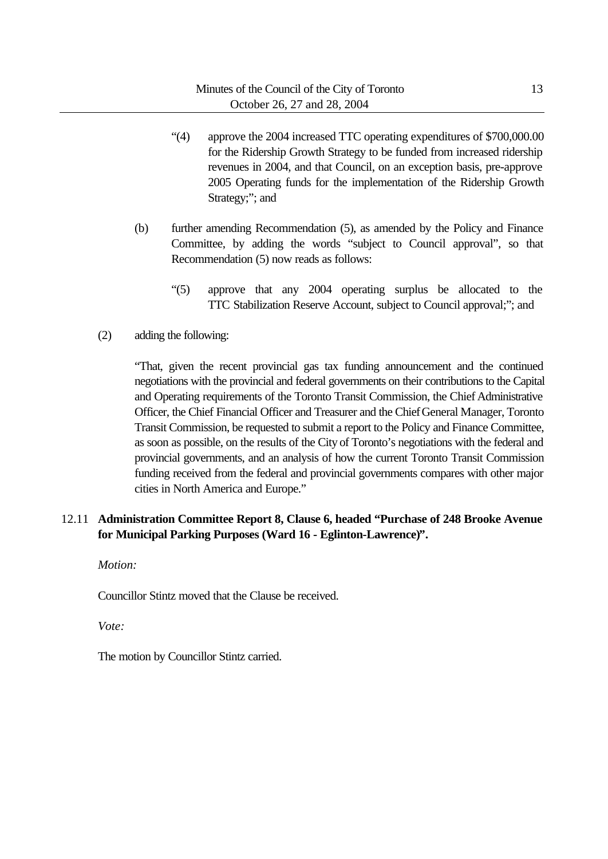- "(4) approve the 2004 increased TTC operating expenditures of \$700,000.00 for the Ridership Growth Strategy to be funded from increased ridership revenues in 2004, and that Council, on an exception basis, pre-approve 2005 Operating funds for the implementation of the Ridership Growth Strategy;"; and
- (b) further amending Recommendation (5), as amended by the Policy and Finance Committee, by adding the words "subject to Council approval", so that Recommendation (5) now reads as follows:
	- "(5) approve that any 2004 operating surplus be allocated to the TTC Stabilization Reserve Account, subject to Council approval;"; and
- (2) adding the following:

"That, given the recent provincial gas tax funding announcement and the continued negotiations with the provincial and federal governments on their contributions to the Capital and Operating requirements of the Toronto Transit Commission, the Chief Administrative Officer, the Chief Financial Officer and Treasurer and the Chief General Manager, Toronto Transit Commission, be requested to submit a report to the Policy and Finance Committee, as soon as possible, on the results of the City of Toronto's negotiations with the federal and provincial governments, and an analysis of how the current Toronto Transit Commission funding received from the federal and provincial governments compares with other major cities in North America and Europe."

## 12.11 **Administration Committee Report 8, Clause 6, headed "Purchase of 248 Brooke Avenue for Municipal Parking Purposes (Ward 16 - Eglinton-Lawrence)".**

*Motion:*

Councillor Stintz moved that the Clause be received.

*Vote:*

The motion by Councillor Stintz carried.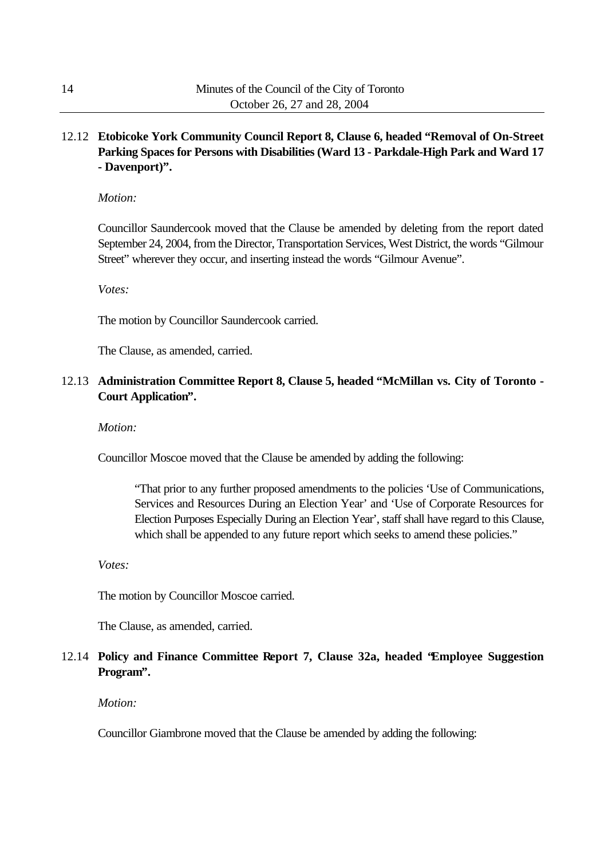## 12.12 **Etobicoke York Community Council Report 8, Clause 6, headed "Removal of On-Street Parking Spaces for Persons with Disabilities (Ward 13 - Parkdale-High Park and Ward 17 - Davenport)".**

#### *Motion:*

Councillor Saundercook moved that the Clause be amended by deleting from the report dated September 24, 2004, from the Director, Transportation Services, West District, the words "Gilmour Street" wherever they occur, and inserting instead the words "Gilmour Avenue".

*Votes:*

The motion by Councillor Saundercook carried.

The Clause, as amended, carried.

## 12.13 **Administration Committee Report 8, Clause 5, headed "McMillan vs. City of Toronto - Court Application".**

*Motion:*

Councillor Moscoe moved that the Clause be amended by adding the following:

"That prior to any further proposed amendments to the policies 'Use of Communications, Services and Resources During an Election Year' and 'Use of Corporate Resources for Election Purposes Especially During an Election Year', staff shall have regard to this Clause, which shall be appended to any future report which seeks to amend these policies."

*Votes:*

The motion by Councillor Moscoe carried.

The Clause, as amended, carried.

## 12.14 **Policy and Finance Committee Report 7, Clause 32a, headed "Employee Suggestion Program".**

*Motion:*

Councillor Giambrone moved that the Clause be amended by adding the following: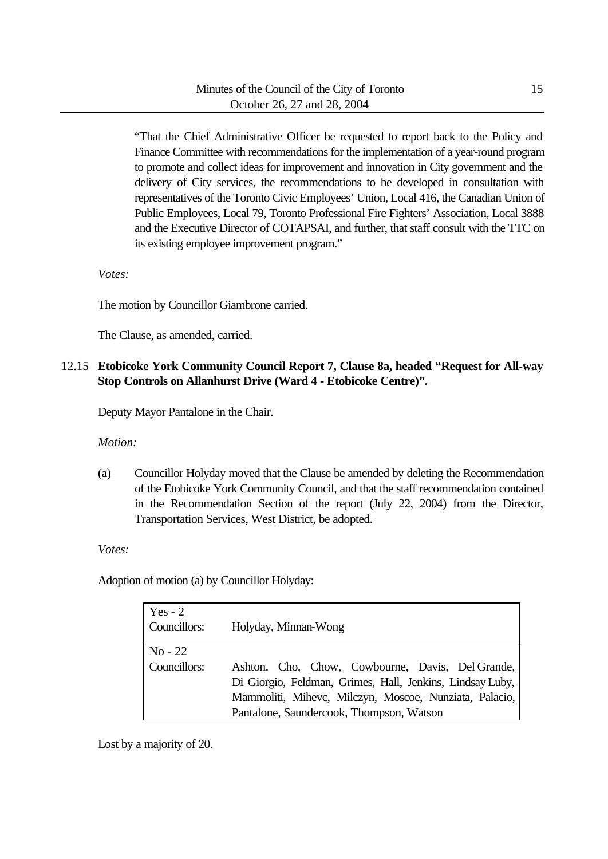"That the Chief Administrative Officer be requested to report back to the Policy and Finance Committee with recommendations for the implementation of a year-round program to promote and collect ideas for improvement and innovation in City government and the delivery of City services, the recommendations to be developed in consultation with representatives of the Toronto Civic Employees' Union, Local 416, the Canadian Union of Public Employees, Local 79, Toronto Professional Fire Fighters' Association, Local 3888 and the Executive Director of COTAPSAI, and further, that staff consult with the TTC on its existing employee improvement program."

*Votes:*

The motion by Councillor Giambrone carried.

The Clause, as amended, carried.

## 12.15 **Etobicoke York Community Council Report 7, Clause 8a, headed "Request for All-way Stop Controls on Allanhurst Drive (Ward 4 - Etobicoke Centre)".**

Deputy Mayor Pantalone in the Chair.

*Motion:*

(a) Councillor Holyday moved that the Clause be amended by deleting the Recommendation of the Etobicoke York Community Council, and that the staff recommendation contained in the Recommendation Section of the report (July 22, 2004) from the Director, Transportation Services, West District, be adopted.

*Votes:*

Adoption of motion (a) by Councillor Holyday:

| Yes $-2$<br>Councillors:  | Holyday, Minnan-Wong                                                                                                                                                                                                |
|---------------------------|---------------------------------------------------------------------------------------------------------------------------------------------------------------------------------------------------------------------|
| $No - 22$<br>Councillors: | Ashton, Cho, Chow, Cowbourne, Davis, Del Grande,<br>Di Giorgio, Feldman, Grimes, Hall, Jenkins, Lindsay Luby,<br>Mammoliti, Mihevc, Milczyn, Moscoe, Nunziata, Palacio,<br>Pantalone, Saundercook, Thompson, Watson |

Lost by a majority of 20.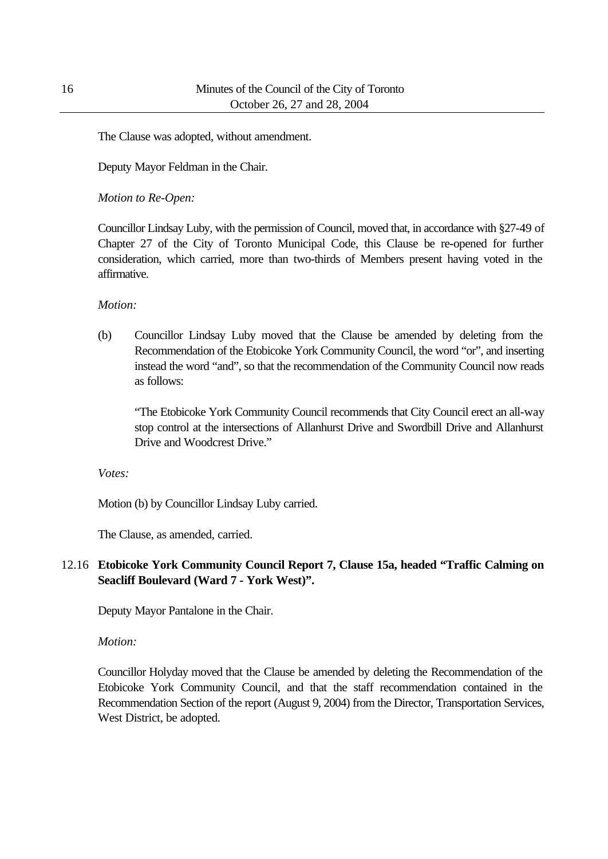The Clause was adopted, without amendment.

Deputy Mayor Feldman in the Chair.

*Motion to Re-Open:*

Councillor Lindsay Luby, with the permission of Council, moved that, in accordance with §27-49 of Chapter 27 of the City of Toronto Municipal Code, this Clause be re-opened for further consideration, which carried, more than two-thirds of Members present having voted in the affirmative.

*Motion:*

(b) Councillor Lindsay Luby moved that the Clause be amended by deleting from the Recommendation of the Etobicoke York Community Council, the word "or", and inserting instead the word "and", so that the recommendation of the Community Council now reads as follows:

"The Etobicoke York Community Council recommends that City Council erect an all-way stop control at the intersections of Allanhurst Drive and Swordbill Drive and Allanhurst Drive and Woodcrest Drive."

*Votes:*

Motion (b) by Councillor Lindsay Luby carried.

The Clause, as amended, carried.

## 12.16 **Etobicoke York Community Council Report 7, Clause 15a, headed "Traffic Calming on Seacliff Boulevard (Ward 7 - York West)".**

Deputy Mayor Pantalone in the Chair.

*Motion:*

Councillor Holyday moved that the Clause be amended by deleting the Recommendation of the Etobicoke York Community Council, and that the staff recommendation contained in the Recommendation Section of the report (August 9, 2004) from the Director, Transportation Services, West District, be adopted.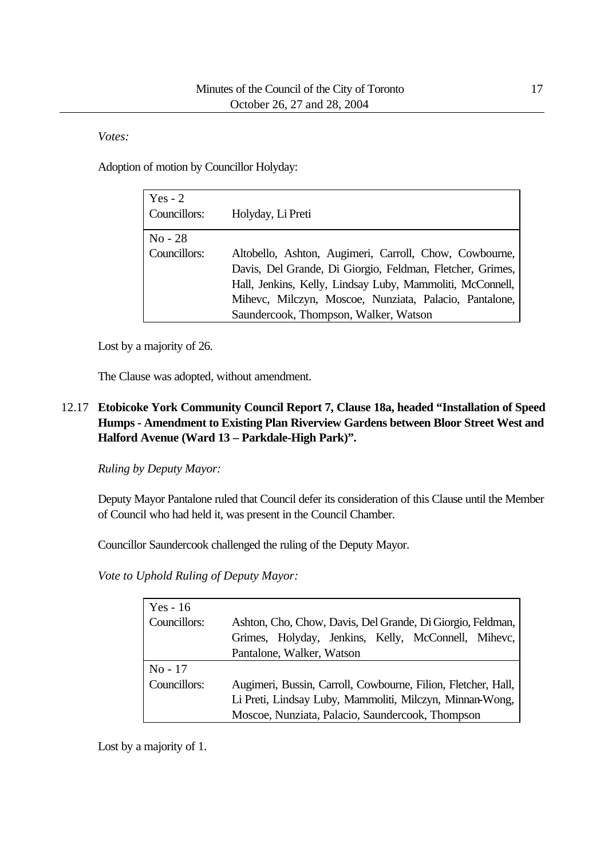*Votes:*

Adoption of motion by Councillor Holyday:

| Yes $-2$<br>Councillors:           | Holyday, Li Preti                                                                                                                                                                                                                                                                   |
|------------------------------------|-------------------------------------------------------------------------------------------------------------------------------------------------------------------------------------------------------------------------------------------------------------------------------------|
| $\mathrm{No}$ - 28<br>Councillors: | Altobello, Ashton, Augimeri, Carroll, Chow, Cowbourne,<br>Davis, Del Grande, Di Giorgio, Feldman, Fletcher, Grimes,<br>Hall, Jenkins, Kelly, Lindsay Luby, Mammoliti, McConnell,<br>Mihevc, Milczyn, Moscoe, Nunziata, Palacio, Pantalone,<br>Saundercook, Thompson, Walker, Watson |

Lost by a majority of 26.

The Clause was adopted, without amendment.

## 12.17 **Etobicoke York Community Council Report 7, Clause 18a, headed "Installation of Speed Humps - Amendment to Existing Plan Riverview Gardens between Bloor Street West and Halford Avenue (Ward 13 – Parkdale-High Park)".**

*Ruling by Deputy Mayor:*

Deputy Mayor Pantalone ruled that Council defer its consideration of this Clause until the Member of Council who had held it, was present in the Council Chamber.

Councillor Saundercook challenged the ruling of the Deputy Mayor.

*Vote to Uphold Ruling of Deputy Mayor:*

| Yes - $16$   |                                                               |
|--------------|---------------------------------------------------------------|
| Councillors: | Ashton, Cho, Chow, Davis, Del Grande, Di Giorgio, Feldman,    |
|              | Grimes, Holyday, Jenkins, Kelly, McConnell, Mihevc,           |
|              | Pantalone, Walker, Watson                                     |
| $No-17$      |                                                               |
| Councillors: | Augimeri, Bussin, Carroll, Cowbourne, Filion, Fletcher, Hall, |
|              | Li Preti, Lindsay Luby, Mammoliti, Milczyn, Minnan-Wong,      |
|              |                                                               |

Lost by a majority of 1.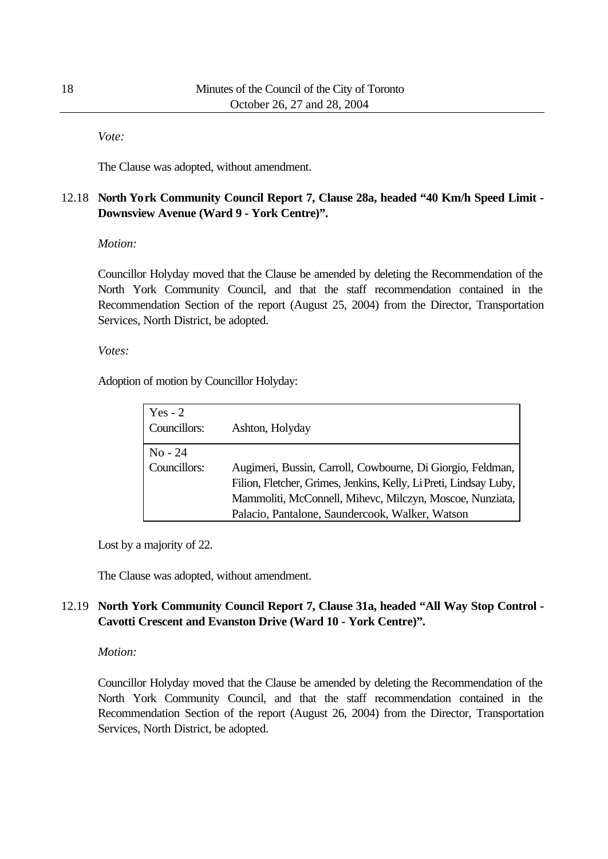*Vote:*

The Clause was adopted, without amendment.

## 12.18 **North York Community Council Report 7, Clause 28a, headed "40 Km/h Speed Limit - Downsview Avenue (Ward 9 - York Centre)".**

#### *Motion:*

Councillor Holyday moved that the Clause be amended by deleting the Recommendation of the North York Community Council, and that the staff recommendation contained in the Recommendation Section of the report (August 25, 2004) from the Director, Transportation Services, North District, be adopted.

#### *Votes:*

Adoption of motion by Councillor Holyday:

| Yes $-2$<br>Councillors:  | Ashton, Holyday                                                                                                                                                                                                                                |
|---------------------------|------------------------------------------------------------------------------------------------------------------------------------------------------------------------------------------------------------------------------------------------|
| $No - 24$<br>Councillors: | Augimeri, Bussin, Carroll, Cowbourne, Di Giorgio, Feldman,<br>Filion, Fletcher, Grimes, Jenkins, Kelly, Li Preti, Lindsay Luby,<br>Mammoliti, McConnell, Mihevc, Milczyn, Moscoe, Nunziata,<br>Palacio, Pantalone, Saundercook, Walker, Watson |

Lost by a majority of 22.

The Clause was adopted, without amendment.

## 12.19 **North York Community Council Report 7, Clause 31a, headed "All Way Stop Control - Cavotti Crescent and Evanston Drive (Ward 10 - York Centre)".**

## *Motion:*

Councillor Holyday moved that the Clause be amended by deleting the Recommendation of the North York Community Council, and that the staff recommendation contained in the Recommendation Section of the report (August 26, 2004) from the Director, Transportation Services, North District, be adopted.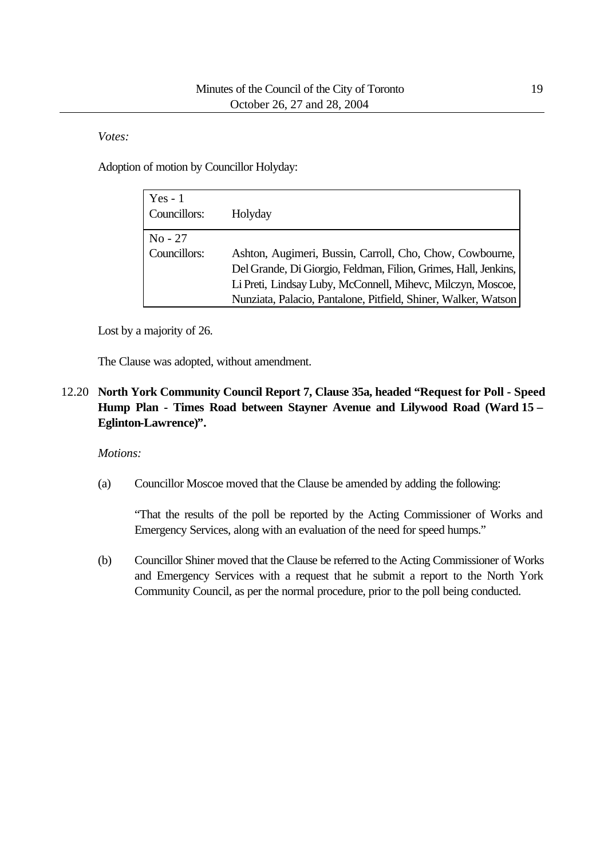## *Votes:*

Adoption of motion by Councillor Holyday:

| $Yes - 1$<br>Councillors: | Holyday                                                         |
|---------------------------|-----------------------------------------------------------------|
| $No - 27$                 |                                                                 |
| Councillors:              | Ashton, Augimeri, Bussin, Carroll, Cho, Chow, Cowbourne,        |
|                           | Del Grande, Di Giorgio, Feldman, Filion, Grimes, Hall, Jenkins, |
|                           | Li Preti, Lindsay Luby, McConnell, Mihevc, Milczyn, Moscoe,     |
|                           | Nunziata, Palacio, Pantalone, Pitfield, Shiner, Walker, Watson  |

Lost by a majority of 26.

The Clause was adopted, without amendment.

12.20 **North York Community Council Report 7, Clause 35a, headed "Request for Poll - Speed Hump Plan - Times Road between Stayner Avenue and Lilywood Road (Ward 15 – Eglinton-Lawrence)".**

## *Motions:*

(a) Councillor Moscoe moved that the Clause be amended by adding the following:

"That the results of the poll be reported by the Acting Commissioner of Works and Emergency Services, along with an evaluation of the need for speed humps."

(b) Councillor Shiner moved that the Clause be referred to the Acting Commissioner of Works and Emergency Services with a request that he submit a report to the North York Community Council, as per the normal procedure, prior to the poll being conducted.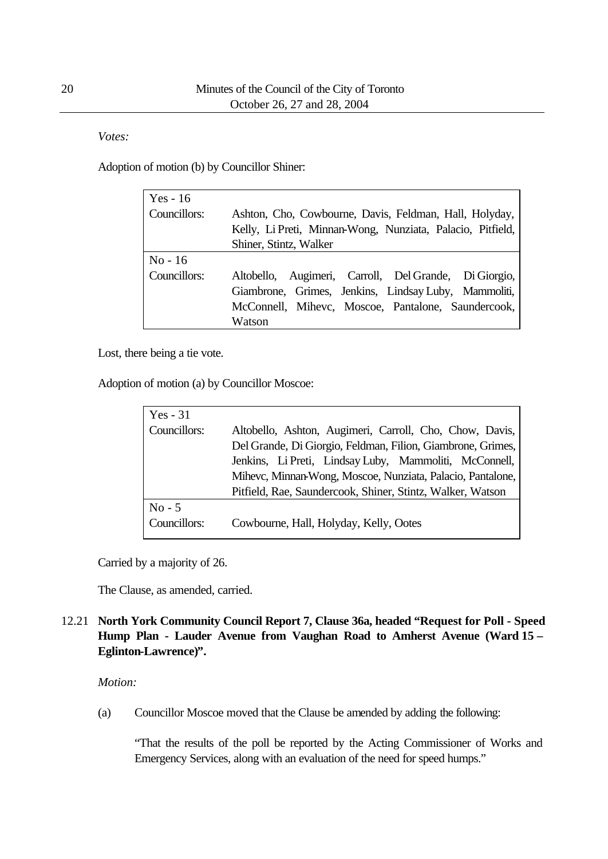*Votes:*

Adoption of motion (b) by Councillor Shiner:

| Yes - $16$   |                                                            |  |  |  |  |
|--------------|------------------------------------------------------------|--|--|--|--|
| Councillors: | Ashton, Cho, Cowbourne, Davis, Feldman, Hall, Holyday,     |  |  |  |  |
|              | Kelly, Li Preti, Minnan-Wong, Nunziata, Palacio, Pitfield, |  |  |  |  |
|              | Shiner, Stintz, Walker                                     |  |  |  |  |
| $No-16$      |                                                            |  |  |  |  |
| Councillors: | Altobello, Augimeri, Carroll, Del Grande, Di Giorgio,      |  |  |  |  |
|              | Giambrone, Grimes, Jenkins, Lindsay Luby, Mammoliti,       |  |  |  |  |
|              | McConnell, Mihevc, Moscoe, Pantalone, Saundercook,         |  |  |  |  |
|              | Watson                                                     |  |  |  |  |
|              |                                                            |  |  |  |  |

Lost, there being a tie vote.

Adoption of motion (a) by Councillor Moscoe:

| $Yes - 31$   |                                                             |  |  |  |  |
|--------------|-------------------------------------------------------------|--|--|--|--|
| Councillors: | Altobello, Ashton, Augimeri, Carroll, Cho, Chow, Davis,     |  |  |  |  |
|              | Del Grande, Di Giorgio, Feldman, Filion, Giambrone, Grimes, |  |  |  |  |
|              | Jenkins, Li Preti, Lindsay Luby, Mammoliti, McConnell,      |  |  |  |  |
|              | Mihevc, Minnan-Wong, Moscoe, Nunziata, Palacio, Pantalone,  |  |  |  |  |
|              | Pitfield, Rae, Saundercook, Shiner, Stintz, Walker, Watson  |  |  |  |  |
| $No - 5$     |                                                             |  |  |  |  |
| Councillors: | Cowbourne, Hall, Holyday, Kelly, Ootes                      |  |  |  |  |

Carried by a majority of 26.

The Clause, as amended, carried.

## 12.21 **North York Community Council Report 7, Clause 36a, headed "Request for Poll - Speed Hump Plan - Lauder Avenue from Vaughan Road to Amherst Avenue (Ward 15 – Eglinton-Lawrence)".**

## *Motion:*

(a) Councillor Moscoe moved that the Clause be amended by adding the following:

"That the results of the poll be reported by the Acting Commissioner of Works and Emergency Services, along with an evaluation of the need for speed humps."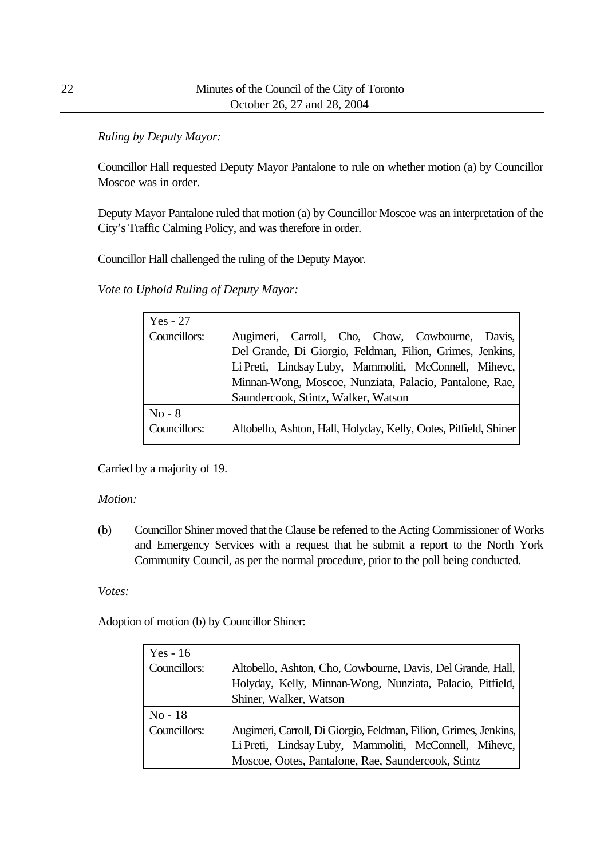## *Ruling by Deputy Mayor:*

Councillor Hall requested Deputy Mayor Pantalone to rule on whether motion (a) by Councillor Moscoe was in order.

Deputy Mayor Pantalone ruled that motion (a) by Councillor Moscoe was an interpretation of the City's Traffic Calming Policy, and was therefore in order.

Councillor Hall challenged the ruling of the Deputy Mayor.

*Vote to Uphold Ruling of Deputy Mayor:*

| $Yes - 27$   |                                                                  |
|--------------|------------------------------------------------------------------|
| Councillors: | Augimeri, Carroll, Cho, Chow, Cowbourne, Davis,                  |
|              | Del Grande, Di Giorgio, Feldman, Filion, Grimes, Jenkins,        |
|              | Li Preti, Lindsay Luby, Mammoliti, McConnell, Mihevc,            |
|              | Minnan-Wong, Moscoe, Nunziata, Palacio, Pantalone, Rae,          |
|              | Saundercook, Stintz, Walker, Watson                              |
| $No - 8$     |                                                                  |
| Councillors: | Altobello, Ashton, Hall, Holyday, Kelly, Ootes, Pitfield, Shiner |

Carried by a majority of 19.

## *Motion:*

(b) Councillor Shiner moved that the Clause be referred to the Acting Commissioner of Works and Emergency Services with a request that he submit a report to the North York Community Council, as per the normal procedure, prior to the poll being conducted.

## *Votes:*

Adoption of motion (b) by Councillor Shiner:

| Yes - $16$   |                                                                  |
|--------------|------------------------------------------------------------------|
| Councillors: | Altobello, Ashton, Cho, Cowbourne, Davis, Del Grande, Hall,      |
|              | Holyday, Kelly, Minnan-Wong, Nunziata, Palacio, Pitfield,        |
|              | Shiner, Walker, Watson                                           |
| $No-18$      |                                                                  |
| Councillors: | Augimeri, Carroll, Di Giorgio, Feldman, Filion, Grimes, Jenkins, |
|              | Li Preti, Lindsay Luby, Mammoliti, McConnell, Mihevc,            |
|              | Moscoe, Ootes, Pantalone, Rae, Saundercook, Stintz               |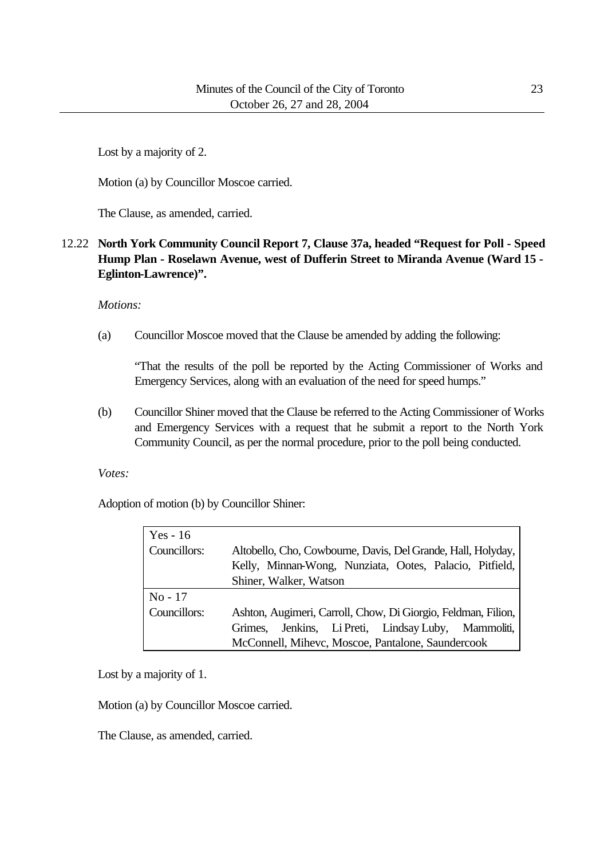Lost by a majority of 2.

Motion (a) by Councillor Moscoe carried.

The Clause, as amended, carried.

## 12.22 **North York Community Council Report 7, Clause 37a, headed "Request for Poll - Speed Hump Plan - Roselawn Avenue, west of Dufferin Street to Miranda Avenue (Ward 15 - Eglinton-Lawrence)".**

*Motions:*

(a) Councillor Moscoe moved that the Clause be amended by adding the following:

"That the results of the poll be reported by the Acting Commissioner of Works and Emergency Services, along with an evaluation of the need for speed humps."

(b) Councillor Shiner moved that the Clause be referred to the Acting Commissioner of Works and Emergency Services with a request that he submit a report to the North York Community Council, as per the normal procedure, prior to the poll being conducted.

*Votes:*

Adoption of motion (b) by Councillor Shiner:

| Yes - $16$   |                                                               |
|--------------|---------------------------------------------------------------|
| Councillors: | Altobello, Cho, Cowbourne, Davis, Del Grande, Hall, Holyday,  |
|              | Kelly, Minnan-Wong, Nunziata, Ootes, Palacio, Pitfield,       |
|              | Shiner, Walker, Watson                                        |
|              |                                                               |
| $No - 17$    |                                                               |
| Councillors: | Ashton, Augimeri, Carroll, Chow, Di Giorgio, Feldman, Filion, |
|              | Jenkins, Li Preti, Lindsay Luby, Mammoliti,<br>Grimes.        |

Lost by a majority of 1.

Motion (a) by Councillor Moscoe carried.

The Clause, as amended, carried.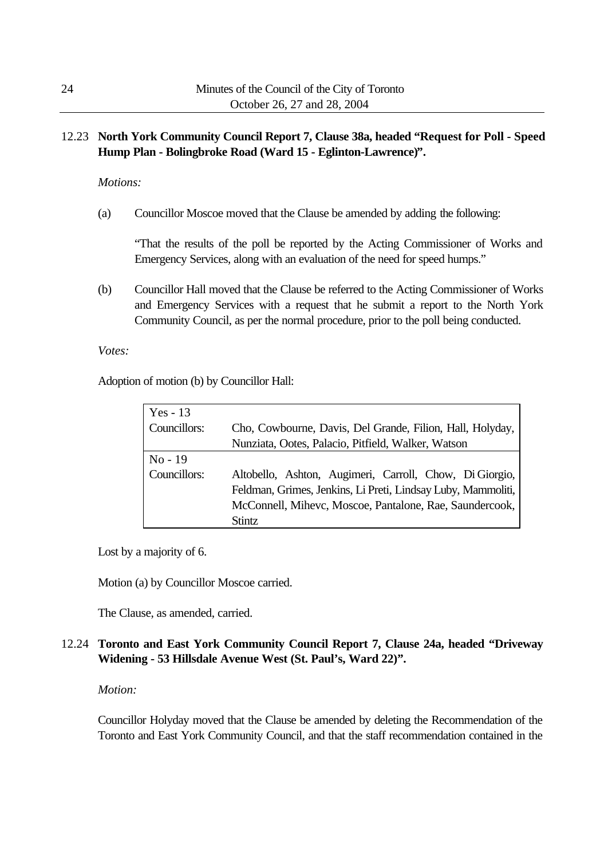# 12.23 **North York Community Council Report 7, Clause 38a, headed "Request for Poll - Speed Hump Plan - Bolingbroke Road (Ward 15 - Eglinton-Lawrence)".**

*Motions:*

(a) Councillor Moscoe moved that the Clause be amended by adding the following:

"That the results of the poll be reported by the Acting Commissioner of Works and Emergency Services, along with an evaluation of the need for speed humps."

(b) Councillor Hall moved that the Clause be referred to the Acting Commissioner of Works and Emergency Services with a request that he submit a report to the North York Community Council, as per the normal procedure, prior to the poll being conducted.

*Votes:*

Adoption of motion (b) by Councillor Hall:

| Yes $-13$    |                                                              |
|--------------|--------------------------------------------------------------|
| Councillors: | Cho, Cowbourne, Davis, Del Grande, Filion, Hall, Holyday,    |
|              | Nunziata, Ootes, Palacio, Pitfield, Walker, Watson           |
| $No-19$      |                                                              |
| Councillors: | Altobello, Ashton, Augimeri, Carroll, Chow, Di Giorgio,      |
|              | Feldman, Grimes, Jenkins, Li Preti, Lindsay Luby, Mammoliti, |
|              | McConnell, Mihevc, Moscoe, Pantalone, Rae, Saundercook,      |
|              | <b>Stintz</b>                                                |

Lost by a majority of 6.

Motion (a) by Councillor Moscoe carried.

The Clause, as amended, carried.

# 12.24 **Toronto and East York Community Council Report 7, Clause 24a, headed "Driveway Widening - 53 Hillsdale Avenue West (St. Paul's, Ward 22)".**

#### *Motion:*

Councillor Holyday moved that the Clause be amended by deleting the Recommendation of the Toronto and East York Community Council, and that the staff recommendation contained in the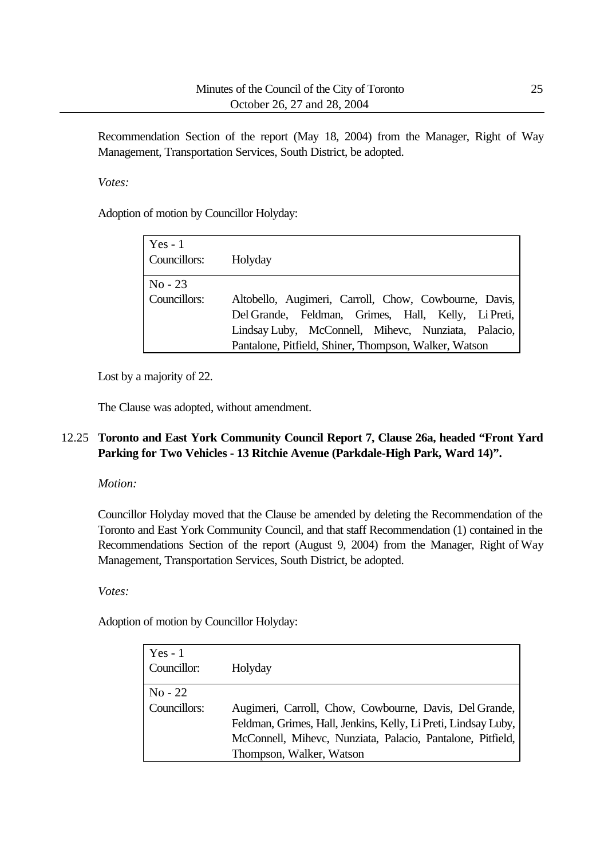Recommendation Section of the report (May 18, 2004) from the Manager, Right of Way Management, Transportation Services, South District, be adopted.

*Votes:*

Adoption of motion by Councillor Holyday:

| $Yes - 1$<br>Councillors: | Holyday                                                                                                                                                                                                                      |
|---------------------------|------------------------------------------------------------------------------------------------------------------------------------------------------------------------------------------------------------------------------|
| $No-23$<br>Councillors:   | Altobello, Augimeri, Carroll, Chow, Cowbourne, Davis,<br>Del Grande, Feldman, Grimes, Hall, Kelly, Li Preti,<br>Lindsay Luby, McConnell, Mihevc, Nunziata, Palacio,<br>Pantalone, Pitfield, Shiner, Thompson, Walker, Watson |

Lost by a majority of 22.

The Clause was adopted, without amendment.

# 12.25 **Toronto and East York Community Council Report 7, Clause 26a, headed "Front Yard Parking for Two Vehicles - 13 Ritchie Avenue (Parkdale-High Park, Ward 14)".**

*Motion:*

Councillor Holyday moved that the Clause be amended by deleting the Recommendation of the Toronto and East York Community Council, and that staff Recommendation (1) contained in the Recommendations Section of the report (August 9, 2004) from the Manager, Right of Way Management, Transportation Services, South District, be adopted.

## *Votes:*

Adoption of motion by Councillor Holyday:

| $Yes - 1$<br>Councillor:  | Holyday                                                                                                                                                                                                            |
|---------------------------|--------------------------------------------------------------------------------------------------------------------------------------------------------------------------------------------------------------------|
| $No - 22$<br>Councillors: | Augimeri, Carroll, Chow, Cowbourne, Davis, Del Grande,<br>Feldman, Grimes, Hall, Jenkins, Kelly, Li Preti, Lindsay Luby,<br>McConnell, Mihevc, Nunziata, Palacio, Pantalone, Pitfield,<br>Thompson, Walker, Watson |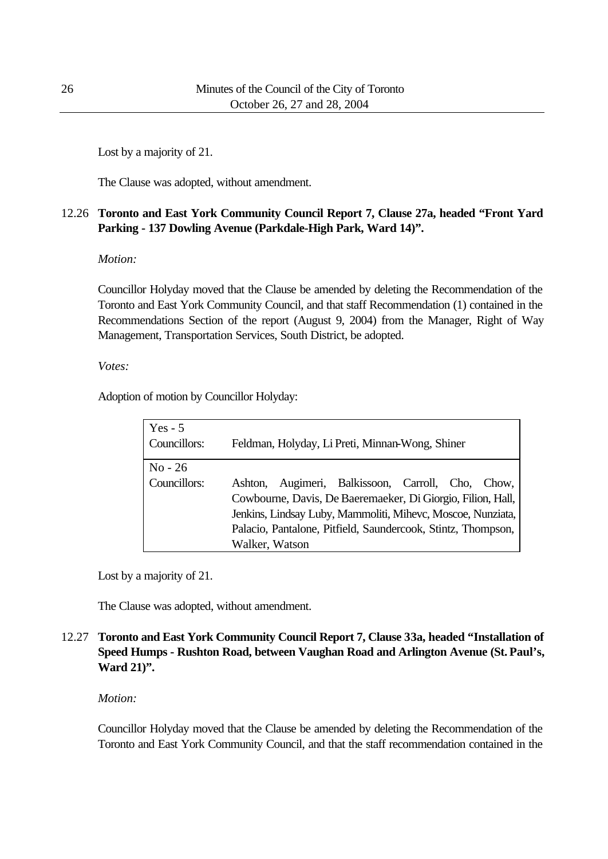Lost by a majority of 21.

The Clause was adopted, without amendment.

# 12.26 **Toronto and East York Community Council Report 7, Clause 27a, headed "Front Yard Parking - 137 Dowling Avenue (Parkdale-High Park, Ward 14)".**

## *Motion:*

Councillor Holyday moved that the Clause be amended by deleting the Recommendation of the Toronto and East York Community Council, and that staff Recommendation (1) contained in the Recommendations Section of the report (August 9, 2004) from the Manager, Right of Way Management, Transportation Services, South District, be adopted.

## *Votes:*

Adoption of motion by Councillor Holyday:

| $Yes - 5$<br>Councillors: | Feldman, Holyday, Li Preti, Minnan-Wong, Shiner                                                                                                                                                                                                                      |
|---------------------------|----------------------------------------------------------------------------------------------------------------------------------------------------------------------------------------------------------------------------------------------------------------------|
| $No - 26$<br>Councillors: | Augimeri, Balkissoon, Carroll, Cho, Chow,<br>Ashton.<br>Cowbourne, Davis, De Baeremaeker, Di Giorgio, Filion, Hall,<br>Jenkins, Lindsay Luby, Mammoliti, Mihevc, Moscoe, Nunziata,<br>Palacio, Pantalone, Pitfield, Saundercook, Stintz, Thompson,<br>Walker, Watson |

Lost by a majority of 21.

The Clause was adopted, without amendment.

# 12.27 **Toronto and East York Community Council Report 7, Clause 33a, headed "Installation of Speed Humps - Rushton Road, between Vaughan Road and Arlington Avenue (St. Paul's, Ward 21)".**

## *Motion:*

Councillor Holyday moved that the Clause be amended by deleting the Recommendation of the Toronto and East York Community Council, and that the staff recommendation contained in the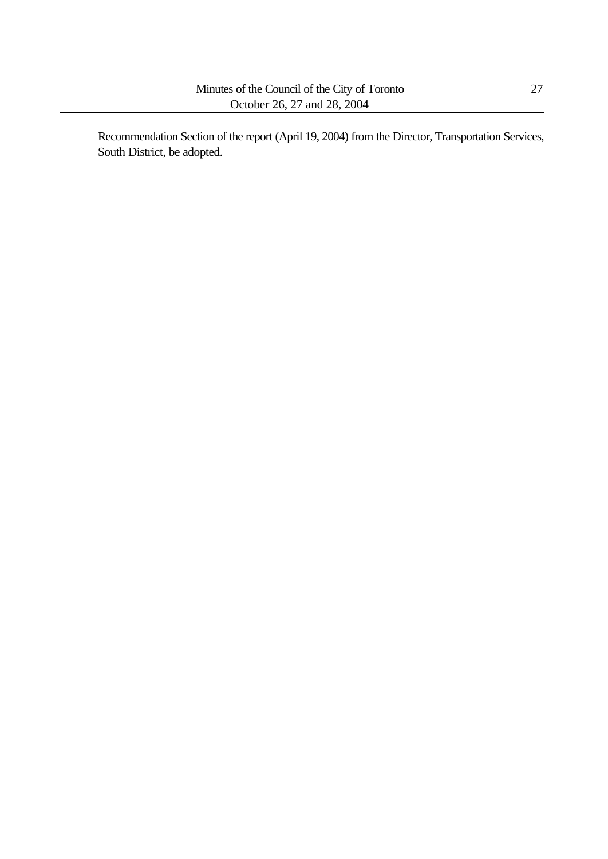Recommendation Section of the report (April 19, 2004) from the Director, Transportation Services, South District, be adopted.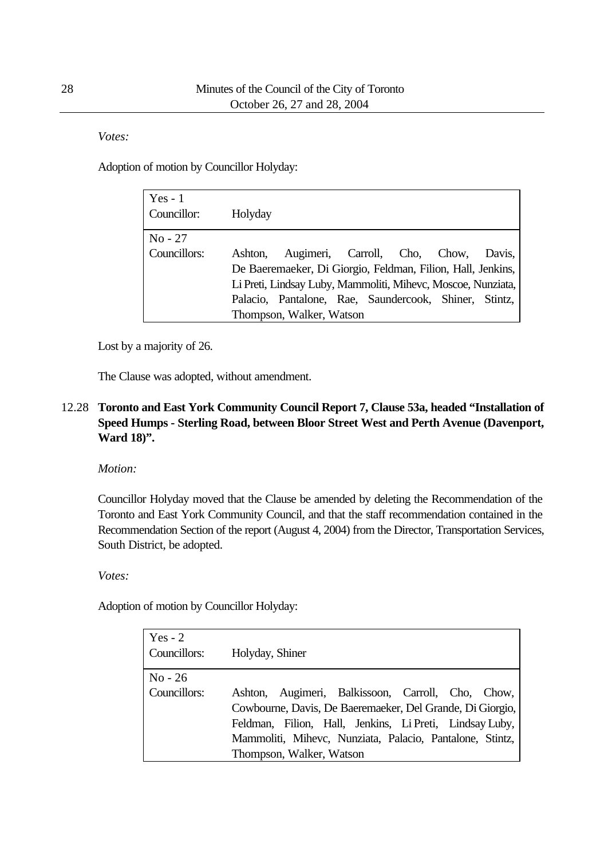*Votes:*

Adoption of motion by Councillor Holyday:

| $Yes - 1$<br>Councillor: | Holyday |                                                              |  |  |        |
|--------------------------|---------|--------------------------------------------------------------|--|--|--------|
| $No - 27$                |         |                                                              |  |  |        |
| Councillors:             | Ashton. | Augimeri, Carroll, Cho, Chow,                                |  |  | Davis. |
|                          |         | De Baeremaeker, Di Giorgio, Feldman, Filion, Hall, Jenkins,  |  |  |        |
|                          |         | Li Preti, Lindsay Luby, Mammoliti, Mihevc, Moscoe, Nunziata, |  |  |        |
|                          |         | Palacio, Pantalone, Rae, Saundercook, Shiner, Stintz,        |  |  |        |
|                          |         | Thompson, Walker, Watson                                     |  |  |        |

Lost by a majority of 26.

The Clause was adopted, without amendment.

# 12.28 **Toronto and East York Community Council Report 7, Clause 53a, headed "Installation of Speed Humps - Sterling Road, between Bloor Street West and Perth Avenue (Davenport, Ward 18)".**

*Motion:*

Councillor Holyday moved that the Clause be amended by deleting the Recommendation of the Toronto and East York Community Council, and that the staff recommendation contained in the Recommendation Section of the report (August 4, 2004) from the Director, Transportation Services, South District, be adopted.

*Votes:*

Adoption of motion by Councillor Holyday:

| Yes - $2$<br>Councillors: | Holyday, Shiner                                                                                                                                                                                                                                                   |
|---------------------------|-------------------------------------------------------------------------------------------------------------------------------------------------------------------------------------------------------------------------------------------------------------------|
| $No - 26$<br>Councillors: | Ashton, Augimeri, Balkissoon, Carroll, Cho, Chow,<br>Cowbourne, Davis, De Baeremaeker, Del Grande, Di Giorgio,<br>Feldman, Filion, Hall, Jenkins, Li Preti, Lindsay Luby,<br>Mammoliti, Mihevc, Nunziata, Palacio, Pantalone, Stintz,<br>Thompson, Walker, Watson |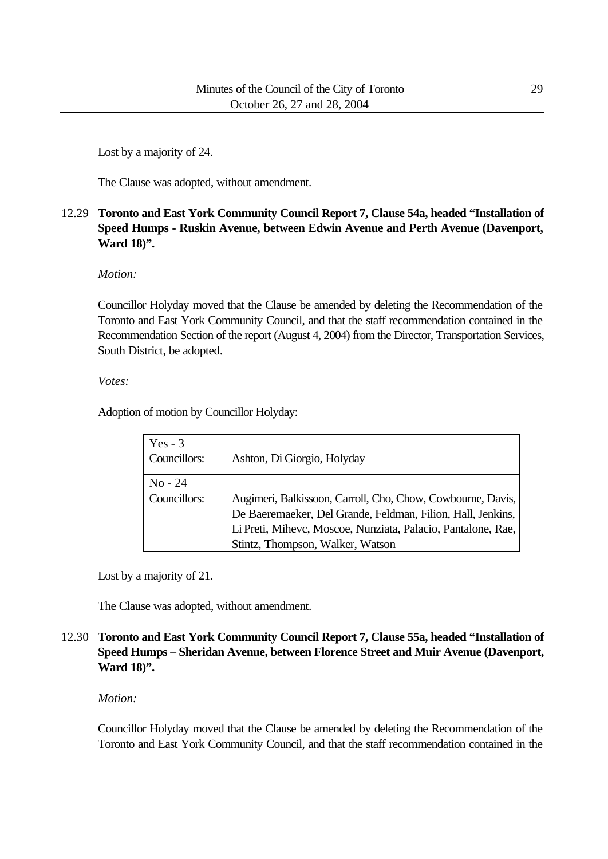Lost by a majority of 24.

The Clause was adopted, without amendment.

# 12.29 **Toronto and East York Community Council Report 7, Clause 54a, headed "Installation of Speed Humps - Ruskin Avenue, between Edwin Avenue and Perth Avenue (Davenport, Ward 18)".**

#### *Motion:*

Councillor Holyday moved that the Clause be amended by deleting the Recommendation of the Toronto and East York Community Council, and that the staff recommendation contained in the Recommendation Section of the report (August 4, 2004) from the Director, Transportation Services, South District, be adopted.

*Votes:*

Adoption of motion by Councillor Holyday:

| Yes $-3$<br>Councillors: | Ashton, Di Giorgio, Holyday                                  |
|--------------------------|--------------------------------------------------------------|
| $No - 24$                |                                                              |
| Councillors:             | Augimeri, Balkissoon, Carroll, Cho, Chow, Cowbourne, Davis,  |
|                          | De Baeremaeker, Del Grande, Feldman, Filion, Hall, Jenkins,  |
|                          | Li Preti, Mihevc, Moscoe, Nunziata, Palacio, Pantalone, Rae, |
|                          | Stintz, Thompson, Walker, Watson                             |

Lost by a majority of 21.

The Clause was adopted, without amendment.

## 12.30 **Toronto and East York Community Council Report 7, Clause 55a, headed "Installation of Speed Humps – Sheridan Avenue, between Florence Street and Muir Avenue (Davenport, Ward 18)".**

#### *Motion:*

Councillor Holyday moved that the Clause be amended by deleting the Recommendation of the Toronto and East York Community Council, and that the staff recommendation contained in the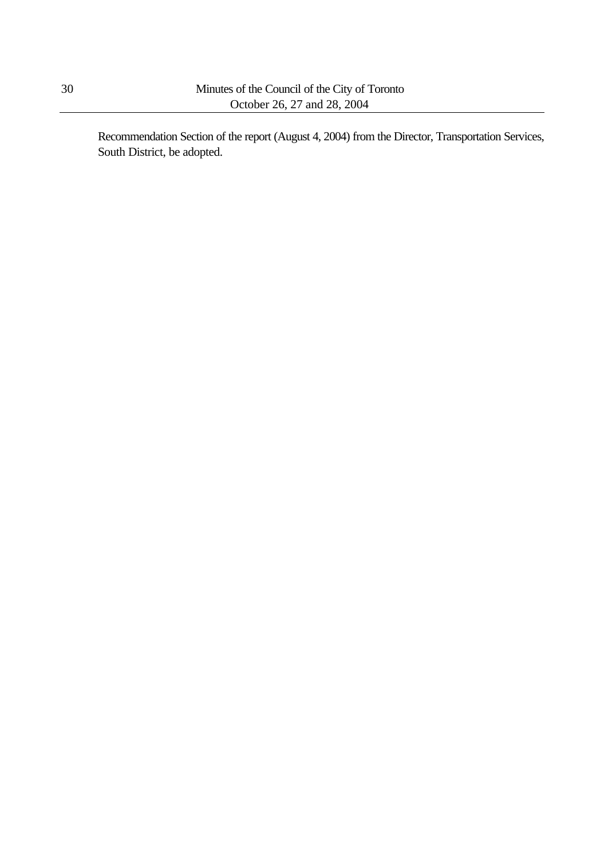Recommendation Section of the report (August 4, 2004) from the Director, Transportation Services, South District, be adopted.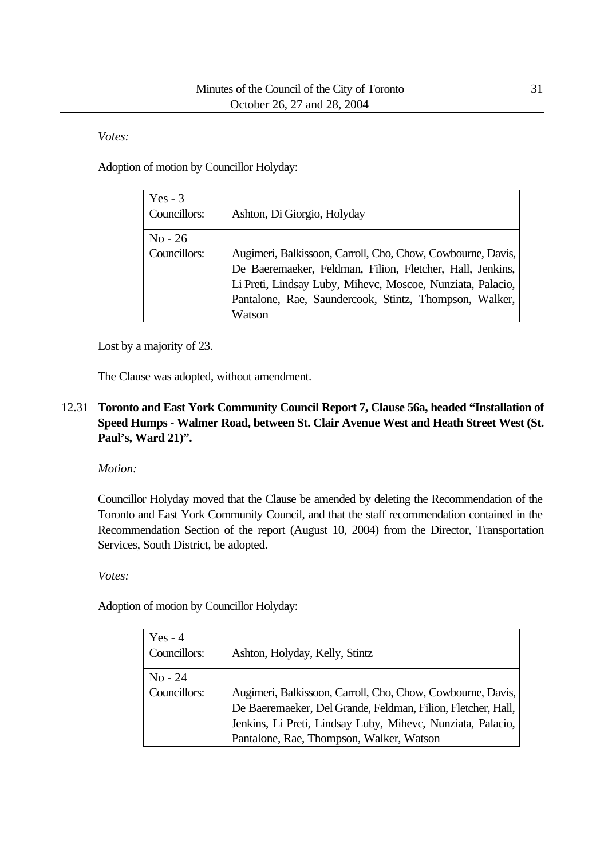*Votes:*

Adoption of motion by Councillor Holyday:

| $Yes - 3$<br>Councillors: | Ashton, Di Giorgio, Holyday                                                                                                                                                                                                                                |
|---------------------------|------------------------------------------------------------------------------------------------------------------------------------------------------------------------------------------------------------------------------------------------------------|
| $No - 26$<br>Councillors: | Augimeri, Balkissoon, Carroll, Cho, Chow, Cowbourne, Davis,<br>De Baeremaeker, Feldman, Filion, Fletcher, Hall, Jenkins,<br>Li Preti, Lindsay Luby, Mihevc, Moscoe, Nunziata, Palacio,<br>Pantalone, Rae, Saundercook, Stintz, Thompson, Walker,<br>Watson |

Lost by a majority of 23.

The Clause was adopted, without amendment.

# 12.31 **Toronto and East York Community Council Report 7, Clause 56a, headed "Installation of Speed Humps - Walmer Road, between St. Clair Avenue West and Heath Street West (St. Paul's, Ward 21)".**

*Motion:*

Councillor Holyday moved that the Clause be amended by deleting the Recommendation of the Toronto and East York Community Council, and that the staff recommendation contained in the Recommendation Section of the report (August 10, 2004) from the Director, Transportation Services, South District, be adopted.

*Votes:*

Adoption of motion by Councillor Holyday:

| Yes $-4$<br>Councillors: | Ashton, Holyday, Kelly, Stintz                               |
|--------------------------|--------------------------------------------------------------|
| $No - 24$                |                                                              |
| Councillors:             | Augimeri, Balkissoon, Carroll, Cho, Chow, Cowbourne, Davis,  |
|                          | De Baeremaeker, Del Grande, Feldman, Filion, Fletcher, Hall, |
|                          | Jenkins, Li Preti, Lindsay Luby, Mihevc, Nunziata, Palacio,  |
|                          | Pantalone, Rae, Thompson, Walker, Watson                     |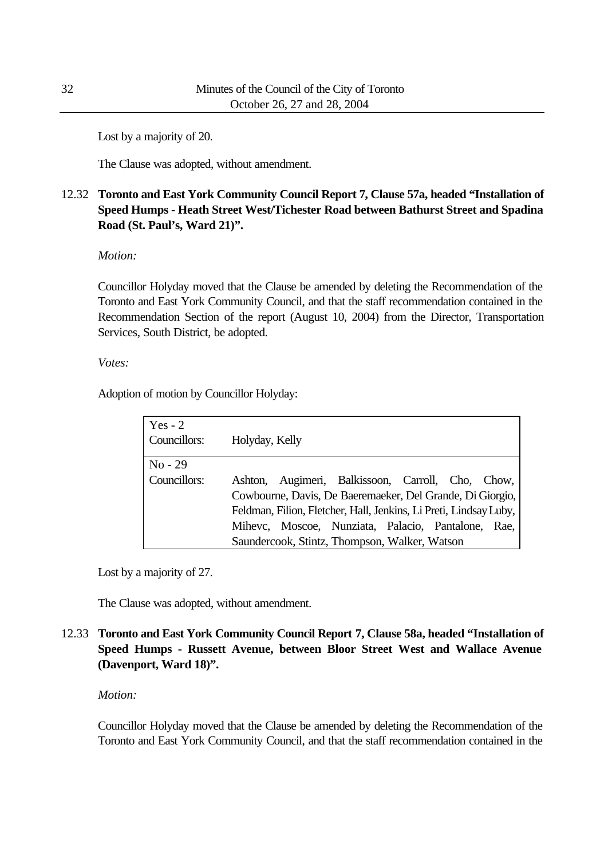Lost by a majority of 20.

The Clause was adopted, without amendment.

# 12.32 **Toronto and East York Community Council Report 7, Clause 57a, headed "Installation of Speed Humps - Heath Street West/Tichester Road between Bathurst Street and Spadina Road (St. Paul's, Ward 21)".**

*Motion:*

Councillor Holyday moved that the Clause be amended by deleting the Recommendation of the Toronto and East York Community Council, and that the staff recommendation contained in the Recommendation Section of the report (August 10, 2004) from the Director, Transportation Services, South District, be adopted.

*Votes:*

Adoption of motion by Councillor Holyday:

| Yes $-2$<br>Councillors: | Holyday, Kelly |                                                                   |  |  |
|--------------------------|----------------|-------------------------------------------------------------------|--|--|
| $No - 29$                |                |                                                                   |  |  |
| Councillors:             |                | Ashton, Augimeri, Balkissoon, Carroll, Cho, Chow,                 |  |  |
|                          |                | Cowbourne, Davis, De Baeremaeker, Del Grande, Di Giorgio,         |  |  |
|                          |                | Feldman, Filion, Fletcher, Hall, Jenkins, Li Preti, Lindsay Luby, |  |  |
|                          |                | Mihevc, Moscoe, Nunziata, Palacio, Pantalone, Rae,                |  |  |
|                          |                | Saundercook, Stintz, Thompson, Walker, Watson                     |  |  |

Lost by a majority of 27.

The Clause was adopted, without amendment.

# 12.33 **Toronto and East York Community Council Report 7, Clause 58a, headed "Installation of Speed Humps - Russett Avenue, between Bloor Street West and Wallace Avenue (Davenport, Ward 18)".**

## *Motion:*

Councillor Holyday moved that the Clause be amended by deleting the Recommendation of the Toronto and East York Community Council, and that the staff recommendation contained in the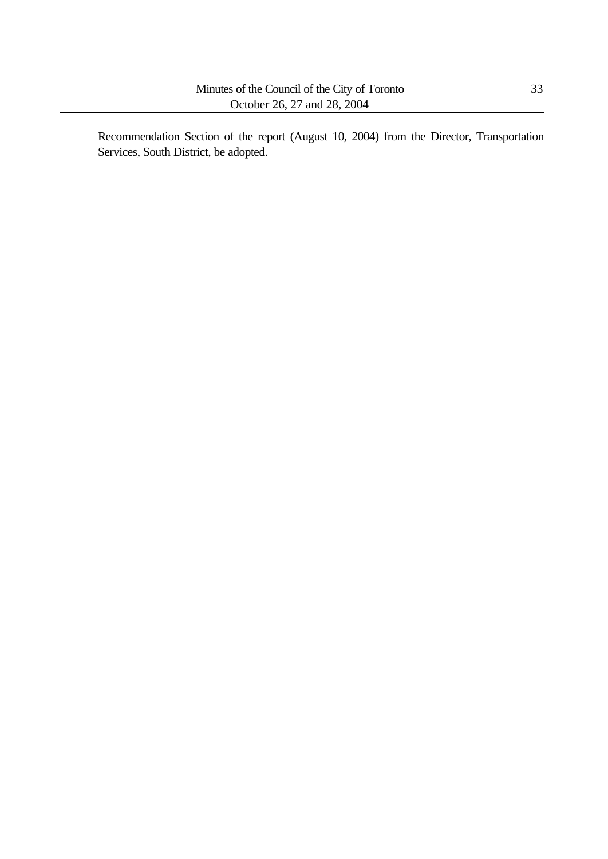Recommendation Section of the report (August 10, 2004) from the Director, Transportation Services, South District, be adopted.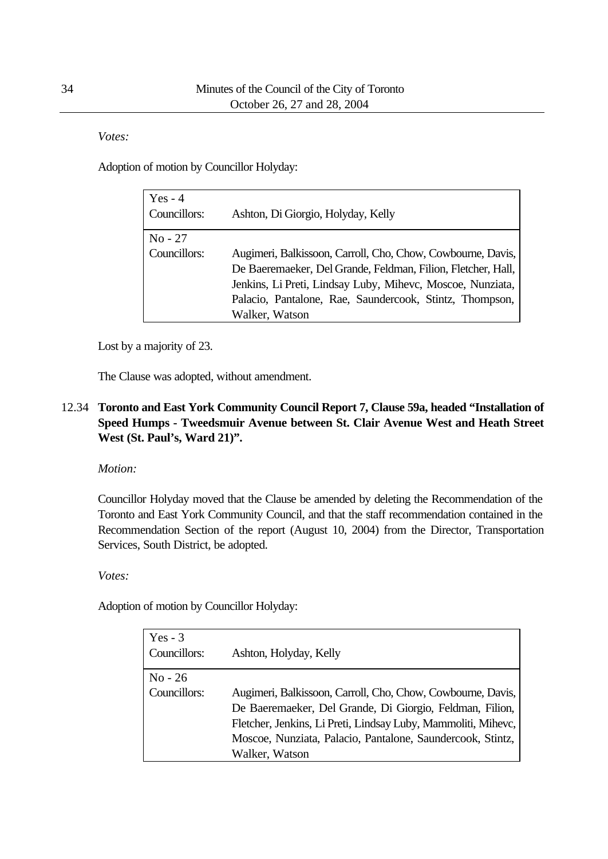*Votes:*

Adoption of motion by Councillor Holyday:

| Yes $-4$<br>Councillors:  | Ashton, Di Giorgio, Holyday, Kelly                                                                                                                                                                                                                                     |
|---------------------------|------------------------------------------------------------------------------------------------------------------------------------------------------------------------------------------------------------------------------------------------------------------------|
| $No - 27$<br>Councillors: | Augimeri, Balkissoon, Carroll, Cho, Chow, Cowbourne, Davis,<br>De Baeremaeker, Del Grande, Feldman, Filion, Fletcher, Hall,<br>Jenkins, Li Preti, Lindsay Luby, Mihevc, Moscoe, Nunziata,<br>Palacio, Pantalone, Rae, Saundercook, Stintz, Thompson,<br>Walker, Watson |

Lost by a majority of 23.

The Clause was adopted, without amendment.

## 12.34 **Toronto and East York Community Council Report 7, Clause 59a, headed "Installation of Speed Humps - Tweedsmuir Avenue between St. Clair Avenue West and Heath Street West (St. Paul's, Ward 21)".**

*Motion:*

Councillor Holyday moved that the Clause be amended by deleting the Recommendation of the Toronto and East York Community Council, and that the staff recommendation contained in the Recommendation Section of the report (August 10, 2004) from the Director, Transportation Services, South District, be adopted.

*Votes:*

Adoption of motion by Councillor Holyday:

| $Yes - 3$<br>Councillors: | Ashton, Holyday, Kelly                                                                                                                                                                                                                                                   |
|---------------------------|--------------------------------------------------------------------------------------------------------------------------------------------------------------------------------------------------------------------------------------------------------------------------|
| $No - 26$<br>Councillors: | Augimeri, Balkissoon, Carroll, Cho, Chow, Cowbourne, Davis,<br>De Baeremaeker, Del Grande, Di Giorgio, Feldman, Filion,<br>Fletcher, Jenkins, Li Preti, Lindsay Luby, Mammoliti, Mihevc,<br>Moscoe, Nunziata, Palacio, Pantalone, Saundercook, Stintz,<br>Walker, Watson |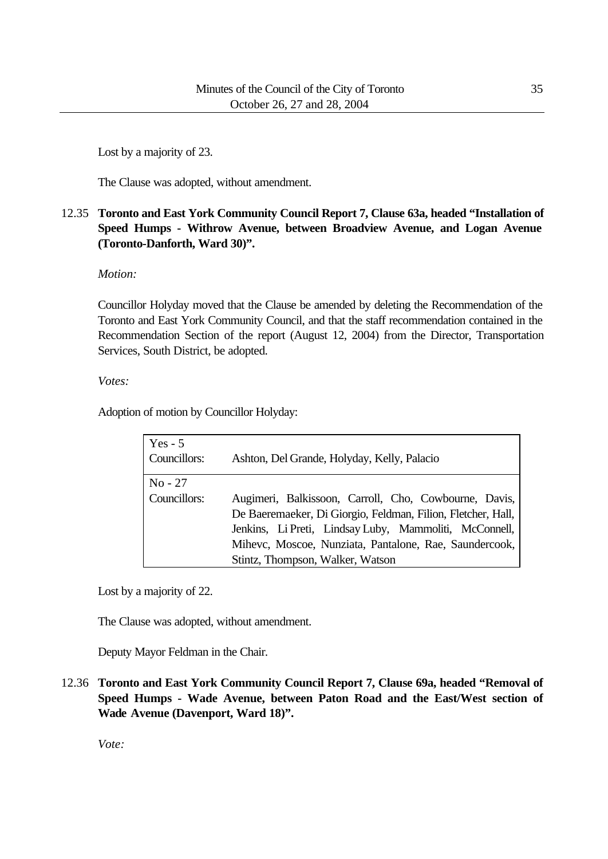Lost by a majority of 23.

The Clause was adopted, without amendment.

# 12.35 **Toronto and East York Community Council Report 7, Clause 63a, headed "Installation of Speed Humps - Withrow Avenue, between Broadview Avenue, and Logan Avenue (Toronto-Danforth, Ward 30)".**

*Motion:*

Councillor Holyday moved that the Clause be amended by deleting the Recommendation of the Toronto and East York Community Council, and that the staff recommendation contained in the Recommendation Section of the report (August 12, 2004) from the Director, Transportation Services, South District, be adopted.

*Votes:*

Adoption of motion by Councillor Holyday:

| $Yes - 5$<br>Councillors: | Ashton, Del Grande, Holyday, Kelly, Palacio                  |
|---------------------------|--------------------------------------------------------------|
| $No - 27$                 |                                                              |
| Councillors:              | Augimeri, Balkissoon, Carroll, Cho, Cowbourne, Davis,        |
|                           | De Baeremaeker, Di Giorgio, Feldman, Filion, Fletcher, Hall, |
|                           | Jenkins, Li Preti, Lindsay Luby, Mammoliti, McConnell,       |
|                           | Mihevc, Moscoe, Nunziata, Pantalone, Rae, Saundercook,       |
|                           | Stintz, Thompson, Walker, Watson                             |

Lost by a majority of 22.

The Clause was adopted, without amendment.

Deputy Mayor Feldman in the Chair.

12.36 **Toronto and East York Community Council Report 7, Clause 69a, headed "Removal of Speed Humps - Wade Avenue, between Paton Road and the East/West section of Wade Avenue (Davenport, Ward 18)".**

*Vote:*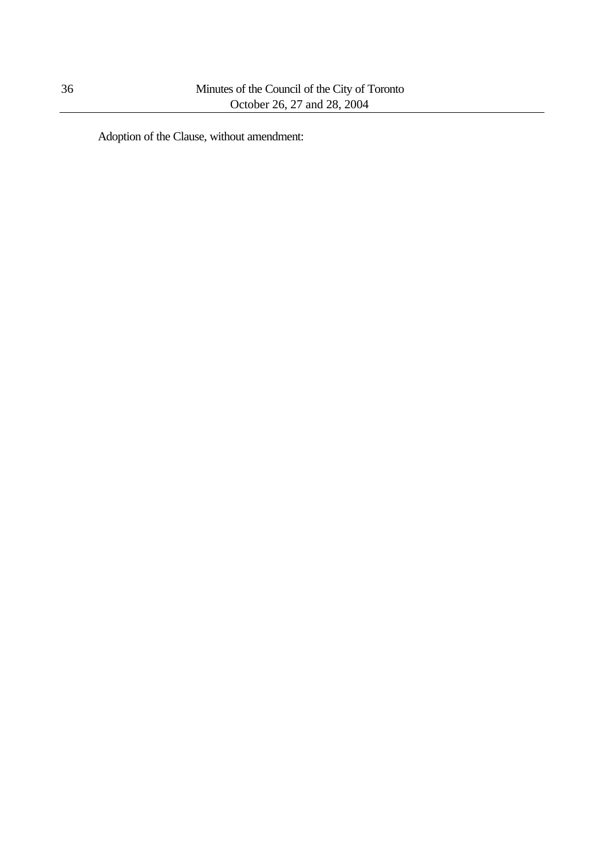Adoption of the Clause, without amendment: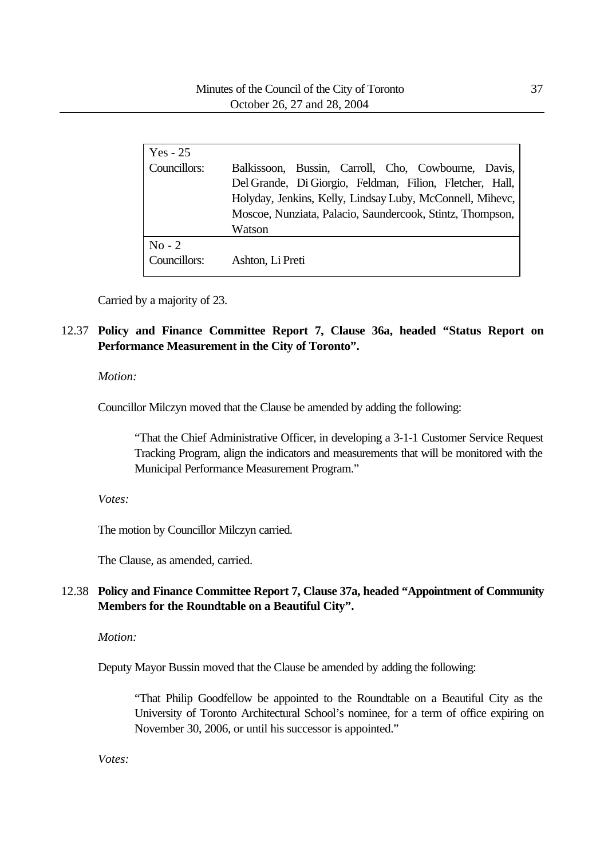| $Yes - 25$               |                                                                                                                                                                                                                                                     |
|--------------------------|-----------------------------------------------------------------------------------------------------------------------------------------------------------------------------------------------------------------------------------------------------|
| Councillors:             | Balkissoon, Bussin, Carroll, Cho, Cowbourne, Davis,<br>Del Grande, Di Giorgio, Feldman, Filion, Fletcher, Hall,<br>Holyday, Jenkins, Kelly, Lindsay Luby, McConnell, Mihevc,<br>Moscoe, Nunziata, Palacio, Saundercook, Stintz, Thompson,<br>Watson |
| $No - 2$<br>Councillors: | Ashton, Li Preti                                                                                                                                                                                                                                    |

Carried by a majority of 23.

# 12.37 **Policy and Finance Committee Report 7, Clause 36a, headed "Status Report on Performance Measurement in the City of Toronto".**

## *Motion:*

Councillor Milczyn moved that the Clause be amended by adding the following:

"That the Chief Administrative Officer, in developing a 3-1-1 Customer Service Request Tracking Program, align the indicators and measurements that will be monitored with the Municipal Performance Measurement Program."

*Votes:*

The motion by Councillor Milczyn carried.

The Clause, as amended, carried.

## 12.38 **Policy and Finance Committee Report 7, Clause 37a, headed "Appointment of Community Members for the Roundtable on a Beautiful City".**

#### *Motion:*

Deputy Mayor Bussin moved that the Clause be amended by adding the following:

"That Philip Goodfellow be appointed to the Roundtable on a Beautiful City as the University of Toronto Architectural School's nominee, for a term of office expiring on November 30, 2006, or until his successor is appointed."

*Votes:*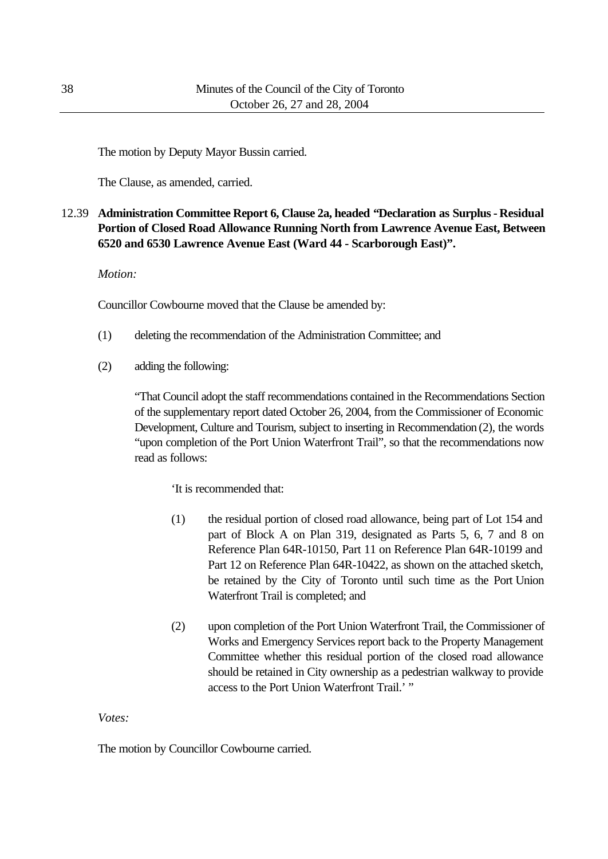The motion by Deputy Mayor Bussin carried.

The Clause, as amended, carried.

# 12.39 **Administration Committee Report 6, Clause 2a, headed "Declaration as Surplus - Residual Portion of Closed Road Allowance Running North from Lawrence Avenue East, Between 6520 and 6530 Lawrence Avenue East (Ward 44 - Scarborough East)".**

*Motion:*

Councillor Cowbourne moved that the Clause be amended by:

- (1) deleting the recommendation of the Administration Committee; and
- (2) adding the following:

"That Council adopt the staff recommendations contained in the Recommendations Section of the supplementary report dated October 26, 2004, from the Commissioner of Economic Development, Culture and Tourism, subject to inserting in Recommendation (2), the words "upon completion of the Port Union Waterfront Trail", so that the recommendations now read as follows:

'It is recommended that:

- (1) the residual portion of closed road allowance, being part of Lot 154 and part of Block A on Plan 319, designated as Parts 5, 6, 7 and 8 on Reference Plan 64R-10150, Part 11 on Reference Plan 64R-10199 and Part 12 on Reference Plan 64R-10422, as shown on the attached sketch, be retained by the City of Toronto until such time as the Port Union Waterfront Trail is completed; and
- (2) upon completion of the Port Union Waterfront Trail, the Commissioner of Works and Emergency Services report back to the Property Management Committee whether this residual portion of the closed road allowance should be retained in City ownership as a pedestrian walkway to provide access to the Port Union Waterfront Trail.' "

*Votes:*

The motion by Councillor Cowbourne carried.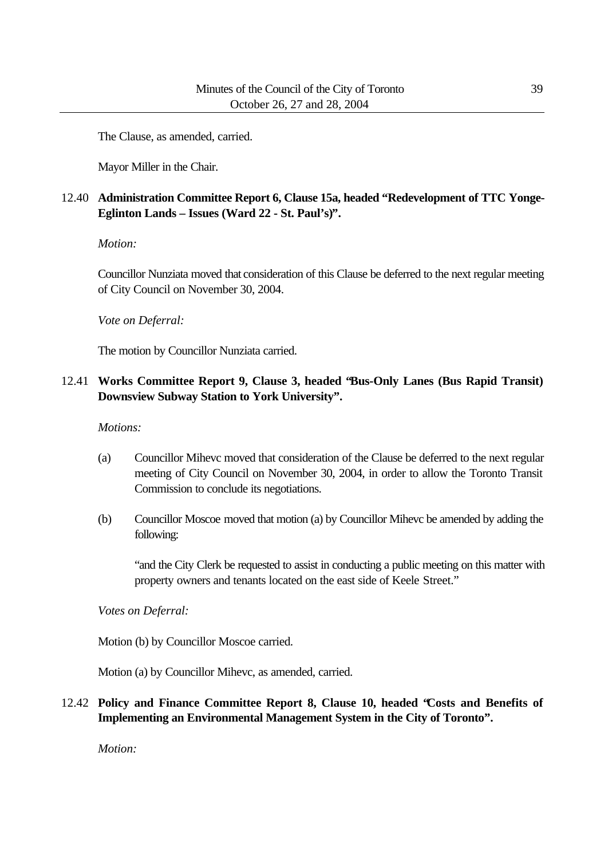The Clause, as amended, carried.

Mayor Miller in the Chair.

# 12.40 **Administration Committee Report 6, Clause 15a, headed "Redevelopment of TTC Yonge-Eglinton Lands – Issues (Ward 22 - St. Paul's)".**

#### *Motion:*

Councillor Nunziata moved that consideration of this Clause be deferred to the next regular meeting of City Council on November 30, 2004.

*Vote on Deferral:*

The motion by Councillor Nunziata carried.

# 12.41 **Works Committee Report 9, Clause 3, headed "Bus-Only Lanes (Bus Rapid Transit) Downsview Subway Station to York University".**

## *Motions:*

- (a) Councillor Mihevc moved that consideration of the Clause be deferred to the next regular meeting of City Council on November 30, 2004, in order to allow the Toronto Transit Commission to conclude its negotiations.
- (b) Councillor Moscoe moved that motion (a) by Councillor Mihevc be amended by adding the following:

"and the City Clerk be requested to assist in conducting a public meeting on this matter with property owners and tenants located on the east side of Keele Street."

*Votes on Deferral:*

Motion (b) by Councillor Moscoe carried.

Motion (a) by Councillor Mihevc, as amended, carried.

12.42 **Policy and Finance Committee Report 8, Clause 10, headed "Costs and Benefits of Implementing an Environmental Management System in the City of Toronto".**

*Motion:*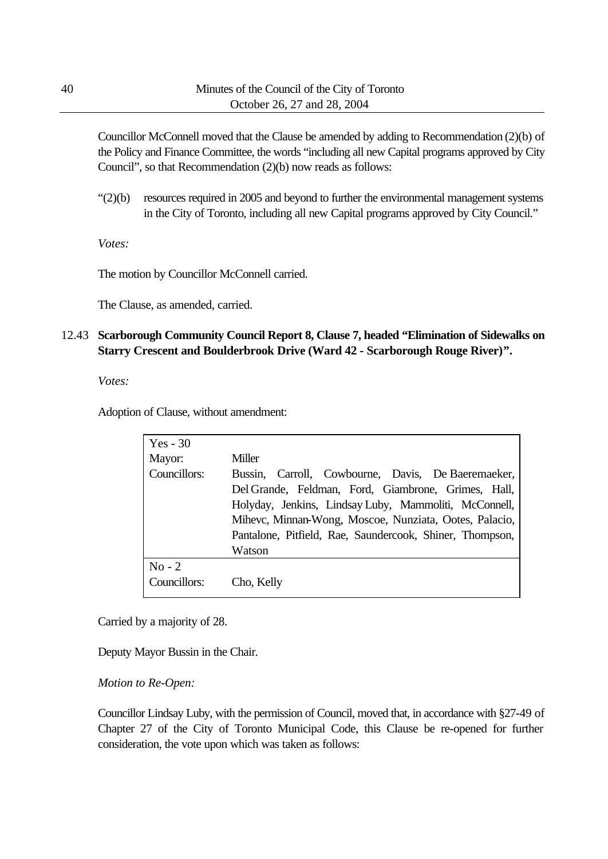Councillor McConnell moved that the Clause be amended by adding to Recommendation (2)(b) of the Policy and Finance Committee, the words "including all new Capital programs approved by City Council", so that Recommendation (2)(b) now reads as follows:

"(2)(b) resources required in 2005 and beyond to further the environmental management systems in the City of Toronto, including all new Capital programs approved by City Council."

*Votes:*

The motion by Councillor McConnell carried.

The Clause, as amended, carried.

# 12.43 **Scarborough Community Council Report 8, Clause 7, headed "Elimination of Sidewalks on Starry Crescent and Boulderbrook Drive (Ward 42 - Scarborough Rouge River)".**

*Votes:*

Adoption of Clause, without amendment:

| $Yes - 30$   |                                                          |
|--------------|----------------------------------------------------------|
| Mayor:       | Miller                                                   |
| Councillors: | Bussin, Carroll, Cowbourne, Davis, De Baeremaeker,       |
|              | Del Grande, Feldman, Ford, Giambrone, Grimes, Hall,      |
|              | Holyday, Jenkins, Lindsay Luby, Mammoliti, McConnell,    |
|              | Mihevc, Minnan-Wong, Moscoe, Nunziata, Ootes, Palacio,   |
|              | Pantalone, Pitfield, Rae, Saundercook, Shiner, Thompson, |
|              | Watson                                                   |
| $No - 2$     |                                                          |
| Councillors: | Cho, Kelly                                               |

Carried by a majority of 28.

Deputy Mayor Bussin in the Chair.

*Motion to Re-Open:*

Councillor Lindsay Luby, with the permission of Council, moved that, in accordance with §27-49 of Chapter 27 of the City of Toronto Municipal Code, this Clause be re-opened for further consideration, the vote upon which was taken as follows: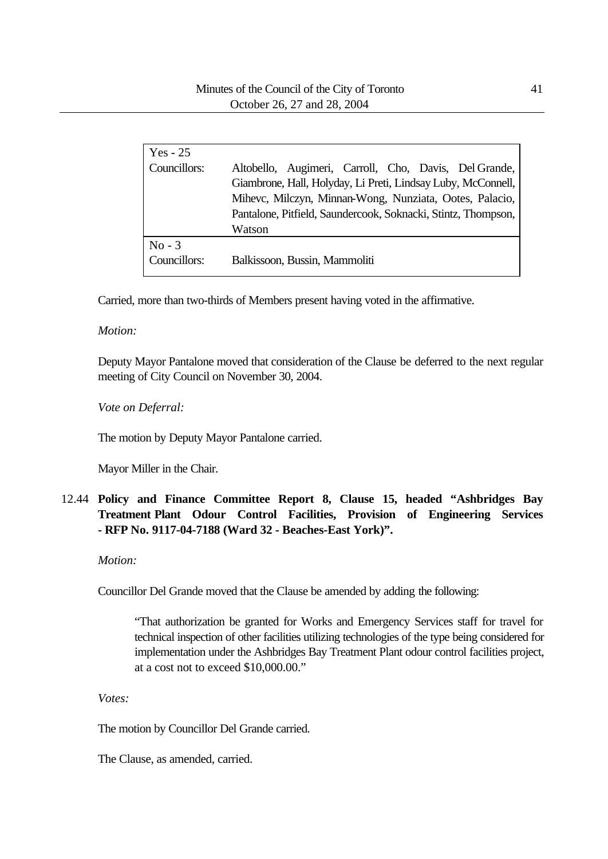| Yes - 25     |                                                                                                                                                                                                                                                   |
|--------------|---------------------------------------------------------------------------------------------------------------------------------------------------------------------------------------------------------------------------------------------------|
| Councillors: | Altobello, Augimeri, Carroll, Cho, Davis, Del Grande,<br>Giambrone, Hall, Holyday, Li Preti, Lindsay Luby, McConnell,<br>Mihevc, Milczyn, Minnan-Wong, Nunziata, Ootes, Palacio,<br>Pantalone, Pitfield, Saundercook, Soknacki, Stintz, Thompson, |
|              | Watson                                                                                                                                                                                                                                            |
| $No - 3$     |                                                                                                                                                                                                                                                   |
| Councillors: | Balkissoon, Bussin, Mammoliti                                                                                                                                                                                                                     |

Carried, more than two-thirds of Members present having voted in the affirmative.

## *Motion:*

Deputy Mayor Pantalone moved that consideration of the Clause be deferred to the next regular meeting of City Council on November 30, 2004.

*Vote on Deferral:*

The motion by Deputy Mayor Pantalone carried.

Mayor Miller in the Chair.

# 12.44 **Policy and Finance Committee Report 8, Clause 15, headed "Ashbridges Bay Treatment Plant Odour Control Facilities, Provision of Engineering Services - RFP No. 9117-04-7188 (Ward 32 - Beaches-East York)".**

*Motion:*

Councillor Del Grande moved that the Clause be amended by adding the following:

"That authorization be granted for Works and Emergency Services staff for travel for technical inspection of other facilities utilizing technologies of the type being considered for implementation under the Ashbridges Bay Treatment Plant odour control facilities project, at a cost not to exceed \$10,000.00."

*Votes:*

The motion by Councillor Del Grande carried.

The Clause, as amended, carried.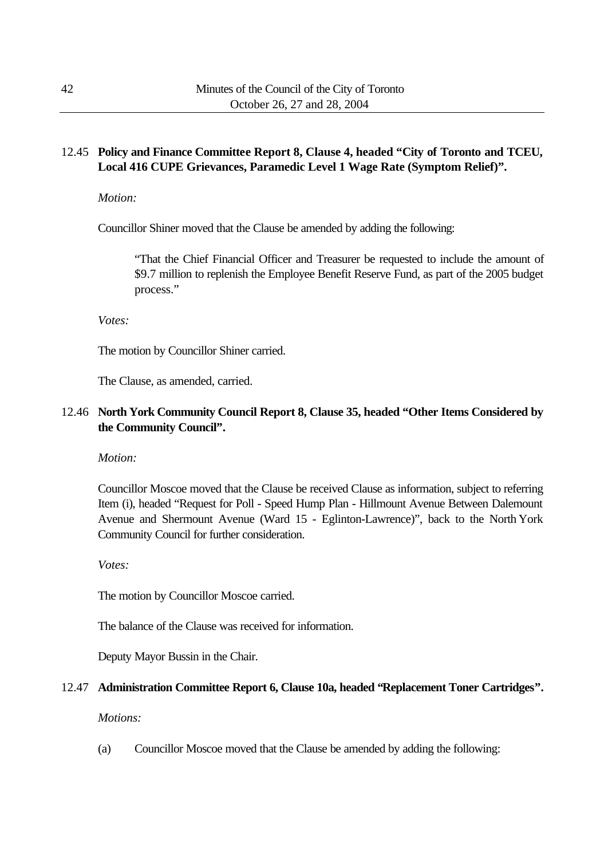# 12.45 **Policy and Finance Committee Report 8, Clause 4, headed "City of Toronto and TCEU, Local 416 CUPE Grievances, Paramedic Level 1 Wage Rate (Symptom Relief)".**

*Motion:*

Councillor Shiner moved that the Clause be amended by adding the following:

"That the Chief Financial Officer and Treasurer be requested to include the amount of \$9.7 million to replenish the Employee Benefit Reserve Fund, as part of the 2005 budget process."

*Votes:*

The motion by Councillor Shiner carried.

The Clause, as amended, carried.

# 12.46 **North York Community Council Report 8, Clause 35, headed "Other Items Considered by the Community Council".**

*Motion:*

Councillor Moscoe moved that the Clause be received Clause as information, subject to referring Item (i), headed "Request for Poll - Speed Hump Plan - Hillmount Avenue Between Dalemount Avenue and Shermount Avenue (Ward 15 - Eglinton-Lawrence)", back to the North York Community Council for further consideration.

*Votes:*

The motion by Councillor Moscoe carried.

The balance of the Clause was received for information.

Deputy Mayor Bussin in the Chair.

#### 12.47 **Administration Committee Report 6, Clause 10a, headed "Replacement Toner Cartridges".**

*Motions:*

(a) Councillor Moscoe moved that the Clause be amended by adding the following: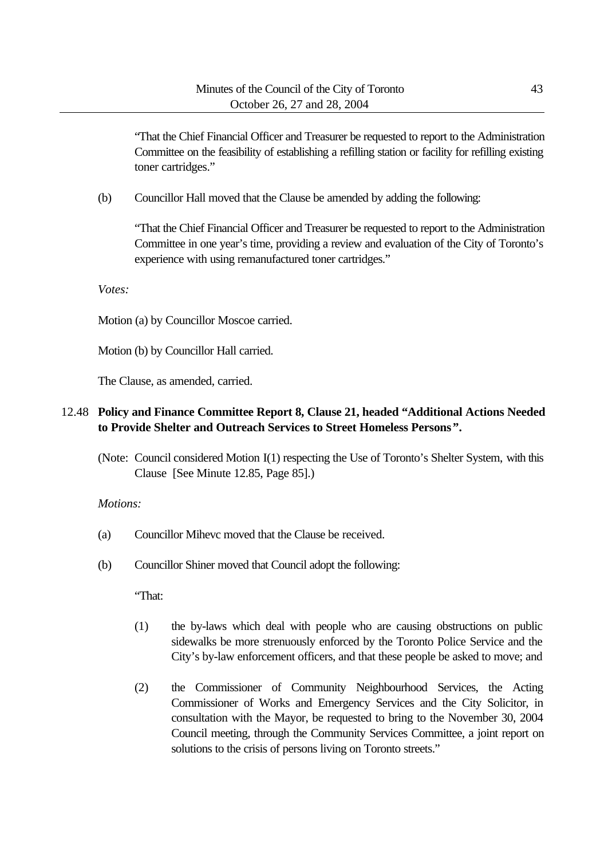"That the Chief Financial Officer and Treasurer be requested to report to the Administration Committee on the feasibility of establishing a refilling station or facility for refilling existing toner cartridges."

(b) Councillor Hall moved that the Clause be amended by adding the following:

"That the Chief Financial Officer and Treasurer be requested to report to the Administration Committee in one year's time, providing a review and evaluation of the City of Toronto's experience with using remanufactured toner cartridges."

*Votes:*

Motion (a) by Councillor Moscoe carried.

Motion (b) by Councillor Hall carried.

The Clause, as amended, carried.

# 12.48 **Policy and Finance Committee Report 8, Clause 21, headed "Additional Actions Needed to Provide Shelter and Outreach Services to Street Homeless Persons".**

(Note: Council considered Motion I(1) respecting the Use of Toronto's Shelter System, with this Clause [See Minute 12.85, Page 85].)

#### *Motions:*

- (a) Councillor Mihevc moved that the Clause be received.
- (b) Councillor Shiner moved that Council adopt the following:

"That:

- (1) the by-laws which deal with people who are causing obstructions on public sidewalks be more strenuously enforced by the Toronto Police Service and the City's by-law enforcement officers, and that these people be asked to move; and
- (2) the Commissioner of Community Neighbourhood Services, the Acting Commissioner of Works and Emergency Services and the City Solicitor, in consultation with the Mayor, be requested to bring to the November 30, 2004 Council meeting, through the Community Services Committee, a joint report on solutions to the crisis of persons living on Toronto streets."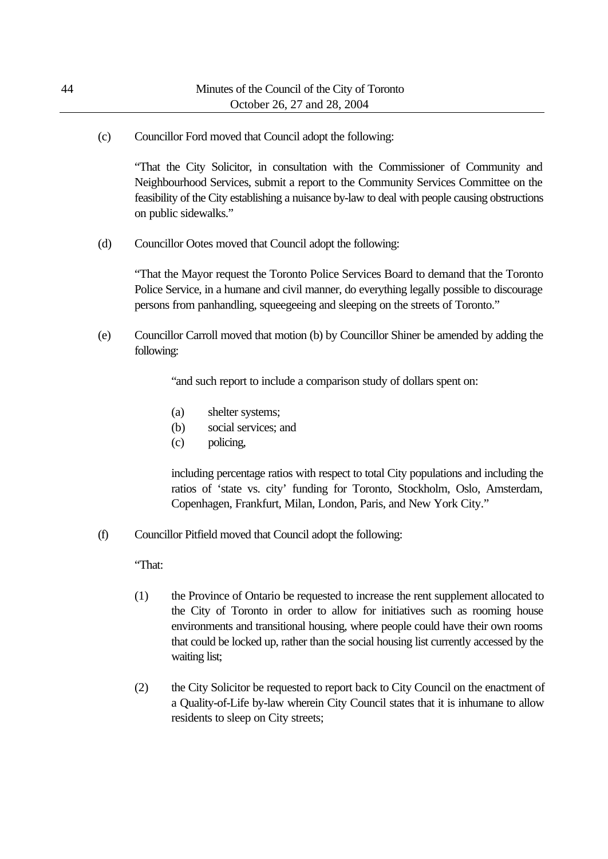(c) Councillor Ford moved that Council adopt the following:

"That the City Solicitor, in consultation with the Commissioner of Community and Neighbourhood Services, submit a report to the Community Services Committee on the feasibility of the City establishing a nuisance by-law to deal with people causing obstructions on public sidewalks."

(d) Councillor Ootes moved that Council adopt the following:

"That the Mayor request the Toronto Police Services Board to demand that the Toronto Police Service, in a humane and civil manner, do everything legally possible to discourage persons from panhandling, squeegeeing and sleeping on the streets of Toronto."

(e) Councillor Carroll moved that motion (b) by Councillor Shiner be amended by adding the following:

"and such report to include a comparison study of dollars spent on:

- (a) shelter systems;
- (b) social services; and
- (c) policing,

including percentage ratios with respect to total City populations and including the ratios of 'state vs. city' funding for Toronto, Stockholm, Oslo, Amsterdam, Copenhagen, Frankfurt, Milan, London, Paris, and New York City."

(f) Councillor Pitfield moved that Council adopt the following:

"That:

- (1) the Province of Ontario be requested to increase the rent supplement allocated to the City of Toronto in order to allow for initiatives such as rooming house environments and transitional housing, where people could have their own rooms that could be locked up, rather than the social housing list currently accessed by the waiting list;
- (2) the City Solicitor be requested to report back to City Council on the enactment of a Quality-of-Life by-law wherein City Council states that it is inhumane to allow residents to sleep on City streets;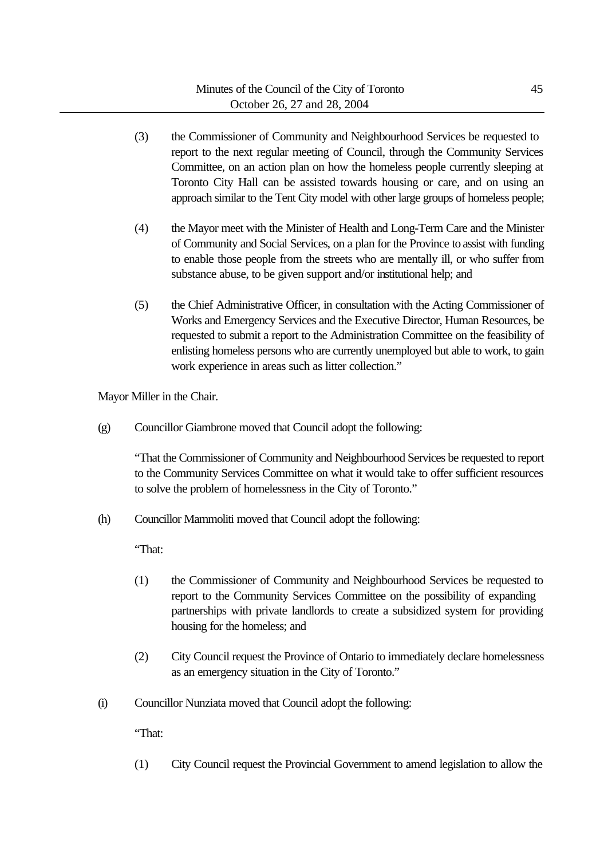- (3) the Commissioner of Community and Neighbourhood Services be requested to report to the next regular meeting of Council, through the Community Services Committee, on an action plan on how the homeless people currently sleeping at Toronto City Hall can be assisted towards housing or care, and on using an approach similar to the Tent City model with other large groups of homeless people;
- (4) the Mayor meet with the Minister of Health and Long-Term Care and the Minister of Community and Social Services, on a plan for the Province to assist with funding to enable those people from the streets who are mentally ill, or who suffer from substance abuse, to be given support and/or institutional help; and
- (5) the Chief Administrative Officer, in consultation with the Acting Commissioner of Works and Emergency Services and the Executive Director, Human Resources, be requested to submit a report to the Administration Committee on the feasibility of enlisting homeless persons who are currently unemployed but able to work, to gain work experience in areas such as litter collection."

Mayor Miller in the Chair.

(g) Councillor Giambrone moved that Council adopt the following:

"That the Commissioner of Community and Neighbourhood Services be requested to report to the Community Services Committee on what it would take to offer sufficient resources to solve the problem of homelessness in the City of Toronto."

(h) Councillor Mammoliti moved that Council adopt the following:

"That:

- (1) the Commissioner of Community and Neighbourhood Services be requested to report to the Community Services Committee on the possibility of expanding partnerships with private landlords to create a subsidized system for providing housing for the homeless; and
- (2) City Council request the Province of Ontario to immediately declare homelessness as an emergency situation in the City of Toronto."
- (i) Councillor Nunziata moved that Council adopt the following:

"That:

(1) City Council request the Provincial Government to amend legislation to allow the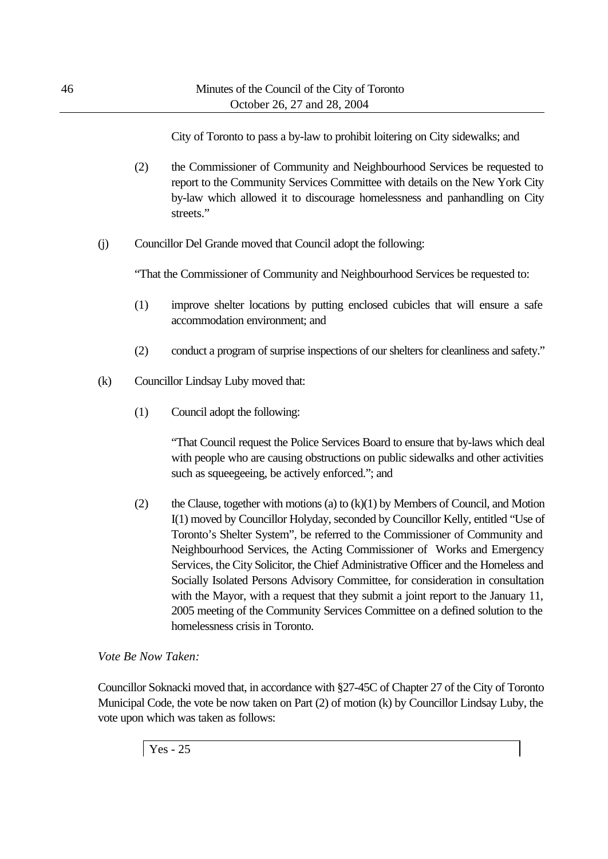City of Toronto to pass a by-law to prohibit loitering on City sidewalks; and

- (2) the Commissioner of Community and Neighbourhood Services be requested to report to the Community Services Committee with details on the New York City by-law which allowed it to discourage homelessness and panhandling on City streets."
- (j) Councillor Del Grande moved that Council adopt the following:

"That the Commissioner of Community and Neighbourhood Services be requested to:

- (1) improve shelter locations by putting enclosed cubicles that will ensure a safe accommodation environment; and
- (2) conduct a program of surprise inspections of our shelters for cleanliness and safety."
- (k) Councillor Lindsay Luby moved that:
	- (1) Council adopt the following:

"That Council request the Police Services Board to ensure that by-laws which deal with people who are causing obstructions on public sidewalks and other activities such as squeegeeing, be actively enforced."; and

(2) the Clause, together with motions (a) to  $(k)(1)$  by Members of Council, and Motion I(1) moved by Councillor Holyday, seconded by Councillor Kelly, entitled "Use of Toronto's Shelter System", be referred to the Commissioner of Community and Neighbourhood Services, the Acting Commissioner of Works and Emergency Services, the City Solicitor, the Chief Administrative Officer and the Homeless and Socially Isolated Persons Advisory Committee, for consideration in consultation with the Mayor, with a request that they submit a joint report to the January 11, 2005 meeting of the Community Services Committee on a defined solution to the homelessness crisis in Toronto.

## *Vote Be Now Taken:*

Councillor Soknacki moved that, in accordance with §27-45C of Chapter 27 of the City of Toronto Municipal Code, the vote be now taken on Part (2) of motion (k) by Councillor Lindsay Luby, the vote upon which was taken as follows:

Yes - 25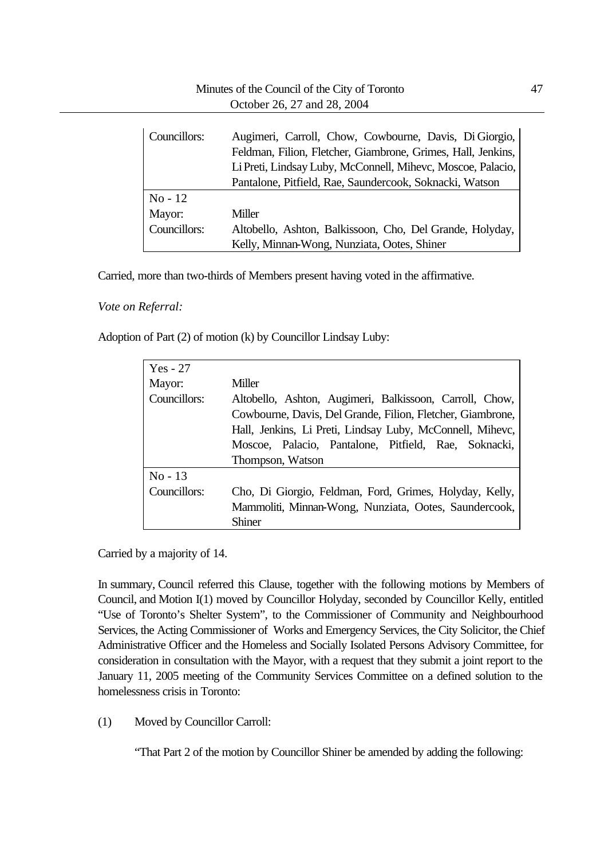| Councillors: | Augimeri, Carroll, Chow, Cowbourne, Davis, Di Giorgio,<br>Feldman, Filion, Fletcher, Giambrone, Grimes, Hall, Jenkins, |
|--------------|------------------------------------------------------------------------------------------------------------------------|
|              | Li Preti, Lindsay Luby, McConnell, Mihevc, Moscoe, Palacio,                                                            |
|              | Pantalone, Pitfield, Rae, Saundercook, Soknacki, Watson                                                                |
| $No-12$      |                                                                                                                        |
| Mayor:       | Miller                                                                                                                 |
| Councillors: | Altobello, Ashton, Balkissoon, Cho, Del Grande, Holyday,                                                               |
|              | Kelly, Minnan-Wong, Nunziata, Ootes, Shiner                                                                            |

Carried, more than two-thirds of Members present having voted in the affirmative.

*Vote on Referral:*

Adoption of Part (2) of motion (k) by Councillor Lindsay Luby:

| $Yes - 27$   |                                                            |
|--------------|------------------------------------------------------------|
| Mayor:       | Miller                                                     |
| Councillors: | Altobello, Ashton, Augimeri, Balkissoon, Carroll, Chow,    |
|              | Cowbourne, Davis, Del Grande, Filion, Fletcher, Giambrone, |
|              | Hall, Jenkins, Li Preti, Lindsay Luby, McConnell, Mihevc,  |
|              | Moscoe, Palacio, Pantalone, Pitfield, Rae, Soknacki,       |
|              | Thompson, Watson                                           |
| $No-13$      |                                                            |
| Councillors: | Cho, Di Giorgio, Feldman, Ford, Grimes, Holyday, Kelly,    |
|              | Mammoliti, Minnan-Wong, Nunziata, Ootes, Saundercook,      |
|              | Shiner                                                     |

Carried by a majority of 14.

In summary, Council referred this Clause, together with the following motions by Members of Council, and Motion I(1) moved by Councillor Holyday, seconded by Councillor Kelly, entitled "Use of Toronto's Shelter System", to the Commissioner of Community and Neighbourhood Services, the Acting Commissioner of Works and Emergency Services, the City Solicitor, the Chief Administrative Officer and the Homeless and Socially Isolated Persons Advisory Committee, for consideration in consultation with the Mayor, with a request that they submit a joint report to the January 11, 2005 meeting of the Community Services Committee on a defined solution to the homelessness crisis in Toronto:

(1) Moved by Councillor Carroll:

"That Part 2 of the motion by Councillor Shiner be amended by adding the following: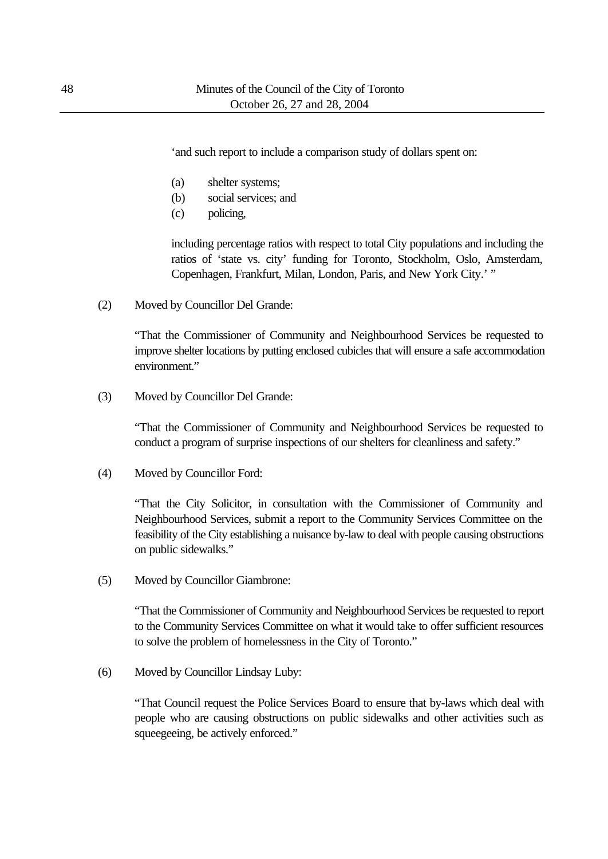'and such report to include a comparison study of dollars spent on:

- (a) shelter systems;
- (b) social services; and
- (c) policing,

including percentage ratios with respect to total City populations and including the ratios of 'state vs. city' funding for Toronto, Stockholm, Oslo, Amsterdam, Copenhagen, Frankfurt, Milan, London, Paris, and New York City.' "

(2) Moved by Councillor Del Grande:

"That the Commissioner of Community and Neighbourhood Services be requested to improve shelter locations by putting enclosed cubicles that will ensure a safe accommodation environment."

(3) Moved by Councillor Del Grande:

"That the Commissioner of Community and Neighbourhood Services be requested to conduct a program of surprise inspections of our shelters for cleanliness and safety."

(4) Moved by Councillor Ford:

"That the City Solicitor, in consultation with the Commissioner of Community and Neighbourhood Services, submit a report to the Community Services Committee on the feasibility of the City establishing a nuisance by-law to deal with people causing obstructions on public sidewalks."

(5) Moved by Councillor Giambrone:

"That the Commissioner of Community and Neighbourhood Services be requested to report to the Community Services Committee on what it would take to offer sufficient resources to solve the problem of homelessness in the City of Toronto."

(6) Moved by Councillor Lindsay Luby:

"That Council request the Police Services Board to ensure that by-laws which deal with people who are causing obstructions on public sidewalks and other activities such as squeegeeing, be actively enforced."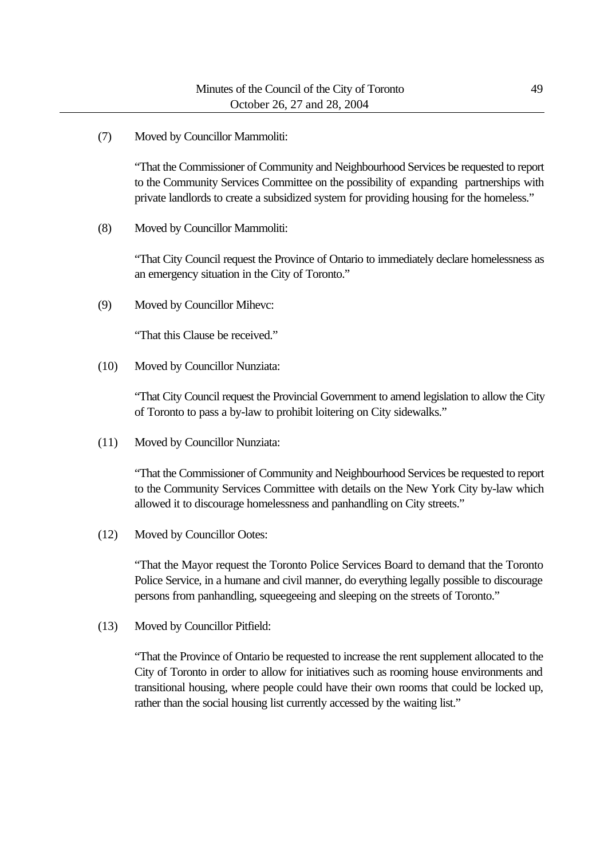(7) Moved by Councillor Mammoliti:

"That the Commissioner of Community and Neighbourhood Services be requested to report to the Community Services Committee on the possibility of expanding partnerships with private landlords to create a subsidized system for providing housing for the homeless."

(8) Moved by Councillor Mammoliti:

"That City Council request the Province of Ontario to immediately declare homelessness as an emergency situation in the City of Toronto."

(9) Moved by Councillor Mihevc:

"That this Clause be received."

(10) Moved by Councillor Nunziata:

"That City Council request the Provincial Government to amend legislation to allow the City of Toronto to pass a by-law to prohibit loitering on City sidewalks."

(11) Moved by Councillor Nunziata:

"That the Commissioner of Community and Neighbourhood Services be requested to report to the Community Services Committee with details on the New York City by-law which allowed it to discourage homelessness and panhandling on City streets."

(12) Moved by Councillor Ootes:

"That the Mayor request the Toronto Police Services Board to demand that the Toronto Police Service, in a humane and civil manner, do everything legally possible to discourage persons from panhandling, squeegeeing and sleeping on the streets of Toronto."

(13) Moved by Councillor Pitfield:

"That the Province of Ontario be requested to increase the rent supplement allocated to the City of Toronto in order to allow for initiatives such as rooming house environments and transitional housing, where people could have their own rooms that could be locked up, rather than the social housing list currently accessed by the waiting list."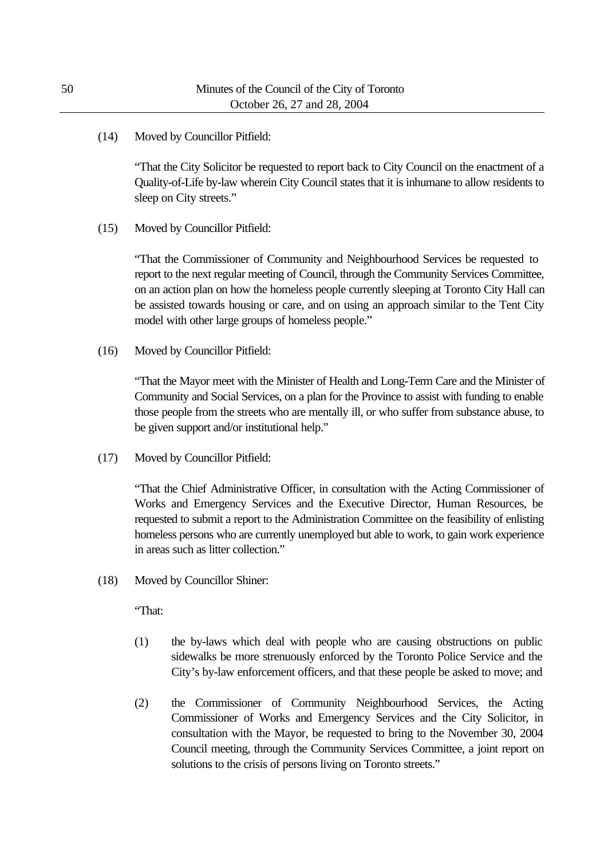(14) Moved by Councillor Pitfield:

"That the City Solicitor be requested to report back to City Council on the enactment of a Quality-of-Life by-law wherein City Council states that it is inhumane to allow residents to sleep on City streets."

(15) Moved by Councillor Pitfield:

"That the Commissioner of Community and Neighbourhood Services be requested to report to the next regular meeting of Council, through the Community Services Committee, on an action plan on how the homeless people currently sleeping at Toronto City Hall can be assisted towards housing or care, and on using an approach similar to the Tent City model with other large groups of homeless people."

(16) Moved by Councillor Pitfield:

"That the Mayor meet with the Minister of Health and Long-Term Care and the Minister of Community and Social Services, on a plan for the Province to assist with funding to enable those people from the streets who are mentally ill, or who suffer from substance abuse, to be given support and/or institutional help."

(17) Moved by Councillor Pitfield:

"That the Chief Administrative Officer, in consultation with the Acting Commissioner of Works and Emergency Services and the Executive Director, Human Resources, be requested to submit a report to the Administration Committee on the feasibility of enlisting homeless persons who are currently unemployed but able to work, to gain work experience in areas such as litter collection."

(18) Moved by Councillor Shiner:

"That:

- (1) the by-laws which deal with people who are causing obstructions on public sidewalks be more strenuously enforced by the Toronto Police Service and the City's by-law enforcement officers, and that these people be asked to move; and
- (2) the Commissioner of Community Neighbourhood Services, the Acting Commissioner of Works and Emergency Services and the City Solicitor, in consultation with the Mayor, be requested to bring to the November 30, 2004 Council meeting, through the Community Services Committee, a joint report on solutions to the crisis of persons living on Toronto streets."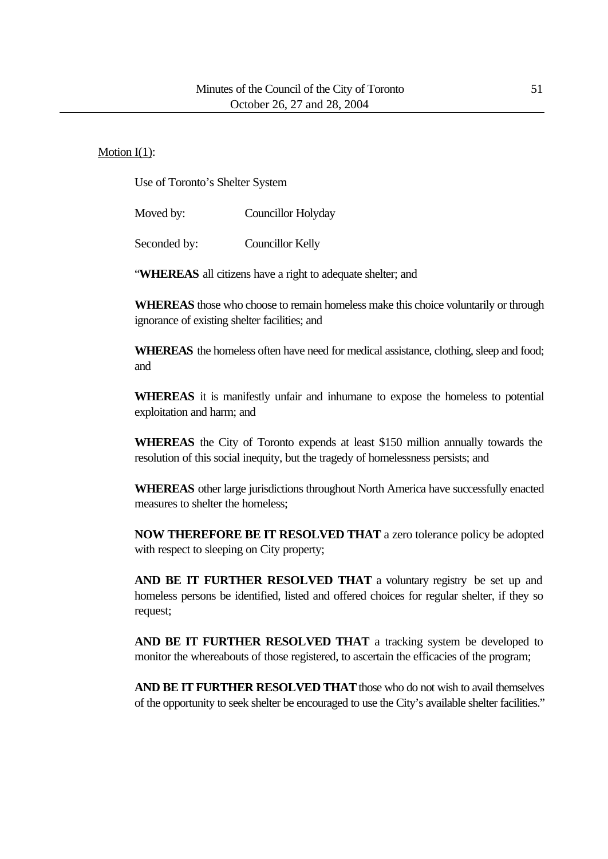#### Motion I(1):

Use of Toronto's Shelter System

Moved by: Councillor Holyday

Seconded by: Councillor Kelly

"**WHEREAS** all citizens have a right to adequate shelter; and

**WHEREAS** those who choose to remain homeless make this choice voluntarily or through ignorance of existing shelter facilities; and

**WHEREAS** the homeless often have need for medical assistance, clothing, sleep and food; and

**WHEREAS** it is manifestly unfair and inhumane to expose the homeless to potential exploitation and harm; and

**WHEREAS** the City of Toronto expends at least \$150 million annually towards the resolution of this social inequity, but the tragedy of homelessness persists; and

**WHEREAS** other large jurisdictions throughout North America have successfully enacted measures to shelter the homeless;

**NOW THEREFORE BE IT RESOLVED THAT** a zero tolerance policy be adopted with respect to sleeping on City property;

**AND BE IT FURTHER RESOLVED THAT** a voluntary registry be set up and homeless persons be identified, listed and offered choices for regular shelter, if they so request;

**AND BE IT FURTHER RESOLVED THAT** a tracking system be developed to monitor the whereabouts of those registered, to ascertain the efficacies of the program;

**AND BE IT FURTHER RESOLVED THAT** those who do not wish to avail themselves of the opportunity to seek shelter be encouraged to use the City's available shelter facilities."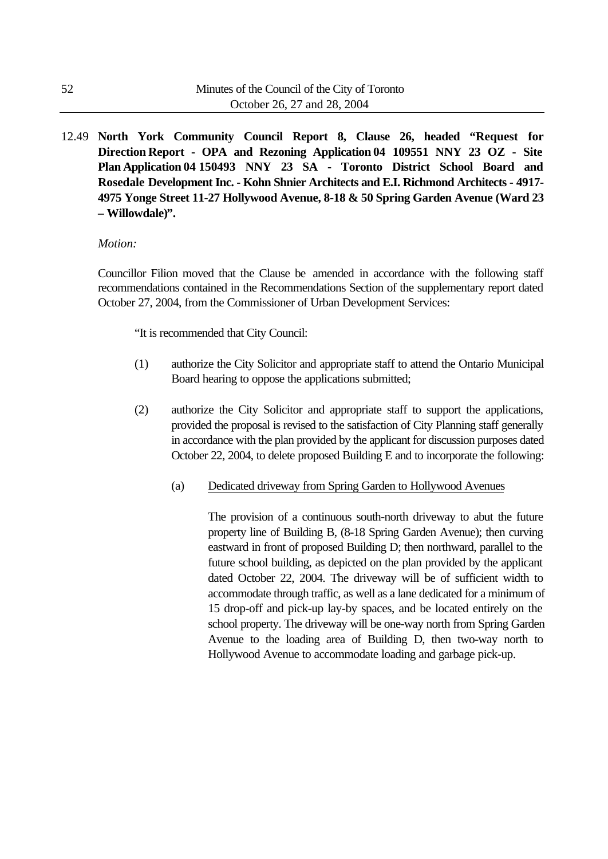12.49 **North York Community Council Report 8, Clause 26, headed "Request for Direction Report - OPA and Rezoning Application 04 109551 NNY 23 OZ - Site Plan Application 04 150493 NNY 23 SA - Toronto District School Board and Rosedale Development Inc. - Kohn Shnier Architects and E.I. Richmond Architects - 4917- 4975 Yonge Street 11-27 Hollywood Avenue, 8-18 & 50 Spring Garden Avenue (Ward 23 – Willowdale)".**

#### *Motion:*

Councillor Filion moved that the Clause be amended in accordance with the following staff recommendations contained in the Recommendations Section of the supplementary report dated October 27, 2004, from the Commissioner of Urban Development Services:

"It is recommended that City Council:

- (1) authorize the City Solicitor and appropriate staff to attend the Ontario Municipal Board hearing to oppose the applications submitted;
- (2) authorize the City Solicitor and appropriate staff to support the applications, provided the proposal is revised to the satisfaction of City Planning staff generally in accordance with the plan provided by the applicant for discussion purposes dated October 22, 2004, to delete proposed Building E and to incorporate the following:
	- (a) Dedicated driveway from Spring Garden to Hollywood Avenues

The provision of a continuous south-north driveway to abut the future property line of Building B, (8-18 Spring Garden Avenue); then curving eastward in front of proposed Building D; then northward, parallel to the future school building, as depicted on the plan provided by the applicant dated October 22, 2004. The driveway will be of sufficient width to accommodate through traffic, as well as a lane dedicated for a minimum of 15 drop-off and pick-up lay-by spaces, and be located entirely on the school property. The driveway will be one-way north from Spring Garden Avenue to the loading area of Building D, then two-way north to Hollywood Avenue to accommodate loading and garbage pick-up.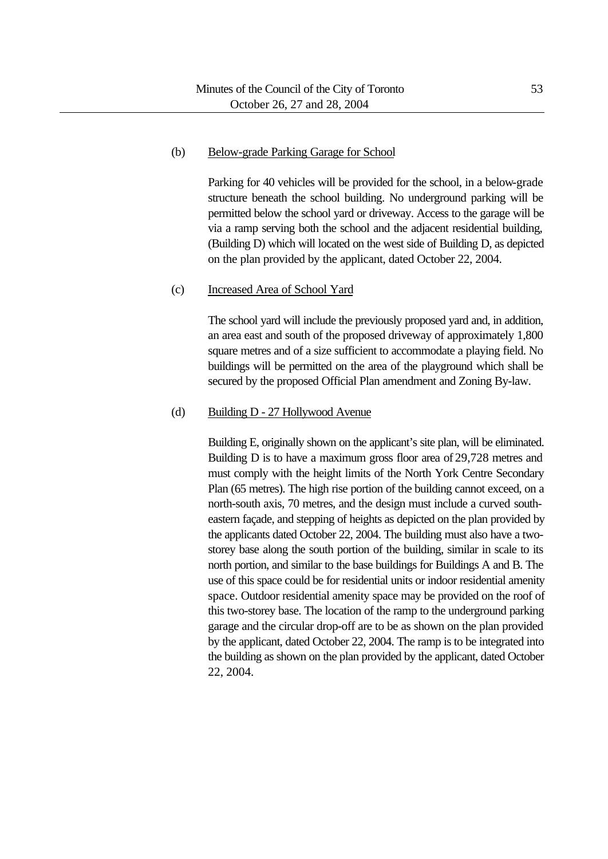#### (b) Below-grade Parking Garage for School

Parking for 40 vehicles will be provided for the school, in a below-grade structure beneath the school building. No underground parking will be permitted below the school yard or driveway. Access to the garage will be via a ramp serving both the school and the adjacent residential building, (Building D) which will located on the west side of Building D, as depicted on the plan provided by the applicant, dated October 22, 2004.

## (c) Increased Area of School Yard

The school yard will include the previously proposed yard and, in addition, an area east and south of the proposed driveway of approximately 1,800 square metres and of a size sufficient to accommodate a playing field. No buildings will be permitted on the area of the playground which shall be secured by the proposed Official Plan amendment and Zoning By-law.

#### (d) Building D - 27 Hollywood Avenue

Building E, originally shown on the applicant's site plan, will be eliminated. Building D is to have a maximum gross floor area of 29,728 metres and must comply with the height limits of the North York Centre Secondary Plan (65 metres). The high rise portion of the building cannot exceed, on a north-south axis, 70 metres, and the design must include a curved southeastern façade, and stepping of heights as depicted on the plan provided by the applicants dated October 22, 2004. The building must also have a twostorey base along the south portion of the building, similar in scale to its north portion, and similar to the base buildings for Buildings A and B. The use of this space could be for residential units or indoor residential amenity space. Outdoor residential amenity space may be provided on the roof of this two-storey base. The location of the ramp to the underground parking garage and the circular drop-off are to be as shown on the plan provided by the applicant, dated October 22, 2004. The ramp is to be integrated into the building as shown on the plan provided by the applicant, dated October 22, 2004.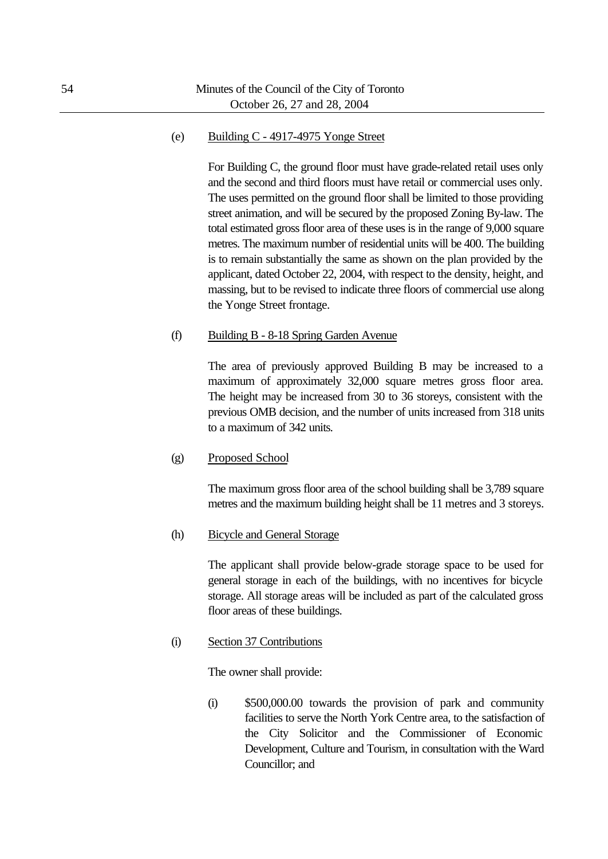#### (e) Building C - 4917-4975 Yonge Street

For Building C, the ground floor must have grade-related retail uses only and the second and third floors must have retail or commercial uses only. The uses permitted on the ground floor shall be limited to those providing street animation, and will be secured by the proposed Zoning By-law. The total estimated gross floor area of these uses is in the range of 9,000 square metres. The maximum number of residential units will be 400. The building is to remain substantially the same as shown on the plan provided by the applicant, dated October 22, 2004, with respect to the density, height, and massing, but to be revised to indicate three floors of commercial use along the Yonge Street frontage.

#### (f) Building B - 8-18 Spring Garden Avenue

The area of previously approved Building B may be increased to a maximum of approximately 32,000 square metres gross floor area. The height may be increased from 30 to 36 storeys, consistent with the previous OMB decision, and the number of units increased from 318 units to a maximum of 342 units.

(g) Proposed School

The maximum gross floor area of the school building shall be 3,789 square metres and the maximum building height shall be 11 metres and 3 storeys.

(h) Bicycle and General Storage

The applicant shall provide below-grade storage space to be used for general storage in each of the buildings, with no incentives for bicycle storage. All storage areas will be included as part of the calculated gross floor areas of these buildings.

(i) Section 37 Contributions

The owner shall provide:

(i) \$500,000.00 towards the provision of park and community facilities to serve the North York Centre area, to the satisfaction of the City Solicitor and the Commissioner of Economic Development, Culture and Tourism, in consultation with the Ward Councillor; and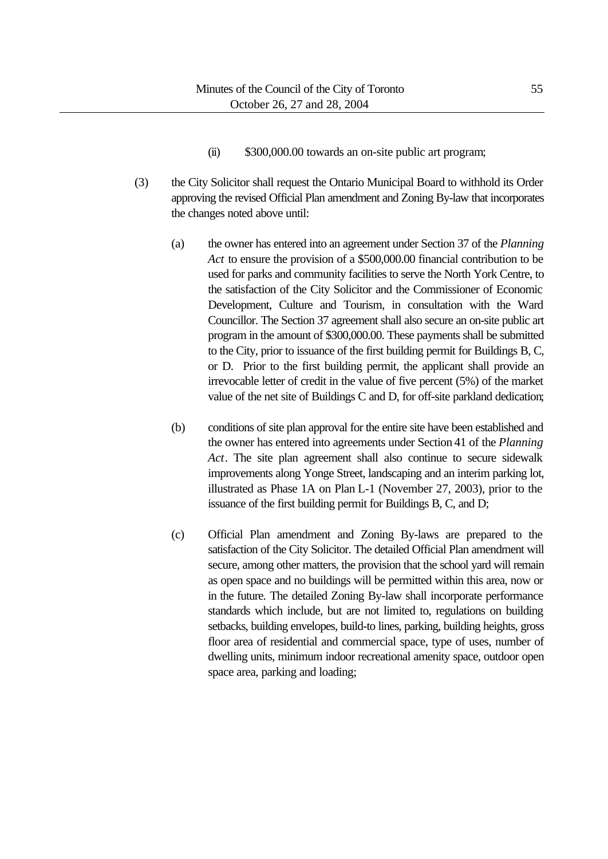- (ii) \$300,000.00 towards an on-site public art program;
- (3) the City Solicitor shall request the Ontario Municipal Board to withhold its Order approving the revised Official Plan amendment and Zoning By-law that incorporates the changes noted above until:
	- (a) the owner has entered into an agreement under Section 37 of the *Planning Act* to ensure the provision of a \$500,000.00 financial contribution to be used for parks and community facilities to serve the North York Centre, to the satisfaction of the City Solicitor and the Commissioner of Economic Development, Culture and Tourism, in consultation with the Ward Councillor. The Section 37 agreement shall also secure an on-site public art program in the amount of \$300,000.00. These payments shall be submitted to the City, prior to issuance of the first building permit for Buildings B, C, or D. Prior to the first building permit, the applicant shall provide an irrevocable letter of credit in the value of five percent (5%) of the market value of the net site of Buildings C and D, for off-site parkland dedication;
	- (b) conditions of site plan approval for the entire site have been established and the owner has entered into agreements under Section 41 of the *Planning Act*. The site plan agreement shall also continue to secure sidewalk improvements along Yonge Street, landscaping and an interim parking lot, illustrated as Phase 1A on Plan L-1 (November 27, 2003), prior to the issuance of the first building permit for Buildings B, C, and D;
	- (c) Official Plan amendment and Zoning By-laws are prepared to the satisfaction of the City Solicitor. The detailed Official Plan amendment will secure, among other matters, the provision that the school yard will remain as open space and no buildings will be permitted within this area, now or in the future. The detailed Zoning By-law shall incorporate performance standards which include, but are not limited to, regulations on building setbacks, building envelopes, build-to lines, parking, building heights, gross floor area of residential and commercial space, type of uses, number of dwelling units, minimum indoor recreational amenity space, outdoor open space area, parking and loading;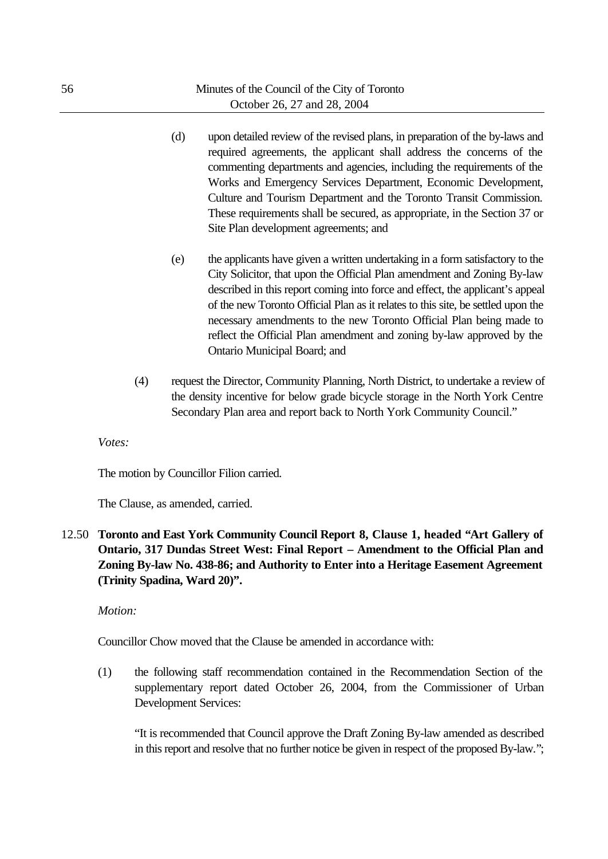- (d) upon detailed review of the revised plans, in preparation of the by-laws and required agreements, the applicant shall address the concerns of the commenting departments and agencies, including the requirements of the Works and Emergency Services Department, Economic Development, Culture and Tourism Department and the Toronto Transit Commission. These requirements shall be secured, as appropriate, in the Section 37 or Site Plan development agreements; and
- (e) the applicants have given a written undertaking in a form satisfactory to the City Solicitor, that upon the Official Plan amendment and Zoning By-law described in this report coming into force and effect, the applicant's appeal of the new Toronto Official Plan as it relates to this site, be settled upon the necessary amendments to the new Toronto Official Plan being made to reflect the Official Plan amendment and zoning by-law approved by the Ontario Municipal Board; and
- (4) request the Director, Community Planning, North District, to undertake a review of the density incentive for below grade bicycle storage in the North York Centre Secondary Plan area and report back to North York Community Council."

*Votes:*

The motion by Councillor Filion carried.

The Clause, as amended, carried.

12.50 **Toronto and East York Community Council Report 8, Clause 1, headed "Art Gallery of Ontario, 317 Dundas Street West: Final Report – Amendment to the Official Plan and Zoning By-law No. 438-86; and Authority to Enter into a Heritage Easement Agreement (Trinity Spadina, Ward 20)".**

*Motion:*

Councillor Chow moved that the Clause be amended in accordance with:

(1) the following staff recommendation contained in the Recommendation Section of the supplementary report dated October 26, 2004, from the Commissioner of Urban Development Services:

"It is recommended that Council approve the Draft Zoning By-law amended as described in this report and resolve that no further notice be given in respect of the proposed By-law.";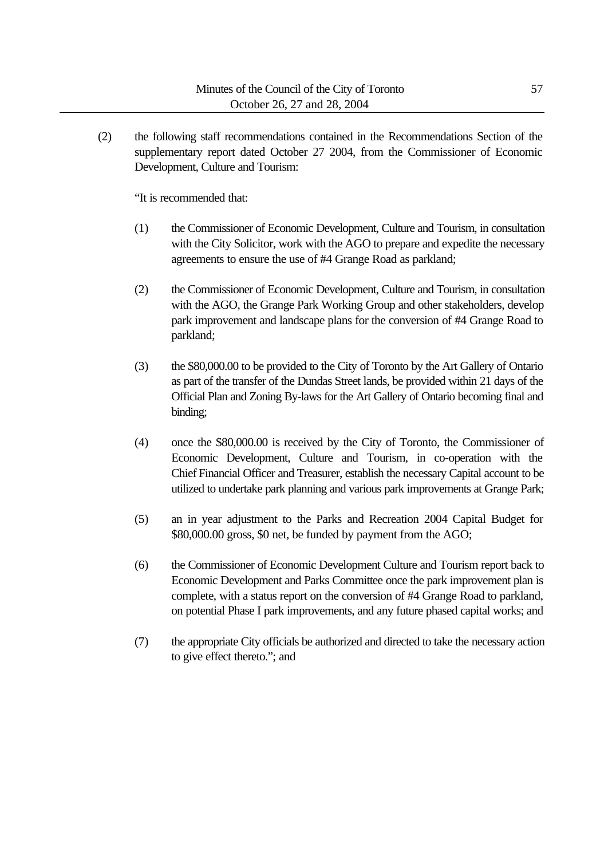(2) the following staff recommendations contained in the Recommendations Section of the supplementary report dated October 27 2004, from the Commissioner of Economic Development, Culture and Tourism:

"It is recommended that:

- (1) the Commissioner of Economic Development, Culture and Tourism, in consultation with the City Solicitor, work with the AGO to prepare and expedite the necessary agreements to ensure the use of #4 Grange Road as parkland;
- (2) the Commissioner of Economic Development, Culture and Tourism, in consultation with the AGO, the Grange Park Working Group and other stakeholders, develop park improvement and landscape plans for the conversion of #4 Grange Road to parkland;
- (3) the \$80,000.00 to be provided to the City of Toronto by the Art Gallery of Ontario as part of the transfer of the Dundas Street lands, be provided within 21 days of the Official Plan and Zoning By-laws for the Art Gallery of Ontario becoming final and binding;
- (4) once the \$80,000.00 is received by the City of Toronto, the Commissioner of Economic Development, Culture and Tourism, in co-operation with the Chief Financial Officer and Treasurer, establish the necessary Capital account to be utilized to undertake park planning and various park improvements at Grange Park;
- (5) an in year adjustment to the Parks and Recreation 2004 Capital Budget for \$80,000.00 gross, \$0 net, be funded by payment from the AGO;
- (6) the Commissioner of Economic Development Culture and Tourism report back to Economic Development and Parks Committee once the park improvement plan is complete, with a status report on the conversion of #4 Grange Road to parkland, on potential Phase I park improvements, and any future phased capital works; and
- (7) the appropriate City officials be authorized and directed to take the necessary action to give effect thereto."; and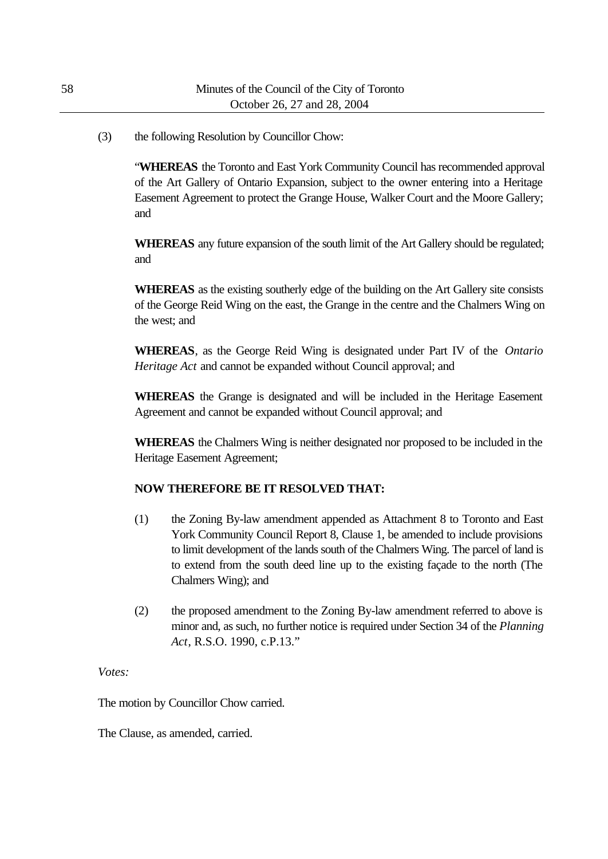(3) the following Resolution by Councillor Chow:

"**WHEREAS** the Toronto and East York Community Council has recommended approval of the Art Gallery of Ontario Expansion, subject to the owner entering into a Heritage Easement Agreement to protect the Grange House, Walker Court and the Moore Gallery; and

**WHEREAS** any future expansion of the south limit of the Art Gallery should be regulated; and

**WHEREAS** as the existing southerly edge of the building on the Art Gallery site consists of the George Reid Wing on the east, the Grange in the centre and the Chalmers Wing on the west; and

**WHEREAS**, as the George Reid Wing is designated under Part IV of the *Ontario Heritage Act* and cannot be expanded without Council approval; and

**WHEREAS** the Grange is designated and will be included in the Heritage Easement Agreement and cannot be expanded without Council approval; and

**WHEREAS** the Chalmers Wing is neither designated nor proposed to be included in the Heritage Easement Agreement;

## **NOW THEREFORE BE IT RESOLVED THAT:**

- (1) the Zoning By-law amendment appended as Attachment 8 to Toronto and East York Community Council Report 8, Clause 1, be amended to include provisions to limit development of the lands south of the Chalmers Wing. The parcel of land is to extend from the south deed line up to the existing façade to the north (The Chalmers Wing); and
- (2) the proposed amendment to the Zoning By-law amendment referred to above is minor and, as such, no further notice is required under Section 34 of the *Planning Act*, R.S.O. 1990, c.P.13."

*Votes:*

The motion by Councillor Chow carried.

The Clause, as amended, carried.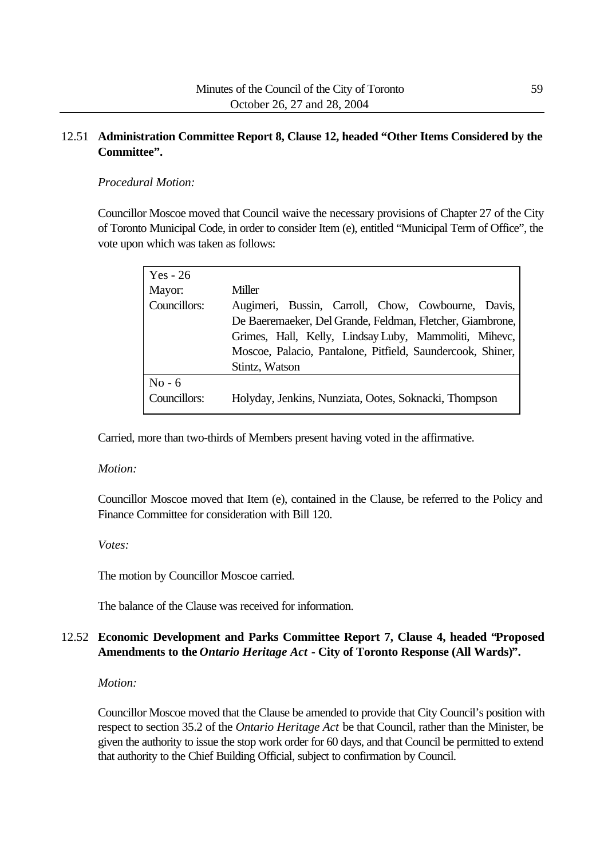# 12.51 **Administration Committee Report 8, Clause 12, headed "Other Items Considered by the Committee".**

## *Procedural Motion:*

Councillor Moscoe moved that Council waive the necessary provisions of Chapter 27 of the City of Toronto Municipal Code, in order to consider Item (e), entitled "Municipal Term of Office", the vote upon which was taken as follows:

| $Yes - 26$   |                                                            |
|--------------|------------------------------------------------------------|
| Mayor:       | Miller                                                     |
| Councillors: | Augimeri, Bussin, Carroll, Chow, Cowbourne, Davis,         |
|              | De Baeremaeker, Del Grande, Feldman, Fletcher, Giambrone,  |
|              | Grimes, Hall, Kelly, Lindsay Luby, Mammoliti, Mihevc,      |
|              | Moscoe, Palacio, Pantalone, Pitfield, Saundercook, Shiner, |
|              | Stintz, Watson                                             |
| $No - 6$     |                                                            |
| Councillors: | Holyday, Jenkins, Nunziata, Ootes, Soknacki, Thompson      |
|              |                                                            |

Carried, more than two-thirds of Members present having voted in the affirmative.

## *Motion:*

Councillor Moscoe moved that Item (e), contained in the Clause, be referred to the Policy and Finance Committee for consideration with Bill 120.

## *Votes:*

The motion by Councillor Moscoe carried.

The balance of the Clause was received for information.

# 12.52 **Economic Development and Parks Committee Report 7, Clause 4, headed "Proposed Amendments to the** *Ontario Heritage Act* **- City of Toronto Response (All Wards)".**

## *Motion:*

Councillor Moscoe moved that the Clause be amended to provide that City Council's position with respect to section 35.2 of the *Ontario Heritage Act* be that Council, rather than the Minister, be given the authority to issue the stop work order for 60 days, and that Council be permitted to extend that authority to the Chief Building Official, subject to confirmation by Council.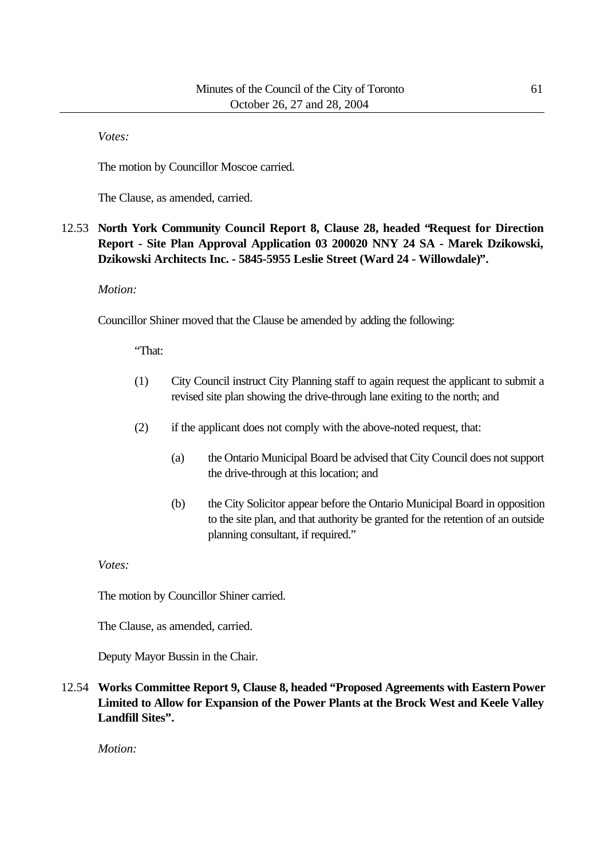*Votes:*

The motion by Councillor Moscoe carried.

The Clause, as amended, carried.

# 12.53 **North York Community Council Report 8, Clause 28, headed "Request for Direction Report - Site Plan Approval Application 03 200020 NNY 24 SA - Marek Dzikowski, Dzikowski Architects Inc. - 5845-5955 Leslie Street (Ward 24 - Willowdale)".**

## *Motion:*

Councillor Shiner moved that the Clause be amended by adding the following:

"That:

- (1) City Council instruct City Planning staff to again request the applicant to submit a revised site plan showing the drive-through lane exiting to the north; and
- (2) if the applicant does not comply with the above-noted request, that:
	- (a) the Ontario Municipal Board be advised that City Council does not support the drive-through at this location; and
	- (b) the City Solicitor appear before the Ontario Municipal Board in opposition to the site plan, and that authority be granted for the retention of an outside planning consultant, if required."

## *Votes:*

The motion by Councillor Shiner carried.

The Clause, as amended, carried.

Deputy Mayor Bussin in the Chair.

12.54 **Works Committee Report 9, Clause 8, headed "Proposed Agreements with Eastern Power Limited to Allow for Expansion of the Power Plants at the Brock West and Keele Valley Landfill Sites".**

*Motion:*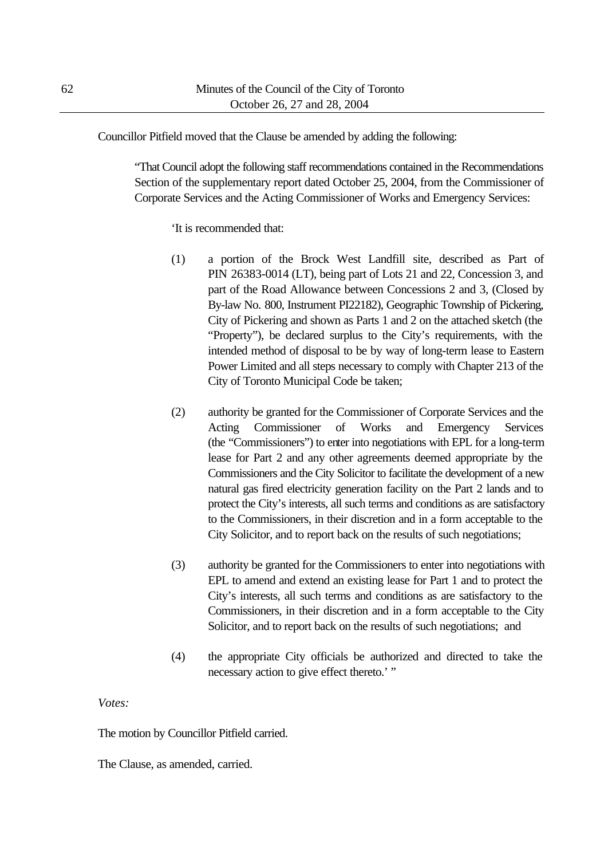Councillor Pitfield moved that the Clause be amended by adding the following:

"That Council adopt the following staff recommendations contained in the Recommendations Section of the supplementary report dated October 25, 2004, from the Commissioner of Corporate Services and the Acting Commissioner of Works and Emergency Services:

'It is recommended that:

- (1) a portion of the Brock West Landfill site, described as Part of PIN 26383-0014 (LT), being part of Lots 21 and 22, Concession 3, and part of the Road Allowance between Concessions 2 and 3, (Closed by By-law No. 800, Instrument PI22182), Geographic Township of Pickering, City of Pickering and shown as Parts 1 and 2 on the attached sketch (the "Property"), be declared surplus to the City's requirements, with the intended method of disposal to be by way of long-term lease to Eastern Power Limited and all steps necessary to comply with Chapter 213 of the City of Toronto Municipal Code be taken;
- (2) authority be granted for the Commissioner of Corporate Services and the Acting Commissioner of Works and Emergency Services (the "Commissioners") to enter into negotiations with EPL for a long-term lease for Part 2 and any other agreements deemed appropriate by the Commissioners and the City Solicitor to facilitate the development of a new natural gas fired electricity generation facility on the Part 2 lands and to protect the City's interests, all such terms and conditions as are satisfactory to the Commissioners, in their discretion and in a form acceptable to the City Solicitor, and to report back on the results of such negotiations;
- (3) authority be granted for the Commissioners to enter into negotiations with EPL to amend and extend an existing lease for Part 1 and to protect the City's interests, all such terms and conditions as are satisfactory to the Commissioners, in their discretion and in a form acceptable to the City Solicitor, and to report back on the results of such negotiations; and
- (4) the appropriate City officials be authorized and directed to take the necessary action to give effect thereto.' "

*Votes:*

The motion by Councillor Pitfield carried.

The Clause, as amended, carried.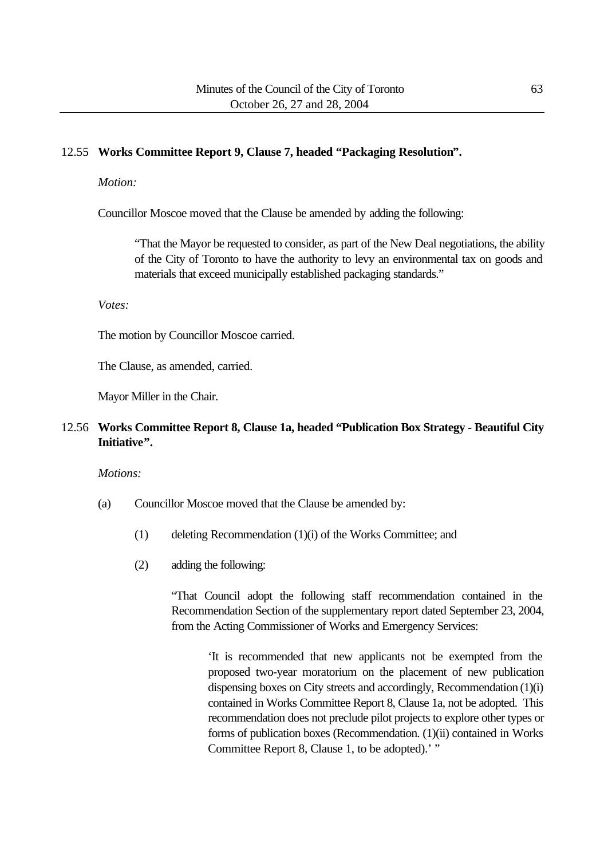## 12.55 **Works Committee Report 9, Clause 7, headed "Packaging Resolution".**

#### *Motion:*

Councillor Moscoe moved that the Clause be amended by adding the following:

"That the Mayor be requested to consider, as part of the New Deal negotiations, the ability of the City of Toronto to have the authority to levy an environmental tax on goods and materials that exceed municipally established packaging standards."

#### *Votes:*

The motion by Councillor Moscoe carried.

The Clause, as amended, carried.

Mayor Miller in the Chair.

# 12.56 **Works Committee Report 8, Clause 1a, headed "Publication Box Strategy - Beautiful City Initiative".**

#### *Motions:*

- (a) Councillor Moscoe moved that the Clause be amended by:
	- (1) deleting Recommendation (1)(i) of the Works Committee; and
	- (2) adding the following:

"That Council adopt the following staff recommendation contained in the Recommendation Section of the supplementary report dated September 23, 2004, from the Acting Commissioner of Works and Emergency Services:

'It is recommended that new applicants not be exempted from the proposed two-year moratorium on the placement of new publication dispensing boxes on City streets and accordingly, Recommendation (1)(i) contained in Works Committee Report 8, Clause 1a, not be adopted. This recommendation does not preclude pilot projects to explore other types or forms of publication boxes (Recommendation. (1)(ii) contained in Works Committee Report 8, Clause 1, to be adopted).' "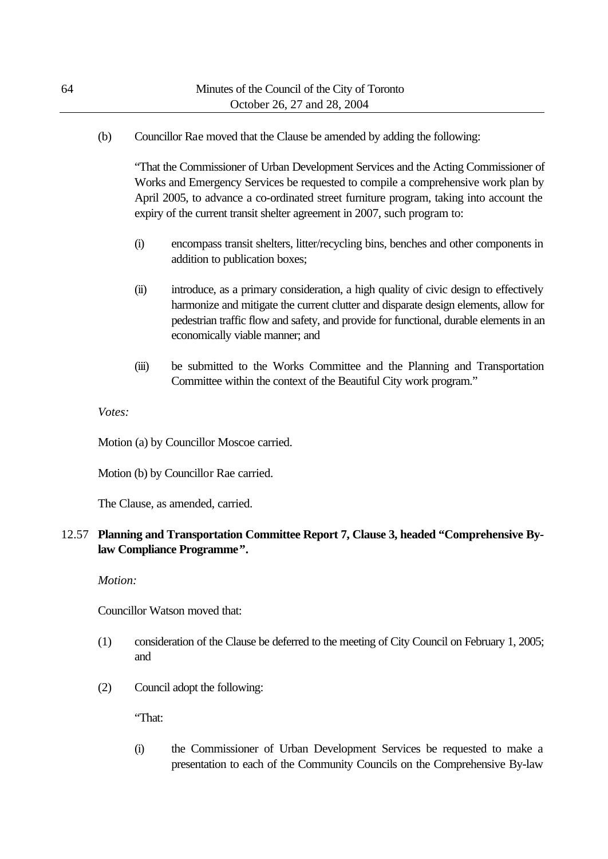(b) Councillor Rae moved that the Clause be amended by adding the following:

"That the Commissioner of Urban Development Services and the Acting Commissioner of Works and Emergency Services be requested to compile a comprehensive work plan by April 2005, to advance a co-ordinated street furniture program, taking into account the expiry of the current transit shelter agreement in 2007, such program to:

- (i) encompass transit shelters, litter/recycling bins, benches and other components in addition to publication boxes;
- (ii) introduce, as a primary consideration, a high quality of civic design to effectively harmonize and mitigate the current clutter and disparate design elements, allow for pedestrian traffic flow and safety, and provide for functional, durable elements in an economically viable manner; and
- (iii) be submitted to the Works Committee and the Planning and Transportation Committee within the context of the Beautiful City work program."

*Votes:*

Motion (a) by Councillor Moscoe carried.

Motion (b) by Councillor Rae carried.

The Clause, as amended, carried.

## 12.57 **Planning and Transportation Committee Report 7, Clause 3, headed "Comprehensive Bylaw Compliance Programme".**

*Motion:*

Councillor Watson moved that:

- (1) consideration of the Clause be deferred to the meeting of City Council on February 1, 2005; and
- (2) Council adopt the following:

"That:

(i) the Commissioner of Urban Development Services be requested to make a presentation to each of the Community Councils on the Comprehensive By-law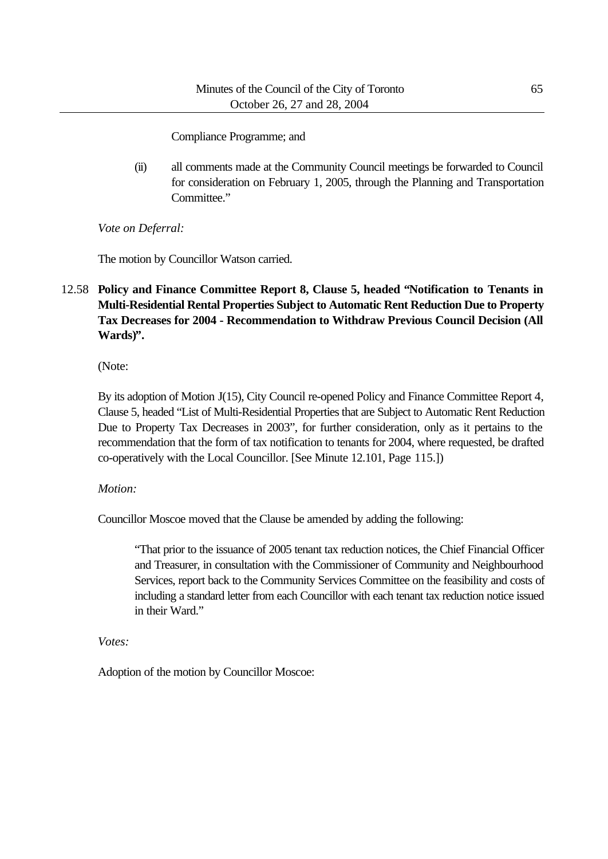Compliance Programme; and

(ii) all comments made at the Community Council meetings be forwarded to Council for consideration on February 1, 2005, through the Planning and Transportation Committee."

*Vote on Deferral:*

The motion by Councillor Watson carried.

# 12.58 **Policy and Finance Committee Report 8, Clause 5, headed "Notification to Tenants in Multi-Residential Rental Properties Subject to Automatic Rent Reduction Due to Property Tax Decreases for 2004 - Recommendation to Withdraw Previous Council Decision (All Wards)".**

(Note:

By its adoption of Motion J(15), City Council re-opened Policy and Finance Committee Report 4, Clause 5, headed "List of Multi-Residential Properties that are Subject to Automatic Rent Reduction Due to Property Tax Decreases in 2003", for further consideration, only as it pertains to the recommendation that the form of tax notification to tenants for 2004, where requested, be drafted co-operatively with the Local Councillor. [See Minute 12.101, Page 115.])

# *Motion:*

Councillor Moscoe moved that the Clause be amended by adding the following:

"That prior to the issuance of 2005 tenant tax reduction notices, the Chief Financial Officer and Treasurer, in consultation with the Commissioner of Community and Neighbourhood Services, report back to the Community Services Committee on the feasibility and costs of including a standard letter from each Councillor with each tenant tax reduction notice issued in their Ward."

*Votes:*

Adoption of the motion by Councillor Moscoe: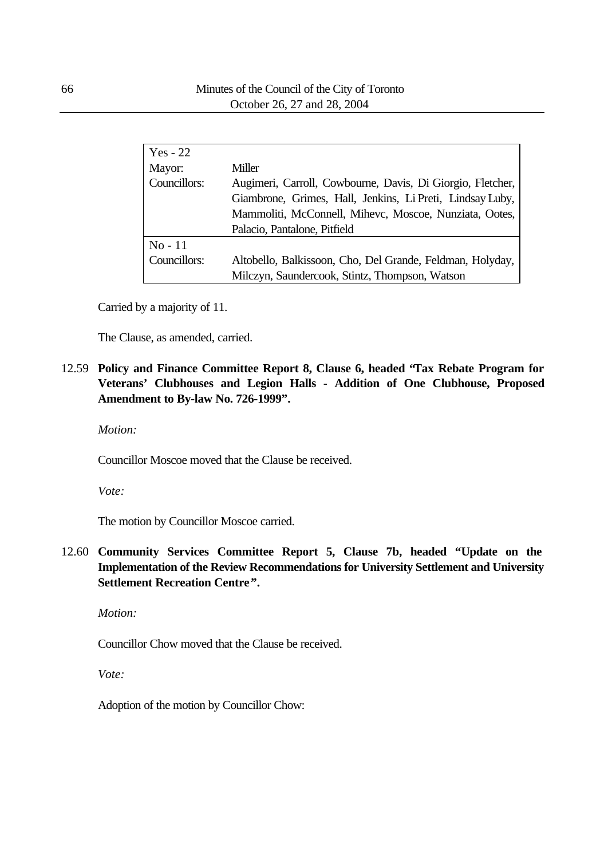| $Yes - 22$   |                                                                                                                                                                                   |
|--------------|-----------------------------------------------------------------------------------------------------------------------------------------------------------------------------------|
| Mayor:       | Miller                                                                                                                                                                            |
| Councillors: | Augimeri, Carroll, Cowbourne, Davis, Di Giorgio, Fletcher,<br>Giambrone, Grimes, Hall, Jenkins, Li Preti, Lindsay Luby,<br>Mammoliti, McConnell, Mihevc, Moscoe, Nunziata, Ootes, |
|              | Palacio, Pantalone, Pitfield                                                                                                                                                      |
| $No-11$      |                                                                                                                                                                                   |
| Councillors: | Altobello, Balkissoon, Cho, Del Grande, Feldman, Holyday,                                                                                                                         |
|              | Milczyn, Saundercook, Stintz, Thompson, Watson                                                                                                                                    |

Carried by a majority of 11.

The Clause, as amended, carried.

12.59 **Policy and Finance Committee Report 8, Clause 6, headed "Tax Rebate Program for Veterans' Clubhouses and Legion Halls - Addition of One Clubhouse, Proposed Amendment to By-law No. 726-1999".**

*Motion:*

Councillor Moscoe moved that the Clause be received.

*Vote:*

The motion by Councillor Moscoe carried.

12.60 **Community Services Committee Report 5, Clause 7b, headed "Update on the Implementation of the Review Recommendations for University Settlement and University Settlement Recreation Centre".**

*Motion:*

Councillor Chow moved that the Clause be received.

*Vote:*

Adoption of the motion by Councillor Chow: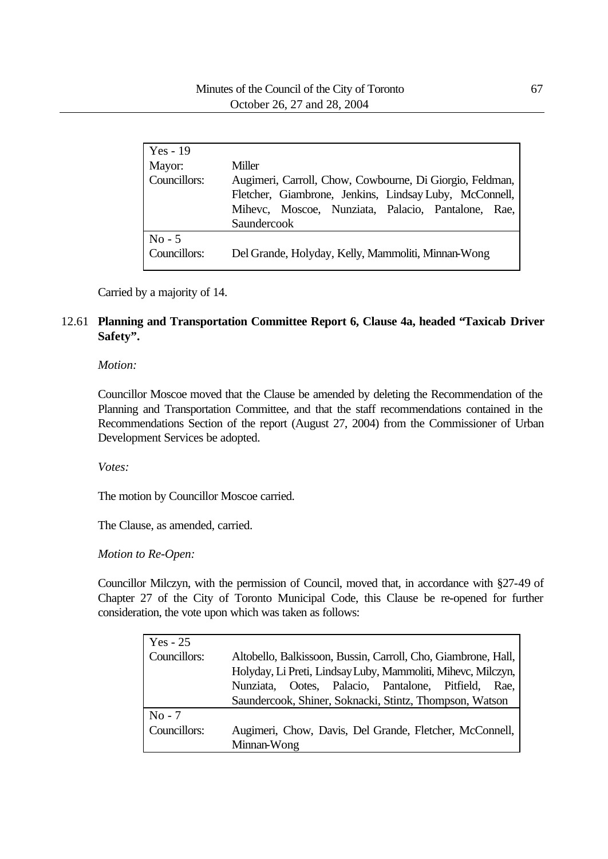| Yes - $19$<br>Mayor:<br>Councillors: | Miller<br>Augimeri, Carroll, Chow, Cowbourne, Di Giorgio, Feldman,                                           |
|--------------------------------------|--------------------------------------------------------------------------------------------------------------|
|                                      | Fletcher, Giambrone, Jenkins, Lindsay Luby, McConnell,<br>Mihevc, Moscoe, Nunziata, Palacio, Pantalone, Rae, |
|                                      | Saundercook                                                                                                  |
| $No - 5$<br>Councillors:             | Del Grande, Holyday, Kelly, Mammoliti, Minnan-Wong                                                           |

Carried by a majority of 14.

## 12.61 **Planning and Transportation Committee Report 6, Clause 4a, headed "Taxicab Driver Safety".**

#### *Motion:*

Councillor Moscoe moved that the Clause be amended by deleting the Recommendation of the Planning and Transportation Committee, and that the staff recommendations contained in the Recommendations Section of the report (August 27, 2004) from the Commissioner of Urban Development Services be adopted.

#### *Votes:*

The motion by Councillor Moscoe carried.

The Clause, as amended, carried.

*Motion to Re-Open:*

Councillor Milczyn, with the permission of Council, moved that, in accordance with §27-49 of Chapter 27 of the City of Toronto Municipal Code, this Clause be re-opened for further consideration, the vote upon which was taken as follows:

| $Yes - 25$   |                                                               |
|--------------|---------------------------------------------------------------|
| Councillors: | Altobello, Balkissoon, Bussin, Carroll, Cho, Giambrone, Hall, |
|              | Holyday, Li Preti, Lindsay Luby, Mammoliti, Mihevc, Milczyn,  |
|              | Ootes, Palacio, Pantalone, Pitfield, Rae,<br>Nunziata.        |
|              | Saundercook, Shiner, Soknacki, Stintz, Thompson, Watson       |
| $No - 7$     |                                                               |
| Councillors: | Augimeri, Chow, Davis, Del Grande, Fletcher, McConnell,       |
|              | Minnan-Wong                                                   |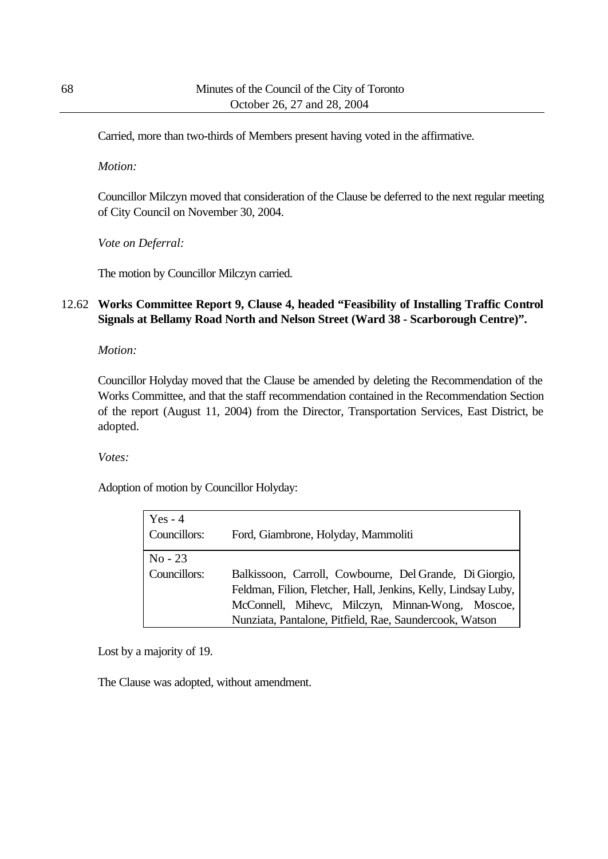Carried, more than two-thirds of Members present having voted in the affirmative.

*Motion:*

Councillor Milczyn moved that consideration of the Clause be deferred to the next regular meeting of City Council on November 30, 2004.

*Vote on Deferral:*

The motion by Councillor Milczyn carried.

# 12.62 **Works Committee Report 9, Clause 4, headed "Feasibility of Installing Traffic Control Signals at Bellamy Road North and Nelson Street (Ward 38 - Scarborough Centre)".**

*Motion:*

Councillor Holyday moved that the Clause be amended by deleting the Recommendation of the Works Committee, and that the staff recommendation contained in the Recommendation Section of the report (August 11, 2004) from the Director, Transportation Services, East District, be adopted.

*Votes:*

Adoption of motion by Councillor Holyday:

| $Yes - 4$<br>Councillors: | Ford, Giambrone, Holyday, Mammoliti                                                                                                                                                                                                      |
|---------------------------|------------------------------------------------------------------------------------------------------------------------------------------------------------------------------------------------------------------------------------------|
| $No - 23$<br>Councillors: | Balkissoon, Carroll, Cowbourne, Del Grande, Di Giorgio,<br>Feldman, Filion, Fletcher, Hall, Jenkins, Kelly, Lindsay Luby,<br>McConnell, Mihevc, Milczyn, Minnan-Wong, Moscoe,<br>Nunziata, Pantalone, Pitfield, Rae, Saundercook, Watson |

Lost by a majority of 19.

The Clause was adopted, without amendment.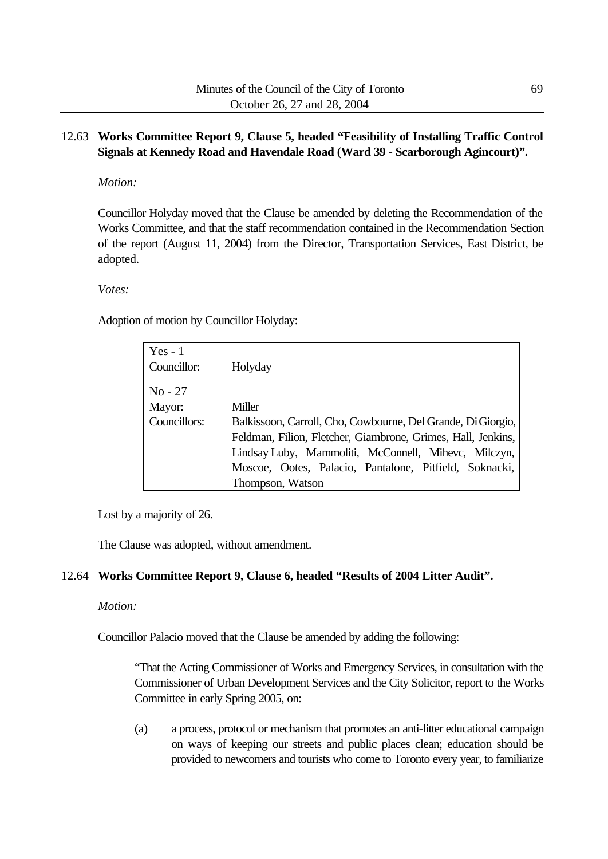# 12.63 **Works Committee Report 9, Clause 5, headed "Feasibility of Installing Traffic Control Signals at Kennedy Road and Havendale Road (Ward 39 - Scarborough Agincourt)".**

## *Motion:*

Councillor Holyday moved that the Clause be amended by deleting the Recommendation of the Works Committee, and that the staff recommendation contained in the Recommendation Section of the report (August 11, 2004) from the Director, Transportation Services, East District, be adopted.

#### *Votes:*

Adoption of motion by Councillor Holyday:

| $Yes - 1$<br>Councillor: | Holyday                                                                                                                                                                                                                                                            |
|--------------------------|--------------------------------------------------------------------------------------------------------------------------------------------------------------------------------------------------------------------------------------------------------------------|
| $No - 27$                |                                                                                                                                                                                                                                                                    |
| Mayor:                   | Miller                                                                                                                                                                                                                                                             |
| Councillors:             | Balkissoon, Carroll, Cho, Cowbourne, Del Grande, Di Giorgio,<br>Feldman, Filion, Fletcher, Giambrone, Grimes, Hall, Jenkins,<br>Lindsay Luby, Mammoliti, McConnell, Mihevc, Milczyn,<br>Moscoe, Ootes, Palacio, Pantalone, Pitfield, Soknacki,<br>Thompson, Watson |

Lost by a majority of 26.

The Clause was adopted, without amendment.

## 12.64 **Works Committee Report 9, Clause 6, headed "Results of 2004 Litter Audit".**

## *Motion:*

Councillor Palacio moved that the Clause be amended by adding the following:

"That the Acting Commissioner of Works and Emergency Services, in consultation with the Commissioner of Urban Development Services and the City Solicitor, report to the Works Committee in early Spring 2005, on:

(a) a process, protocol or mechanism that promotes an anti-litter educational campaign on ways of keeping our streets and public places clean; education should be provided to newcomers and tourists who come to Toronto every year, to familiarize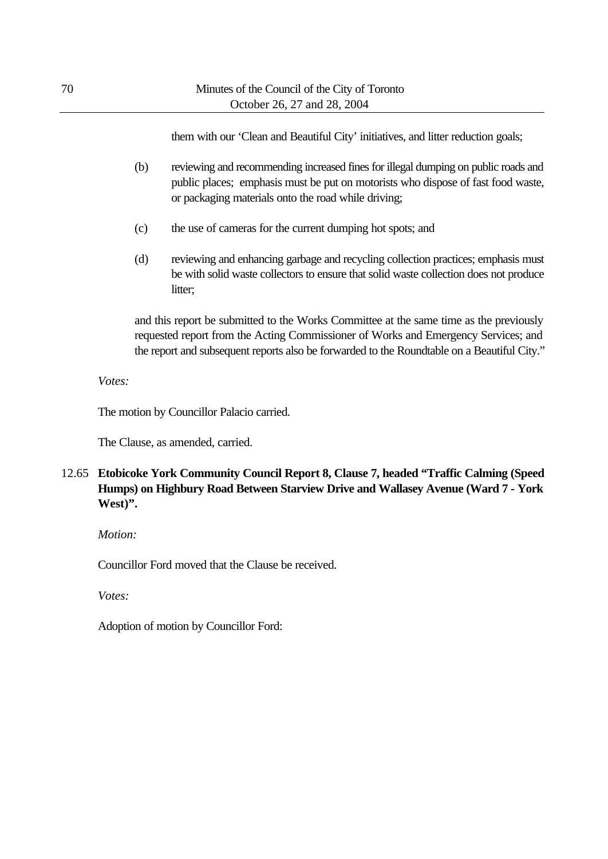them with our 'Clean and Beautiful City' initiatives, and litter reduction goals;

- (b) reviewing and recommending increased fines for illegal dumping on public roads and public places; emphasis must be put on motorists who dispose of fast food waste, or packaging materials onto the road while driving;
- (c) the use of cameras for the current dumping hot spots; and
- (d) reviewing and enhancing garbage and recycling collection practices; emphasis must be with solid waste collectors to ensure that solid waste collection does not produce litter:

and this report be submitted to the Works Committee at the same time as the previously requested report from the Acting Commissioner of Works and Emergency Services; and the report and subsequent reports also be forwarded to the Roundtable on a Beautiful City."

*Votes:*

The motion by Councillor Palacio carried.

The Clause, as amended, carried.

12.65 **Etobicoke York Community Council Report 8, Clause 7, headed "Traffic Calming (Speed Humps) on Highbury Road Between Starview Drive and Wallasey Avenue (Ward 7 - York West)".**

*Motion:*

Councillor Ford moved that the Clause be received.

*Votes:*

Adoption of motion by Councillor Ford: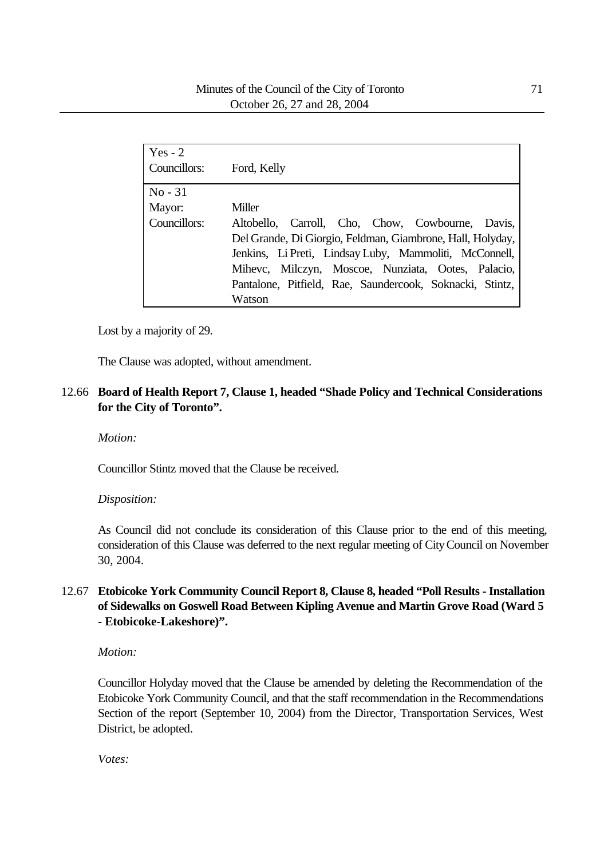| Yes - $2$    |                                                            |
|--------------|------------------------------------------------------------|
| Councillors: | Ford, Kelly                                                |
| $No - 31$    |                                                            |
| Mayor:       | Miller                                                     |
| Councillors: | Altobello, Carroll, Cho, Chow, Cowbourne, Davis,           |
|              | Del Grande, Di Giorgio, Feldman, Giambrone, Hall, Holyday, |
|              | Jenkins, Li Preti, Lindsay Luby, Mammoliti, McConnell,     |
|              | Mihevc, Milczyn, Moscoe, Nunziata, Ootes, Palacio,         |
|              | Pantalone, Pitfield, Rae, Saundercook, Soknacki, Stintz,   |
|              | Watson                                                     |

Lost by a majority of 29.

The Clause was adopted, without amendment.

## 12.66 **Board of Health Report 7, Clause 1, headed "Shade Policy and Technical Considerations for the City of Toronto".**

*Motion:*

Councillor Stintz moved that the Clause be received.

#### *Disposition:*

As Council did not conclude its consideration of this Clause prior to the end of this meeting, consideration of this Clause was deferred to the next regular meeting of City Council on November 30, 2004.

# 12.67 **Etobicoke York Community Council Report 8, Clause 8, headed "Poll Results - Installation of Sidewalks on Goswell Road Between Kipling Avenue and Martin Grove Road (Ward 5 - Etobicoke-Lakeshore)".**

*Motion:*

Councillor Holyday moved that the Clause be amended by deleting the Recommendation of the Etobicoke York Community Council, and that the staff recommendation in the Recommendations Section of the report (September 10, 2004) from the Director, Transportation Services, West District, be adopted.

*Votes:*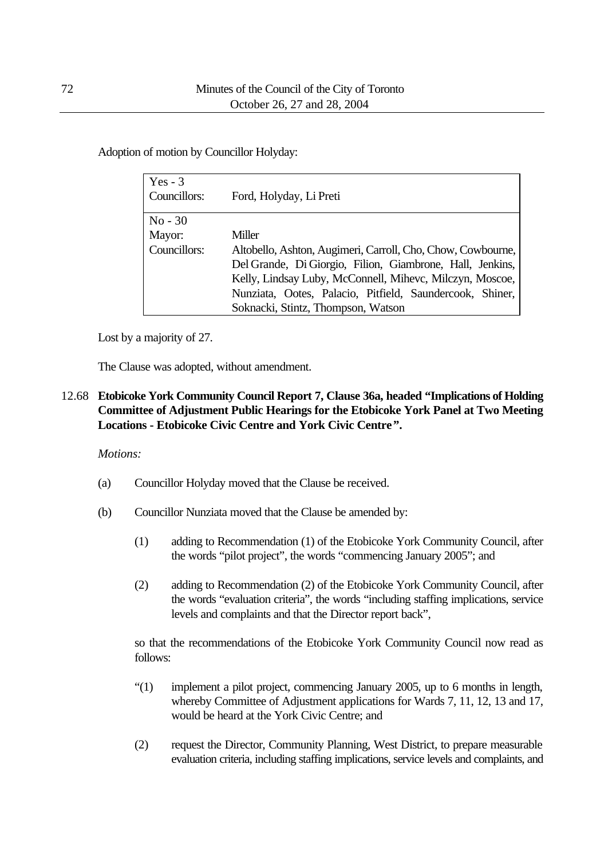Adoption of motion by Councillor Holyday:

| Yes $-3$     |                                                             |
|--------------|-------------------------------------------------------------|
| Councillors: | Ford, Holyday, Li Preti                                     |
|              |                                                             |
| $No - 30$    |                                                             |
| Mayor:       | Miller                                                      |
| Councillors: | Altobello, Ashton, Augimeri, Carroll, Cho, Chow, Cowbourne, |
|              | Del Grande, Di Giorgio, Filion, Giambrone, Hall, Jenkins,   |
|              | Kelly, Lindsay Luby, McConnell, Mihevc, Milczyn, Moscoe,    |
|              | Nunziata, Ootes, Palacio, Pitfield, Saundercook, Shiner,    |
|              | Soknacki, Stintz, Thompson, Watson                          |

Lost by a majority of 27.

The Clause was adopted, without amendment.

# 12.68 **Etobicoke York Community Council Report 7, Clause 36a, headed "Implications of Holding Committee of Adjustment Public Hearings for the Etobicoke York Panel at Two Meeting Locations - Etobicoke Civic Centre and York Civic Centre".**

## *Motions:*

- (a) Councillor Holyday moved that the Clause be received.
- (b) Councillor Nunziata moved that the Clause be amended by:
	- (1) adding to Recommendation (1) of the Etobicoke York Community Council, after the words "pilot project", the words "commencing January 2005"; and
	- (2) adding to Recommendation (2) of the Etobicoke York Community Council, after the words "evaluation criteria", the words "including staffing implications, service levels and complaints and that the Director report back",

so that the recommendations of the Etobicoke York Community Council now read as follows:

- "(1) implement a pilot project, commencing January 2005, up to 6 months in length, whereby Committee of Adjustment applications for Wards 7, 11, 12, 13 and 17, would be heard at the York Civic Centre; and
- (2) request the Director, Community Planning, West District, to prepare measurable evaluation criteria, including staffing implications, service levels and complaints, and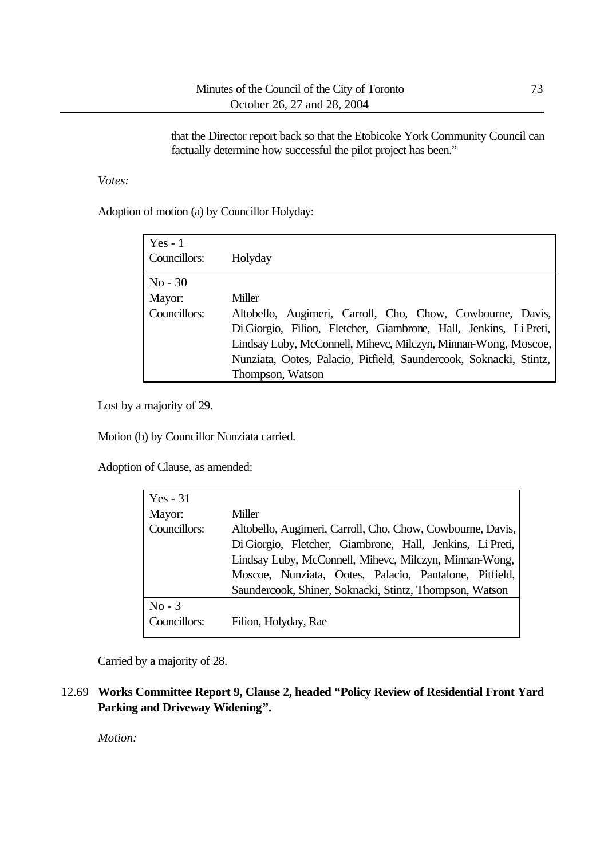that the Director report back so that the Etobicoke York Community Council can factually determine how successful the pilot project has been."

*Votes:*

Adoption of motion (a) by Councillor Holyday:

| $Yes - 1$<br>Councillors: | Holyday                                                            |
|---------------------------|--------------------------------------------------------------------|
| $No - 30$                 |                                                                    |
| Mayor:                    | Miller                                                             |
| Councillors:              | Altobello, Augimeri, Carroll, Cho, Chow, Cowbourne, Davis,         |
|                           | Di Giorgio, Filion, Fletcher, Giambrone, Hall, Jenkins, Li Preti,  |
|                           | Lindsay Luby, McConnell, Mihevc, Milczyn, Minnan-Wong, Moscoe,     |
|                           | Nunziata, Ootes, Palacio, Pitfield, Saundercook, Soknacki, Stintz, |
|                           | Thompson, Watson                                                   |

Lost by a majority of 29.

Motion (b) by Councillor Nunziata carried.

Adoption of Clause, as amended:

| Yes $-31$    |                                                            |
|--------------|------------------------------------------------------------|
| Mayor:       | Miller                                                     |
| Councillors: | Altobello, Augimeri, Carroll, Cho, Chow, Cowbourne, Davis, |
|              | Di Giorgio, Fletcher, Giambrone, Hall, Jenkins, Li Preti,  |
|              | Lindsay Luby, McConnell, Mihevc, Milczyn, Minnan-Wong,     |
|              | Moscoe, Nunziata, Ootes, Palacio, Pantalone, Pitfield,     |
|              | Saundercook, Shiner, Soknacki, Stintz, Thompson, Watson    |
| $No - 3$     |                                                            |
| Councillors: | Filion, Holyday, Rae                                       |

Carried by a majority of 28.

12.69 **Works Committee Report 9, Clause 2, headed "Policy Review of Residential Front Yard Parking and Driveway Widening".**

*Motion:*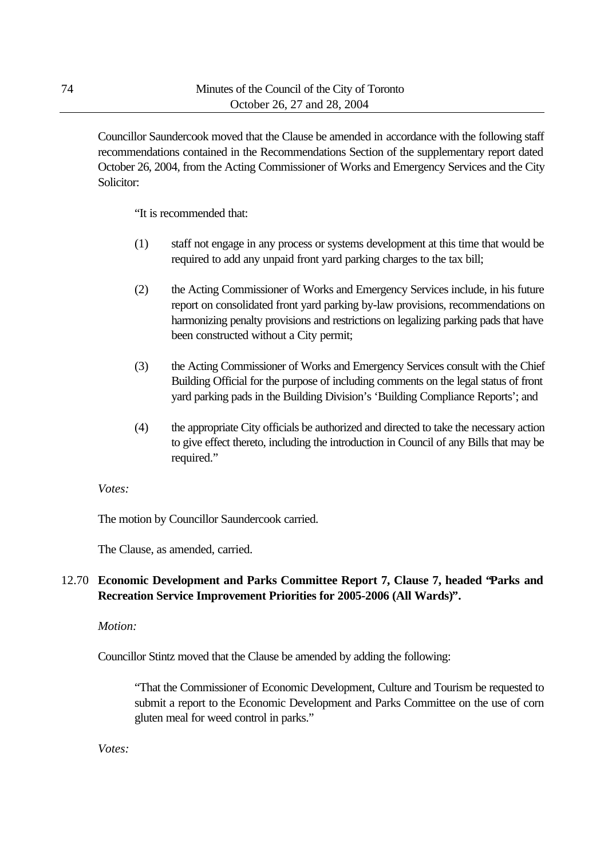Councillor Saundercook moved that the Clause be amended in accordance with the following staff recommendations contained in the Recommendations Section of the supplementary report dated October 26, 2004, from the Acting Commissioner of Works and Emergency Services and the City Solicitor:

"It is recommended that:

- (1) staff not engage in any process or systems development at this time that would be required to add any unpaid front yard parking charges to the tax bill;
- (2) the Acting Commissioner of Works and Emergency Services include, in his future report on consolidated front yard parking by-law provisions, recommendations on harmonizing penalty provisions and restrictions on legalizing parking pads that have been constructed without a City permit;
- (3) the Acting Commissioner of Works and Emergency Services consult with the Chief Building Official for the purpose of including comments on the legal status of front yard parking pads in the Building Division's 'Building Compliance Reports'; and
- (4) the appropriate City officials be authorized and directed to take the necessary action to give effect thereto, including the introduction in Council of any Bills that may be required."

### *Votes:*

The motion by Councillor Saundercook carried.

The Clause, as amended, carried.

# 12.70 **Economic Development and Parks Committee Report 7, Clause 7, headed "Parks and Recreation Service Improvement Priorities for 2005-2006 (All Wards)".**

### *Motion:*

Councillor Stintz moved that the Clause be amended by adding the following:

"That the Commissioner of Economic Development, Culture and Tourism be requested to submit a report to the Economic Development and Parks Committee on the use of corn gluten meal for weed control in parks."

*Votes:*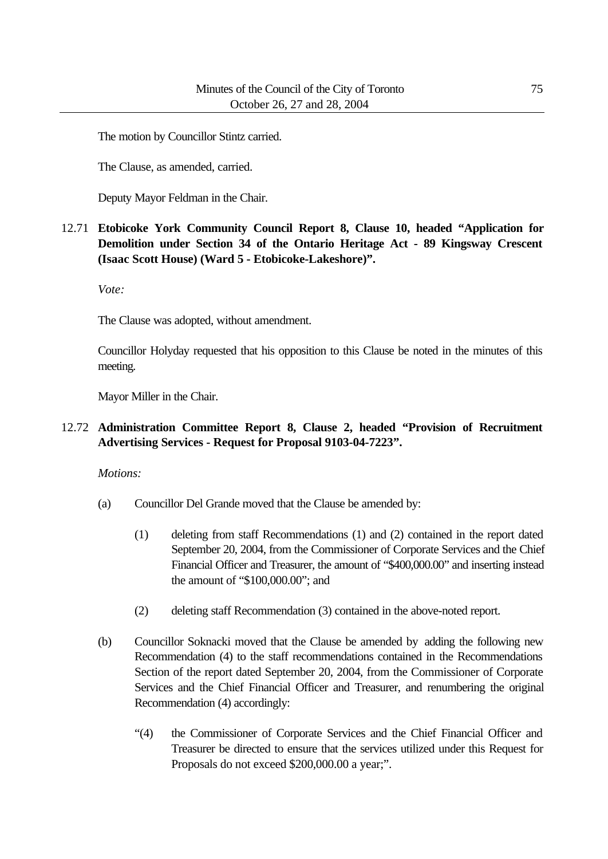The motion by Councillor Stintz carried.

The Clause, as amended, carried.

Deputy Mayor Feldman in the Chair.

12.71 **Etobicoke York Community Council Report 8, Clause 10, headed "Application for Demolition under Section 34 of the Ontario Heritage Act - 89 Kingsway Crescent (Isaac Scott House) (Ward 5 - Etobicoke-Lakeshore)".**

*Vote:*

The Clause was adopted, without amendment.

Councillor Holyday requested that his opposition to this Clause be noted in the minutes of this meeting.

Mayor Miller in the Chair.

### 12.72 **Administration Committee Report 8, Clause 2, headed "Provision of Recruitment Advertising Services - Request for Proposal 9103-04-7223".**

*Motions:*

- (a) Councillor Del Grande moved that the Clause be amended by:
	- (1) deleting from staff Recommendations (1) and (2) contained in the report dated September 20, 2004, from the Commissioner of Corporate Services and the Chief Financial Officer and Treasurer, the amount of "\$400,000.00" and inserting instead the amount of "\$100,000.00"; and
	- (2) deleting staff Recommendation (3) contained in the above-noted report.
- (b) Councillor Soknacki moved that the Clause be amended by adding the following new Recommendation (4) to the staff recommendations contained in the Recommendations Section of the report dated September 20, 2004, from the Commissioner of Corporate Services and the Chief Financial Officer and Treasurer, and renumbering the original Recommendation (4) accordingly:
	- "(4) the Commissioner of Corporate Services and the Chief Financial Officer and Treasurer be directed to ensure that the services utilized under this Request for Proposals do not exceed \$200,000.00 a year;".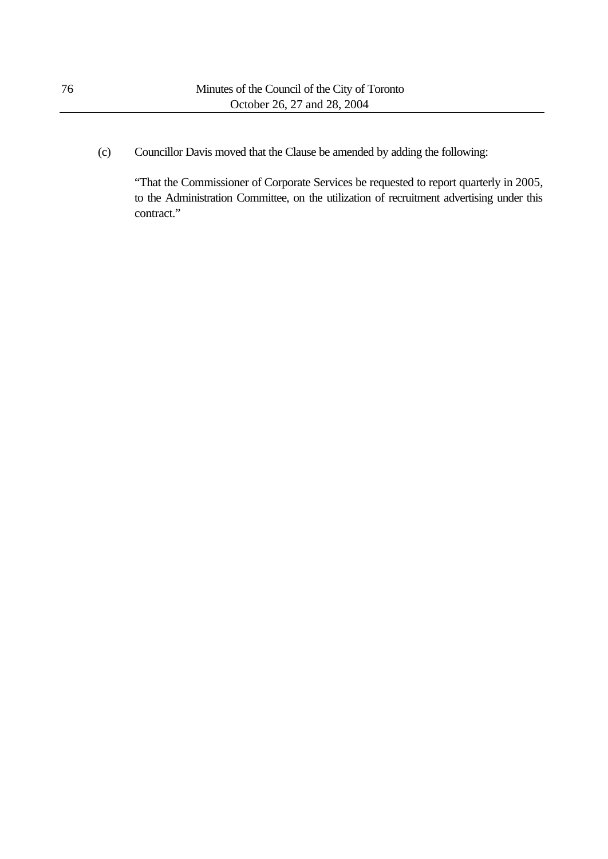(c) Councillor Davis moved that the Clause be amended by adding the following:

"That the Commissioner of Corporate Services be requested to report quarterly in 2005, to the Administration Committee, on the utilization of recruitment advertising under this contract."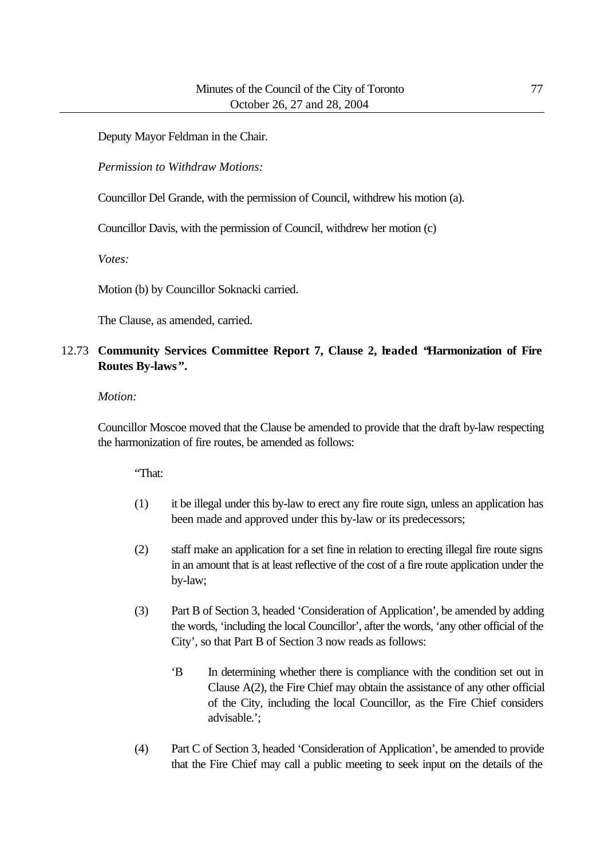Deputy Mayor Feldman in the Chair.

*Permission to Withdraw Motions:*

Councillor Del Grande, with the permission of Council, withdrew his motion (a).

Councillor Davis, with the permission of Council, withdrew her motion (c)

*Votes:*

Motion (b) by Councillor Soknacki carried.

The Clause, as amended, carried.

# 12.73 **Community Services Committee Report 7, Clause 2, headed "Harmonization of Fire Routes By-laws".**

### *Motion:*

Councillor Moscoe moved that the Clause be amended to provide that the draft by-law respecting the harmonization of fire routes, be amended as follows:

"That:

- (1) it be illegal under this by-law to erect any fire route sign, unless an application has been made and approved under this by-law or its predecessors;
- (2) staff make an application for a set fine in relation to erecting illegal fire route signs in an amount that is at least reflective of the cost of a fire route application under the by-law;
- (3) Part B of Section 3, headed 'Consideration of Application', be amended by adding the words, 'including the local Councillor', after the words, 'any other official of the City', so that Part B of Section 3 now reads as follows:
	- 'B In determining whether there is compliance with the condition set out in Clause A(2), the Fire Chief may obtain the assistance of any other official of the City, including the local Councillor, as the Fire Chief considers advisable.';
- (4) Part C of Section 3, headed 'Consideration of Application', be amended to provide that the Fire Chief may call a public meeting to seek input on the details of the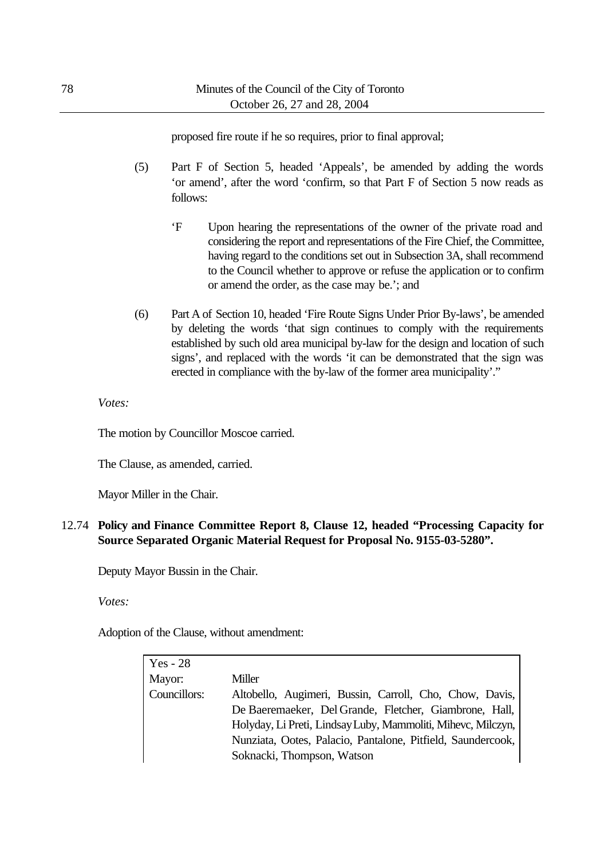proposed fire route if he so requires, prior to final approval;

- (5) Part F of Section 5, headed 'Appeals', be amended by adding the words 'or amend', after the word 'confirm, so that Part F of Section 5 now reads as follows:
	- 'F Upon hearing the representations of the owner of the private road and considering the report and representations of the Fire Chief, the Committee, having regard to the conditions set out in Subsection 3A, shall recommend to the Council whether to approve or refuse the application or to confirm or amend the order, as the case may be.'; and
- (6) Part A of Section 10, headed 'Fire Route Signs Under Prior By-laws', be amended by deleting the words 'that sign continues to comply with the requirements established by such old area municipal by-law for the design and location of such signs', and replaced with the words 'it can be demonstrated that the sign was erected in compliance with the by-law of the former area municipality'."

### *Votes:*

The motion by Councillor Moscoe carried.

The Clause, as amended, carried.

Mayor Miller in the Chair.

12.74 **Policy and Finance Committee Report 8, Clause 12, headed "Processing Capacity for Source Separated Organic Material Request for Proposal No. 9155-03-5280".**

Deputy Mayor Bussin in the Chair.

*Votes:*

Adoption of the Clause, without amendment:

| Yes - 28     |                                                              |
|--------------|--------------------------------------------------------------|
| Mayor:       | Miller                                                       |
| Councillors: | Altobello, Augimeri, Bussin, Carroll, Cho, Chow, Davis,      |
|              | De Baeremaeker, Del Grande, Fletcher, Giambrone, Hall,       |
|              | Holyday, Li Preti, Lindsay Luby, Mammoliti, Mihevc, Milczyn, |
|              | Nunziata, Ootes, Palacio, Pantalone, Pitfield, Saundercook,  |
|              | Soknacki, Thompson, Watson                                   |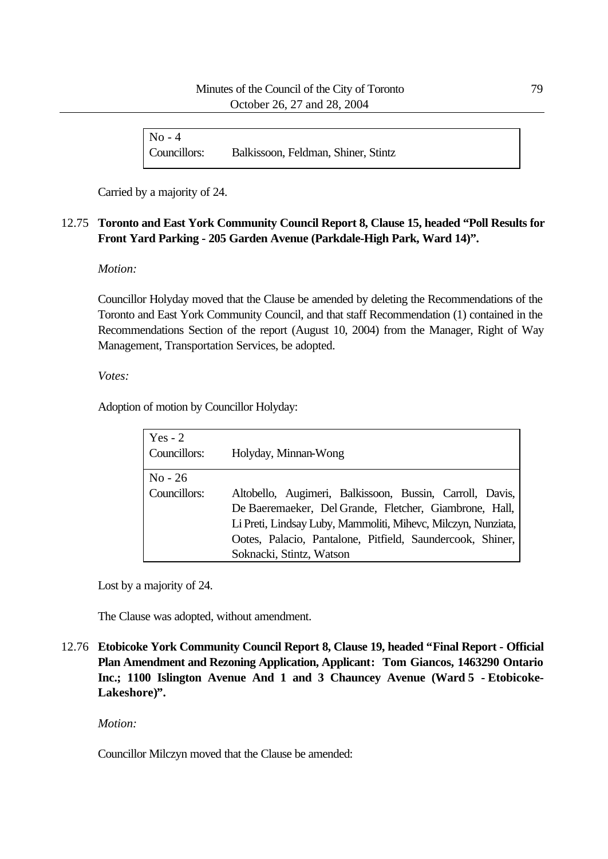| $No - 4$     |                                     |
|--------------|-------------------------------------|
| Councillors: | Balkissoon, Feldman, Shiner, Stintz |

Carried by a majority of 24.

# 12.75 **Toronto and East York Community Council Report 8, Clause 15, headed "Poll Results for Front Yard Parking - 205 Garden Avenue (Parkdale-High Park, Ward 14)".**

### *Motion:*

Councillor Holyday moved that the Clause be amended by deleting the Recommendations of the Toronto and East York Community Council, and that staff Recommendation (1) contained in the Recommendations Section of the report (August 10, 2004) from the Manager, Right of Way Management, Transportation Services, be adopted.

*Votes:*

Adoption of motion by Councillor Holyday:

| Yes $-2$<br>Councillors:  | Holyday, Minnan-Wong                                                                                                                                   |
|---------------------------|--------------------------------------------------------------------------------------------------------------------------------------------------------|
| $No - 26$<br>Councillors: | Altobello, Augimeri, Balkissoon, Bussin, Carroll, Davis,<br>De Baeremaeker, Del Grande, Fletcher, Giambrone, Hall,                                     |
|                           | Li Preti, Lindsay Luby, Mammoliti, Mihevc, Milczyn, Nunziata,<br>Ootes, Palacio, Pantalone, Pitfield, Saundercook, Shiner,<br>Soknacki, Stintz, Watson |

Lost by a majority of 24.

The Clause was adopted, without amendment.

12.76 **Etobicoke York Community Council Report 8, Clause 19, headed "Final Report - Official Plan Amendment and Rezoning Application, Applicant: Tom Giancos, 1463290 Ontario Inc.; 1100 Islington Avenue And 1 and 3 Chauncey Avenue (Ward 5 - Etobicoke-Lakeshore)".**

*Motion:*

Councillor Milczyn moved that the Clause be amended: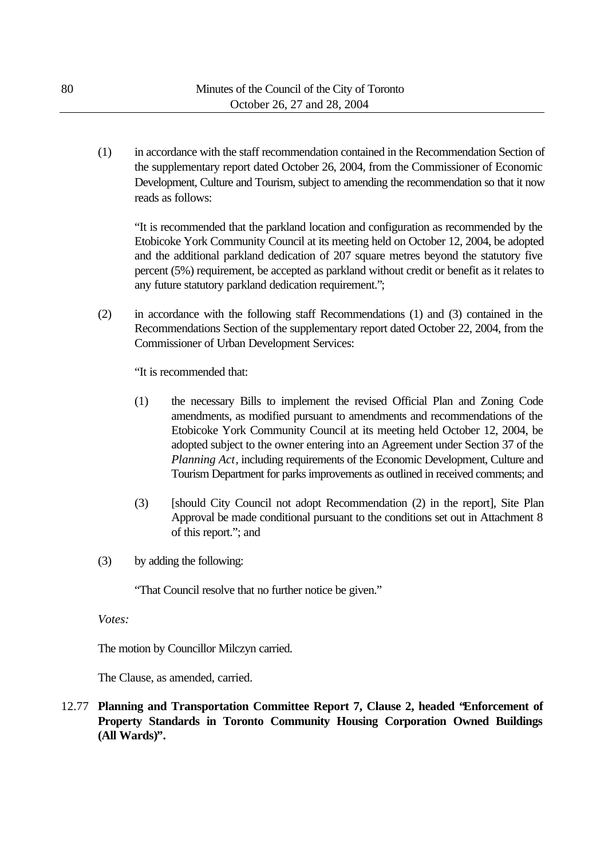(1) in accordance with the staff recommendation contained in the Recommendation Section of the supplementary report dated October 26, 2004, from the Commissioner of Economic Development, Culture and Tourism, subject to amending the recommendation so that it now reads as follows:

"It is recommended that the parkland location and configuration as recommended by the Etobicoke York Community Council at its meeting held on October 12, 2004, be adopted and the additional parkland dedication of 207 square metres beyond the statutory five percent (5%) requirement, be accepted as parkland without credit or benefit as it relates to any future statutory parkland dedication requirement.";

(2) in accordance with the following staff Recommendations (1) and (3) contained in the Recommendations Section of the supplementary report dated October 22, 2004, from the Commissioner of Urban Development Services:

"It is recommended that:

- (1) the necessary Bills to implement the revised Official Plan and Zoning Code amendments, as modified pursuant to amendments and recommendations of the Etobicoke York Community Council at its meeting held October 12, 2004, be adopted subject to the owner entering into an Agreement under Section 37 of the *Planning Act*, including requirements of the Economic Development, Culture and Tourism Department for parks improvements as outlined in received comments; and
- (3) [should City Council not adopt Recommendation (2) in the report], Site Plan Approval be made conditional pursuant to the conditions set out in Attachment 8 of this report."; and
- (3) by adding the following:

"That Council resolve that no further notice be given."

*Votes:*

The motion by Councillor Milczyn carried.

The Clause, as amended, carried.

12.77 **Planning and Transportation Committee Report 7, Clause 2, headed "Enforcement of Property Standards in Toronto Community Housing Corporation Owned Buildings (All Wards)".**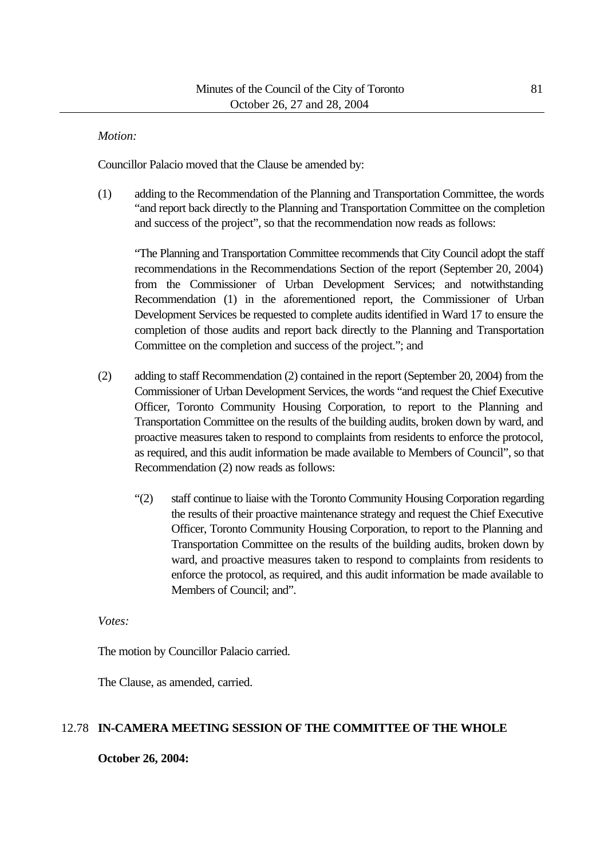### *Motion:*

Councillor Palacio moved that the Clause be amended by:

(1) adding to the Recommendation of the Planning and Transportation Committee, the words "and report back directly to the Planning and Transportation Committee on the completion and success of the project", so that the recommendation now reads as follows:

"The Planning and Transportation Committee recommends that City Council adopt the staff recommendations in the Recommendations Section of the report (September 20, 2004) from the Commissioner of Urban Development Services; and notwithstanding Recommendation (1) in the aforementioned report, the Commissioner of Urban Development Services be requested to complete audits identified in Ward 17 to ensure the completion of those audits and report back directly to the Planning and Transportation Committee on the completion and success of the project."; and

- (2) adding to staff Recommendation (2) contained in the report (September 20, 2004) from the Commissioner of Urban Development Services, the words "and request the Chief Executive Officer, Toronto Community Housing Corporation, to report to the Planning and Transportation Committee on the results of the building audits, broken down by ward, and proactive measures taken to respond to complaints from residents to enforce the protocol, as required, and this audit information be made available to Members of Council", so that Recommendation (2) now reads as follows:
	- "(2) staff continue to liaise with the Toronto Community Housing Corporation regarding the results of their proactive maintenance strategy and request the Chief Executive Officer, Toronto Community Housing Corporation, to report to the Planning and Transportation Committee on the results of the building audits, broken down by ward, and proactive measures taken to respond to complaints from residents to enforce the protocol, as required, and this audit information be made available to Members of Council; and".

*Votes:*

The motion by Councillor Palacio carried.

The Clause, as amended, carried.

### 12.78 **IN-CAMERA MEETING SESSION OF THE COMMITTEE OF THE WHOLE**

**October 26, 2004:**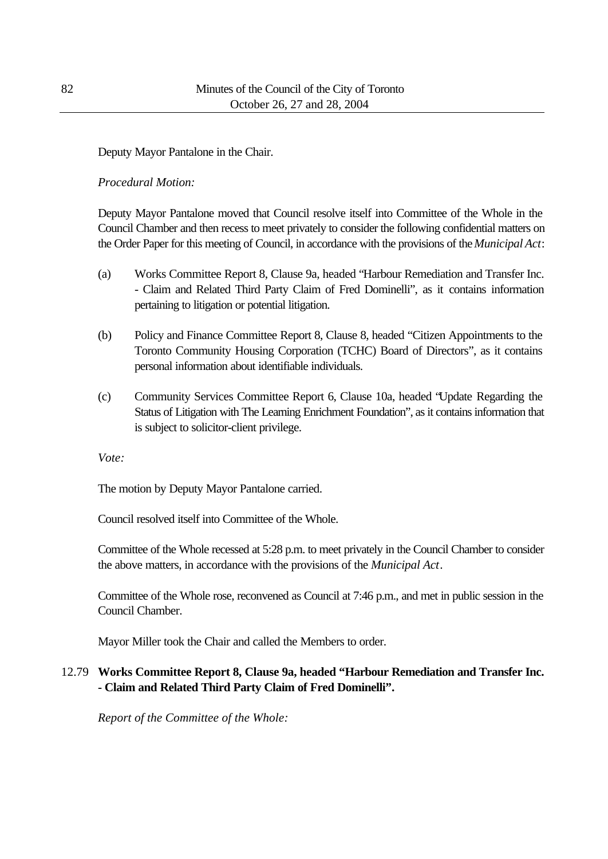## Deputy Mayor Pantalone in the Chair.

### *Procedural Motion:*

Deputy Mayor Pantalone moved that Council resolve itself into Committee of the Whole in the Council Chamber and then recess to meet privately to consider the following confidential matters on the Order Paper for this meeting of Council, in accordance with the provisions of the *Municipal Act*:

- (a) Works Committee Report 8, Clause 9a, headed "Harbour Remediation and Transfer Inc. - Claim and Related Third Party Claim of Fred Dominelli", as it contains information pertaining to litigation or potential litigation.
- (b) Policy and Finance Committee Report 8, Clause 8, headed "Citizen Appointments to the Toronto Community Housing Corporation (TCHC) Board of Directors", as it contains personal information about identifiable individuals.
- (c) Community Services Committee Report 6, Clause 10a, headed "Update Regarding the Status of Litigation with The Learning Enrichment Foundation", as it contains information that is subject to solicitor-client privilege.

*Vote:*

The motion by Deputy Mayor Pantalone carried.

Council resolved itself into Committee of the Whole.

Committee of the Whole recessed at 5:28 p.m. to meet privately in the Council Chamber to consider the above matters, in accordance with the provisions of the *Municipal Act*.

Committee of the Whole rose, reconvened as Council at 7:46 p.m., and met in public session in the Council Chamber.

Mayor Miller took the Chair and called the Members to order.

# 12.79 **Works Committee Report 8, Clause 9a, headed "Harbour Remediation and Transfer Inc. - Claim and Related Third Party Claim of Fred Dominelli".**

*Report of the Committee of the Whole:*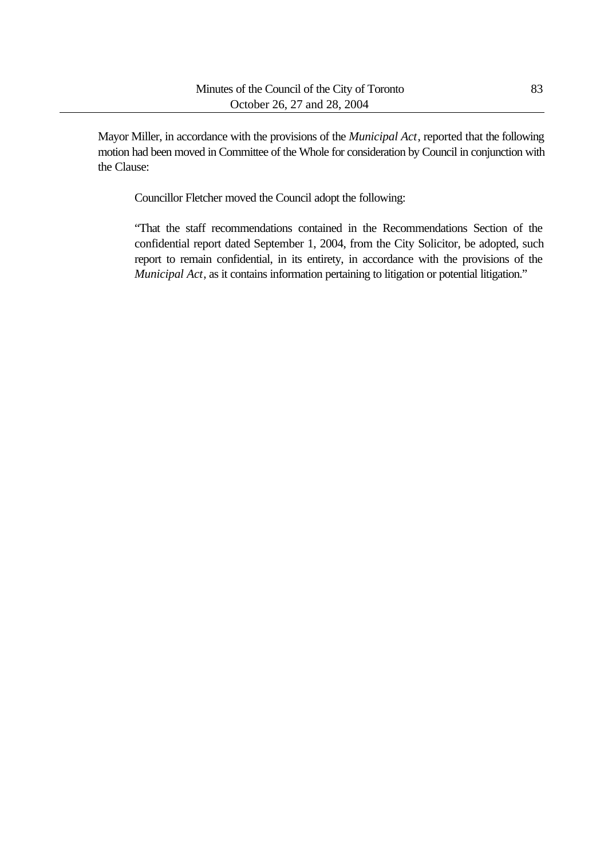Mayor Miller, in accordance with the provisions of the *Municipal Act*, reported that the following motion had been moved in Committee of the Whole for consideration by Council in conjunction with the Clause:

Councillor Fletcher moved the Council adopt the following:

"That the staff recommendations contained in the Recommendations Section of the confidential report dated September 1, 2004, from the City Solicitor, be adopted, such report to remain confidential, in its entirety, in accordance with the provisions of the *Municipal Act*, as it contains information pertaining to litigation or potential litigation."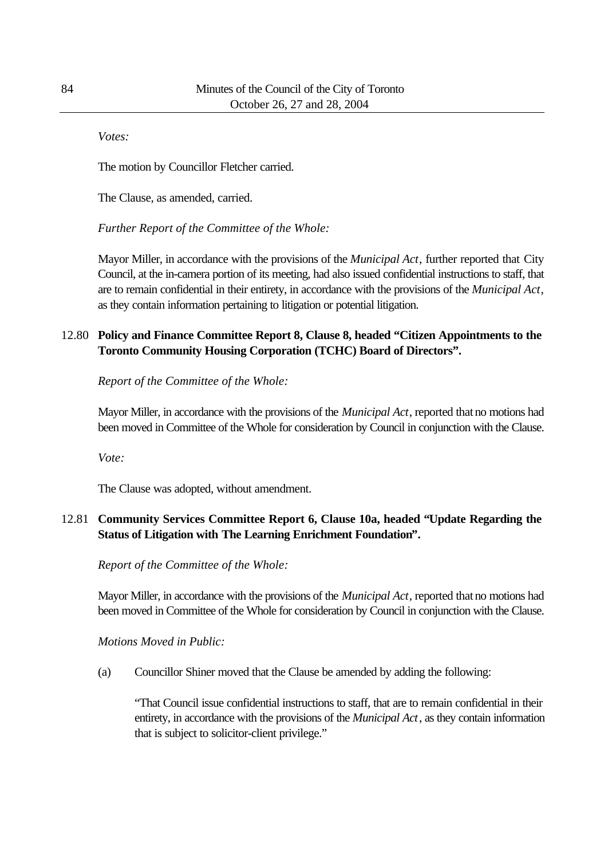*Votes:*

The motion by Councillor Fletcher carried.

The Clause, as amended, carried.

*Further Report of the Committee of the Whole:*

Mayor Miller, in accordance with the provisions of the *Municipal Act*, further reported that City Council, at the in-camera portion of its meeting, had also issued confidential instructions to staff, that are to remain confidential in their entirety, in accordance with the provisions of the *Municipal Act*, as they contain information pertaining to litigation or potential litigation.

# 12.80 **Policy and Finance Committee Report 8, Clause 8, headed "Citizen Appointments to the Toronto Community Housing Corporation (TCHC) Board of Directors".**

*Report of the Committee of the Whole:*

Mayor Miller, in accordance with the provisions of the *Municipal Act*, reported that no motions had been moved in Committee of the Whole for consideration by Council in conjunction with the Clause.

*Vote:*

The Clause was adopted, without amendment.

# 12.81 **Community Services Committee Report 6, Clause 10a, headed "Update Regarding the Status of Litigation with The Learning Enrichment Foundation".**

*Report of the Committee of the Whole:*

Mayor Miller, in accordance with the provisions of the *Municipal Act*, reported that no motions had been moved in Committee of the Whole for consideration by Council in conjunction with the Clause.

*Motions Moved in Public:*

(a) Councillor Shiner moved that the Clause be amended by adding the following:

"That Council issue confidential instructions to staff, that are to remain confidential in their entirety, in accordance with the provisions of the *Municipal Act*, as they contain information that is subject to solicitor-client privilege."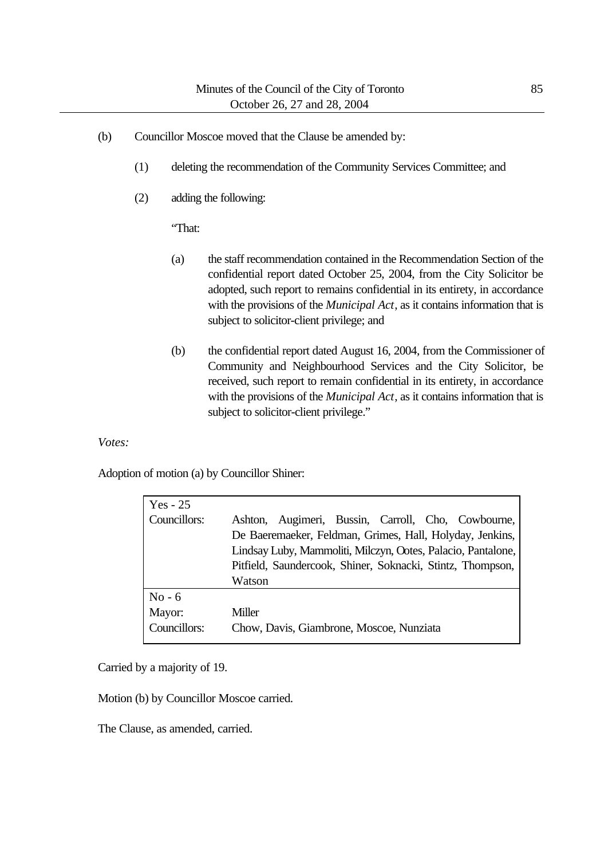- (b) Councillor Moscoe moved that the Clause be amended by:
	- (1) deleting the recommendation of the Community Services Committee; and
	- (2) adding the following:

"That:

- (a) the staff recommendation contained in the Recommendation Section of the confidential report dated October 25, 2004, from the City Solicitor be adopted, such report to remains confidential in its entirety, in accordance with the provisions of the *Municipal Act*, as it contains information that is subject to solicitor-client privilege; and
- (b) the confidential report dated August 16, 2004, from the Commissioner of Community and Neighbourhood Services and the City Solicitor, be received, such report to remain confidential in its entirety, in accordance with the provisions of the *Municipal Act*, as it contains information that is subject to solicitor-client privilege."

*Votes:*

Adoption of motion (a) by Councillor Shiner:

| $Yes - 25$<br>Councillors:         | Augimeri, Bussin, Carroll, Cho, Cowbourne,<br>Ashton,<br>De Baeremaeker, Feldman, Grimes, Hall, Holyday, Jenkins,                    |
|------------------------------------|--------------------------------------------------------------------------------------------------------------------------------------|
|                                    | Lindsay Luby, Mammoliti, Milczyn, Ootes, Palacio, Pantalone,<br>Pitfield, Saundercook, Shiner, Soknacki, Stintz, Thompson,<br>Watson |
| $No - 6$<br>Mayor:<br>Councillors: | Miller<br>Chow, Davis, Giambrone, Moscoe, Nunziata                                                                                   |

Carried by a majority of 19.

Motion (b) by Councillor Moscoe carried.

The Clause, as amended, carried.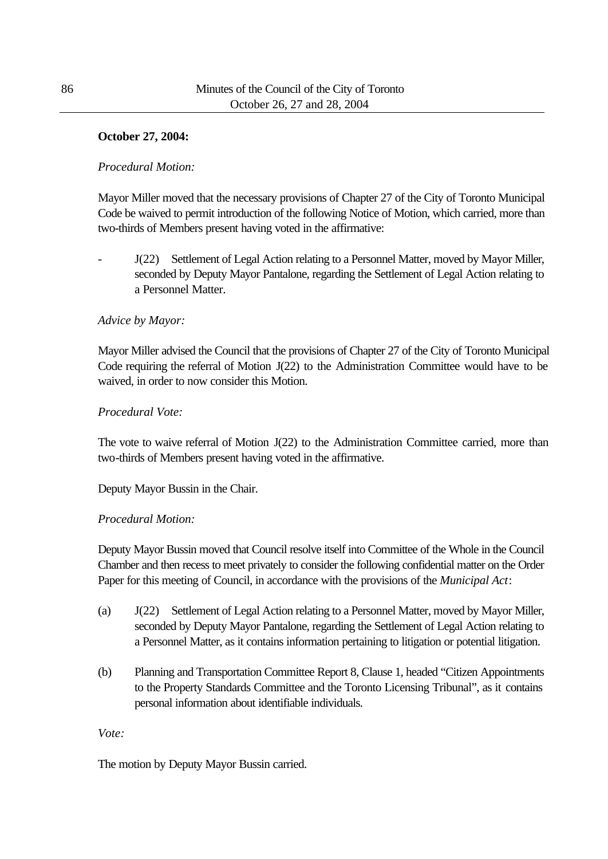## **October 27, 2004:**

### *Procedural Motion:*

Mayor Miller moved that the necessary provisions of Chapter 27 of the City of Toronto Municipal Code be waived to permit introduction of the following Notice of Motion, which carried, more than two-thirds of Members present having voted in the affirmative:

J(22) Settlement of Legal Action relating to a Personnel Matter, moved by Mayor Miller, seconded by Deputy Mayor Pantalone, regarding the Settlement of Legal Action relating to a Personnel Matter.

### *Advice by Mayor:*

Mayor Miller advised the Council that the provisions of Chapter 27 of the City of Toronto Municipal Code requiring the referral of Motion J(22) to the Administration Committee would have to be waived, in order to now consider this Motion.

### *Procedural Vote:*

The vote to waive referral of Motion J(22) to the Administration Committee carried, more than two-thirds of Members present having voted in the affirmative.

Deputy Mayor Bussin in the Chair.

### *Procedural Motion:*

Deputy Mayor Bussin moved that Council resolve itself into Committee of the Whole in the Council Chamber and then recess to meet privately to consider the following confidential matter on the Order Paper for this meeting of Council, in accordance with the provisions of the *Municipal Act*:

- (a) J(22) Settlement of Legal Action relating to a Personnel Matter, moved by Mayor Miller, seconded by Deputy Mayor Pantalone, regarding the Settlement of Legal Action relating to a Personnel Matter, as it contains information pertaining to litigation or potential litigation.
- (b) Planning and Transportation Committee Report 8, Clause 1, headed "Citizen Appointments to the Property Standards Committee and the Toronto Licensing Tribunal", as it contains personal information about identifiable individuals.

*Vote:*

The motion by Deputy Mayor Bussin carried.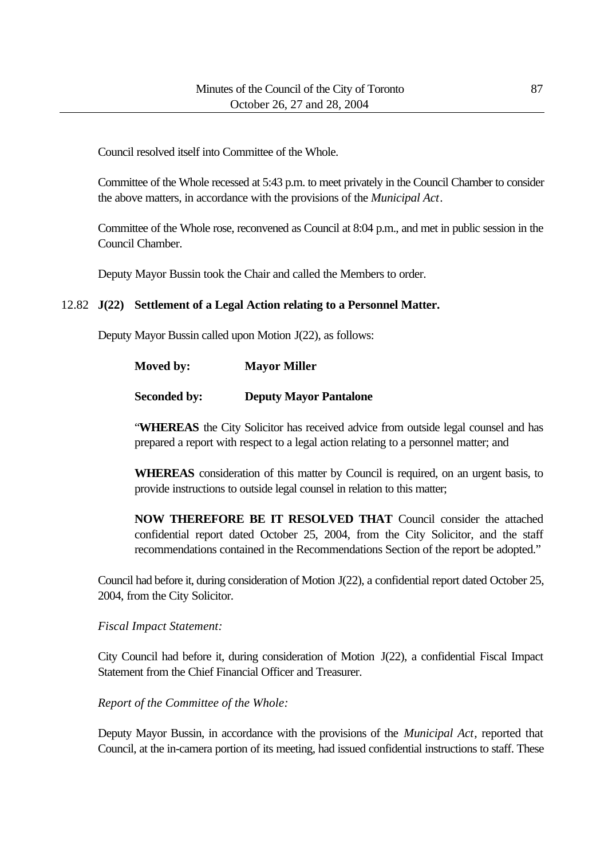Council resolved itself into Committee of the Whole.

Committee of the Whole recessed at 5:43 p.m. to meet privately in the Council Chamber to consider the above matters, in accordance with the provisions of the *Municipal Act*.

Committee of the Whole rose, reconvened as Council at 8:04 p.m., and met in public session in the Council Chamber.

Deputy Mayor Bussin took the Chair and called the Members to order.

## 12.82 **J(22) Settlement of a Legal Action relating to a Personnel Matter.**

Deputy Mayor Bussin called upon Motion J(22), as follows:

| Moved by: | <b>Mayor Miller</b> |
|-----------|---------------------|
|           |                     |

### **Seconded by: Deputy Mayor Pantalone**

"**WHEREAS** the City Solicitor has received advice from outside legal counsel and has prepared a report with respect to a legal action relating to a personnel matter; and

**WHEREAS** consideration of this matter by Council is required, on an urgent basis, to provide instructions to outside legal counsel in relation to this matter;

**NOW THEREFORE BE IT RESOLVED THAT** Council consider the attached confidential report dated October 25, 2004, from the City Solicitor, and the staff recommendations contained in the Recommendations Section of the report be adopted."

Council had before it, during consideration of Motion J(22), a confidential report dated October 25, 2004, from the City Solicitor.

*Fiscal Impact Statement:*

City Council had before it, during consideration of Motion J(22), a confidential Fiscal Impact Statement from the Chief Financial Officer and Treasurer.

*Report of the Committee of the Whole:*

Deputy Mayor Bussin, in accordance with the provisions of the *Municipal Act*, reported that Council, at the in-camera portion of its meeting, had issued confidential instructions to staff. These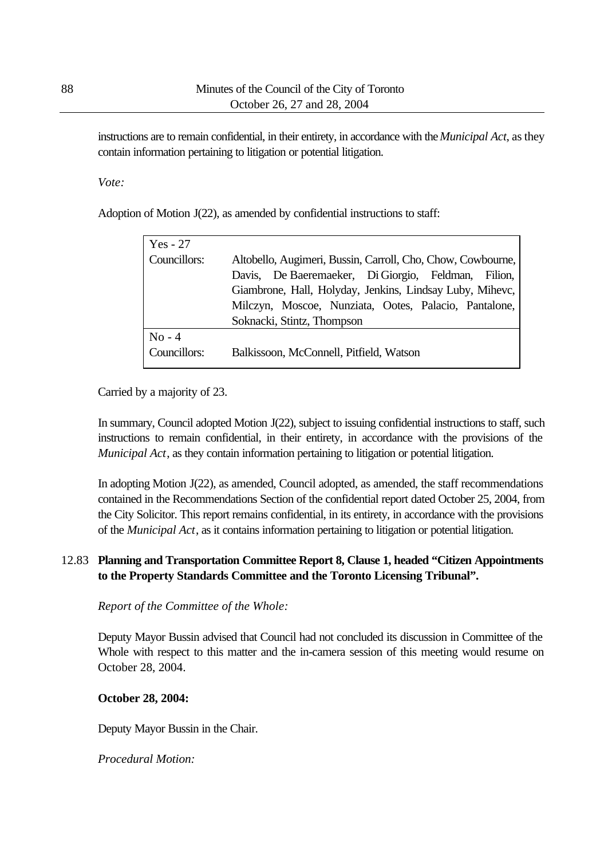instructions are to remain confidential, in their entirety, in accordance with the *Municipal Act*, as they contain information pertaining to litigation or potential litigation.

#### *Vote:*

Adoption of Motion J(22), as amended by confidential instructions to staff:

| $Yes - 27$   |                                                             |
|--------------|-------------------------------------------------------------|
| Councillors: | Altobello, Augimeri, Bussin, Carroll, Cho, Chow, Cowbourne, |
|              | Davis, De Baeremaeker, Di Giorgio, Feldman, Filion,         |
|              | Giambrone, Hall, Holyday, Jenkins, Lindsay Luby, Mihevc,    |
|              | Milczyn, Moscoe, Nunziata, Ootes, Palacio, Pantalone,       |
|              | Soknacki, Stintz, Thompson                                  |
| $No - 4$     |                                                             |
| Councillors: | Balkissoon, McConnell, Pitfield, Watson                     |
|              |                                                             |

Carried by a majority of 23.

In summary, Council adopted Motion J(22), subject to issuing confidential instructions to staff, such instructions to remain confidential, in their entirety, in accordance with the provisions of the *Municipal Act*, as they contain information pertaining to litigation or potential litigation.

In adopting Motion J(22), as amended, Council adopted, as amended, the staff recommendations contained in the Recommendations Section of the confidential report dated October 25, 2004, from the City Solicitor. This report remains confidential, in its entirety, in accordance with the provisions of the *Municipal Act*, as it contains information pertaining to litigation or potential litigation.

## 12.83 **Planning and Transportation Committee Report 8, Clause 1, headed "Citizen Appointments to the Property Standards Committee and the Toronto Licensing Tribunal".**

*Report of the Committee of the Whole:*

Deputy Mayor Bussin advised that Council had not concluded its discussion in Committee of the Whole with respect to this matter and the in-camera session of this meeting would resume on October 28, 2004.

### **October 28, 2004:**

Deputy Mayor Bussin in the Chair.

*Procedural Motion:*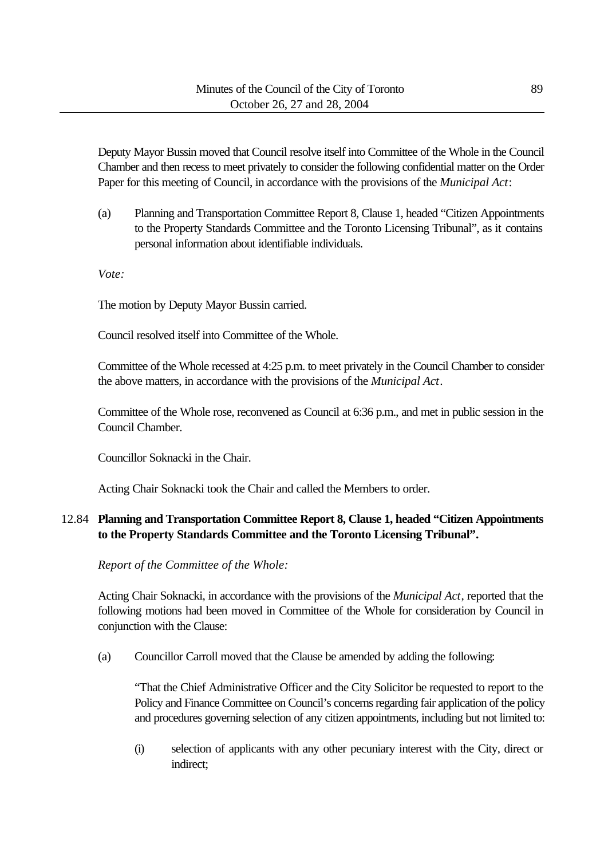Deputy Mayor Bussin moved that Council resolve itself into Committee of the Whole in the Council Chamber and then recess to meet privately to consider the following confidential matter on the Order Paper for this meeting of Council, in accordance with the provisions of the *Municipal Act*:

(a) Planning and Transportation Committee Report 8, Clause 1, headed "Citizen Appointments to the Property Standards Committee and the Toronto Licensing Tribunal", as it contains personal information about identifiable individuals.

*Vote:*

The motion by Deputy Mayor Bussin carried.

Council resolved itself into Committee of the Whole.

Committee of the Whole recessed at 4:25 p.m. to meet privately in the Council Chamber to consider the above matters, in accordance with the provisions of the *Municipal Act*.

Committee of the Whole rose, reconvened as Council at 6:36 p.m., and met in public session in the Council Chamber.

Councillor Soknacki in the Chair.

Acting Chair Soknacki took the Chair and called the Members to order.

# 12.84 **Planning and Transportation Committee Report 8, Clause 1, headed "Citizen Appointments to the Property Standards Committee and the Toronto Licensing Tribunal".**

*Report of the Committee of the Whole:*

Acting Chair Soknacki, in accordance with the provisions of the *Municipal Act*, reported that the following motions had been moved in Committee of the Whole for consideration by Council in conjunction with the Clause:

(a) Councillor Carroll moved that the Clause be amended by adding the following:

"That the Chief Administrative Officer and the City Solicitor be requested to report to the Policy and Finance Committee on Council's concerns regarding fair application of the policy and procedures governing selection of any citizen appointments, including but not limited to:

(i) selection of applicants with any other pecuniary interest with the City, direct or indirect;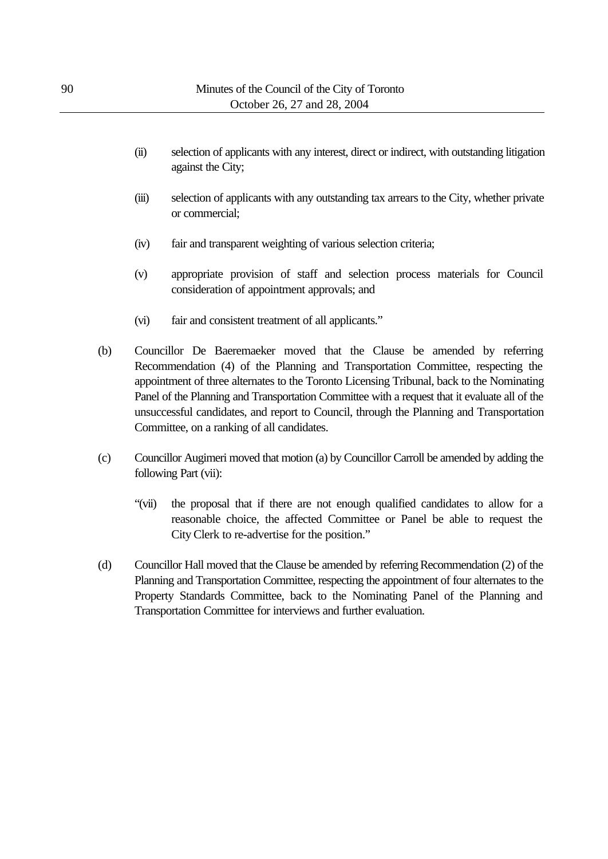- (ii) selection of applicants with any interest, direct or indirect, with outstanding litigation against the City;
- (iii) selection of applicants with any outstanding tax arrears to the City, whether private or commercial;
- (iv) fair and transparent weighting of various selection criteria;
- (v) appropriate provision of staff and selection process materials for Council consideration of appointment approvals; and
- (vi) fair and consistent treatment of all applicants."
- (b) Councillor De Baeremaeker moved that the Clause be amended by referring Recommendation (4) of the Planning and Transportation Committee, respecting the appointment of three alternates to the Toronto Licensing Tribunal, back to the Nominating Panel of the Planning and Transportation Committee with a request that it evaluate all of the unsuccessful candidates, and report to Council, through the Planning and Transportation Committee, on a ranking of all candidates.
- (c) Councillor Augimeri moved that motion (a) by Councillor Carroll be amended by adding the following Part (vii):
	- "(vii) the proposal that if there are not enough qualified candidates to allow for a reasonable choice, the affected Committee or Panel be able to request the City Clerk to re-advertise for the position."
- (d) Councillor Hall moved that the Clause be amended by referring Recommendation (2) of the Planning and Transportation Committee, respecting the appointment of four alternates to the Property Standards Committee, back to the Nominating Panel of the Planning and Transportation Committee for interviews and further evaluation.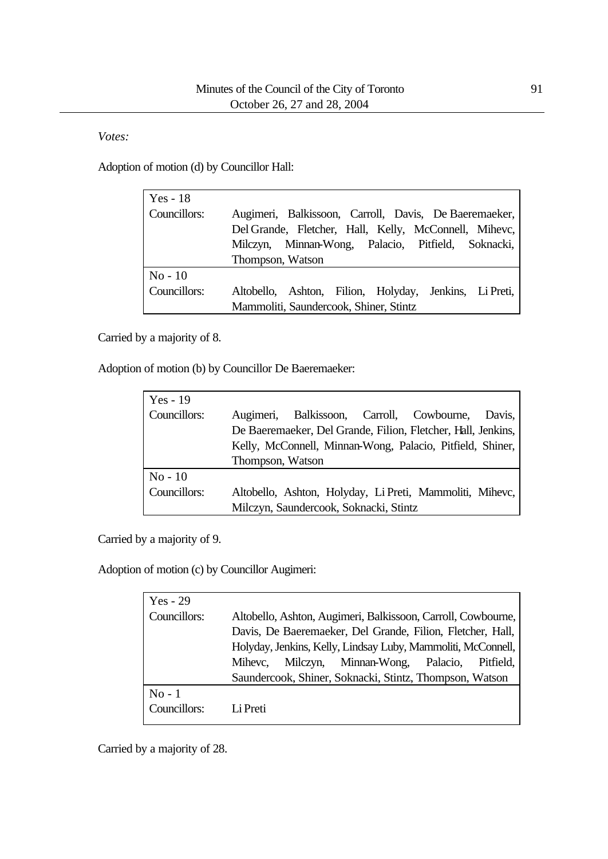*Votes:*

Adoption of motion (d) by Councillor Hall:

| Yes $-18$    |                                                                                                                                                                                          |
|--------------|------------------------------------------------------------------------------------------------------------------------------------------------------------------------------------------|
| Councillors: | Augimeri, Balkissoon, Carroll, Davis, De Baeremaeker,<br>Del Grande, Fletcher, Hall, Kelly, McConnell, Mihevc,<br>Milczyn, Minnan-Wong, Palacio, Pitfield, Soknacki,<br>Thompson, Watson |
| $No-10$      |                                                                                                                                                                                          |
| Councillors: | Altobello, Ashton, Filion, Holyday, Jenkins, Li Preti,                                                                                                                                   |
|              | Mammoliti, Saundercook, Shiner, Stintz                                                                                                                                                   |

Carried by a majority of 8.

Adoption of motion (b) by Councillor De Baeremaeker:

| $Yes - 19$   |                                                              |
|--------------|--------------------------------------------------------------|
| Councillors: | Augimeri, Balkissoon, Carroll, Cowbourne,<br>Davis,          |
|              | De Baeremaeker, Del Grande, Filion, Fletcher, Hall, Jenkins, |
|              | Kelly, McConnell, Minnan-Wong, Palacio, Pitfield, Shiner,    |
|              | Thompson, Watson                                             |
| $No - 10$    |                                                              |
| Councillors: | Altobello, Ashton, Holyday, Li Preti, Mammoliti, Mihevc,     |
|              | Milczyn, Saundercook, Soknacki, Stintz                       |

Carried by a majority of 9.

Adoption of motion (c) by Councillor Augimeri:

| $Yes - 29$   |                                                              |
|--------------|--------------------------------------------------------------|
| Councillors: | Altobello, Ashton, Augimeri, Balkissoon, Carroll, Cowbourne, |
|              | Davis, De Baeremaeker, Del Grande, Filion, Fletcher, Hall,   |
|              | Holyday, Jenkins, Kelly, Lindsay Luby, Mammoliti, McConnell, |
|              | Milczyn, Minnan-Wong, Palacio,<br>Pitfield.<br>Mihevc.       |
|              | Saundercook, Shiner, Soknacki, Stintz, Thompson, Watson      |
| $No-1$       |                                                              |
| Councillors: | Li Preti                                                     |
|              |                                                              |

Carried by a majority of 28.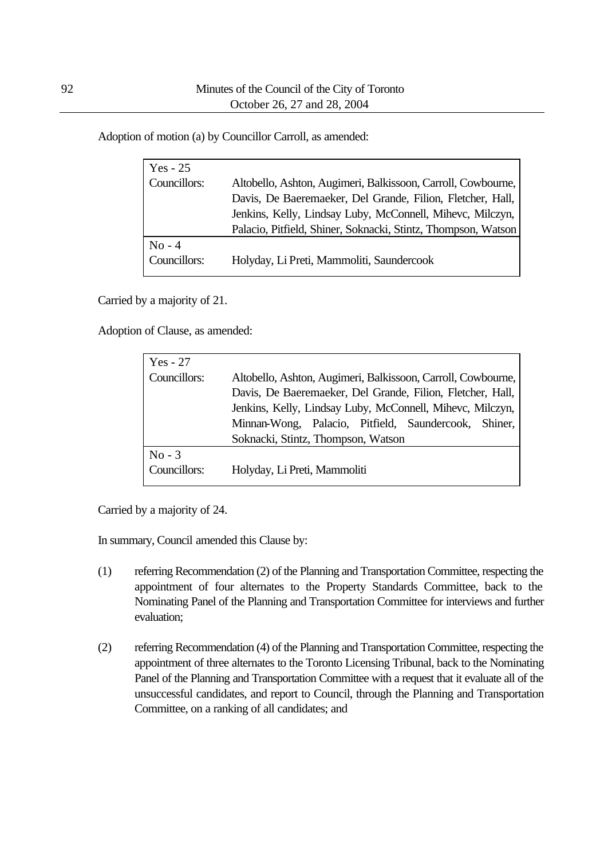Adoption of motion (a) by Councillor Carroll, as amended:

| Yes - 25     |                                                               |
|--------------|---------------------------------------------------------------|
| Councillors: | Altobello, Ashton, Augimeri, Balkissoon, Carroll, Cowbourne,  |
|              | Davis, De Baeremaeker, Del Grande, Filion, Fletcher, Hall,    |
|              | Jenkins, Kelly, Lindsay Luby, McConnell, Mihevc, Milczyn,     |
|              | Palacio, Pitfield, Shiner, Soknacki, Stintz, Thompson, Watson |
| $No - 4$     |                                                               |
| Councillors: | Holyday, Li Preti, Mammoliti, Saundercook                     |

Carried by a majority of 21.

Adoption of Clause, as amended:

| $Yes - 27$   |                                                              |
|--------------|--------------------------------------------------------------|
| Councillors: | Altobello, Ashton, Augimeri, Balkissoon, Carroll, Cowbourne, |
|              | Davis, De Baeremaeker, Del Grande, Filion, Fletcher, Hall,   |
|              | Jenkins, Kelly, Lindsay Luby, McConnell, Mihevc, Milczyn,    |
|              | Minnan-Wong, Palacio, Pitfield, Saundercook, Shiner,         |
|              | Soknacki, Stintz, Thompson, Watson                           |
| $No - 3$     |                                                              |
| Councillors: | Holyday, Li Preti, Mammoliti                                 |

Carried by a majority of 24.

In summary, Council amended this Clause by:

- (1) referring Recommendation (2) of the Planning and Transportation Committee, respecting the appointment of four alternates to the Property Standards Committee, back to the Nominating Panel of the Planning and Transportation Committee for interviews and further evaluation;
- (2) referring Recommendation (4) of the Planning and Transportation Committee, respecting the appointment of three alternates to the Toronto Licensing Tribunal, back to the Nominating Panel of the Planning and Transportation Committee with a request that it evaluate all of the unsuccessful candidates, and report to Council, through the Planning and Transportation Committee, on a ranking of all candidates; and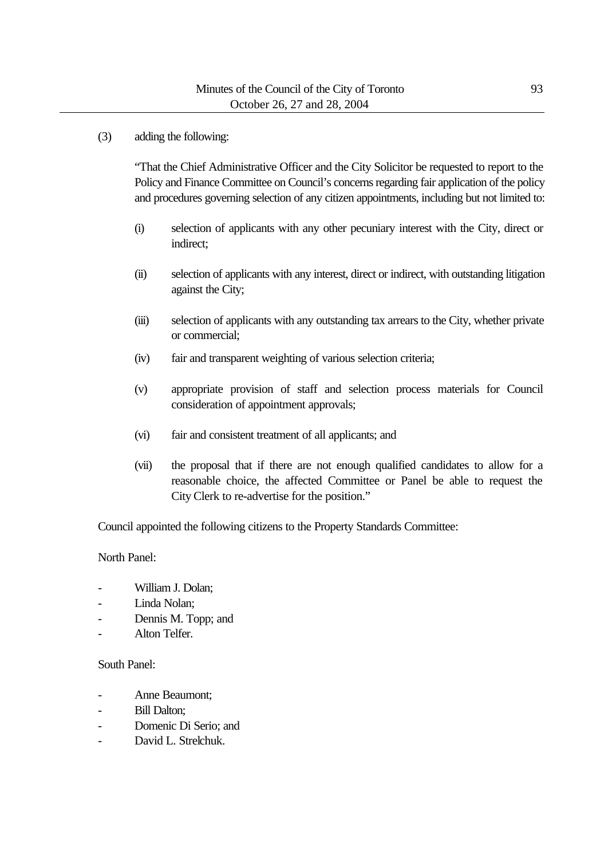### (3) adding the following:

"That the Chief Administrative Officer and the City Solicitor be requested to report to the Policy and Finance Committee on Council's concerns regarding fair application of the policy and procedures governing selection of any citizen appointments, including but not limited to:

- (i) selection of applicants with any other pecuniary interest with the City, direct or indirect;
- (ii) selection of applicants with any interest, direct or indirect, with outstanding litigation against the City;
- (iii) selection of applicants with any outstanding tax arrears to the City, whether private or commercial;
- (iv) fair and transparent weighting of various selection criteria;
- (v) appropriate provision of staff and selection process materials for Council consideration of appointment approvals;
- (vi) fair and consistent treatment of all applicants; and
- (vii) the proposal that if there are not enough qualified candidates to allow for a reasonable choice, the affected Committee or Panel be able to request the City Clerk to re-advertise for the position."

Council appointed the following citizens to the Property Standards Committee:

North Panel:

- William J. Dolan;
- Linda Nolan;
- Dennis M. Topp; and
- Alton Telfer.

## South Panel:

- Anne Beaumont;
- Bill Dalton:
- Domenic Di Serio; and
- David L. Strelchuk.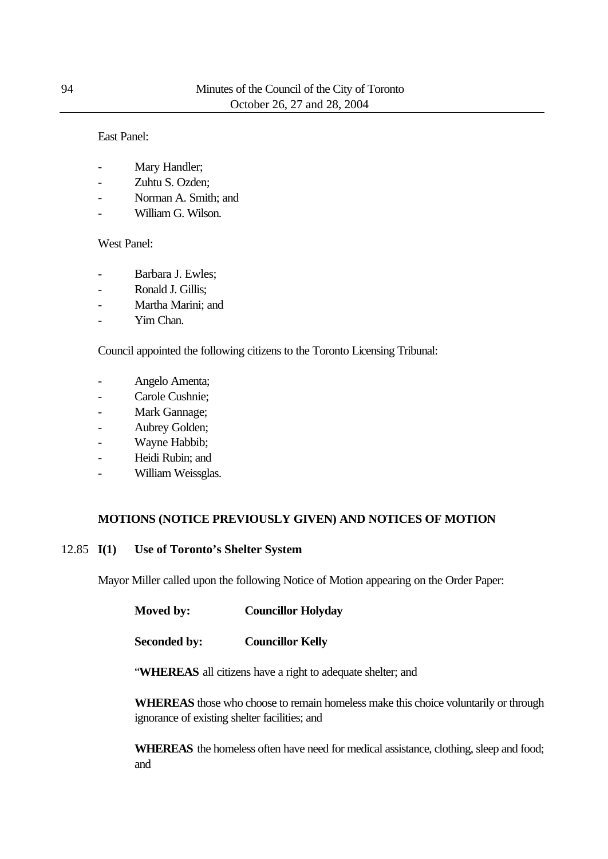#### East Panel:

- Mary Handler;
- Zuhtu S. Ozden;
- Norman A. Smith; and
- William G. Wilson.

#### West Panel:

- Barbara J. Ewles:
- Ronald J. Gillis;
- Martha Marini; and
- Yim Chan.

Council appointed the following citizens to the Toronto Licensing Tribunal:

- Angelo Amenta;
- Carole Cushnie;
- Mark Gannage;
- Aubrey Golden;
- Wayne Habbib;
- Heidi Rubin; and
- William Weissglas.

### **MOTIONS (NOTICE PREVIOUSLY GIVEN) AND NOTICES OF MOTION**

#### 12.85 **I(1) Use of Toronto's Shelter System**

Mayor Miller called upon the following Notice of Motion appearing on the Order Paper:

| Moved by:           | <b>Councillor Holyday</b> |
|---------------------|---------------------------|
| <b>Seconded by:</b> | <b>Councillor Kelly</b>   |

"**WHEREAS** all citizens have a right to adequate shelter; and

**WHEREAS** those who choose to remain homeless make this choice voluntarily or through ignorance of existing shelter facilities; and

**WHEREAS** the homeless often have need for medical assistance, clothing, sleep and food; and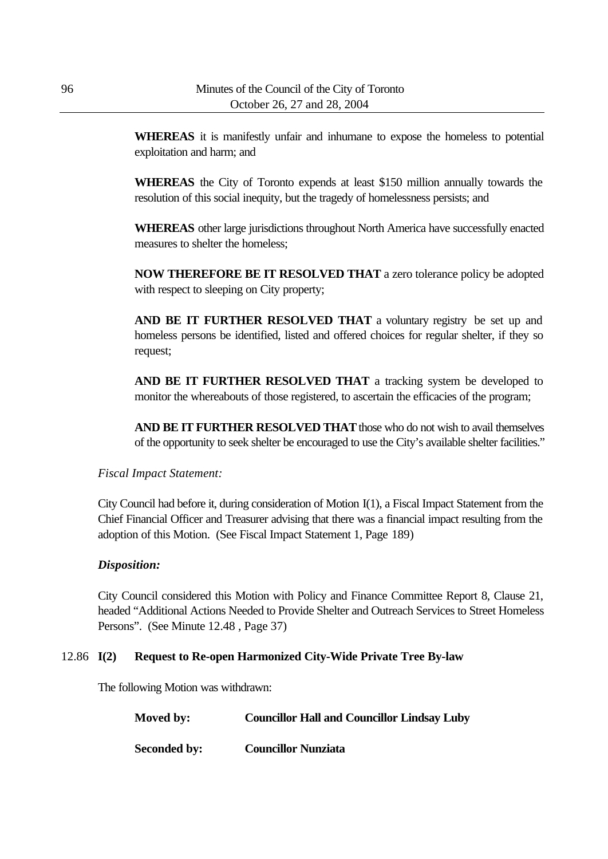**WHEREAS** it is manifestly unfair and inhumane to expose the homeless to potential exploitation and harm; and

**WHEREAS** the City of Toronto expends at least \$150 million annually towards the resolution of this social inequity, but the tragedy of homelessness persists; and

**WHEREAS** other large jurisdictions throughout North America have successfully enacted measures to shelter the homeless;

**NOW THEREFORE BE IT RESOLVED THAT** a zero tolerance policy be adopted with respect to sleeping on City property;

AND BE IT FURTHER RESOLVED THAT a voluntary registry be set up and homeless persons be identified, listed and offered choices for regular shelter, if they so request;

**AND BE IT FURTHER RESOLVED THAT** a tracking system be developed to monitor the whereabouts of those registered, to ascertain the efficacies of the program;

**AND BE IT FURTHER RESOLVED THAT** those who do not wish to avail themselves of the opportunity to seek shelter be encouraged to use the City's available shelter facilities."

### *Fiscal Impact Statement:*

City Council had before it, during consideration of Motion I(1), a Fiscal Impact Statement from the Chief Financial Officer and Treasurer advising that there was a financial impact resulting from the adoption of this Motion. (See Fiscal Impact Statement 1, Page 189)

### *Disposition:*

City Council considered this Motion with Policy and Finance Committee Report 8, Clause 21, headed "Additional Actions Needed to Provide Shelter and Outreach Services to Street Homeless Persons". (See Minute 12.48 , Page 37)

#### 12.86 **I(2) Request to Re-open Harmonized City-Wide Private Tree By-law**

The following Motion was withdrawn:

| Moved by:           | <b>Councillor Hall and Councillor Lindsay Luby</b> |
|---------------------|----------------------------------------------------|
| <b>Seconded by:</b> | <b>Councillor Nunziata</b>                         |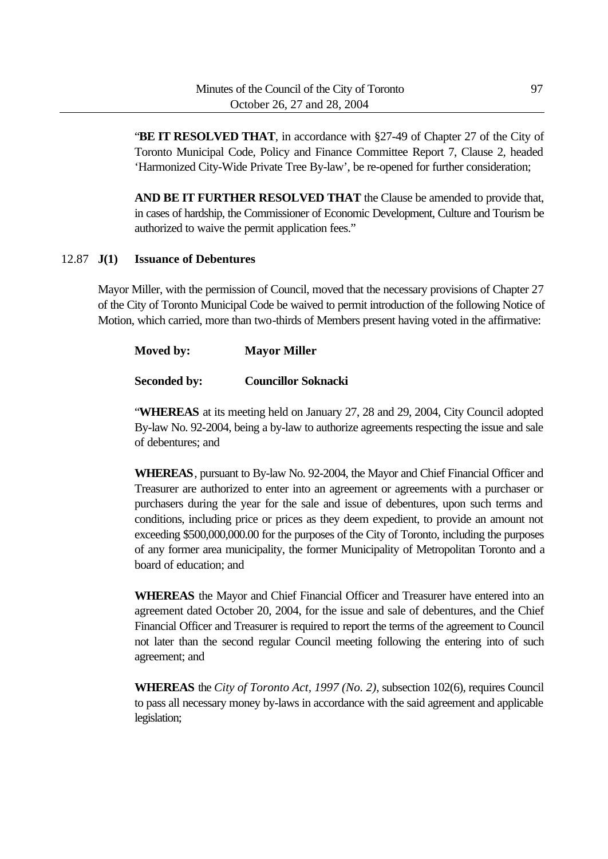"**BE IT RESOLVED THAT**, in accordance with §27-49 of Chapter 27 of the City of Toronto Municipal Code, Policy and Finance Committee Report 7, Clause 2, headed 'Harmonized City-Wide Private Tree By-law', be re-opened for further consideration;

**AND BE IT FURTHER RESOLVED THAT** the Clause be amended to provide that, in cases of hardship, the Commissioner of Economic Development, Culture and Tourism be authorized to waive the permit application fees."

### 12.87 **J(1) Issuance of Debentures**

Mayor Miller, with the permission of Council, moved that the necessary provisions of Chapter 27 of the City of Toronto Municipal Code be waived to permit introduction of the following Notice of Motion, which carried, more than two-thirds of Members present having voted in the affirmative:

| Moved by: | <b>Mayor Miller</b> |
|-----------|---------------------|
|           |                     |

# **Seconded by: Councillor Soknacki**

"**WHEREAS** at its meeting held on January 27, 28 and 29, 2004, City Council adopted By-law No. 92-2004, being a by-law to authorize agreements respecting the issue and sale of debentures; and

**WHEREAS**, pursuant to By-law No. 92-2004, the Mayor and Chief Financial Officer and Treasurer are authorized to enter into an agreement or agreements with a purchaser or purchasers during the year for the sale and issue of debentures, upon such terms and conditions, including price or prices as they deem expedient, to provide an amount not exceeding \$500,000,000.00 for the purposes of the City of Toronto, including the purposes of any former area municipality, the former Municipality of Metropolitan Toronto and a board of education; and

**WHEREAS** the Mayor and Chief Financial Officer and Treasurer have entered into an agreement dated October 20, 2004, for the issue and sale of debentures, and the Chief Financial Officer and Treasurer is required to report the terms of the agreement to Council not later than the second regular Council meeting following the entering into of such agreement; and

**WHEREAS** the *City of Toronto Act, 1997 (No. 2)*, subsection 102(6), requires Council to pass all necessary money by-laws in accordance with the said agreement and applicable legislation;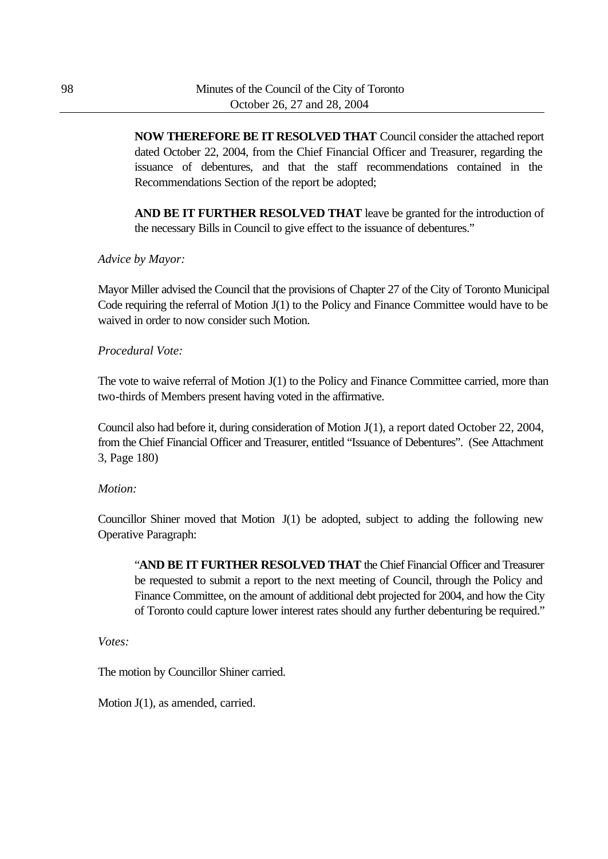**NOW THEREFORE BE IT RESOLVED THAT** Council consider the attached report dated October 22, 2004, from the Chief Financial Officer and Treasurer, regarding the issuance of debentures, and that the staff recommendations contained in the Recommendations Section of the report be adopted;

**AND BE IT FURTHER RESOLVED THAT** leave be granted for the introduction of the necessary Bills in Council to give effect to the issuance of debentures."

#### *Advice by Mayor:*

Mayor Miller advised the Council that the provisions of Chapter 27 of the City of Toronto Municipal Code requiring the referral of Motion J(1) to the Policy and Finance Committee would have to be waived in order to now consider such Motion.

#### *Procedural Vote:*

The vote to waive referral of Motion J(1) to the Policy and Finance Committee carried, more than two-thirds of Members present having voted in the affirmative.

Council also had before it, during consideration of Motion J(1), a report dated October 22, 2004, from the Chief Financial Officer and Treasurer, entitled "Issuance of Debentures". (See Attachment 3, Page 180)

#### *Motion:*

Councillor Shiner moved that Motion J(1) be adopted, subject to adding the following new Operative Paragraph:

"**AND BE IT FURTHER RESOLVED THAT** the Chief Financial Officer and Treasurer be requested to submit a report to the next meeting of Council, through the Policy and Finance Committee, on the amount of additional debt projected for 2004, and how the City of Toronto could capture lower interest rates should any further debenturing be required."

*Votes:*

The motion by Councillor Shiner carried.

Motion J(1), as amended, carried.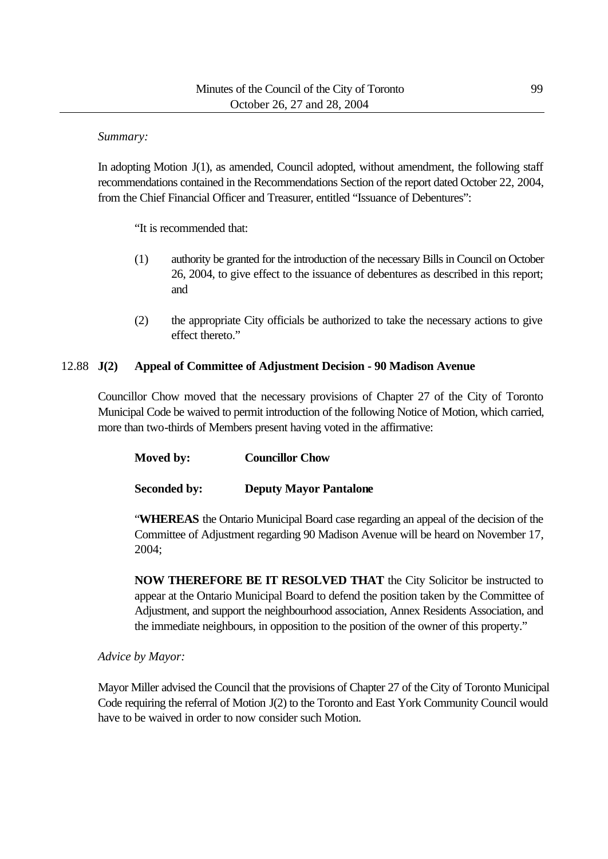*Summary:*

In adopting Motion J(1), as amended, Council adopted, without amendment, the following staff recommendations contained in the Recommendations Section of the report dated October 22, 2004, from the Chief Financial Officer and Treasurer, entitled "Issuance of Debentures":

"It is recommended that:

- (1) authority be granted for the introduction of the necessary Bills in Council on October 26, 2004, to give effect to the issuance of debentures as described in this report; and
- (2) the appropriate City officials be authorized to take the necessary actions to give effect thereto."

### 12.88 **J(2) Appeal of Committee of Adjustment Decision - 90 Madison Avenue**

Councillor Chow moved that the necessary provisions of Chapter 27 of the City of Toronto Municipal Code be waived to permit introduction of the following Notice of Motion, which carried, more than two-thirds of Members present having voted in the affirmative:

**Moved by: Councillor Chow**

**Seconded by: Deputy Mayor Pantalone**

"**WHEREAS** the Ontario Municipal Board case regarding an appeal of the decision of the Committee of Adjustment regarding 90 Madison Avenue will be heard on November 17, 2004;

**NOW THEREFORE BE IT RESOLVED THAT** the City Solicitor be instructed to appear at the Ontario Municipal Board to defend the position taken by the Committee of Adjustment, and support the neighbourhood association, Annex Residents Association, and the immediate neighbours, in opposition to the position of the owner of this property."

### *Advice by Mayor:*

Mayor Miller advised the Council that the provisions of Chapter 27 of the City of Toronto Municipal Code requiring the referral of Motion J(2) to the Toronto and East York Community Council would have to be waived in order to now consider such Motion.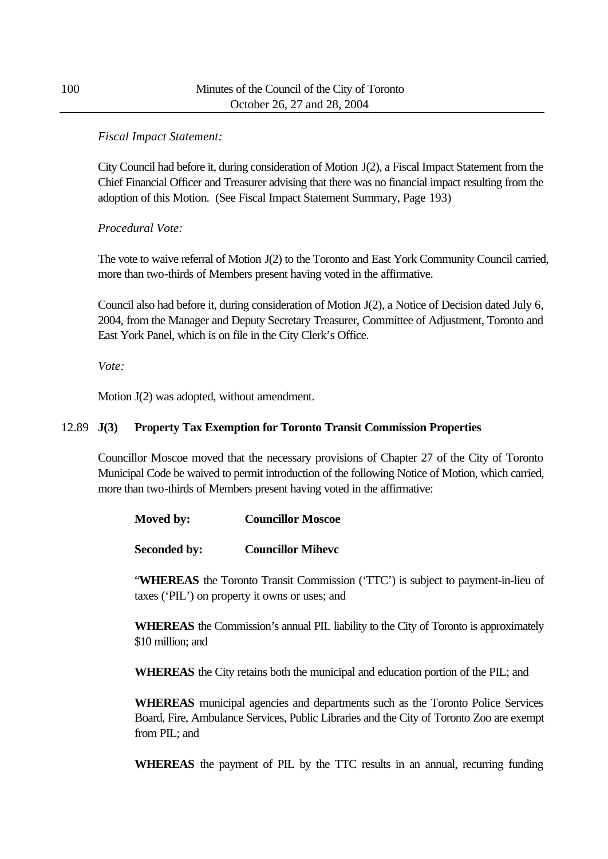## *Fiscal Impact Statement:*

City Council had before it, during consideration of Motion J(2), a Fiscal Impact Statement from the Chief Financial Officer and Treasurer advising that there was no financial impact resulting from the adoption of this Motion. (See Fiscal Impact Statement Summary, Page 193)

# *Procedural Vote:*

The vote to waive referral of Motion J(2) to the Toronto and East York Community Council carried, more than two-thirds of Members present having voted in the affirmative.

Council also had before it, during consideration of Motion J(2), a Notice of Decision dated July 6, 2004, from the Manager and Deputy Secretary Treasurer, Committee of Adjustment, Toronto and East York Panel, which is on file in the City Clerk's Office.

*Vote:*

Motion J(2) was adopted, without amendment.

## 12.89 **J(3) Property Tax Exemption for Toronto Transit Commission Properties**

Councillor Moscoe moved that the necessary provisions of Chapter 27 of the City of Toronto Municipal Code be waived to permit introduction of the following Notice of Motion, which carried, more than two-thirds of Members present having voted in the affirmative:

| Moved by: | <b>Councillor Moscoe</b> |
|-----------|--------------------------|
|-----------|--------------------------|

**Seconded by: Councillor Mihevc**

"**WHEREAS** the Toronto Transit Commission ('TTC') is subject to payment-in-lieu of taxes ('PIL') on property it owns or uses; and

**WHEREAS** the Commission's annual PIL liability to the City of Toronto is approximately \$10 million; and

**WHEREAS** the City retains both the municipal and education portion of the PIL; and

**WHEREAS** municipal agencies and departments such as the Toronto Police Services Board, Fire, Ambulance Services, Public Libraries and the City of Toronto Zoo are exempt from PIL; and

**WHEREAS** the payment of PIL by the TTC results in an annual, recurring funding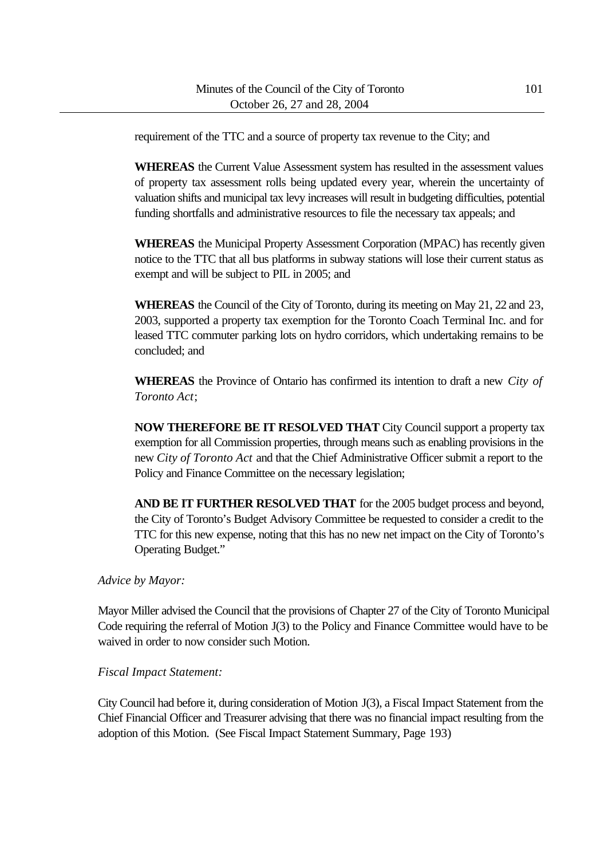requirement of the TTC and a source of property tax revenue to the City; and

**WHEREAS** the Current Value Assessment system has resulted in the assessment values of property tax assessment rolls being updated every year, wherein the uncertainty of valuation shifts and municipal tax levy increases will result in budgeting difficulties, potential funding shortfalls and administrative resources to file the necessary tax appeals; and

**WHEREAS** the Municipal Property Assessment Corporation (MPAC) has recently given notice to the TTC that all bus platforms in subway stations will lose their current status as exempt and will be subject to PIL in 2005; and

**WHEREAS** the Council of the City of Toronto, during its meeting on May 21, 22 and 23, 2003, supported a property tax exemption for the Toronto Coach Terminal Inc. and for leased TTC commuter parking lots on hydro corridors, which undertaking remains to be concluded; and

**WHEREAS** the Province of Ontario has confirmed its intention to draft a new *City of Toronto Act*;

**NOW THEREFORE BE IT RESOLVED THAT** City Council support a property tax exemption for all Commission properties, through means such as enabling provisions in the new *City of Toronto Act* and that the Chief Administrative Officer submit a report to the Policy and Finance Committee on the necessary legislation;

**AND BE IT FURTHER RESOLVED THAT** for the 2005 budget process and beyond, the City of Toronto's Budget Advisory Committee be requested to consider a credit to the TTC for this new expense, noting that this has no new net impact on the City of Toronto's Operating Budget."

*Advice by Mayor:*

Mayor Miller advised the Council that the provisions of Chapter 27 of the City of Toronto Municipal Code requiring the referral of Motion J(3) to the Policy and Finance Committee would have to be waived in order to now consider such Motion.

#### *Fiscal Impact Statement:*

City Council had before it, during consideration of Motion J(3), a Fiscal Impact Statement from the Chief Financial Officer and Treasurer advising that there was no financial impact resulting from the adoption of this Motion. (See Fiscal Impact Statement Summary, Page 193)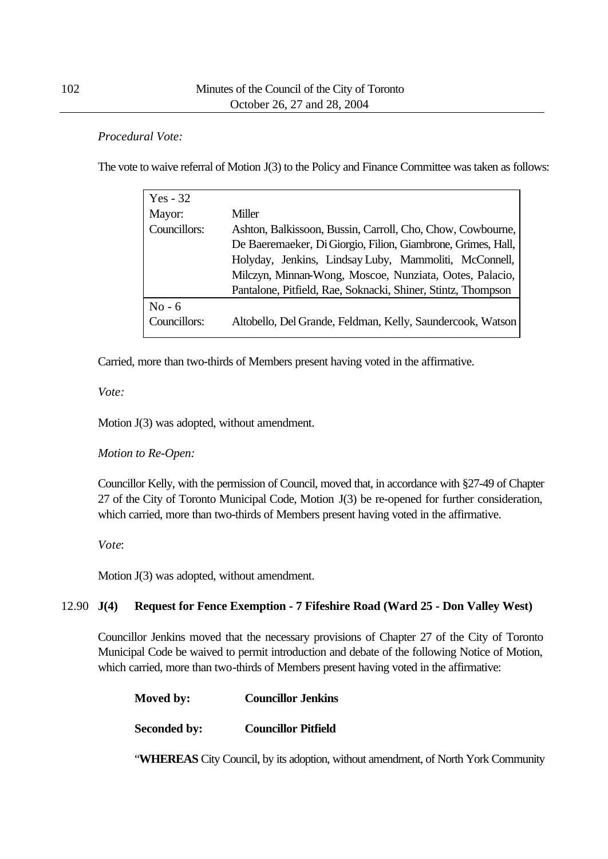## *Procedural Vote:*

The vote to waive referral of Motion J(3) to the Policy and Finance Committee was taken as follows:

| Yes - $32$   |                                                              |
|--------------|--------------------------------------------------------------|
| Mayor:       | <b>Miller</b>                                                |
| Councillors: | Ashton, Balkissoon, Bussin, Carroll, Cho, Chow, Cowbourne,   |
|              | De Baeremaeker, Di Giorgio, Filion, Giambrone, Grimes, Hall, |
|              | Holyday, Jenkins, Lindsay Luby, Mammoliti, McConnell,        |
|              | Milczyn, Minnan-Wong, Moscoe, Nunziata, Ootes, Palacio,      |
|              | Pantalone, Pitfield, Rae, Soknacki, Shiner, Stintz, Thompson |
| $No - 6$     |                                                              |
| Councillors: | Altobello, Del Grande, Feldman, Kelly, Saundercook, Watson   |

Carried, more than two-thirds of Members present having voted in the affirmative.

*Vote:*

Motion J(3) was adopted, without amendment.

### *Motion to Re-Open:*

Councillor Kelly, with the permission of Council, moved that, in accordance with §27-49 of Chapter 27 of the City of Toronto Municipal Code, Motion J(3) be re-opened for further consideration, which carried, more than two-thirds of Members present having voted in the affirmative.

*Vote*:

Motion J(3) was adopted, without amendment.

# 12.90 **J(4) Request for Fence Exemption - 7 Fifeshire Road (Ward 25 - Don Valley West)**

Councillor Jenkins moved that the necessary provisions of Chapter 27 of the City of Toronto Municipal Code be waived to permit introduction and debate of the following Notice of Motion, which carried, more than two-thirds of Members present having voted in the affirmative:

| Moved by:           | <b>Councillor Jenkins</b>  |
|---------------------|----------------------------|
| <b>Seconded by:</b> | <b>Councillor Pitfield</b> |

"**WHEREAS** City Council, by its adoption, without amendment, of North York Community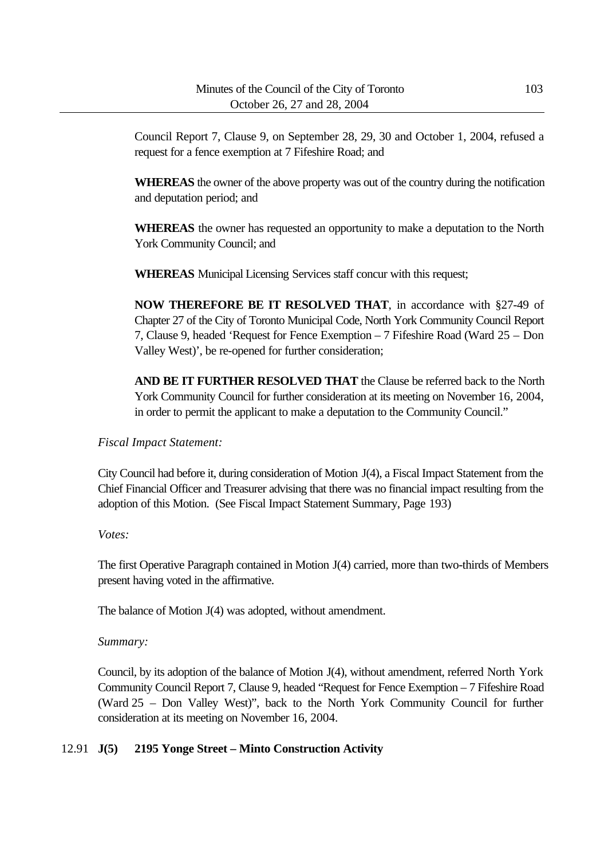Council Report 7, Clause 9, on September 28, 29, 30 and October 1, 2004, refused a request for a fence exemption at 7 Fifeshire Road; and

**WHEREAS** the owner of the above property was out of the country during the notification and deputation period; and

**WHEREAS** the owner has requested an opportunity to make a deputation to the North York Community Council; and

**WHEREAS** Municipal Licensing Services staff concur with this request;

**NOW THEREFORE BE IT RESOLVED THAT**, in accordance with §27-49 of Chapter 27 of the City of Toronto Municipal Code, North York Community Council Report 7, Clause 9, headed 'Request for Fence Exemption – 7 Fifeshire Road (Ward 25 – Don Valley West)', be re-opened for further consideration;

**AND BE IT FURTHER RESOLVED THAT** the Clause be referred back to the North York Community Council for further consideration at its meeting on November 16, 2004, in order to permit the applicant to make a deputation to the Community Council."

*Fiscal Impact Statement:*

City Council had before it, during consideration of Motion J(4), a Fiscal Impact Statement from the Chief Financial Officer and Treasurer advising that there was no financial impact resulting from the adoption of this Motion. (See Fiscal Impact Statement Summary, Page 193)

*Votes:*

The first Operative Paragraph contained in Motion J(4) carried, more than two-thirds of Members present having voted in the affirmative.

The balance of Motion J(4) was adopted, without amendment.

*Summary:*

Council, by its adoption of the balance of Motion J(4), without amendment, referred North York Community Council Report 7, Clause 9, headed "Request for Fence Exemption – 7 Fifeshire Road (Ward 25 – Don Valley West)", back to the North York Community Council for further consideration at its meeting on November 16, 2004.

# 12.91 **J(5) 2195 Yonge Street – Minto Construction Activity**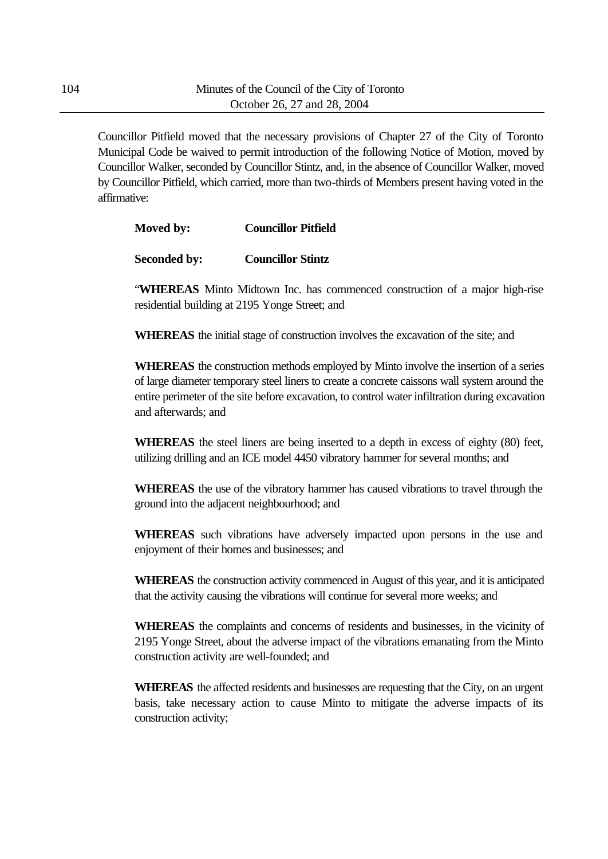Councillor Pitfield moved that the necessary provisions of Chapter 27 of the City of Toronto Municipal Code be waived to permit introduction of the following Notice of Motion, moved by Councillor Walker, seconded by Councillor Stintz, and, in the absence of Councillor Walker, moved by Councillor Pitfield, which carried, more than two-thirds of Members present having voted in the affirmative:

| <b>Councillor Pitfield</b><br>Moved by: |
|-----------------------------------------|
|-----------------------------------------|

**Seconded by: Councillor Stintz**

"**WHEREAS** Minto Midtown Inc. has commenced construction of a major high-rise residential building at 2195 Yonge Street; and

**WHEREAS** the initial stage of construction involves the excavation of the site; and

**WHEREAS** the construction methods employed by Minto involve the insertion of a series of large diameter temporary steel liners to create a concrete caissons wall system around the entire perimeter of the site before excavation, to control water infiltration during excavation and afterwards; and

**WHEREAS** the steel liners are being inserted to a depth in excess of eighty (80) feet, utilizing drilling and an ICE model 4450 vibratory hammer for several months; and

**WHEREAS** the use of the vibratory hammer has caused vibrations to travel through the ground into the adjacent neighbourhood; and

**WHEREAS** such vibrations have adversely impacted upon persons in the use and enjoyment of their homes and businesses; and

**WHEREAS** the construction activity commenced in August of this year, and it is anticipated that the activity causing the vibrations will continue for several more weeks; and

**WHEREAS** the complaints and concerns of residents and businesses, in the vicinity of 2195 Yonge Street, about the adverse impact of the vibrations emanating from the Minto construction activity are well-founded; and

**WHEREAS** the affected residents and businesses are requesting that the City, on an urgent basis, take necessary action to cause Minto to mitigate the adverse impacts of its construction activity;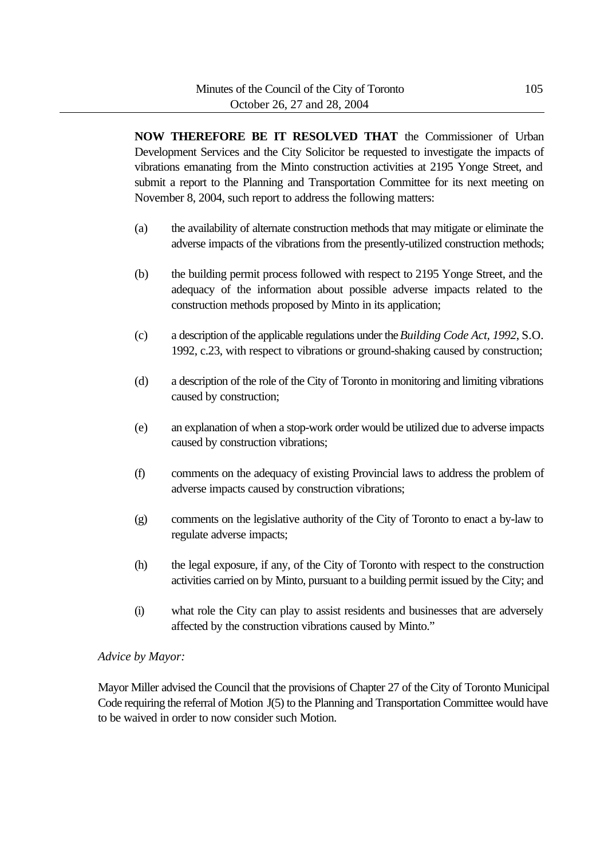**NOW THEREFORE BE IT RESOLVED THAT** the Commissioner of Urban Development Services and the City Solicitor be requested to investigate the impacts of vibrations emanating from the Minto construction activities at 2195 Yonge Street, and submit a report to the Planning and Transportation Committee for its next meeting on November 8, 2004, such report to address the following matters:

- (a) the availability of alternate construction methods that may mitigate or eliminate the adverse impacts of the vibrations from the presently-utilized construction methods;
- (b) the building permit process followed with respect to 2195 Yonge Street, and the adequacy of the information about possible adverse impacts related to the construction methods proposed by Minto in its application;
- (c) a description of the applicable regulations under the *Building Code Act, 1992*, S.O. 1992, c.23, with respect to vibrations or ground-shaking caused by construction;
- (d) a description of the role of the City of Toronto in monitoring and limiting vibrations caused by construction;
- (e) an explanation of when a stop-work order would be utilized due to adverse impacts caused by construction vibrations;
- (f) comments on the adequacy of existing Provincial laws to address the problem of adverse impacts caused by construction vibrations;
- (g) comments on the legislative authority of the City of Toronto to enact a by-law to regulate adverse impacts;
- (h) the legal exposure, if any, of the City of Toronto with respect to the construction activities carried on by Minto, pursuant to a building permit issued by the City; and
- (i) what role the City can play to assist residents and businesses that are adversely affected by the construction vibrations caused by Minto."

### *Advice by Mayor:*

Mayor Miller advised the Council that the provisions of Chapter 27 of the City of Toronto Municipal Code requiring the referral of Motion J(5) to the Planning and Transportation Committee would have to be waived in order to now consider such Motion.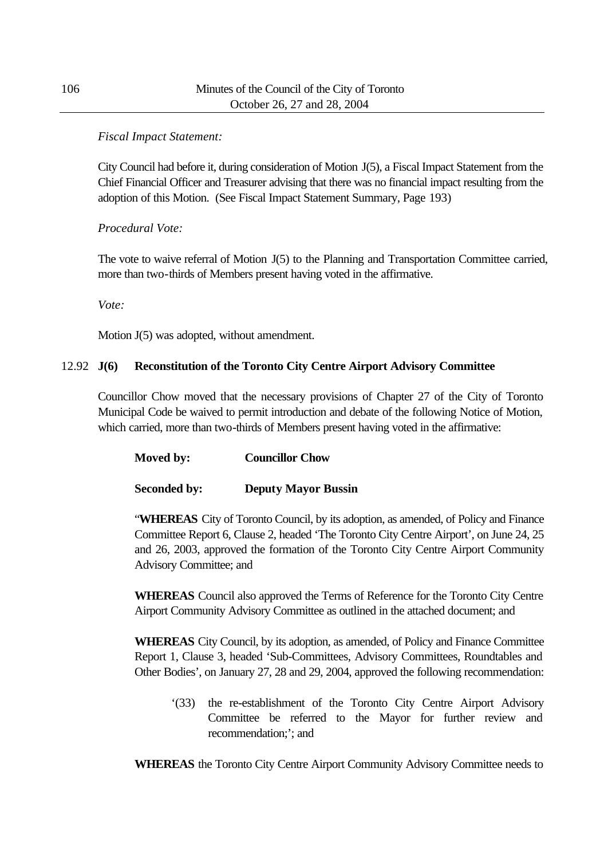## *Fiscal Impact Statement:*

City Council had before it, during consideration of Motion J(5), a Fiscal Impact Statement from the Chief Financial Officer and Treasurer advising that there was no financial impact resulting from the adoption of this Motion. (See Fiscal Impact Statement Summary, Page 193)

# *Procedural Vote:*

The vote to waive referral of Motion J(5) to the Planning and Transportation Committee carried, more than two-thirds of Members present having voted in the affirmative.

*Vote:*

Motion J(5) was adopted, without amendment.

## 12.92 **J(6) Reconstitution of the Toronto City Centre Airport Advisory Committee**

Councillor Chow moved that the necessary provisions of Chapter 27 of the City of Toronto Municipal Code be waived to permit introduction and debate of the following Notice of Motion, which carried, more than two-thirds of Members present having voted in the affirmative:

| Moved by: | <b>Councillor Chow</b> |
|-----------|------------------------|
|-----------|------------------------|

### **Seconded by: Deputy Mayor Bussin**

"**WHEREAS** City of Toronto Council, by its adoption, as amended, of Policy and Finance Committee Report 6, Clause 2, headed 'The Toronto City Centre Airport', on June 24, 25 and 26, 2003, approved the formation of the Toronto City Centre Airport Community Advisory Committee; and

**WHEREAS** Council also approved the Terms of Reference for the Toronto City Centre Airport Community Advisory Committee as outlined in the attached document; and

**WHEREAS** City Council, by its adoption, as amended, of Policy and Finance Committee Report 1, Clause 3, headed 'Sub-Committees, Advisory Committees, Roundtables and Other Bodies', on January 27, 28 and 29, 2004, approved the following recommendation:

'(33) the re-establishment of the Toronto City Centre Airport Advisory Committee be referred to the Mayor for further review and recommendation;'; and

**WHEREAS** the Toronto City Centre Airport Community Advisory Committee needs to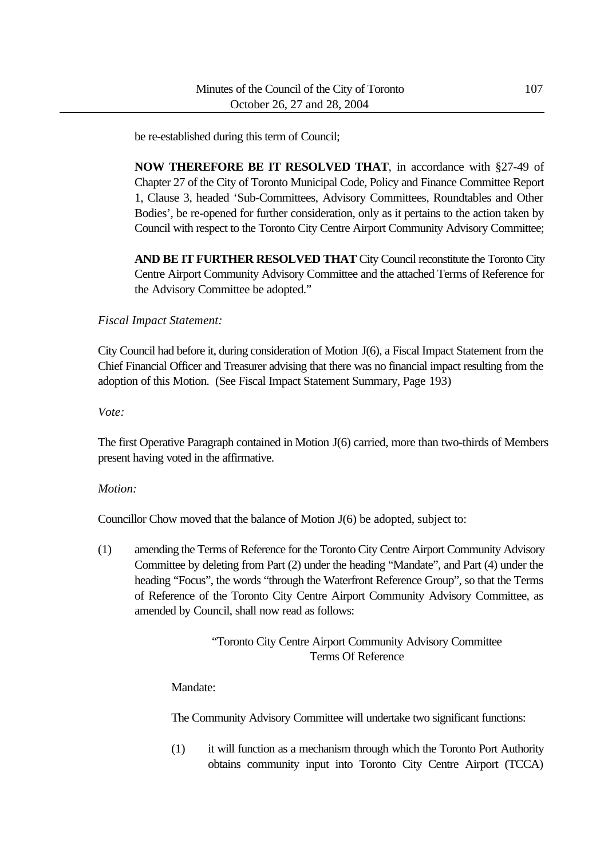be re-established during this term of Council;

**NOW THEREFORE BE IT RESOLVED THAT**, in accordance with §27-49 of Chapter 27 of the City of Toronto Municipal Code, Policy and Finance Committee Report 1, Clause 3, headed 'Sub-Committees, Advisory Committees, Roundtables and Other Bodies', be re-opened for further consideration, only as it pertains to the action taken by Council with respect to the Toronto City Centre Airport Community Advisory Committee;

**AND BE IT FURTHER RESOLVED THAT** City Council reconstitute the Toronto City Centre Airport Community Advisory Committee and the attached Terms of Reference for the Advisory Committee be adopted."

*Fiscal Impact Statement:*

City Council had before it, during consideration of Motion J(6), a Fiscal Impact Statement from the Chief Financial Officer and Treasurer advising that there was no financial impact resulting from the adoption of this Motion. (See Fiscal Impact Statement Summary, Page 193)

*Vote:*

The first Operative Paragraph contained in Motion J(6) carried, more than two-thirds of Members present having voted in the affirmative.

#### *Motion:*

Councillor Chow moved that the balance of Motion J(6) be adopted, subject to:

(1) amending the Terms of Reference for the Toronto City Centre Airport Community Advisory Committee by deleting from Part (2) under the heading "Mandate", and Part (4) under the heading "Focus", the words "through the Waterfront Reference Group", so that the Terms of Reference of the Toronto City Centre Airport Community Advisory Committee, as amended by Council, shall now read as follows:

> "Toronto City Centre Airport Community Advisory Committee Terms Of Reference

Mandate:

The Community Advisory Committee will undertake two significant functions:

(1) it will function as a mechanism through which the Toronto Port Authority obtains community input into Toronto City Centre Airport (TCCA)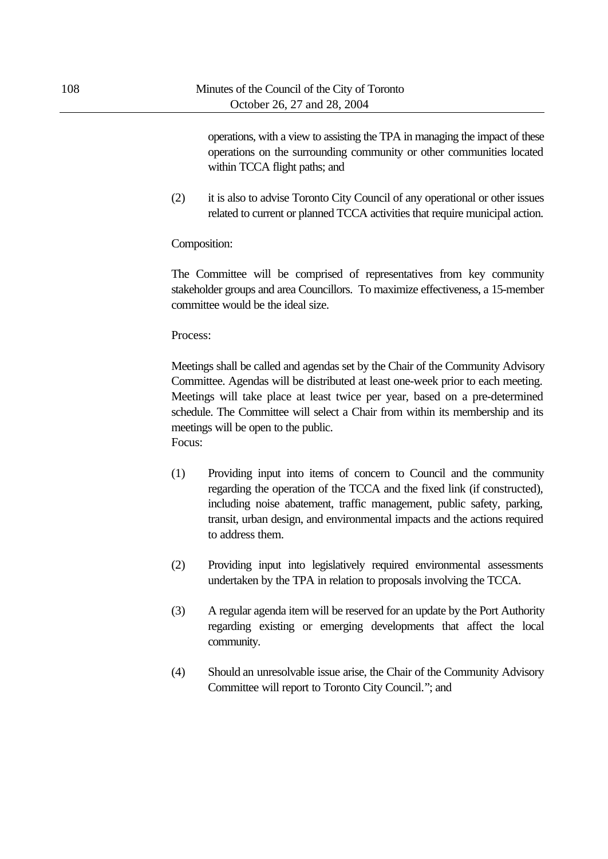operations, with a view to assisting the TPA in managing the impact of these operations on the surrounding community or other communities located within TCCA flight paths; and

(2) it is also to advise Toronto City Council of any operational or other issues related to current or planned TCCA activities that require municipal action.

Composition:

The Committee will be comprised of representatives from key community stakeholder groups and area Councillors. To maximize effectiveness, a 15-member committee would be the ideal size.

Process:

Meetings shall be called and agendas set by the Chair of the Community Advisory Committee. Agendas will be distributed at least one-week prior to each meeting. Meetings will take place at least twice per year, based on a pre-determined schedule. The Committee will select a Chair from within its membership and its meetings will be open to the public. Focus:

- (1) Providing input into items of concern to Council and the community regarding the operation of the TCCA and the fixed link (if constructed), including noise abatement, traffic management, public safety, parking, transit, urban design, and environmental impacts and the actions required to address them.
- (2) Providing input into legislatively required environmental assessments undertaken by the TPA in relation to proposals involving the TCCA.
- (3) A regular agenda item will be reserved for an update by the Port Authority regarding existing or emerging developments that affect the local community.
- (4) Should an unresolvable issue arise, the Chair of the Community Advisory Committee will report to Toronto City Council."; and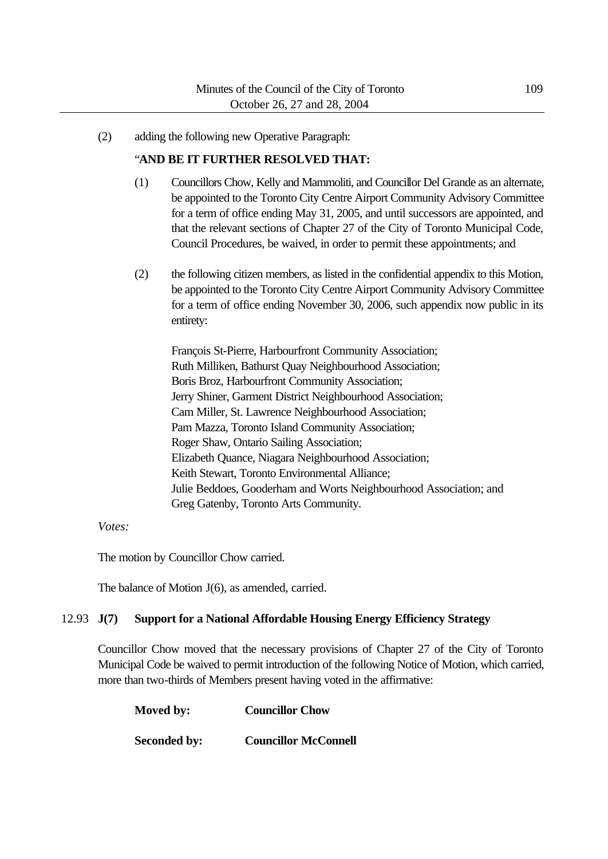(2) adding the following new Operative Paragraph:

#### "**AND BE IT FURTHER RESOLVED THAT:**

- (1) Councillors Chow, Kelly and Mammoliti, and Councillor Del Grande as an alternate, be appointed to the Toronto City Centre Airport Community Advisory Committee for a term of office ending May 31, 2005, and until successors are appointed, and that the relevant sections of Chapter 27 of the City of Toronto Municipal Code, Council Procedures, be waived, in order to permit these appointments; and
- (2) the following citizen members, as listed in the confidential appendix to this Motion, be appointed to the Toronto City Centre Airport Community Advisory Committee for a term of office ending November 30, 2006, such appendix now public in its entirety:

François St-Pierre, Harbourfront Community Association; Ruth Milliken, Bathurst Quay Neighbourhood Association; Boris Broz, Harbourfront Community Association; Jerry Shiner, Garment District Neighbourhood Association; Cam Miller, St. Lawrence Neighbourhood Association; Pam Mazza, Toronto Island Community Association; Roger Shaw, Ontario Sailing Association; Elizabeth Quance, Niagara Neighbourhood Association; Keith Stewart, Toronto Environmental Alliance; Julie Beddoes, Gooderham and Worts Neighbourhood Association; and Greg Gatenby, Toronto Arts Community.

#### *Votes:*

The motion by Councillor Chow carried.

The balance of Motion J(6), as amended, carried.

#### 12.93 **J(7) Support for a National Affordable Housing Energy Efficiency Strategy**

Councillor Chow moved that the necessary provisions of Chapter 27 of the City of Toronto Municipal Code be waived to permit introduction of the following Notice of Motion, which carried, more than two-thirds of Members present having voted in the affirmative:

| Moved by:           | <b>Councillor Chow</b>      |  |  |
|---------------------|-----------------------------|--|--|
| <b>Seconded by:</b> | <b>Councillor McConnell</b> |  |  |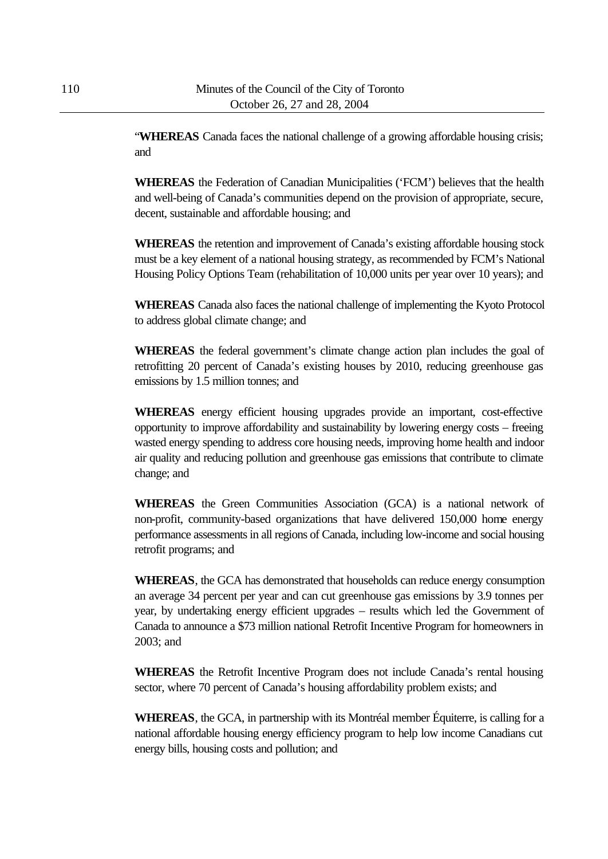"**WHEREAS** Canada faces the national challenge of a growing affordable housing crisis; and

**WHEREAS** the Federation of Canadian Municipalities ('FCM') believes that the health and well-being of Canada's communities depend on the provision of appropriate, secure, decent, sustainable and affordable housing; and

**WHEREAS** the retention and improvement of Canada's existing affordable housing stock must be a key element of a national housing strategy, as recommended by FCM's National Housing Policy Options Team (rehabilitation of 10,000 units per year over 10 years); and

**WHEREAS** Canada also faces the national challenge of implementing the Kyoto Protocol to address global climate change; and

**WHEREAS** the federal government's climate change action plan includes the goal of retrofitting 20 percent of Canada's existing houses by 2010, reducing greenhouse gas emissions by 1.5 million tonnes; and

**WHEREAS** energy efficient housing upgrades provide an important, cost-effective opportunity to improve affordability and sustainability by lowering energy costs – freeing wasted energy spending to address core housing needs, improving home health and indoor air quality and reducing pollution and greenhouse gas emissions that contribute to climate change; and

**WHEREAS** the Green Communities Association (GCA) is a national network of non-profit, community-based organizations that have delivered 150,000 home energy performance assessments in all regions of Canada, including low-income and social housing retrofit programs; and

**WHEREAS**, the GCA has demonstrated that households can reduce energy consumption an average 34 percent per year and can cut greenhouse gas emissions by 3.9 tonnes per year, by undertaking energy efficient upgrades – results which led the Government of Canada to announce a \$73 million national Retrofit Incentive Program for homeowners in 2003; and

**WHEREAS** the Retrofit Incentive Program does not include Canada's rental housing sector, where 70 percent of Canada's housing affordability problem exists; and

**WHEREAS**, the GCA, in partnership with its Montréal member Équiterre, is calling for a national affordable housing energy efficiency program to help low income Canadians cut energy bills, housing costs and pollution; and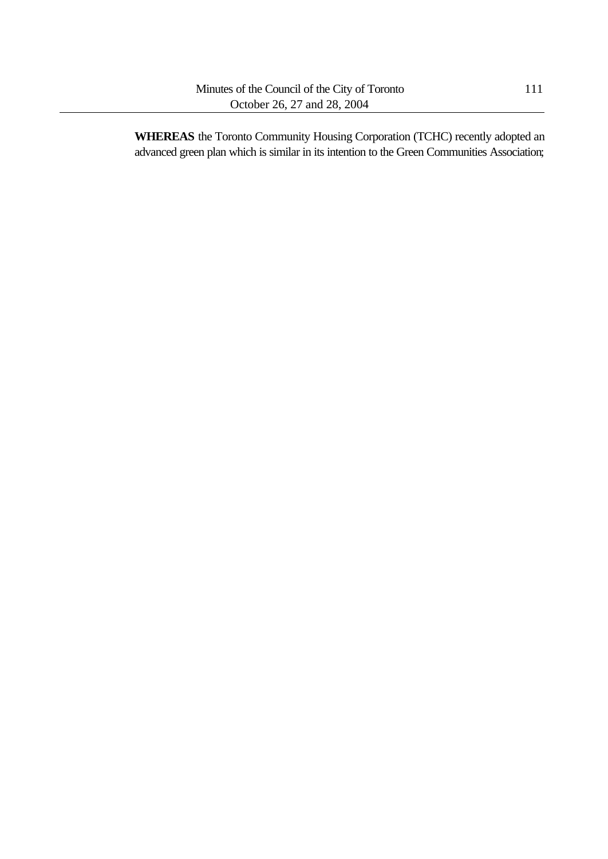**WHEREAS** the Toronto Community Housing Corporation (TCHC) recently adopted an advanced green plan which is similar in its intention to the Green Communities Association;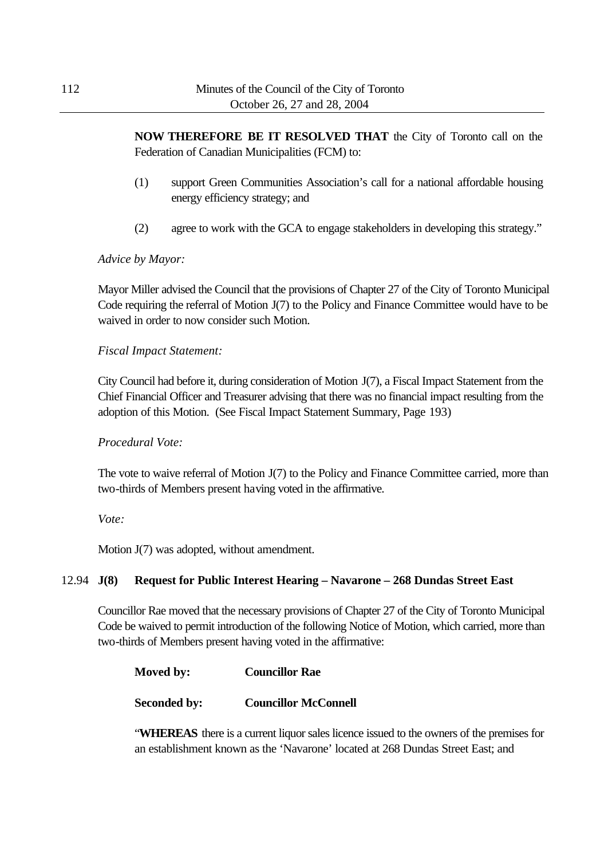**NOW THEREFORE BE IT RESOLVED THAT** the City of Toronto call on the Federation of Canadian Municipalities (FCM) to:

- (1) support Green Communities Association's call for a national affordable housing energy efficiency strategy; and
- (2) agree to work with the GCA to engage stakeholders in developing this strategy."

### *Advice by Mayor:*

Mayor Miller advised the Council that the provisions of Chapter 27 of the City of Toronto Municipal Code requiring the referral of Motion J(7) to the Policy and Finance Committee would have to be waived in order to now consider such Motion.

### *Fiscal Impact Statement:*

City Council had before it, during consideration of Motion J(7), a Fiscal Impact Statement from the Chief Financial Officer and Treasurer advising that there was no financial impact resulting from the adoption of this Motion. (See Fiscal Impact Statement Summary, Page 193)

### *Procedural Vote:*

The vote to waive referral of Motion J(7) to the Policy and Finance Committee carried, more than two-thirds of Members present having voted in the affirmative.

### *Vote:*

Motion J(7) was adopted, without amendment.

### 12.94 **J(8) Request for Public Interest Hearing – Navarone – 268 Dundas Street East**

Councillor Rae moved that the necessary provisions of Chapter 27 of the City of Toronto Municipal Code be waived to permit introduction of the following Notice of Motion, which carried, more than two-thirds of Members present having voted in the affirmative:

| Moved by: | <b>Councillor Rae</b> |
|-----------|-----------------------|
|           |                       |

**Seconded by: Councillor McConnell**

"**WHEREAS** there is a current liquor sales licence issued to the owners of the premises for an establishment known as the 'Navarone' located at 268 Dundas Street East; and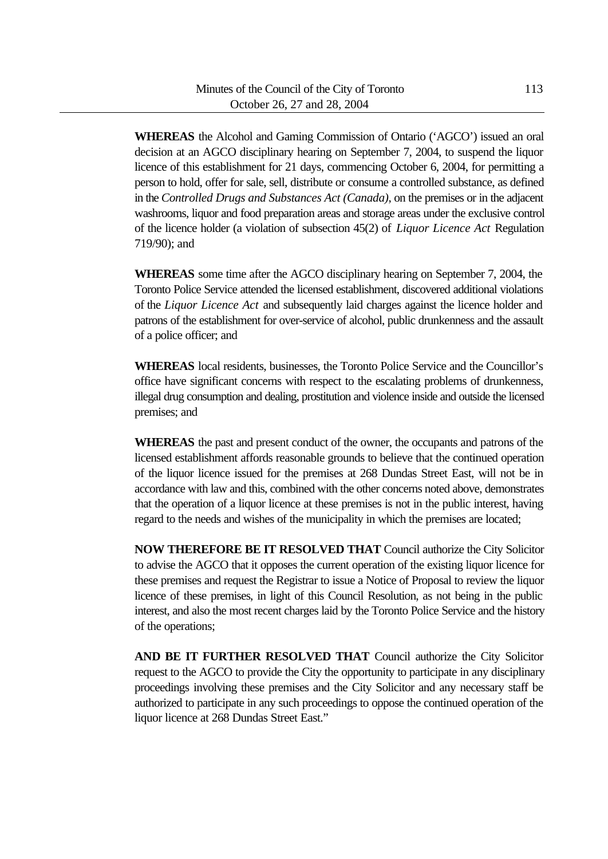**WHEREAS** the Alcohol and Gaming Commission of Ontario ('AGCO') issued an oral decision at an AGCO disciplinary hearing on September 7, 2004, to suspend the liquor licence of this establishment for 21 days, commencing October 6, 2004, for permitting a person to hold, offer for sale, sell, distribute or consume a controlled substance, as defined in the *Controlled Drugs and Substances Act (Canada)*, on the premises or in the adjacent washrooms, liquor and food preparation areas and storage areas under the exclusive control of the licence holder (a violation of subsection 45(2) of *Liquor Licence Act* Regulation 719/90); and

**WHEREAS** some time after the AGCO disciplinary hearing on September 7, 2004, the Toronto Police Service attended the licensed establishment, discovered additional violations of the *Liquor Licence Act* and subsequently laid charges against the licence holder and patrons of the establishment for over-service of alcohol, public drunkenness and the assault of a police officer; and

**WHEREAS** local residents, businesses, the Toronto Police Service and the Councillor's office have significant concerns with respect to the escalating problems of drunkenness, illegal drug consumption and dealing, prostitution and violence inside and outside the licensed premises; and

**WHEREAS** the past and present conduct of the owner, the occupants and patrons of the licensed establishment affords reasonable grounds to believe that the continued operation of the liquor licence issued for the premises at 268 Dundas Street East, will not be in accordance with law and this, combined with the other concerns noted above, demonstrates that the operation of a liquor licence at these premises is not in the public interest, having regard to the needs and wishes of the municipality in which the premises are located;

**NOW THEREFORE BE IT RESOLVED THAT** Council authorize the City Solicitor to advise the AGCO that it opposes the current operation of the existing liquor licence for these premises and request the Registrar to issue a Notice of Proposal to review the liquor licence of these premises, in light of this Council Resolution, as not being in the public interest, and also the most recent charges laid by the Toronto Police Service and the history of the operations;

**AND BE IT FURTHER RESOLVED THAT** Council authorize the City Solicitor request to the AGCO to provide the City the opportunity to participate in any disciplinary proceedings involving these premises and the City Solicitor and any necessary staff be authorized to participate in any such proceedings to oppose the continued operation of the liquor licence at 268 Dundas Street East."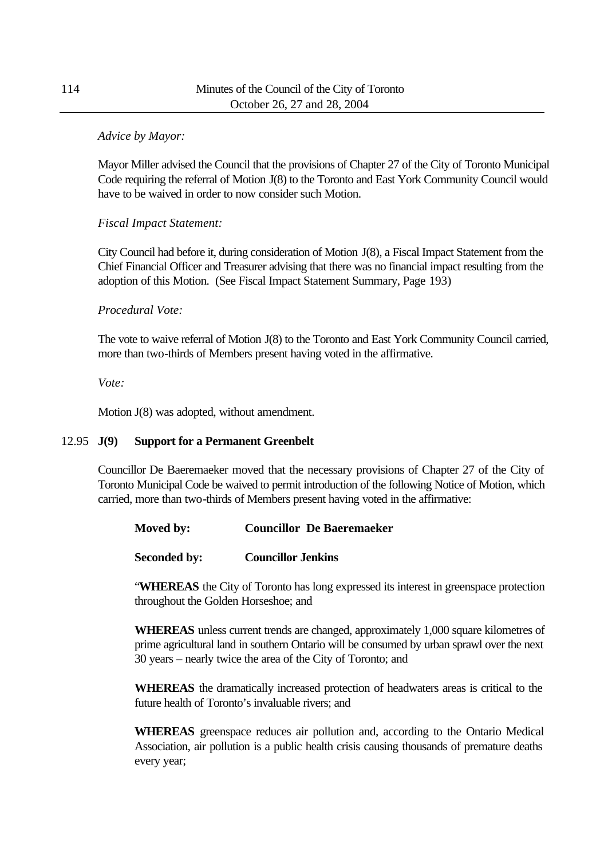### *Advice by Mayor:*

Mayor Miller advised the Council that the provisions of Chapter 27 of the City of Toronto Municipal Code requiring the referral of Motion J(8) to the Toronto and East York Community Council would have to be waived in order to now consider such Motion.

### *Fiscal Impact Statement:*

City Council had before it, during consideration of Motion J(8), a Fiscal Impact Statement from the Chief Financial Officer and Treasurer advising that there was no financial impact resulting from the adoption of this Motion. (See Fiscal Impact Statement Summary, Page 193)

### *Procedural Vote:*

The vote to waive referral of Motion J(8) to the Toronto and East York Community Council carried, more than two-thirds of Members present having voted in the affirmative.

*Vote:*

Motion J(8) was adopted, without amendment.

### 12.95 **J(9) Support for a Permanent Greenbelt**

Councillor De Baeremaeker moved that the necessary provisions of Chapter 27 of the City of Toronto Municipal Code be waived to permit introduction of the following Notice of Motion, which carried, more than two-thirds of Members present having voted in the affirmative:

**Moved by: Councillor De Baeremaeker**

**Seconded by: Councillor Jenkins**

"**WHEREAS** the City of Toronto has long expressed its interest in greenspace protection throughout the Golden Horseshoe; and

**WHEREAS** unless current trends are changed, approximately 1,000 square kilometres of prime agricultural land in southern Ontario will be consumed by urban sprawl over the next 30 years – nearly twice the area of the City of Toronto; and

**WHEREAS** the dramatically increased protection of headwaters areas is critical to the future health of Toronto's invaluable rivers; and

**WHEREAS** greenspace reduces air pollution and, according to the Ontario Medical Association, air pollution is a public health crisis causing thousands of premature deaths every year;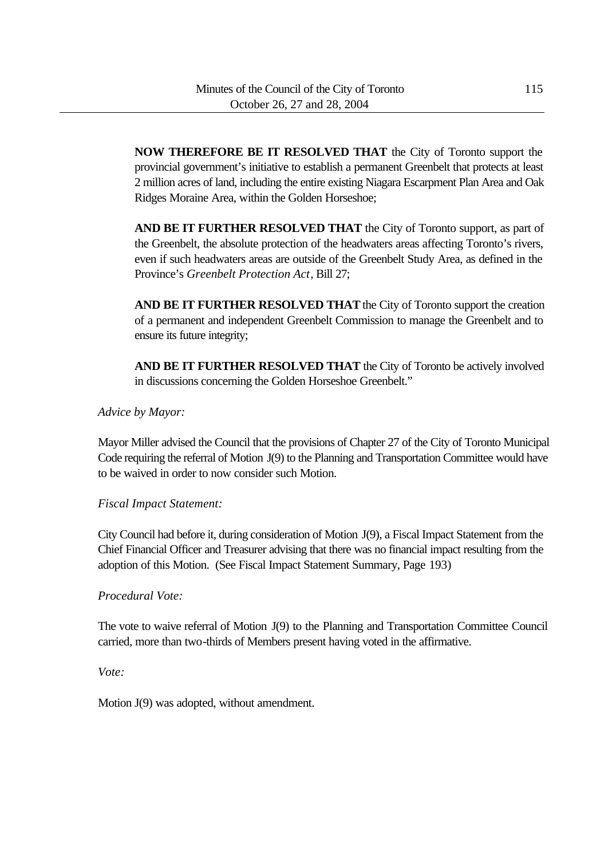**NOW THEREFORE BE IT RESOLVED THAT** the City of Toronto support the provincial government's initiative to establish a permanent Greenbelt that protects at least 2 million acres of land, including the entire existing Niagara Escarpment Plan Area and Oak Ridges Moraine Area, within the Golden Horseshoe;

**AND BE IT FURTHER RESOLVED THAT** the City of Toronto support, as part of the Greenbelt, the absolute protection of the headwaters areas affecting Toronto's rivers, even if such headwaters areas are outside of the Greenbelt Study Area, as defined in the Province's *Greenbelt Protection Act*, Bill 27;

**AND BE IT FURTHER RESOLVED THAT** the City of Toronto support the creation of a permanent and independent Greenbelt Commission to manage the Greenbelt and to ensure its future integrity;

**AND BE IT FURTHER RESOLVED THAT** the City of Toronto be actively involved in discussions concerning the Golden Horseshoe Greenbelt."

### *Advice by Mayor:*

Mayor Miller advised the Council that the provisions of Chapter 27 of the City of Toronto Municipal Code requiring the referral of Motion J(9) to the Planning and Transportation Committee would have to be waived in order to now consider such Motion.

### *Fiscal Impact Statement:*

City Council had before it, during consideration of Motion J(9), a Fiscal Impact Statement from the Chief Financial Officer and Treasurer advising that there was no financial impact resulting from the adoption of this Motion. (See Fiscal Impact Statement Summary, Page 193)

### *Procedural Vote:*

The vote to waive referral of Motion J(9) to the Planning and Transportation Committee Council carried, more than two-thirds of Members present having voted in the affirmative.

## *Vote:*

Motion J(9) was adopted, without amendment.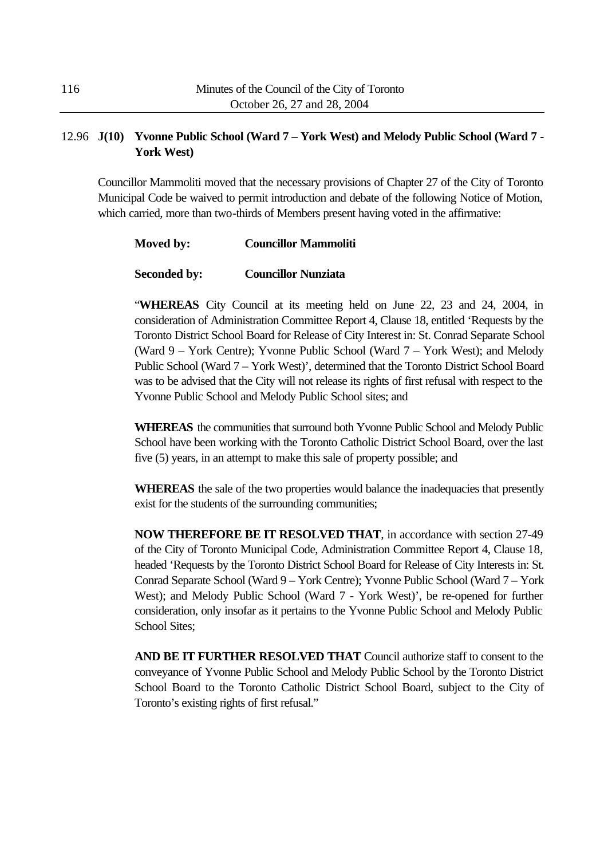## 12.96 **J(10) Yvonne Public School (Ward 7 – York West) and Melody Public School (Ward 7 - York West)**

Councillor Mammoliti moved that the necessary provisions of Chapter 27 of the City of Toronto Municipal Code be waived to permit introduction and debate of the following Notice of Motion, which carried, more than two-thirds of Members present having voted in the affirmative:

### **Moved by: Councillor Mammoliti**

### **Seconded by: Councillor Nunziata**

"**WHEREAS** City Council at its meeting held on June 22, 23 and 24, 2004, in consideration of Administration Committee Report 4, Clause 18, entitled 'Requests by the Toronto District School Board for Release of City Interest in: St. Conrad Separate School (Ward 9 – York Centre); Yvonne Public School (Ward 7 – York West); and Melody Public School (Ward 7 – York West)', determined that the Toronto District School Board was to be advised that the City will not release its rights of first refusal with respect to the Yvonne Public School and Melody Public School sites; and

**WHEREAS** the communities that surround both Yvonne Public School and Melody Public School have been working with the Toronto Catholic District School Board, over the last five (5) years, in an attempt to make this sale of property possible; and

**WHEREAS** the sale of the two properties would balance the inadequacies that presently exist for the students of the surrounding communities;

**NOW THEREFORE BE IT RESOLVED THAT**, in accordance with section 27-49 of the City of Toronto Municipal Code, Administration Committee Report 4, Clause 18, headed 'Requests by the Toronto District School Board for Release of City Interests in: St. Conrad Separate School (Ward 9 – York Centre); Yvonne Public School (Ward 7 – York West); and Melody Public School (Ward 7 - York West)', be re-opened for further consideration, only insofar as it pertains to the Yvonne Public School and Melody Public School Sites;

**AND BE IT FURTHER RESOLVED THAT** Council authorize staff to consent to the conveyance of Yvonne Public School and Melody Public School by the Toronto District School Board to the Toronto Catholic District School Board, subject to the City of Toronto's existing rights of first refusal."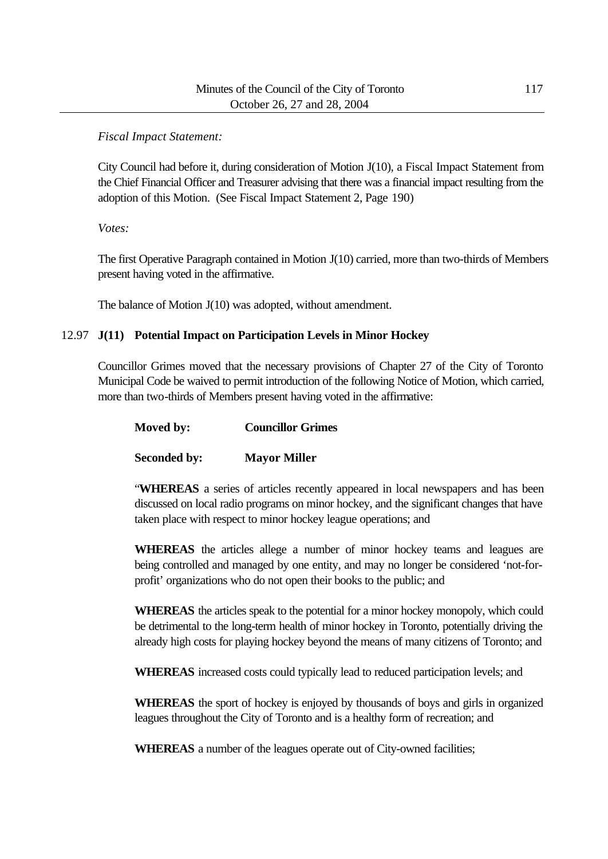### *Fiscal Impact Statement:*

City Council had before it, during consideration of Motion J(10), a Fiscal Impact Statement from the Chief Financial Officer and Treasurer advising that there was a financial impact resulting from the adoption of this Motion. (See Fiscal Impact Statement 2, Page 190)

*Votes:*

The first Operative Paragraph contained in Motion J(10) carried, more than two-thirds of Members present having voted in the affirmative.

The balance of Motion J(10) was adopted, without amendment.

## 12.97 **J(11) Potential Impact on Participation Levels in Minor Hockey**

Councillor Grimes moved that the necessary provisions of Chapter 27 of the City of Toronto Municipal Code be waived to permit introduction of the following Notice of Motion, which carried, more than two-thirds of Members present having voted in the affirmative:

| Moved by: | <b>Councillor Grimes</b> |
|-----------|--------------------------|
|           |                          |

**Seconded by: Mayor Miller**

"**WHEREAS** a series of articles recently appeared in local newspapers and has been discussed on local radio programs on minor hockey, and the significant changes that have taken place with respect to minor hockey league operations; and

**WHEREAS** the articles allege a number of minor hockey teams and leagues are being controlled and managed by one entity, and may no longer be considered 'not-forprofit' organizations who do not open their books to the public; and

**WHEREAS** the articles speak to the potential for a minor hockey monopoly, which could be detrimental to the long-term health of minor hockey in Toronto, potentially driving the already high costs for playing hockey beyond the means of many citizens of Toronto; and

**WHEREAS** increased costs could typically lead to reduced participation levels; and

**WHEREAS** the sport of hockey is enjoyed by thousands of boys and girls in organized leagues throughout the City of Toronto and is a healthy form of recreation; and

**WHEREAS** a number of the leagues operate out of City-owned facilities;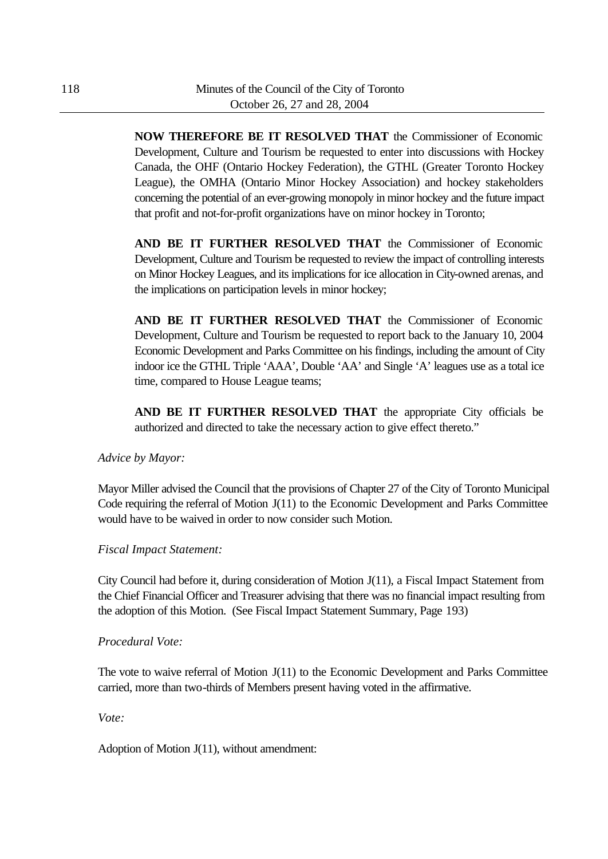**NOW THEREFORE BE IT RESOLVED THAT** the Commissioner of Economic Development, Culture and Tourism be requested to enter into discussions with Hockey Canada, the OHF (Ontario Hockey Federation), the GTHL (Greater Toronto Hockey League), the OMHA (Ontario Minor Hockey Association) and hockey stakeholders concerning the potential of an ever-growing monopoly in minor hockey and the future impact that profit and not-for-profit organizations have on minor hockey in Toronto;

**AND BE IT FURTHER RESOLVED THAT** the Commissioner of Economic Development, Culture and Tourism be requested to review the impact of controlling interests on Minor Hockey Leagues, and its implications for ice allocation in City-owned arenas, and the implications on participation levels in minor hockey;

**AND BE IT FURTHER RESOLVED THAT** the Commissioner of Economic Development, Culture and Tourism be requested to report back to the January 10, 2004 Economic Development and Parks Committee on his findings, including the amount of City indoor ice the GTHL Triple 'AAA', Double 'AA' and Single 'A' leagues use as a total ice time, compared to House League teams;

**AND BE IT FURTHER RESOLVED THAT** the appropriate City officials be authorized and directed to take the necessary action to give effect thereto."

### *Advice by Mayor:*

Mayor Miller advised the Council that the provisions of Chapter 27 of the City of Toronto Municipal Code requiring the referral of Motion J(11) to the Economic Development and Parks Committee would have to be waived in order to now consider such Motion.

### *Fiscal Impact Statement:*

City Council had before it, during consideration of Motion J(11), a Fiscal Impact Statement from the Chief Financial Officer and Treasurer advising that there was no financial impact resulting from the adoption of this Motion. (See Fiscal Impact Statement Summary, Page 193)

### *Procedural Vote:*

The vote to waive referral of Motion J(11) to the Economic Development and Parks Committee carried, more than two-thirds of Members present having voted in the affirmative.

*Vote:*

Adoption of Motion J(11), without amendment: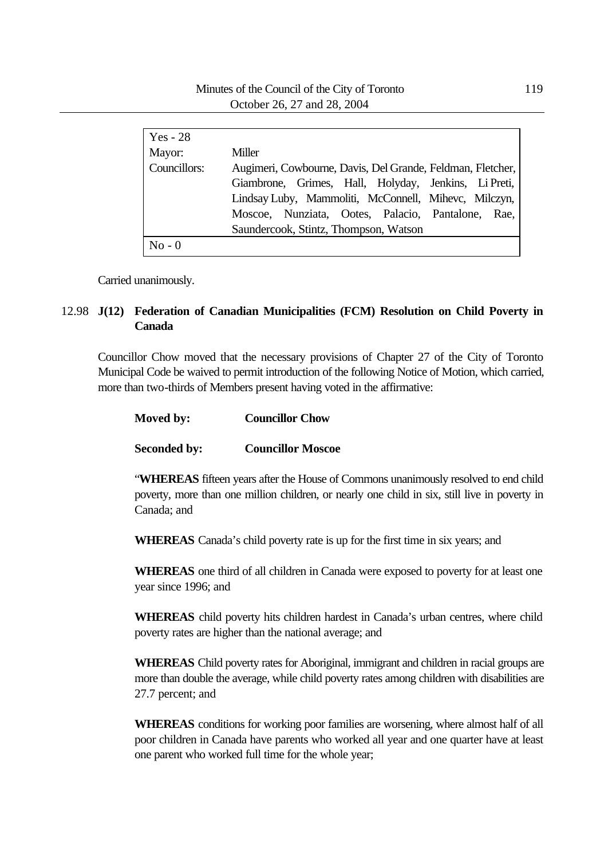| $Yes - 28$   |                                                            |  |  |  |  |  |
|--------------|------------------------------------------------------------|--|--|--|--|--|
| Mayor:       | Miller                                                     |  |  |  |  |  |
| Councillors: | Augimeri, Cowbourne, Davis, Del Grande, Feldman, Fletcher, |  |  |  |  |  |
|              | Giambrone, Grimes, Hall, Holyday, Jenkins, Li Preti,       |  |  |  |  |  |
|              | Lindsay Luby, Mammoliti, McConnell, Mihevc, Milczyn,       |  |  |  |  |  |
|              | Moscoe, Nunziata, Ootes, Palacio, Pantalone, Rae,          |  |  |  |  |  |
|              | Saundercook, Stintz, Thompson, Watson                      |  |  |  |  |  |
| $No - 0$     |                                                            |  |  |  |  |  |

Carried unanimously.

## 12.98 **J(12) Federation of Canadian Municipalities (FCM) Resolution on Child Poverty in Canada**

Councillor Chow moved that the necessary provisions of Chapter 27 of the City of Toronto Municipal Code be waived to permit introduction of the following Notice of Motion, which carried, more than two-thirds of Members present having voted in the affirmative:

| Moved by: | <b>Councillor Chow</b> |
|-----------|------------------------|
|           |                        |

### **Seconded by: Councillor Moscoe**

"**WHEREAS** fifteen years after the House of Commons unanimously resolved to end child poverty, more than one million children, or nearly one child in six, still live in poverty in Canada; and

**WHEREAS** Canada's child poverty rate is up for the first time in six years; and

**WHEREAS** one third of all children in Canada were exposed to poverty for at least one year since 1996; and

**WHEREAS** child poverty hits children hardest in Canada's urban centres, where child poverty rates are higher than the national average; and

**WHEREAS** Child poverty rates for Aboriginal, immigrant and children in racial groups are more than double the average, while child poverty rates among children with disabilities are 27.7 percent; and

**WHEREAS** conditions for working poor families are worsening, where almost half of all poor children in Canada have parents who worked all year and one quarter have at least one parent who worked full time for the whole year;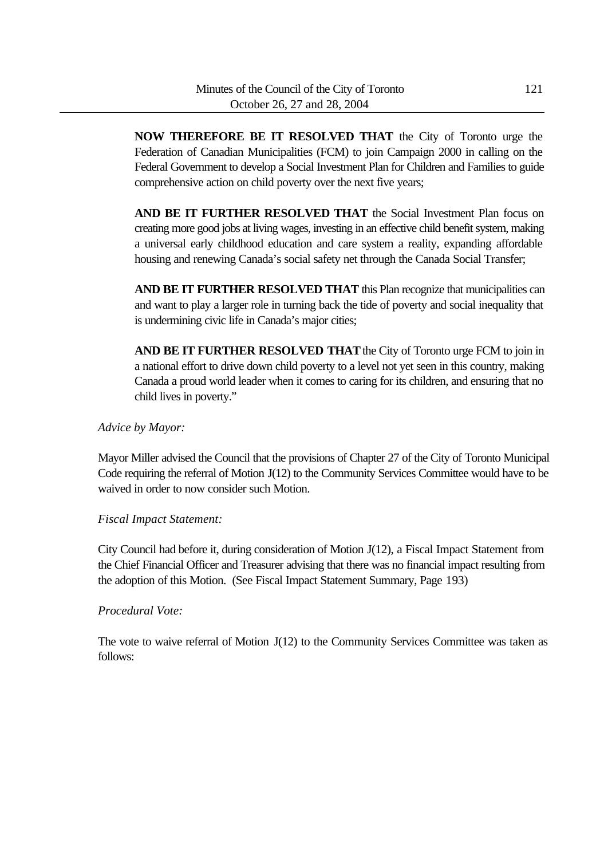**NOW THEREFORE BE IT RESOLVED THAT** the City of Toronto urge the Federation of Canadian Municipalities (FCM) to join Campaign 2000 in calling on the Federal Government to develop a Social Investment Plan for Children and Families to guide comprehensive action on child poverty over the next five years;

**AND BE IT FURTHER RESOLVED THAT** the Social Investment Plan focus on creating more good jobs at living wages, investing in an effective child benefit system, making a universal early childhood education and care system a reality, expanding affordable housing and renewing Canada's social safety net through the Canada Social Transfer;

**AND BE IT FURTHER RESOLVED THAT** this Plan recognize that municipalities can and want to play a larger role in turning back the tide of poverty and social inequality that is undermining civic life in Canada's major cities;

**AND BE IT FURTHER RESOLVED THAT** the City of Toronto urge FCM to join in a national effort to drive down child poverty to a level not yet seen in this country, making Canada a proud world leader when it comes to caring for its children, and ensuring that no child lives in poverty."

*Advice by Mayor:*

Mayor Miller advised the Council that the provisions of Chapter 27 of the City of Toronto Municipal Code requiring the referral of Motion J(12) to the Community Services Committee would have to be waived in order to now consider such Motion.

*Fiscal Impact Statement:*

City Council had before it, during consideration of Motion J(12), a Fiscal Impact Statement from the Chief Financial Officer and Treasurer advising that there was no financial impact resulting from the adoption of this Motion. (See Fiscal Impact Statement Summary, Page 193)

*Procedural Vote:*

The vote to waive referral of Motion J(12) to the Community Services Committee was taken as follows: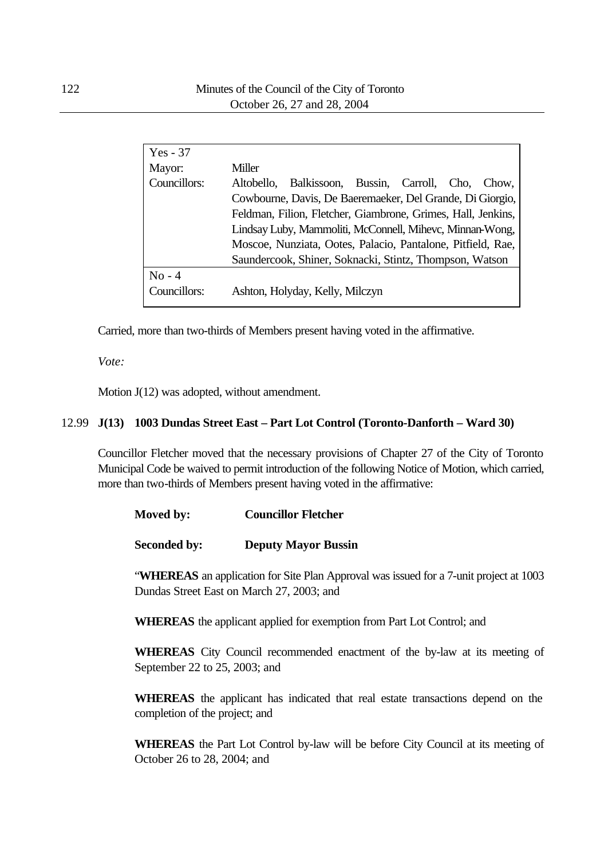| $Yes - 37$   |                                                              |  |  |  |  |
|--------------|--------------------------------------------------------------|--|--|--|--|
| Mayor:       | Miller                                                       |  |  |  |  |
| Councillors: | Balkissoon, Bussin, Carroll, Cho, Chow,<br>Altobello,        |  |  |  |  |
|              | Cowbourne, Davis, De Baeremaeker, Del Grande, Di Giorgio,    |  |  |  |  |
|              | Feldman, Filion, Fletcher, Giambrone, Grimes, Hall, Jenkins, |  |  |  |  |
|              | Lindsay Luby, Mammoliti, McConnell, Mihevc, Minnan-Wong,     |  |  |  |  |
|              | Moscoe, Nunziata, Ootes, Palacio, Pantalone, Pitfield, Rae,  |  |  |  |  |
|              | Saundercook, Shiner, Soknacki, Stintz, Thompson, Watson      |  |  |  |  |
| $No - 4$     |                                                              |  |  |  |  |
| Councillors: | Ashton, Holyday, Kelly, Milczyn                              |  |  |  |  |
|              |                                                              |  |  |  |  |

Carried, more than two-thirds of Members present having voted in the affirmative.

#### *Vote:*

Motion J(12) was adopted, without amendment.

### 12.99 **J(13) 1003 Dundas Street East – Part Lot Control (Toronto-Danforth – Ward 30)**

Councillor Fletcher moved that the necessary provisions of Chapter 27 of the City of Toronto Municipal Code be waived to permit introduction of the following Notice of Motion, which carried, more than two-thirds of Members present having voted in the affirmative:

|  | <b>Moved by:</b> |  | <b>Councillor Fletcher</b> |  |
|--|------------------|--|----------------------------|--|
|--|------------------|--|----------------------------|--|

**Seconded by: Deputy Mayor Bussin**

"**WHEREAS** an application for Site Plan Approval was issued for a 7-unit project at 1003 Dundas Street East on March 27, 2003; and

**WHEREAS** the applicant applied for exemption from Part Lot Control; and

**WHEREAS** City Council recommended enactment of the by-law at its meeting of September 22 to 25, 2003; and

**WHEREAS** the applicant has indicated that real estate transactions depend on the completion of the project; and

**WHEREAS** the Part Lot Control by-law will be before City Council at its meeting of October 26 to 28, 2004; and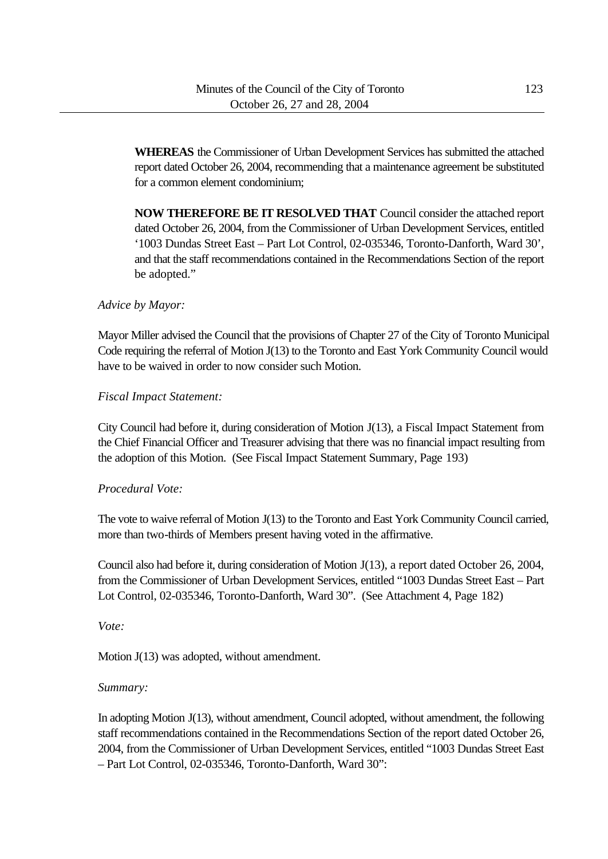**WHEREAS** the Commissioner of Urban Development Services has submitted the attached report dated October 26, 2004, recommending that a maintenance agreement be substituted for a common element condominium;

**NOW THEREFORE BE IT RESOLVED THAT** Council consider the attached report dated October 26, 2004, from the Commissioner of Urban Development Services, entitled '1003 Dundas Street East – Part Lot Control, 02-035346, Toronto-Danforth, Ward 30', and that the staff recommendations contained in the Recommendations Section of the report be adopted."

### *Advice by Mayor:*

Mayor Miller advised the Council that the provisions of Chapter 27 of the City of Toronto Municipal Code requiring the referral of Motion J(13) to the Toronto and East York Community Council would have to be waived in order to now consider such Motion.

### *Fiscal Impact Statement:*

City Council had before it, during consideration of Motion J(13), a Fiscal Impact Statement from the Chief Financial Officer and Treasurer advising that there was no financial impact resulting from the adoption of this Motion. (See Fiscal Impact Statement Summary, Page 193)

### *Procedural Vote:*

The vote to waive referral of Motion J(13) to the Toronto and East York Community Council carried, more than two-thirds of Members present having voted in the affirmative.

Council also had before it, during consideration of Motion J(13), a report dated October 26, 2004, from the Commissioner of Urban Development Services, entitled "1003 Dundas Street East – Part Lot Control, 02-035346, Toronto-Danforth, Ward 30". (See Attachment 4, Page 182)

*Vote:*

Motion J(13) was adopted, without amendment.

## *Summary:*

In adopting Motion J(13), without amendment, Council adopted, without amendment, the following staff recommendations contained in the Recommendations Section of the report dated October 26, 2004, from the Commissioner of Urban Development Services, entitled "1003 Dundas Street East – Part Lot Control, 02-035346, Toronto-Danforth, Ward 30":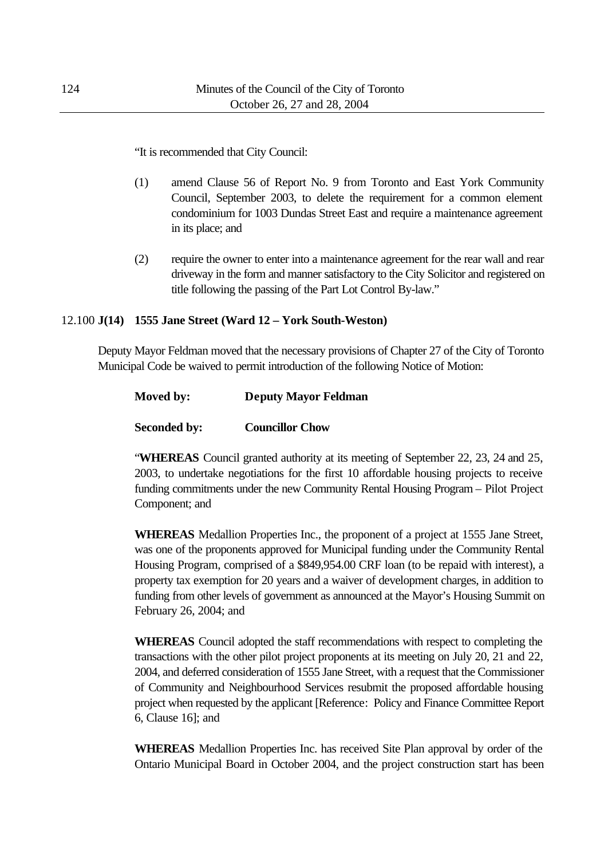"It is recommended that City Council:

- (1) amend Clause 56 of Report No. 9 from Toronto and East York Community Council, September 2003, to delete the requirement for a common element condominium for 1003 Dundas Street East and require a maintenance agreement in its place; and
- (2) require the owner to enter into a maintenance agreement for the rear wall and rear driveway in the form and manner satisfactory to the City Solicitor and registered on title following the passing of the Part Lot Control By-law."

#### 12.100 **J(14) 1555 Jane Street (Ward 12 – York South-Weston)**

Deputy Mayor Feldman moved that the necessary provisions of Chapter 27 of the City of Toronto Municipal Code be waived to permit introduction of the following Notice of Motion:

| Moved by:           | <b>Deputy Mayor Feldman</b> |  |  |
|---------------------|-----------------------------|--|--|
| <b>Seconded by:</b> | <b>Councillor Chow</b>      |  |  |

"**WHEREAS** Council granted authority at its meeting of September 22, 23, 24 and 25, 2003, to undertake negotiations for the first 10 affordable housing projects to receive funding commitments under the new Community Rental Housing Program – Pilot Project Component; and

**WHEREAS** Medallion Properties Inc., the proponent of a project at 1555 Jane Street, was one of the proponents approved for Municipal funding under the Community Rental Housing Program, comprised of a \$849,954.00 CRF loan (to be repaid with interest), a property tax exemption for 20 years and a waiver of development charges, in addition to funding from other levels of government as announced at the Mayor's Housing Summit on February 26, 2004; and

**WHEREAS** Council adopted the staff recommendations with respect to completing the transactions with the other pilot project proponents at its meeting on July 20, 21 and 22, 2004, and deferred consideration of 1555 Jane Street, with a request that the Commissioner of Community and Neighbourhood Services resubmit the proposed affordable housing project when requested by the applicant [Reference: Policy and Finance Committee Report 6, Clause 16]; and

**WHEREAS** Medallion Properties Inc. has received Site Plan approval by order of the Ontario Municipal Board in October 2004, and the project construction start has been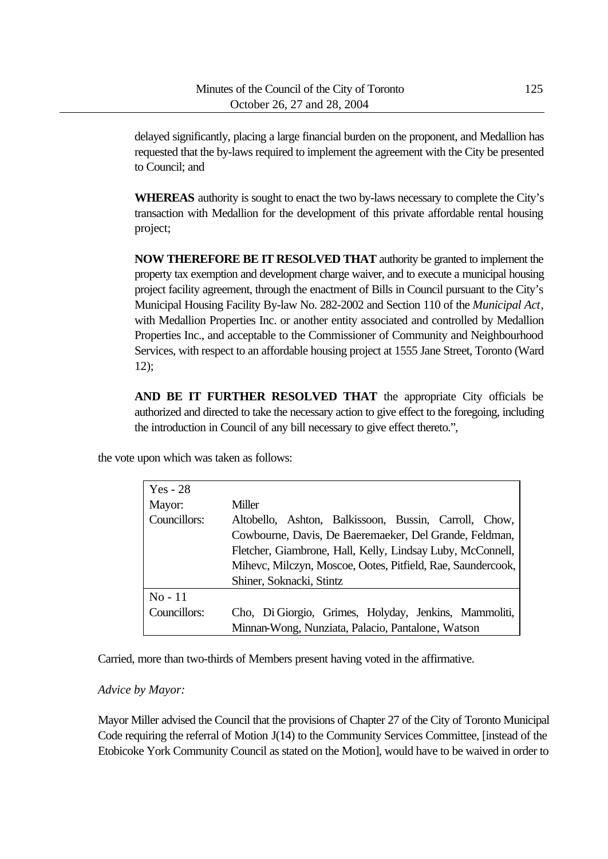delayed significantly, placing a large financial burden on the proponent, and Medallion has requested that the by-laws required to implement the agreement with the City be presented to Council; and

**WHEREAS** authority is sought to enact the two by-laws necessary to complete the City's transaction with Medallion for the development of this private affordable rental housing project;

**NOW THEREFORE BE IT RESOLVED THAT** authority be granted to implement the property tax exemption and development charge waiver, and to execute a municipal housing project facility agreement, through the enactment of Bills in Council pursuant to the City's Municipal Housing Facility By-law No. 282-2002 and Section 110 of the *Municipal Act*, with Medallion Properties Inc. or another entity associated and controlled by Medallion Properties Inc., and acceptable to the Commissioner of Community and Neighbourhood Services, with respect to an affordable housing project at 1555 Jane Street, Toronto (Ward 12);

**AND BE IT FURTHER RESOLVED THAT** the appropriate City officials be authorized and directed to take the necessary action to give effect to the foregoing, including the introduction in Council of any bill necessary to give effect thereto.",

the vote upon which was taken as follows:

| $Yes - 28$   |                                                             |  |  |  |  |
|--------------|-------------------------------------------------------------|--|--|--|--|
| Mayor:       | <b>Miller</b>                                               |  |  |  |  |
| Councillors: | Altobello, Ashton, Balkissoon, Bussin, Carroll, Chow,       |  |  |  |  |
|              | Cowbourne, Davis, De Baeremaeker, Del Grande, Feldman,      |  |  |  |  |
|              | Fletcher, Giambrone, Hall, Kelly, Lindsay Luby, McConnell,  |  |  |  |  |
|              | Mihevc, Milczyn, Moscoe, Ootes, Pitfield, Rae, Saundercook, |  |  |  |  |
|              | Shiner, Soknacki, Stintz                                    |  |  |  |  |
| $No-11$      |                                                             |  |  |  |  |
| Councillors: | Cho, Di Giorgio, Grimes, Holyday, Jenkins, Mammoliti,       |  |  |  |  |
|              | Minnan-Wong, Nunziata, Palacio, Pantalone, Watson           |  |  |  |  |

Carried, more than two-thirds of Members present having voted in the affirmative.

#### *Advice by Mayor:*

Mayor Miller advised the Council that the provisions of Chapter 27 of the City of Toronto Municipal Code requiring the referral of Motion J(14) to the Community Services Committee, [instead of the Etobicoke York Community Council as stated on the Motion], would have to be waived in order to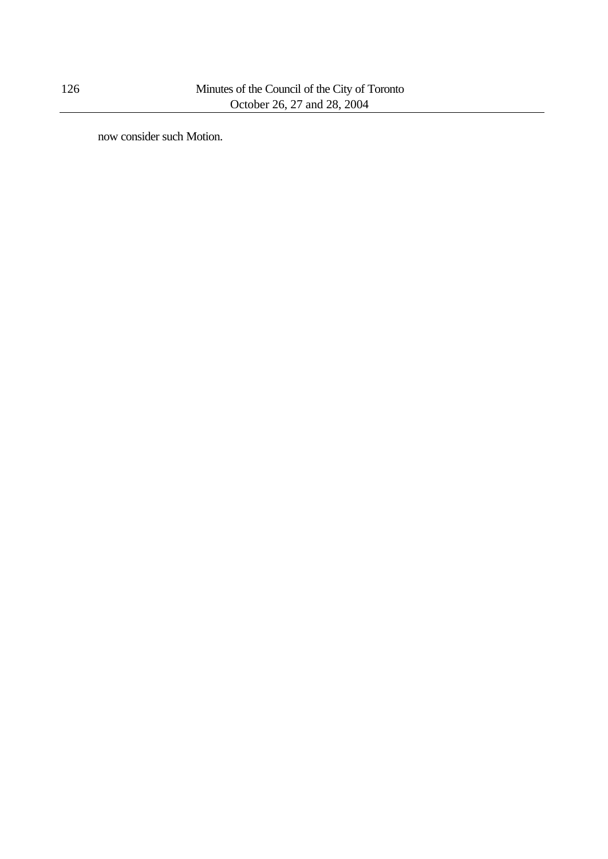now consider such Motion.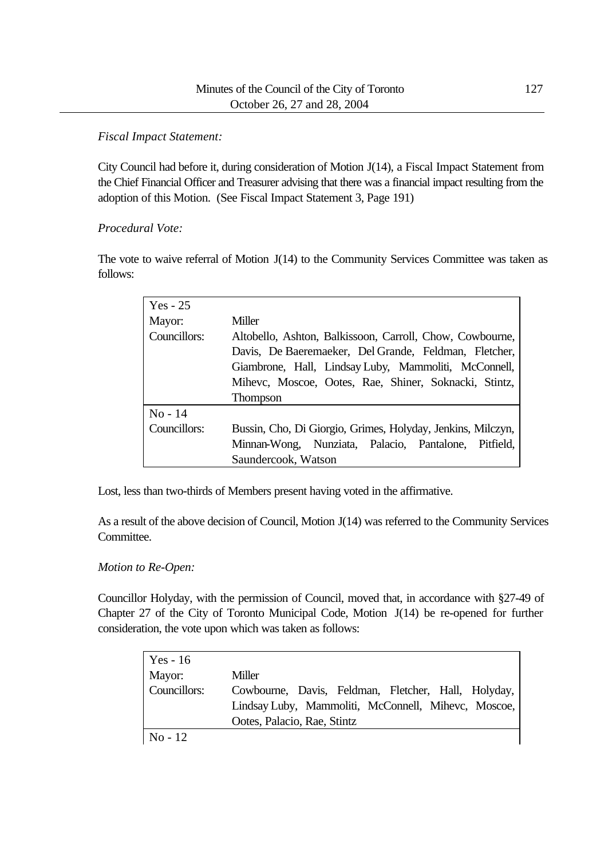### *Fiscal Impact Statement:*

City Council had before it, during consideration of Motion J(14), a Fiscal Impact Statement from the Chief Financial Officer and Treasurer advising that there was a financial impact resulting from the adoption of this Motion. (See Fiscal Impact Statement 3, Page 191)

### *Procedural Vote:*

The vote to waive referral of Motion J(14) to the Community Services Committee was taken as follows:

| $Yes - 25$   |                                                                                                                                                                                                                                                       |  |  |  |  |
|--------------|-------------------------------------------------------------------------------------------------------------------------------------------------------------------------------------------------------------------------------------------------------|--|--|--|--|
| Mayor:       | Miller                                                                                                                                                                                                                                                |  |  |  |  |
| Councillors: | Altobello, Ashton, Balkissoon, Carroll, Chow, Cowbourne,<br>Davis, De Baeremaeker, Del Grande, Feldman, Fletcher,<br>Giambrone, Hall, Lindsay Luby, Mammoliti, McConnell,<br>Mihevc, Moscoe, Ootes, Rae, Shiner, Soknacki, Stintz,<br><b>Thompson</b> |  |  |  |  |
| $No - 14$    |                                                                                                                                                                                                                                                       |  |  |  |  |
| Councillors: | Bussin, Cho, Di Giorgio, Grimes, Holyday, Jenkins, Milczyn,                                                                                                                                                                                           |  |  |  |  |
|              | Minnan-Wong, Nunziata, Palacio, Pantalone, Pitfield,                                                                                                                                                                                                  |  |  |  |  |
|              | Saundercook, Watson                                                                                                                                                                                                                                   |  |  |  |  |

Lost, less than two-thirds of Members present having voted in the affirmative.

As a result of the above decision of Council, Motion J(14) was referred to the Community Services Committee.

## *Motion to Re-Open:*

Councillor Holyday, with the permission of Council, moved that, in accordance with §27-49 of Chapter 27 of the City of Toronto Municipal Code, Motion J(14) be re-opened for further consideration, the vote upon which was taken as follows:

| $Yes - 16$   |                                                     |  |  |  |
|--------------|-----------------------------------------------------|--|--|--|
| Mayor:       | Miller                                              |  |  |  |
| Councillors: | Cowbourne, Davis, Feldman, Fletcher, Hall, Holyday, |  |  |  |
|              | Lindsay Luby, Mammoliti, McConnell, Mihevc, Moscoe, |  |  |  |
|              | Ootes, Palacio, Rae, Stintz                         |  |  |  |
| $No-12$      |                                                     |  |  |  |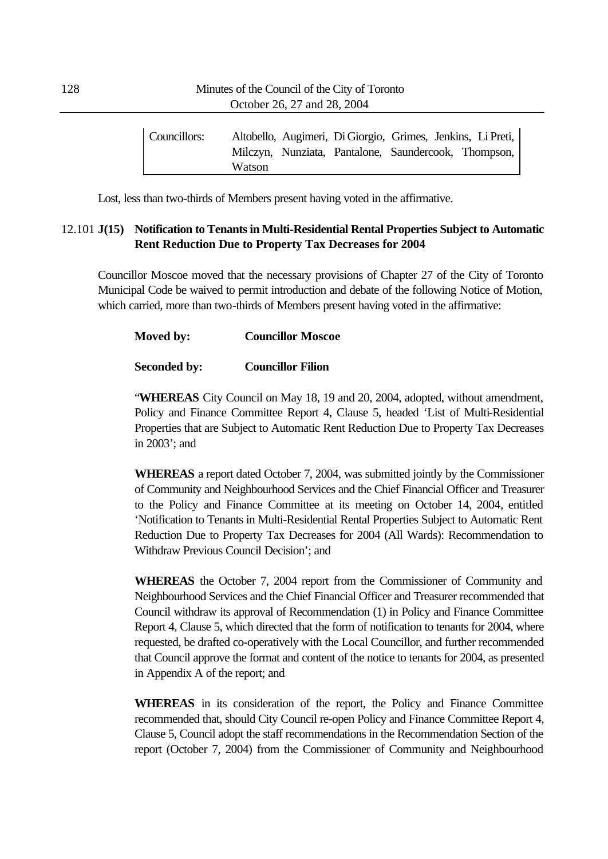| Councillors: |        |  | Altobello, Augimeri, Di Giorgio, Grimes, Jenkins, Li Preti, |  |
|--------------|--------|--|-------------------------------------------------------------|--|
|              |        |  | Milczyn, Nunziata, Pantalone, Saundercook, Thompson,        |  |
|              | Watson |  |                                                             |  |

Lost, less than two-thirds of Members present having voted in the affirmative.

### 12.101 **J(15) Notification to Tenants in Multi-Residential Rental Properties Subject to Automatic Rent Reduction Due to Property Tax Decreases for 2004**

Councillor Moscoe moved that the necessary provisions of Chapter 27 of the City of Toronto Municipal Code be waived to permit introduction and debate of the following Notice of Motion, which carried, more than two-thirds of Members present having voted in the affirmative:

# **Moved by: Councillor Moscoe**

### **Seconded by: Councillor Filion**

"**WHEREAS** City Council on May 18, 19 and 20, 2004, adopted, without amendment, Policy and Finance Committee Report 4, Clause 5, headed 'List of Multi-Residential Properties that are Subject to Automatic Rent Reduction Due to Property Tax Decreases in 2003'; and

**WHEREAS** a report dated October 7, 2004, was submitted jointly by the Commissioner of Community and Neighbourhood Services and the Chief Financial Officer and Treasurer to the Policy and Finance Committee at its meeting on October 14, 2004, entitled 'Notification to Tenants in Multi-Residential Rental Properties Subject to Automatic Rent Reduction Due to Property Tax Decreases for 2004 (All Wards): Recommendation to Withdraw Previous Council Decision'; and

**WHEREAS** the October 7, 2004 report from the Commissioner of Community and Neighbourhood Services and the Chief Financial Officer and Treasurer recommended that Council withdraw its approval of Recommendation (1) in Policy and Finance Committee Report 4, Clause 5, which directed that the form of notification to tenants for 2004, where requested, be drafted co-operatively with the Local Councillor, and further recommended that Council approve the format and content of the notice to tenants for 2004, as presented in Appendix A of the report; and

**WHEREAS** in its consideration of the report, the Policy and Finance Committee recommended that, should City Council re-open Policy and Finance Committee Report 4, Clause 5, Council adopt the staff recommendations in the Recommendation Section of the report (October 7, 2004) from the Commissioner of Community and Neighbourhood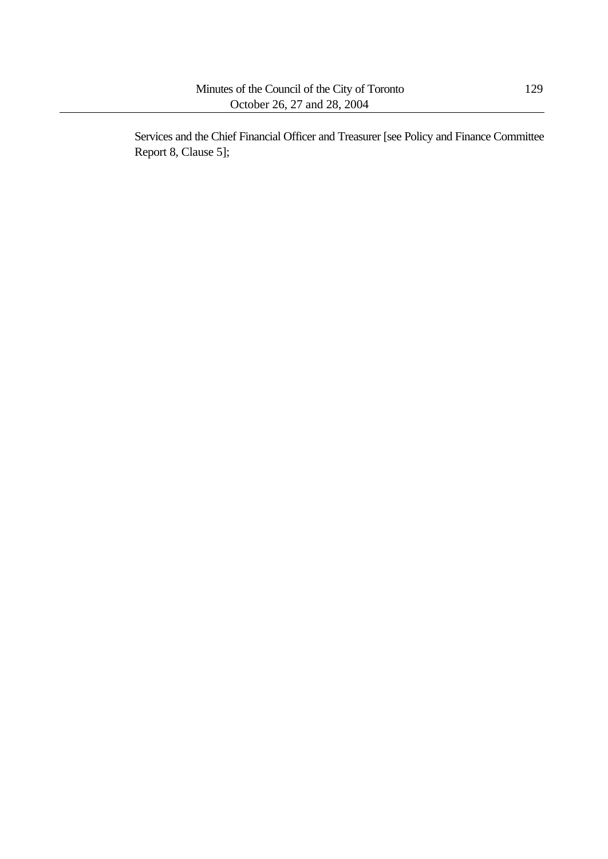Services and the Chief Financial Officer and Treasurer [see Policy and Finance Committee Report 8, Clause 5];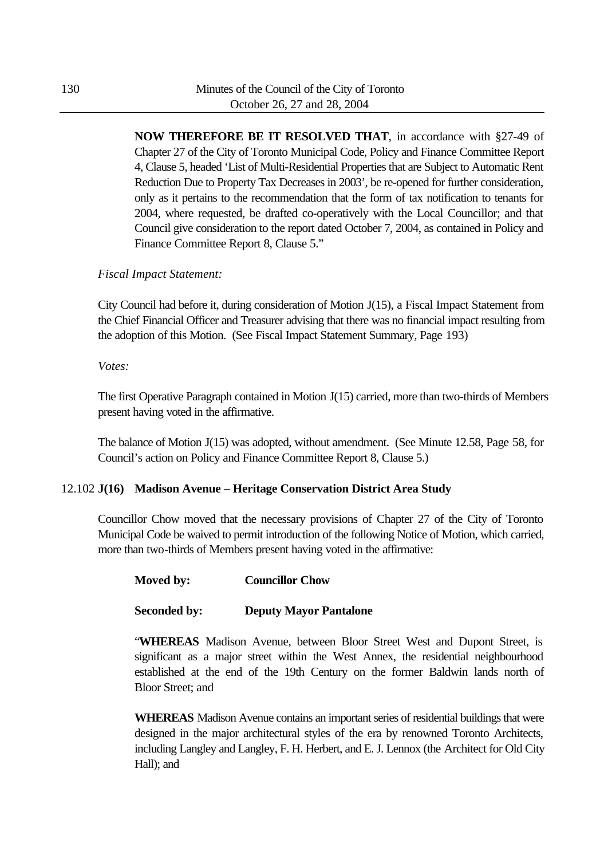**NOW THEREFORE BE IT RESOLVED THAT**, in accordance with §27-49 of Chapter 27 of the City of Toronto Municipal Code, Policy and Finance Committee Report 4, Clause 5, headed 'List of Multi-Residential Properties that are Subject to Automatic Rent Reduction Due to Property Tax Decreases in 2003', be re-opened for further consideration, only as it pertains to the recommendation that the form of tax notification to tenants for 2004, where requested, be drafted co-operatively with the Local Councillor; and that Council give consideration to the report dated October 7, 2004, as contained in Policy and Finance Committee Report 8, Clause 5."

### *Fiscal Impact Statement:*

City Council had before it, during consideration of Motion J(15), a Fiscal Impact Statement from the Chief Financial Officer and Treasurer advising that there was no financial impact resulting from the adoption of this Motion. (See Fiscal Impact Statement Summary, Page 193)

*Votes:*

The first Operative Paragraph contained in Motion J(15) carried, more than two-thirds of Members present having voted in the affirmative.

The balance of Motion J(15) was adopted, without amendment. (See Minute 12.58, Page 58, for Council's action on Policy and Finance Committee Report 8, Clause 5.)

## 12.102 **J(16) Madison Avenue – Heritage Conservation District Area Study**

Councillor Chow moved that the necessary provisions of Chapter 27 of the City of Toronto Municipal Code be waived to permit introduction of the following Notice of Motion, which carried, more than two-thirds of Members present having voted in the affirmative:

### **Moved by: Councillor Chow**

### **Seconded by: Deputy Mayor Pantalone**

"**WHEREAS** Madison Avenue, between Bloor Street West and Dupont Street, is significant as a major street within the West Annex, the residential neighbourhood established at the end of the 19th Century on the former Baldwin lands north of Bloor Street; and

**WHEREAS** Madison Avenue contains an important series of residential buildings that were designed in the major architectural styles of the era by renowned Toronto Architects, including Langley and Langley, F. H. Herbert, and E. J. Lennox (the Architect for Old City Hall); and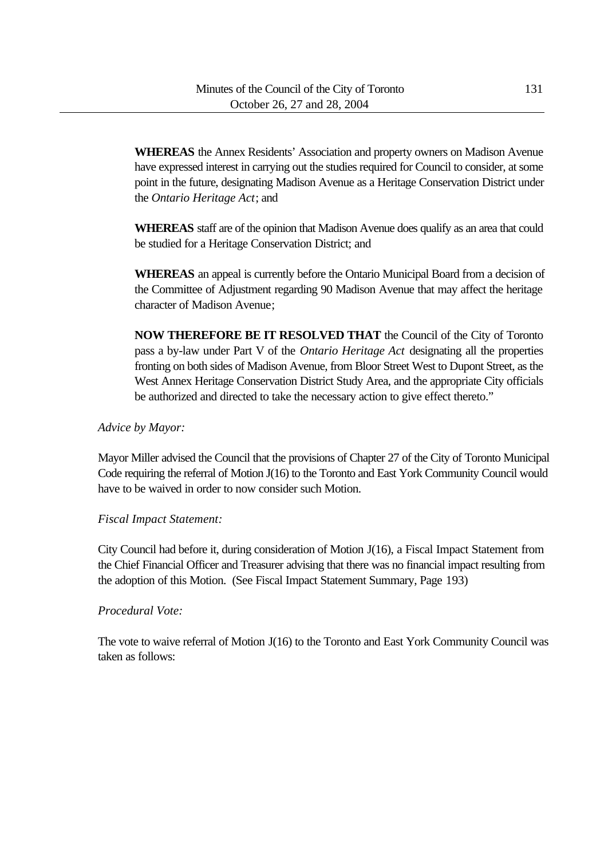**WHEREAS** the Annex Residents' Association and property owners on Madison Avenue have expressed interest in carrying out the studies required for Council to consider, at some point in the future, designating Madison Avenue as a Heritage Conservation District under the *Ontario Heritage Act*; and

**WHEREAS** staff are of the opinion that Madison Avenue does qualify as an area that could be studied for a Heritage Conservation District; and

**WHEREAS** an appeal is currently before the Ontario Municipal Board from a decision of the Committee of Adjustment regarding 90 Madison Avenue that may affect the heritage character of Madison Avenue;

**NOW THEREFORE BE IT RESOLVED THAT** the Council of the City of Toronto pass a by-law under Part V of the *Ontario Heritage Act* designating all the properties fronting on both sides of Madison Avenue, from Bloor Street West to Dupont Street, as the West Annex Heritage Conservation District Study Area, and the appropriate City officials be authorized and directed to take the necessary action to give effect thereto."

### *Advice by Mayor:*

Mayor Miller advised the Council that the provisions of Chapter 27 of the City of Toronto Municipal Code requiring the referral of Motion J(16) to the Toronto and East York Community Council would have to be waived in order to now consider such Motion.

### *Fiscal Impact Statement:*

City Council had before it, during consideration of Motion J(16), a Fiscal Impact Statement from the Chief Financial Officer and Treasurer advising that there was no financial impact resulting from the adoption of this Motion. (See Fiscal Impact Statement Summary, Page 193)

### *Procedural Vote:*

The vote to waive referral of Motion J(16) to the Toronto and East York Community Council was taken as follows: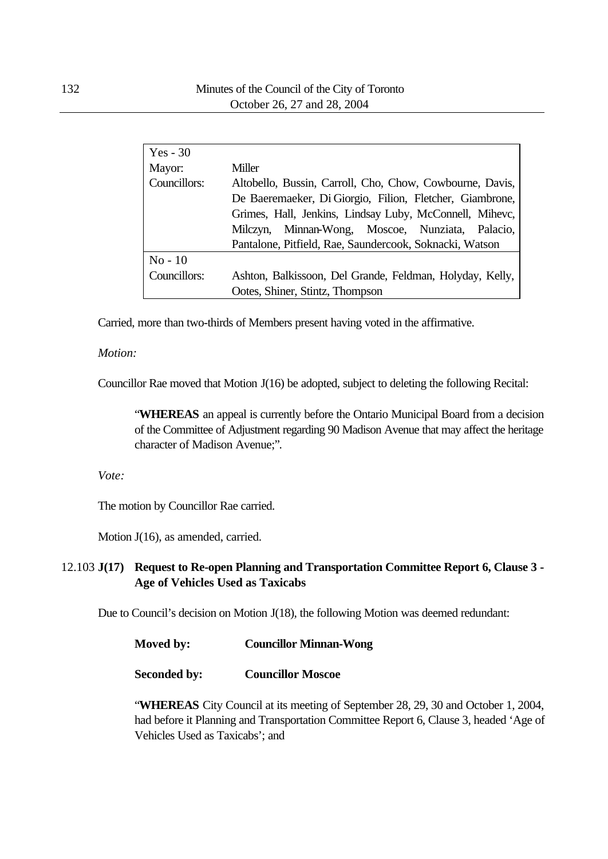| $Yes - 30$   |                                                          |  |  |
|--------------|----------------------------------------------------------|--|--|
| Mayor:       | Miller                                                   |  |  |
| Councillors: | Altobello, Bussin, Carroll, Cho, Chow, Cowbourne, Davis, |  |  |
|              | De Baeremaeker, Di Giorgio, Filion, Fletcher, Giambrone, |  |  |
|              | Grimes, Hall, Jenkins, Lindsay Luby, McConnell, Mihevc,  |  |  |
|              | Milczyn, Minnan-Wong, Moscoe, Nunziata, Palacio,         |  |  |
|              | Pantalone, Pitfield, Rae, Saundercook, Soknacki, Watson  |  |  |
| $No-10$      |                                                          |  |  |
| Councillors: | Ashton, Balkissoon, Del Grande, Feldman, Holyday, Kelly, |  |  |
|              | Ootes, Shiner, Stintz, Thompson                          |  |  |

Carried, more than two-thirds of Members present having voted in the affirmative.

#### *Motion:*

Councillor Rae moved that Motion J(16) be adopted, subject to deleting the following Recital:

"**WHEREAS** an appeal is currently before the Ontario Municipal Board from a decision of the Committee of Adjustment regarding 90 Madison Avenue that may affect the heritage character of Madison Avenue;".

*Vote:*

The motion by Councillor Rae carried.

Motion J(16), as amended, carried.

# 12.103 **J(17) Request to Re-open Planning and Transportation Committee Report 6, Clause 3 - Age of Vehicles Used as Taxicabs**

Due to Council's decision on Motion J(18), the following Motion was deemed redundant:

| Moved by: | <b>Councillor Minnan-Wong</b> |
|-----------|-------------------------------|
|-----------|-------------------------------|

### **Seconded by: Councillor Moscoe**

"**WHEREAS** City Council at its meeting of September 28, 29, 30 and October 1, 2004, had before it Planning and Transportation Committee Report 6, Clause 3, headed 'Age of Vehicles Used as Taxicabs'; and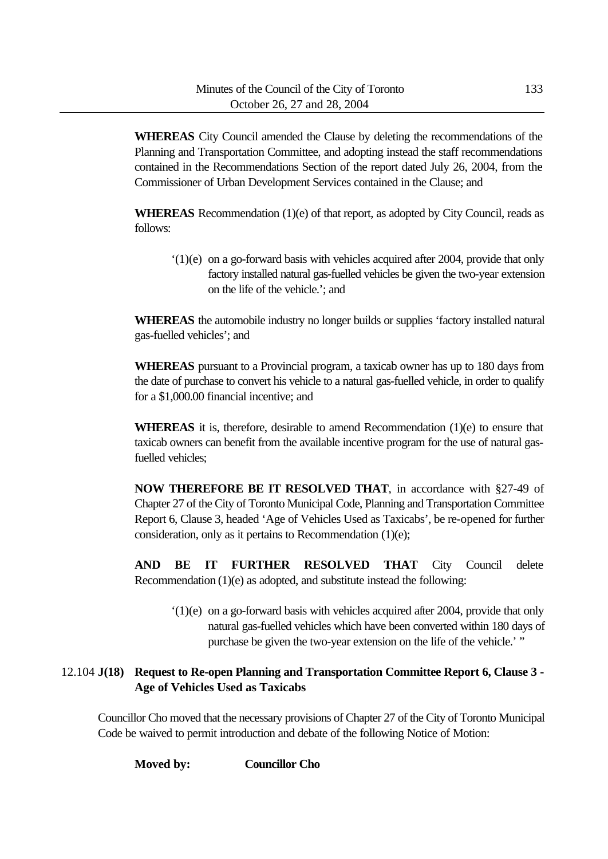**WHEREAS** City Council amended the Clause by deleting the recommendations of the Planning and Transportation Committee, and adopting instead the staff recommendations contained in the Recommendations Section of the report dated July 26, 2004, from the Commissioner of Urban Development Services contained in the Clause; and

**WHEREAS** Recommendation (1)(e) of that report, as adopted by City Council, reads as follows:

'(1)(e) on a go-forward basis with vehicles acquired after 2004, provide that only factory installed natural gas-fuelled vehicles be given the two-year extension on the life of the vehicle.'; and

**WHEREAS** the automobile industry no longer builds or supplies 'factory installed natural gas-fuelled vehicles'; and

**WHEREAS** pursuant to a Provincial program, a taxicab owner has up to 180 days from the date of purchase to convert his vehicle to a natural gas-fuelled vehicle, in order to qualify for a \$1,000.00 financial incentive; and

**WHEREAS** it is, therefore, desirable to amend Recommendation (1)(e) to ensure that taxicab owners can benefit from the available incentive program for the use of natural gasfuelled vehicles;

**NOW THEREFORE BE IT RESOLVED THAT**, in accordance with §27-49 of Chapter 27 of the City of Toronto Municipal Code, Planning and Transportation Committee Report 6, Clause 3, headed 'Age of Vehicles Used as Taxicabs', be re-opened for further consideration, only as it pertains to Recommendation (1)(e);

**AND BE IT FURTHER RESOLVED THAT** City Council delete Recommendation (1)(e) as adopted, and substitute instead the following:

'(1)(e) on a go-forward basis with vehicles acquired after 2004, provide that only natural gas-fuelled vehicles which have been converted within 180 days of purchase be given the two-year extension on the life of the vehicle.' "

# 12.104 **J(18) Request to Re-open Planning and Transportation Committee Report 6, Clause 3 - Age of Vehicles Used as Taxicabs**

Councillor Cho moved that the necessary provisions of Chapter 27 of the City of Toronto Municipal Code be waived to permit introduction and debate of the following Notice of Motion:

**Moved by: Councillor Cho**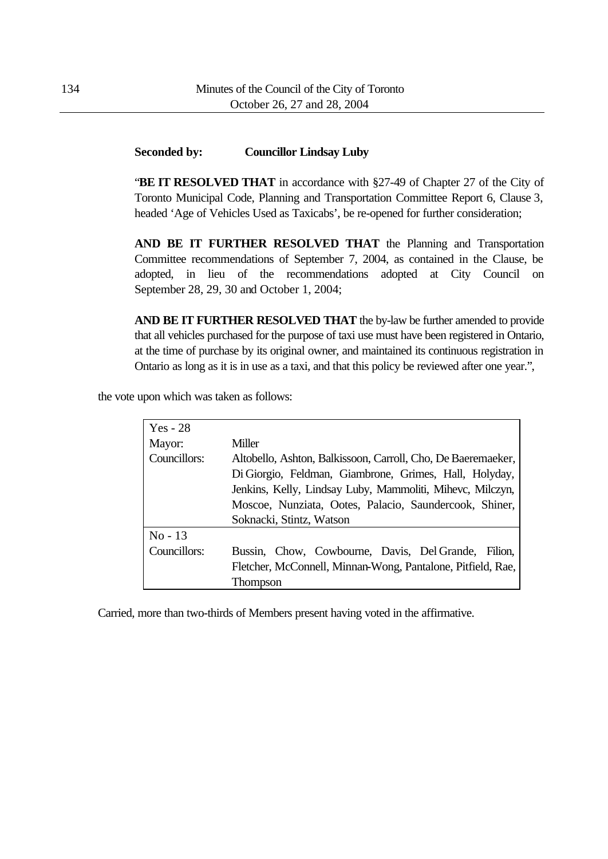### **Seconded by: Councillor Lindsay Luby**

**"BE IT RESOLVED THAT** in accordance with §27-49 of Chapter 27 of the City of Toronto Municipal Code, Planning and Transportation Committee Report 6, Clause 3, headed 'Age of Vehicles Used as Taxicabs', be re-opened for further consideration;

**AND BE IT FURTHER RESOLVED THAT** the Planning and Transportation Committee recommendations of September 7, 2004, as contained in the Clause, be adopted, in lieu of the recommendations adopted at City Council on September 28, 29, 30 and October 1, 2004;

**AND BE IT FURTHER RESOLVED THAT** the by-law be further amended to provide that all vehicles purchased for the purpose of taxi use must have been registered in Ontario, at the time of purchase by its original owner, and maintained its continuous registration in Ontario as long as it is in use as a taxi, and that this policy be reviewed after one year.",

the vote upon which was taken as follows:

| $Yes - 28$   |                                                                                                                                                                                                                                                                           |
|--------------|---------------------------------------------------------------------------------------------------------------------------------------------------------------------------------------------------------------------------------------------------------------------------|
| Mayor:       | Miller                                                                                                                                                                                                                                                                    |
| Councillors: | Altobello, Ashton, Balkissoon, Carroll, Cho, De Baeremaeker,<br>Di Giorgio, Feldman, Giambrone, Grimes, Hall, Holyday,<br>Jenkins, Kelly, Lindsay Luby, Mammoliti, Mihevc, Milczyn,<br>Moscoe, Nunziata, Ootes, Palacio, Saundercook, Shiner,<br>Soknacki, Stintz, Watson |
| $No-13$      |                                                                                                                                                                                                                                                                           |
| Councillors: | Bussin, Chow, Cowbourne, Davis, Del Grande, Filion,<br>Fletcher, McConnell, Minnan-Wong, Pantalone, Pitfield, Rae,                                                                                                                                                        |
|              | Thompson                                                                                                                                                                                                                                                                  |

Carried, more than two-thirds of Members present having voted in the affirmative.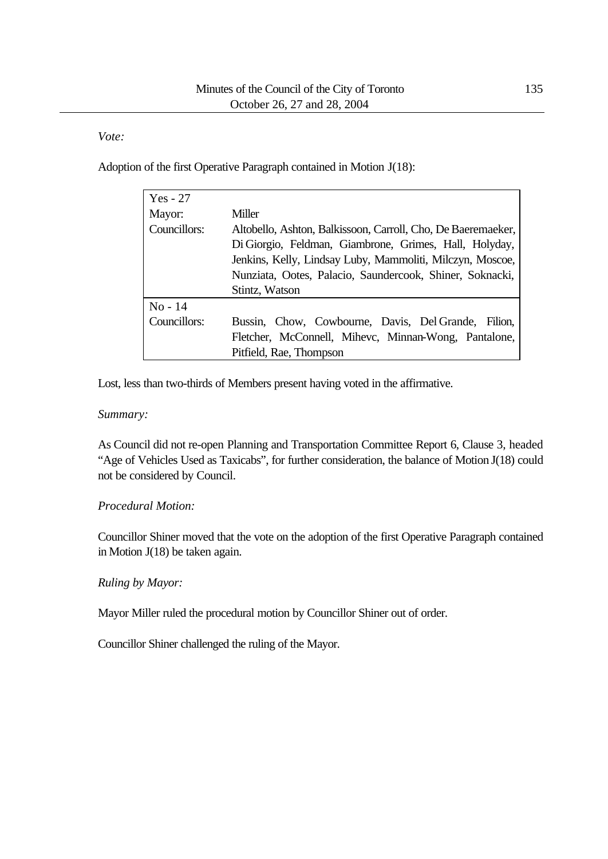*Vote:*

Adoption of the first Operative Paragraph contained in Motion J(18):

| $Yes - 27$   |                                                                                                                                                                                                                                                                   |
|--------------|-------------------------------------------------------------------------------------------------------------------------------------------------------------------------------------------------------------------------------------------------------------------|
| Mayor:       | Miller                                                                                                                                                                                                                                                            |
| Councillors: | Altobello, Ashton, Balkissoon, Carroll, Cho, De Baeremaeker,<br>Di Giorgio, Feldman, Giambrone, Grimes, Hall, Holyday,<br>Jenkins, Kelly, Lindsay Luby, Mammoliti, Milczyn, Moscoe,<br>Nunziata, Ootes, Palacio, Saundercook, Shiner, Soknacki,<br>Stintz, Watson |
| $No - 14$    |                                                                                                                                                                                                                                                                   |
| Councillors: | Bussin, Chow, Cowbourne, Davis, Del Grande, Filion,                                                                                                                                                                                                               |
|              | Fletcher, McConnell, Mihevc, Minnan-Wong, Pantalone,                                                                                                                                                                                                              |
|              | Pitfield, Rae, Thompson                                                                                                                                                                                                                                           |

Lost, less than two-thirds of Members present having voted in the affirmative.

### *Summary:*

As Council did not re-open Planning and Transportation Committee Report 6, Clause 3, headed "Age of Vehicles Used as Taxicabs", for further consideration, the balance of Motion J(18) could not be considered by Council.

## *Procedural Motion:*

Councillor Shiner moved that the vote on the adoption of the first Operative Paragraph contained in Motion J(18) be taken again.

## *Ruling by Mayor:*

Mayor Miller ruled the procedural motion by Councillor Shiner out of order.

Councillor Shiner challenged the ruling of the Mayor.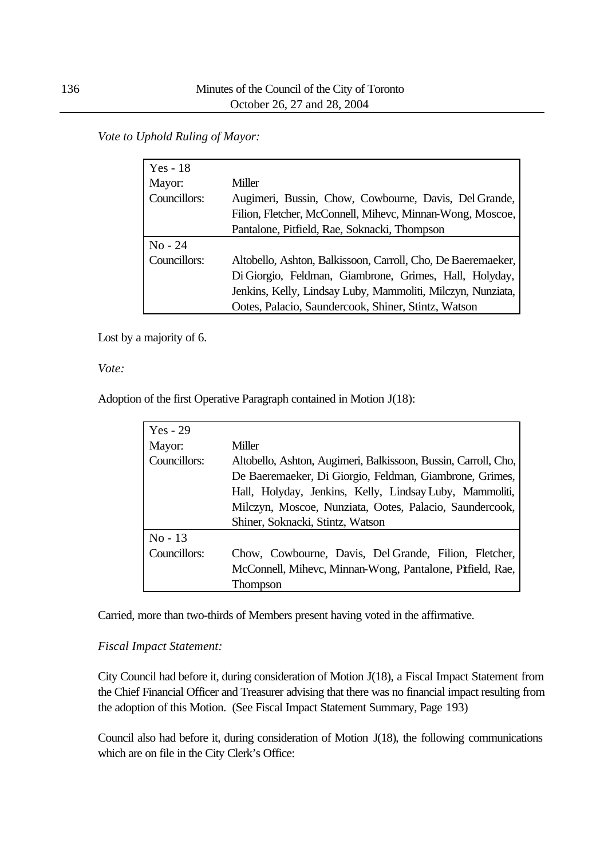*Vote to Uphold Ruling of Mayor:*

| $Yes - 18$   |                                                              |
|--------------|--------------------------------------------------------------|
| Mayor:       | Miller                                                       |
| Councillors: | Augimeri, Bussin, Chow, Cowbourne, Davis, Del Grande,        |
|              | Filion, Fletcher, McConnell, Mihevc, Minnan-Wong, Moscoe,    |
|              | Pantalone, Pitfield, Rae, Soknacki, Thompson                 |
| $No - 24$    |                                                              |
| Councillors: | Altobello, Ashton, Balkissoon, Carroll, Cho, De Baeremaeker, |
|              | Di Giorgio, Feldman, Giambrone, Grimes, Hall, Holyday,       |
|              | Jenkins, Kelly, Lindsay Luby, Mammoliti, Milczyn, Nunziata,  |
|              | Ootes, Palacio, Saundercook, Shiner, Stintz, Watson          |

Lost by a majority of 6.

*Vote:*

Adoption of the first Operative Paragraph contained in Motion J(18):

| $Yes - 29$   |                                                                |
|--------------|----------------------------------------------------------------|
| Mayor:       | Miller                                                         |
| Councillors: | Altobello, Ashton, Augimeri, Balkissoon, Bussin, Carroll, Cho, |
|              | De Baeremaeker, Di Giorgio, Feldman, Giambrone, Grimes,        |
|              | Hall, Holyday, Jenkins, Kelly, Lindsay Luby, Mammoliti,        |
|              | Milczyn, Moscoe, Nunziata, Ootes, Palacio, Saundercook,        |
|              | Shiner, Soknacki, Stintz, Watson                               |
| $No-13$      |                                                                |
| Councillors: | Chow, Cowbourne, Davis, Del Grande, Filion, Fletcher,          |
|              | McConnell, Mihevc, Minnan-Wong, Pantalone, Pitfield, Rae,      |
|              | Thompson                                                       |

Carried, more than two-thirds of Members present having voted in the affirmative.

## *Fiscal Impact Statement:*

City Council had before it, during consideration of Motion J(18), a Fiscal Impact Statement from the Chief Financial Officer and Treasurer advising that there was no financial impact resulting from the adoption of this Motion. (See Fiscal Impact Statement Summary, Page 193)

Council also had before it, during consideration of Motion J(18), the following communications which are on file in the City Clerk's Office: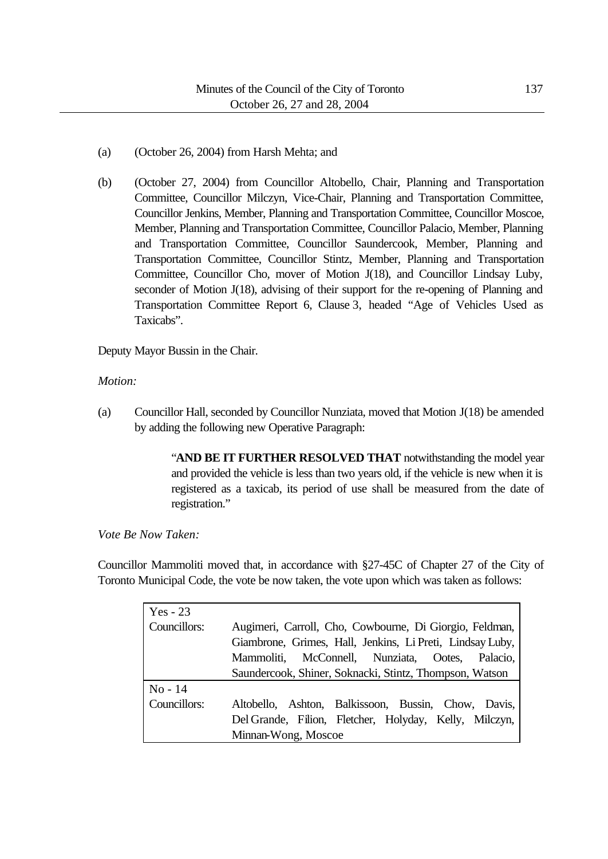- (a) (October 26, 2004) from Harsh Mehta; and
- (b) (October 27, 2004) from Councillor Altobello, Chair, Planning and Transportation Committee, Councillor Milczyn, Vice-Chair, Planning and Transportation Committee, Councillor Jenkins, Member, Planning and Transportation Committee, Councillor Moscoe, Member, Planning and Transportation Committee, Councillor Palacio, Member, Planning and Transportation Committee, Councillor Saundercook, Member, Planning and Transportation Committee, Councillor Stintz, Member, Planning and Transportation Committee, Councillor Cho, mover of Motion J(18), and Councillor Lindsay Luby, seconder of Motion J(18), advising of their support for the re-opening of Planning and Transportation Committee Report 6, Clause 3, headed "Age of Vehicles Used as Taxicabs".

Deputy Mayor Bussin in the Chair.

### *Motion:*

(a) Councillor Hall, seconded by Councillor Nunziata, moved that Motion J(18) be amended by adding the following new Operative Paragraph:

> "**AND BE IT FURTHER RESOLVED THAT** notwithstanding the model year and provided the vehicle is less than two years old, if the vehicle is new when it is registered as a taxicab, its period of use shall be measured from the date of registration."

*Vote Be Now Taken:*

Councillor Mammoliti moved that, in accordance with §27-45C of Chapter 27 of the City of Toronto Municipal Code, the vote be now taken, the vote upon which was taken as follows:

| Yes - 23     |                                                           |  |  |
|--------------|-----------------------------------------------------------|--|--|
| Councillors: | Augimeri, Carroll, Cho, Cowbourne, Di Giorgio, Feldman,   |  |  |
|              | Giambrone, Grimes, Hall, Jenkins, Li Preti, Lindsay Luby, |  |  |
|              | Mammoliti, McConnell, Nunziata, Ootes, Palacio,           |  |  |
|              | Saundercook, Shiner, Soknacki, Stintz, Thompson, Watson   |  |  |
| $No - 14$    |                                                           |  |  |
| Councillors: | Altobello, Ashton, Balkissoon, Bussin, Chow, Davis,       |  |  |
|              | Del Grande, Filion, Fletcher, Holyday, Kelly, Milczyn,    |  |  |
|              | Minnan-Wong, Moscoe                                       |  |  |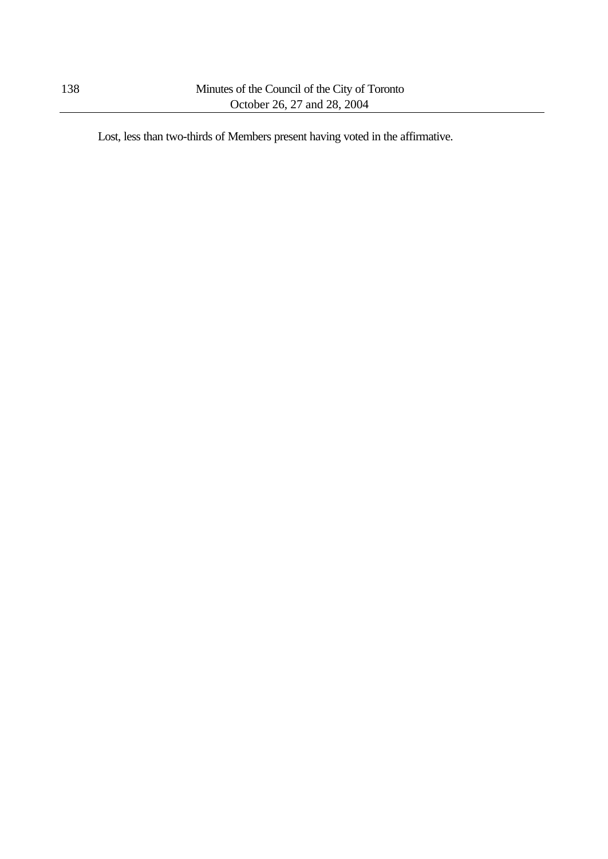Lost, less than two-thirds of Members present having voted in the affirmative.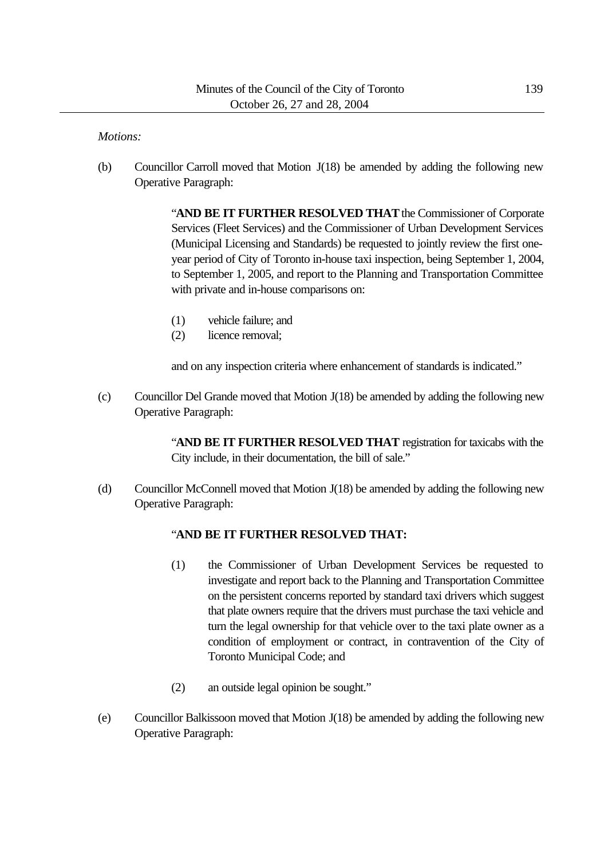#### *Motions:*

(b) Councillor Carroll moved that Motion J(18) be amended by adding the following new Operative Paragraph:

> "**AND BE IT FURTHER RESOLVED THAT** the Commissioner of Corporate Services (Fleet Services) and the Commissioner of Urban Development Services (Municipal Licensing and Standards) be requested to jointly review the first oneyear period of City of Toronto in-house taxi inspection, being September 1, 2004, to September 1, 2005, and report to the Planning and Transportation Committee with private and in-house comparisons on:

- (1) vehicle failure; and
- (2) licence removal;

and on any inspection criteria where enhancement of standards is indicated."

 $(c)$  Councillor Del Grande moved that Motion  $J(18)$  be amended by adding the following new Operative Paragraph:

> "**AND BE IT FURTHER RESOLVED THAT** registration for taxicabs with the City include, in their documentation, the bill of sale."

(d) Councillor McConnell moved that Motion J(18) be amended by adding the following new Operative Paragraph:

#### "**AND BE IT FURTHER RESOLVED THAT:**

- (1) the Commissioner of Urban Development Services be requested to investigate and report back to the Planning and Transportation Committee on the persistent concerns reported by standard taxi drivers which suggest that plate owners require that the drivers must purchase the taxi vehicle and turn the legal ownership for that vehicle over to the taxi plate owner as a condition of employment or contract, in contravention of the City of Toronto Municipal Code; and
- (2) an outside legal opinion be sought."
- (e) Councillor Balkissoon moved that Motion J(18) be amended by adding the following new Operative Paragraph: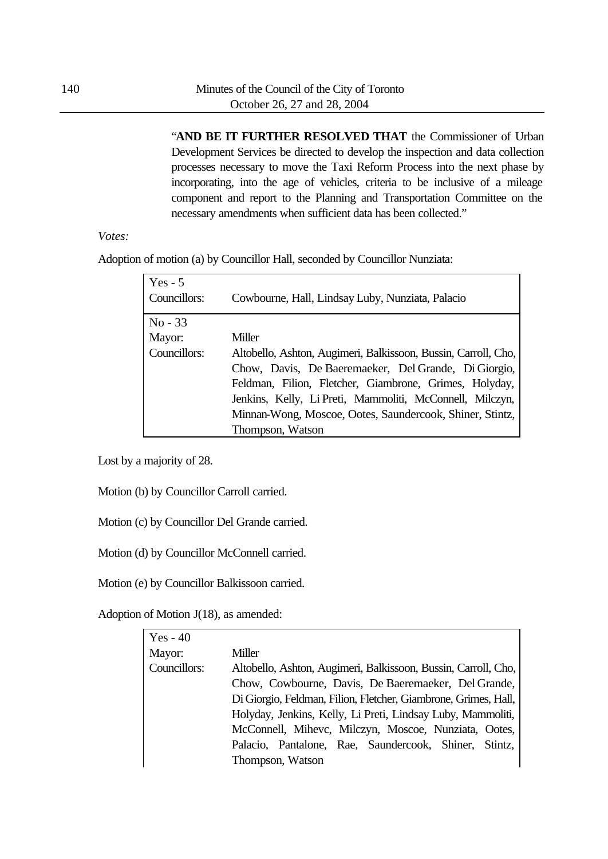"**AND BE IT FURTHER RESOLVED THAT** the Commissioner of Urban Development Services be directed to develop the inspection and data collection processes necessary to move the Taxi Reform Process into the next phase by incorporating, into the age of vehicles, criteria to be inclusive of a mileage component and report to the Planning and Transportation Committee on the necessary amendments when sufficient data has been collected."

### *Votes:*

Adoption of motion (a) by Councillor Hall, seconded by Councillor Nunziata:

| $Yes - 5$<br>Councillors: | Cowbourne, Hall, Lindsay Luby, Nunziata, Palacio               |
|---------------------------|----------------------------------------------------------------|
| $No - 33$                 |                                                                |
| Mayor:                    | Miller                                                         |
| Councillors:              | Altobello, Ashton, Augimeri, Balkissoon, Bussin, Carroll, Cho, |
|                           | Chow, Davis, De Baeremaeker, Del Grande, Di Giorgio,           |
|                           | Feldman, Filion, Fletcher, Giambrone, Grimes, Holyday,         |
|                           | Jenkins, Kelly, Li Preti, Mammoliti, McConnell, Milczyn,       |
|                           | Minnan-Wong, Moscoe, Ootes, Saundercook, Shiner, Stintz,       |
|                           | Thompson, Watson                                               |

Lost by a majority of 28.

Motion (b) by Councillor Carroll carried.

Motion (c) by Councillor Del Grande carried.

Motion (d) by Councillor McConnell carried.

Motion (e) by Councillor Balkissoon carried.

Adoption of Motion J(18), as amended:

| $Yes - 40$   |                                                                 |  |  |
|--------------|-----------------------------------------------------------------|--|--|
| Mayor:       | Miller                                                          |  |  |
| Councillors: | Altobello, Ashton, Augimeri, Balkissoon, Bussin, Carroll, Cho,  |  |  |
|              | Chow, Cowbourne, Davis, De Baeremaeker, Del Grande,             |  |  |
|              | Di Giorgio, Feldman, Filion, Fletcher, Giambrone, Grimes, Hall, |  |  |
|              | Holyday, Jenkins, Kelly, Li Preti, Lindsay Luby, Mammoliti,     |  |  |
|              | McConnell, Mihevc, Milczyn, Moscoe, Nunziata, Ootes,            |  |  |
|              | Palacio, Pantalone, Rae, Saundercook, Shiner, Stintz,           |  |  |
|              | Thompson, Watson                                                |  |  |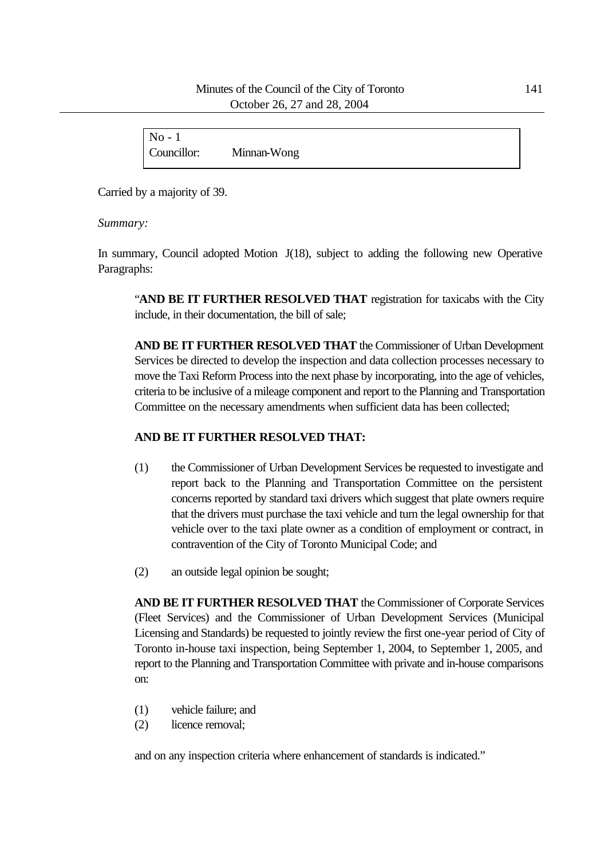### Minutes of the Council of the City of Toronto 141 October 26, 27 and 28, 2004

| $\sqrt{N_0}$ - |             |  |
|----------------|-------------|--|
| Councillor:    | Minnan-Wong |  |

Carried by a majority of 39.

*Summary:*

In summary, Council adopted Motion J(18), subject to adding the following new Operative Paragraphs:

"**AND BE IT FURTHER RESOLVED THAT** registration for taxicabs with the City include, in their documentation, the bill of sale;

**AND BE IT FURTHER RESOLVED THAT** the Commissioner of Urban Development Services be directed to develop the inspection and data collection processes necessary to move the Taxi Reform Process into the next phase by incorporating, into the age of vehicles, criteria to be inclusive of a mileage component and report to the Planning and Transportation Committee on the necessary amendments when sufficient data has been collected;

## **AND BE IT FURTHER RESOLVED THAT:**

- (1) the Commissioner of Urban Development Services be requested to investigate and report back to the Planning and Transportation Committee on the persistent concerns reported by standard taxi drivers which suggest that plate owners require that the drivers must purchase the taxi vehicle and turn the legal ownership for that vehicle over to the taxi plate owner as a condition of employment or contract, in contravention of the City of Toronto Municipal Code; and
- (2) an outside legal opinion be sought;

**AND BE IT FURTHER RESOLVED THAT** the Commissioner of Corporate Services (Fleet Services) and the Commissioner of Urban Development Services (Municipal Licensing and Standards) be requested to jointly review the first one-year period of City of Toronto in-house taxi inspection, being September 1, 2004, to September 1, 2005, and report to the Planning and Transportation Committee with private and in-house comparisons on:

- (1) vehicle failure; and
- (2) licence removal;

and on any inspection criteria where enhancement of standards is indicated."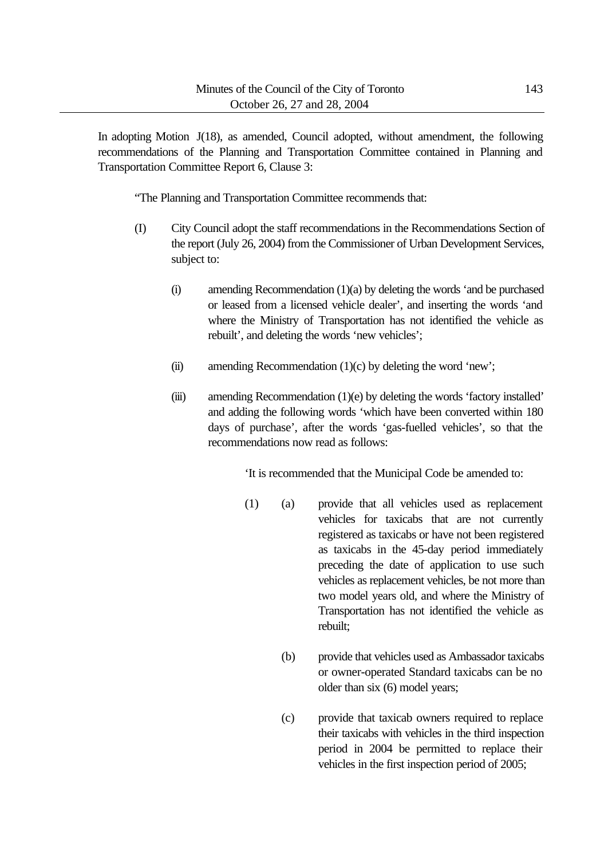In adopting Motion J(18), as amended, Council adopted, without amendment, the following recommendations of the Planning and Transportation Committee contained in Planning and Transportation Committee Report 6, Clause 3:

"The Planning and Transportation Committee recommends that:

- (I) City Council adopt the staff recommendations in the Recommendations Section of the report (July 26, 2004) from the Commissioner of Urban Development Services, subject to:
	- (i) amending Recommendation (1)(a) by deleting the words 'and be purchased or leased from a licensed vehicle dealer', and inserting the words 'and where the Ministry of Transportation has not identified the vehicle as rebuilt', and deleting the words 'new vehicles';
	- (ii) amending Recommendation  $(1)(c)$  by deleting the word 'new';
	- (iii) amending Recommendation (1)(e) by deleting the words 'factory installed' and adding the following words 'which have been converted within 180 days of purchase', after the words 'gas-fuelled vehicles', so that the recommendations now read as follows:

'It is recommended that the Municipal Code be amended to:

- (1) (a) provide that all vehicles used as replacement vehicles for taxicabs that are not currently registered as taxicabs or have not been registered as taxicabs in the 45-day period immediately preceding the date of application to use such vehicles as replacement vehicles, be not more than two model years old, and where the Ministry of Transportation has not identified the vehicle as rebuilt;
	- (b) provide that vehicles used as Ambassador taxicabs or owner-operated Standard taxicabs can be no older than six (6) model years;
	- (c) provide that taxicab owners required to replace their taxicabs with vehicles in the third inspection period in 2004 be permitted to replace their vehicles in the first inspection period of 2005;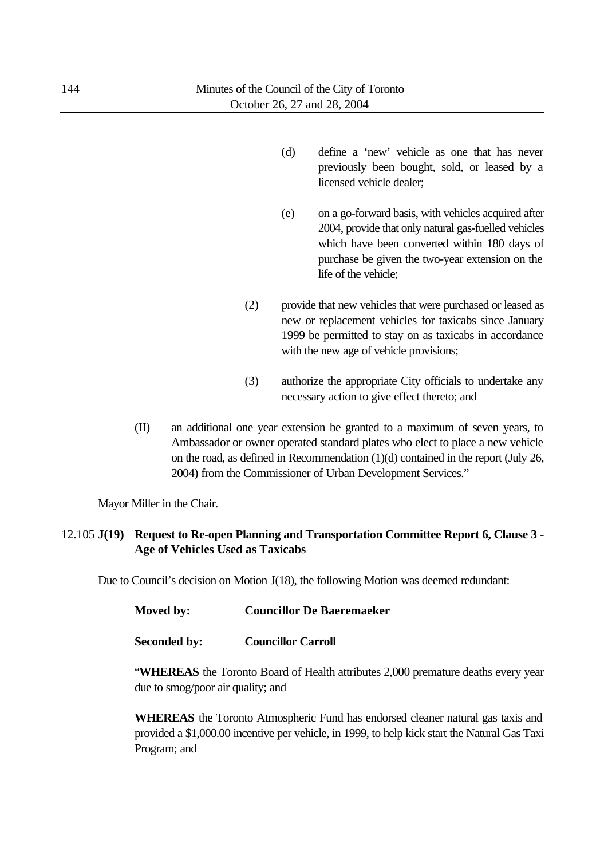- (d) define a 'new' vehicle as one that has never previously been bought, sold, or leased by a licensed vehicle dealer;
- (e) on a go-forward basis, with vehicles acquired after 2004, provide that only natural gas-fuelled vehicles which have been converted within 180 days of purchase be given the two-year extension on the life of the vehicle;
- (2) provide that new vehicles that were purchased or leased as new or replacement vehicles for taxicabs since January 1999 be permitted to stay on as taxicabs in accordance with the new age of vehicle provisions;
- (3) authorize the appropriate City officials to undertake any necessary action to give effect thereto; and
- (II) an additional one year extension be granted to a maximum of seven years, to Ambassador or owner operated standard plates who elect to place a new vehicle on the road, as defined in Recommendation (1)(d) contained in the report (July 26, 2004) from the Commissioner of Urban Development Services."

Mayor Miller in the Chair.

## 12.105 **J(19) Request to Re-open Planning and Transportation Committee Report 6, Clause 3 - Age of Vehicles Used as Taxicabs**

Due to Council's decision on Motion J(18), the following Motion was deemed redundant:

| Moved by:           | <b>Councillor De Baeremaeker</b> |
|---------------------|----------------------------------|
| <b>Seconded by:</b> | <b>Councillor Carroll</b>        |

"**WHEREAS** the Toronto Board of Health attributes 2,000 premature deaths every year due to smog/poor air quality; and

**WHEREAS** the Toronto Atmospheric Fund has endorsed cleaner natural gas taxis and provided a \$1,000.00 incentive per vehicle, in 1999, to help kick start the Natural Gas Taxi Program; and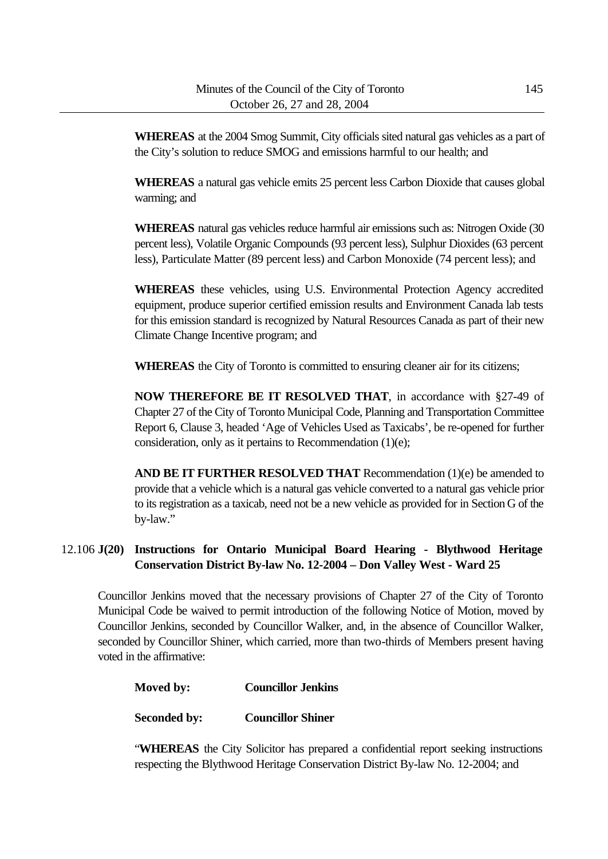**WHEREAS** at the 2004 Smog Summit, City officials sited natural gas vehicles as a part of the City's solution to reduce SMOG and emissions harmful to our health; and

**WHEREAS** a natural gas vehicle emits 25 percent less Carbon Dioxide that causes global warming; and

**WHEREAS** natural gas vehicles reduce harmful air emissions such as: Nitrogen Oxide (30 percent less), Volatile Organic Compounds (93 percent less), Sulphur Dioxides (63 percent less), Particulate Matter (89 percent less) and Carbon Monoxide (74 percent less); and

**WHEREAS** these vehicles, using U.S. Environmental Protection Agency accredited equipment, produce superior certified emission results and Environment Canada lab tests for this emission standard is recognized by Natural Resources Canada as part of their new Climate Change Incentive program; and

**WHEREAS** the City of Toronto is committed to ensuring cleaner air for its citizens;

**NOW THEREFORE BE IT RESOLVED THAT**, in accordance with §27-49 of Chapter 27 of the City of Toronto Municipal Code, Planning and Transportation Committee Report 6, Clause 3, headed 'Age of Vehicles Used as Taxicabs', be re-opened for further consideration, only as it pertains to Recommendation (1)(e);

**AND BE IT FURTHER RESOLVED THAT** Recommendation (1)(e) be amended to provide that a vehicle which is a natural gas vehicle converted to a natural gas vehicle prior to its registration as a taxicab, need not be a new vehicle as provided for in Section G of the by-law."

# 12.106 **J(20) Instructions for Ontario Municipal Board Hearing - Blythwood Heritage Conservation District By-law No. 12-2004 – Don Valley West - Ward 25**

Councillor Jenkins moved that the necessary provisions of Chapter 27 of the City of Toronto Municipal Code be waived to permit introduction of the following Notice of Motion, moved by Councillor Jenkins, seconded by Councillor Walker, and, in the absence of Councillor Walker, seconded by Councillor Shiner, which carried, more than two-thirds of Members present having voted in the affirmative:

**Seconded by: Councillor Shiner**

"**WHEREAS** the City Solicitor has prepared a confidential report seeking instructions respecting the Blythwood Heritage Conservation District By-law No. 12-2004; and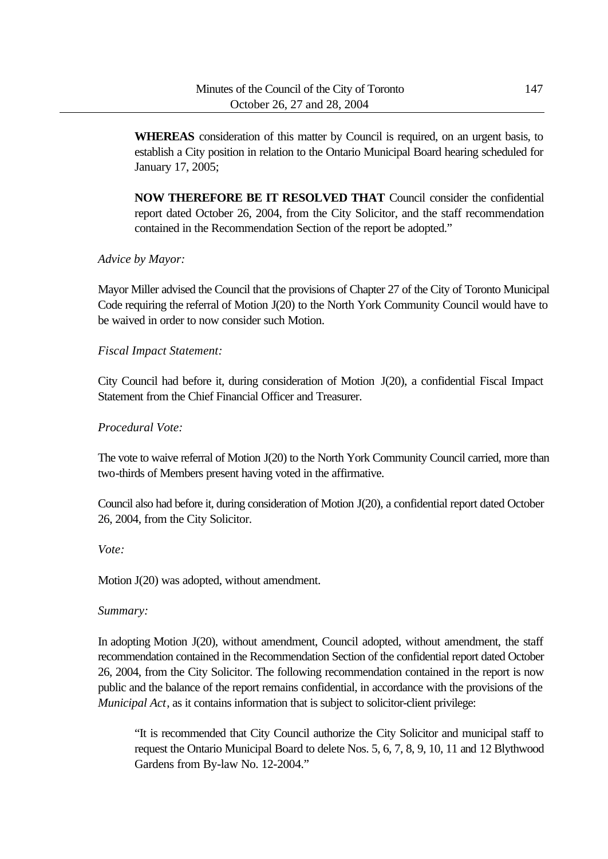**WHEREAS** consideration of this matter by Council is required, on an urgent basis, to establish a City position in relation to the Ontario Municipal Board hearing scheduled for January 17, 2005;

**NOW THEREFORE BE IT RESOLVED THAT** Council consider the confidential report dated October 26, 2004, from the City Solicitor, and the staff recommendation contained in the Recommendation Section of the report be adopted."

# *Advice by Mayor:*

Mayor Miller advised the Council that the provisions of Chapter 27 of the City of Toronto Municipal Code requiring the referral of Motion J(20) to the North York Community Council would have to be waived in order to now consider such Motion.

# *Fiscal Impact Statement:*

City Council had before it, during consideration of Motion J(20), a confidential Fiscal Impact Statement from the Chief Financial Officer and Treasurer.

## *Procedural Vote:*

The vote to waive referral of Motion J(20) to the North York Community Council carried, more than two-thirds of Members present having voted in the affirmative.

Council also had before it, during consideration of Motion J(20), a confidential report dated October 26, 2004, from the City Solicitor.

#### *Vote:*

Motion J(20) was adopted, without amendment.

# *Summary:*

In adopting Motion J(20), without amendment, Council adopted, without amendment, the staff recommendation contained in the Recommendation Section of the confidential report dated October 26, 2004, from the City Solicitor. The following recommendation contained in the report is now public and the balance of the report remains confidential, in accordance with the provisions of the *Municipal Act*, as it contains information that is subject to solicitor-client privilege:

"It is recommended that City Council authorize the City Solicitor and municipal staff to request the Ontario Municipal Board to delete Nos. 5, 6, 7, 8, 9, 10, 11 and 12 Blythwood Gardens from By-law No. 12-2004."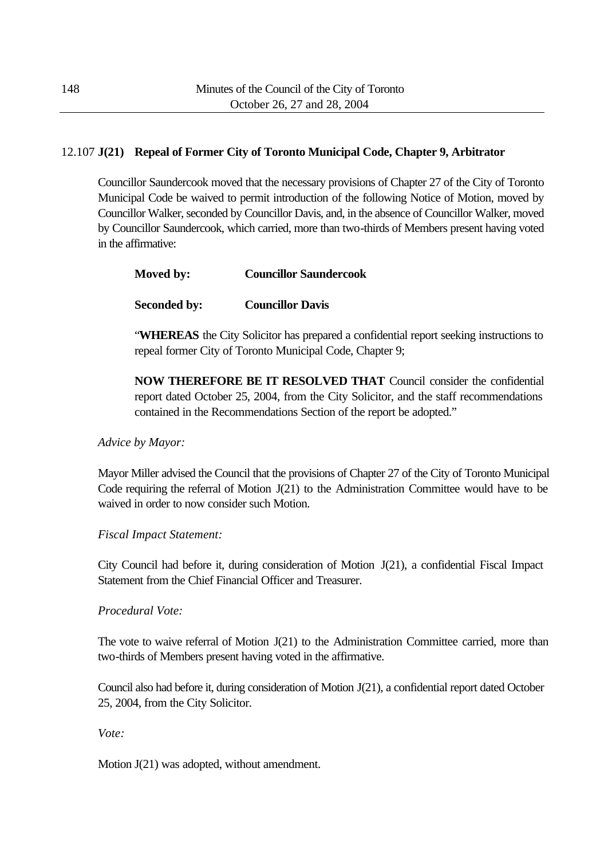# 12.107 **J(21) Repeal of Former City of Toronto Municipal Code, Chapter 9, Arbitrator**

Councillor Saundercook moved that the necessary provisions of Chapter 27 of the City of Toronto Municipal Code be waived to permit introduction of the following Notice of Motion, moved by Councillor Walker, seconded by Councillor Davis, and, in the absence of Councillor Walker, moved by Councillor Saundercook, which carried, more than two-thirds of Members present having voted in the affirmative:

| Moved by: | <b>Councillor Saundercook</b> |
|-----------|-------------------------------|
|           |                               |

**Seconded by: Councillor Davis**

"**WHEREAS** the City Solicitor has prepared a confidential report seeking instructions to repeal former City of Toronto Municipal Code, Chapter 9;

**NOW THEREFORE BE IT RESOLVED THAT** Council consider the confidential report dated October 25, 2004, from the City Solicitor, and the staff recommendations contained in the Recommendations Section of the report be adopted."

*Advice by Mayor:*

Mayor Miller advised the Council that the provisions of Chapter 27 of the City of Toronto Municipal Code requiring the referral of Motion J(21) to the Administration Committee would have to be waived in order to now consider such Motion.

*Fiscal Impact Statement:*

City Council had before it, during consideration of Motion J(21), a confidential Fiscal Impact Statement from the Chief Financial Officer and Treasurer.

*Procedural Vote:*

The vote to waive referral of Motion  $J(21)$  to the Administration Committee carried, more than two-thirds of Members present having voted in the affirmative.

Council also had before it, during consideration of Motion J(21), a confidential report dated October 25, 2004, from the City Solicitor.

*Vote:*

Motion J(21) was adopted, without amendment.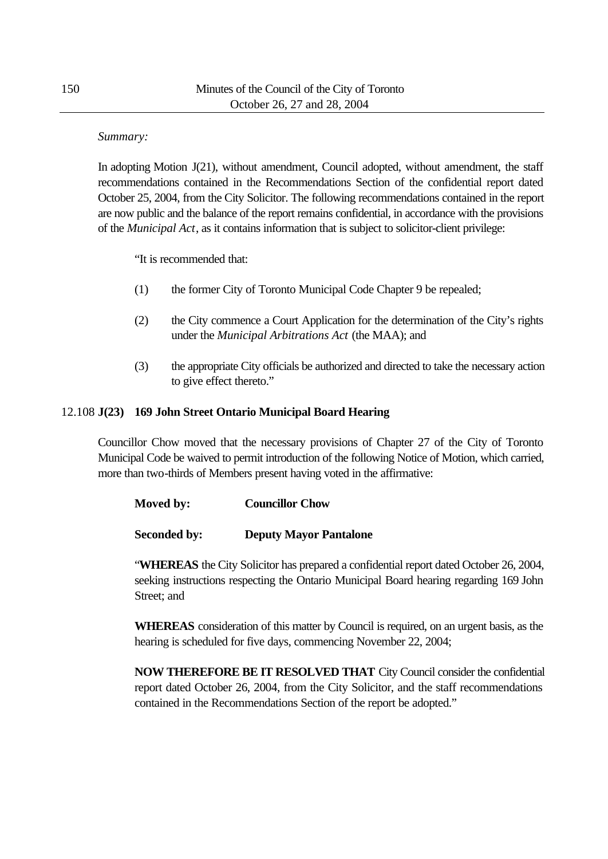## *Summary:*

In adopting Motion J(21), without amendment, Council adopted, without amendment, the staff recommendations contained in the Recommendations Section of the confidential report dated October 25, 2004, from the City Solicitor. The following recommendations contained in the report are now public and the balance of the report remains confidential, in accordance with the provisions of the *Municipal Act*, as it contains information that is subject to solicitor-client privilege:

"It is recommended that:

- (1) the former City of Toronto Municipal Code Chapter 9 be repealed;
- (2) the City commence a Court Application for the determination of the City's rights under the *Municipal Arbitrations Act* (the MAA); and
- (3) the appropriate City officials be authorized and directed to take the necessary action to give effect thereto."

# 12.108 **J(23) 169 John Street Ontario Municipal Board Hearing**

Councillor Chow moved that the necessary provisions of Chapter 27 of the City of Toronto Municipal Code be waived to permit introduction of the following Notice of Motion, which carried, more than two-thirds of Members present having voted in the affirmative:

| Moved by:           | <b>Councillor Chow</b>        |
|---------------------|-------------------------------|
| <b>Seconded by:</b> | <b>Deputy Mayor Pantalone</b> |

"**WHEREAS** the City Solicitor has prepared a confidential report dated October 26, 2004, seeking instructions respecting the Ontario Municipal Board hearing regarding 169 John Street; and

**WHEREAS** consideration of this matter by Council is required, on an urgent basis, as the hearing is scheduled for five days, commencing November 22, 2004;

**NOW THEREFORE BE IT RESOLVED THAT** City Council consider the confidential report dated October 26, 2004, from the City Solicitor, and the staff recommendations contained in the Recommendations Section of the report be adopted."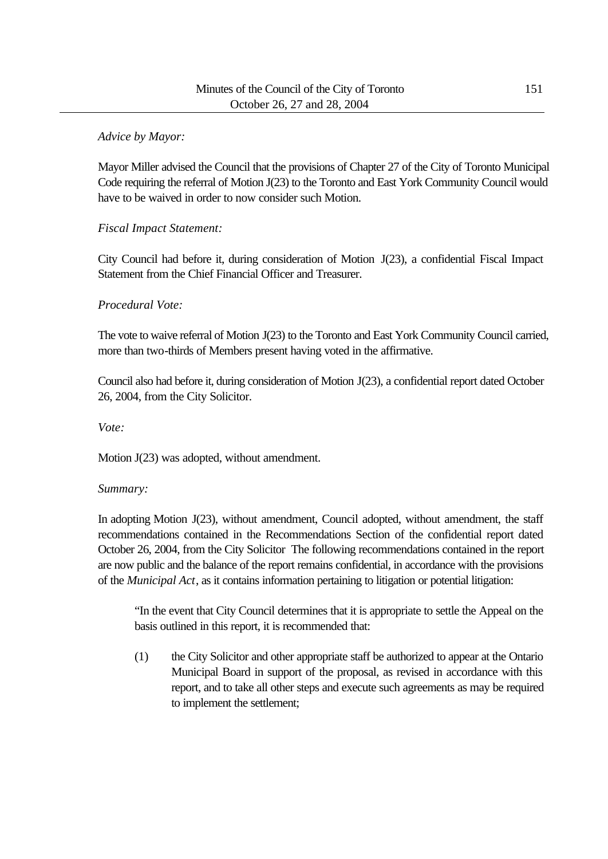# *Advice by Mayor:*

Mayor Miller advised the Council that the provisions of Chapter 27 of the City of Toronto Municipal Code requiring the referral of Motion J(23) to the Toronto and East York Community Council would have to be waived in order to now consider such Motion.

# *Fiscal Impact Statement:*

City Council had before it, during consideration of Motion J(23), a confidential Fiscal Impact Statement from the Chief Financial Officer and Treasurer.

# *Procedural Vote:*

The vote to waive referral of Motion J(23) to the Toronto and East York Community Council carried, more than two-thirds of Members present having voted in the affirmative.

Council also had before it, during consideration of Motion J(23), a confidential report dated October 26, 2004, from the City Solicitor.

*Vote:*

Motion J(23) was adopted, without amendment.

# *Summary:*

In adopting Motion J(23), without amendment, Council adopted, without amendment, the staff recommendations contained in the Recommendations Section of the confidential report dated October 26, 2004, from the City Solicitor The following recommendations contained in the report are now public and the balance of the report remains confidential, in accordance with the provisions of the *Municipal Act*, as it contains information pertaining to litigation or potential litigation:

"In the event that City Council determines that it is appropriate to settle the Appeal on the basis outlined in this report, it is recommended that:

(1) the City Solicitor and other appropriate staff be authorized to appear at the Ontario Municipal Board in support of the proposal, as revised in accordance with this report, and to take all other steps and execute such agreements as may be required to implement the settlement;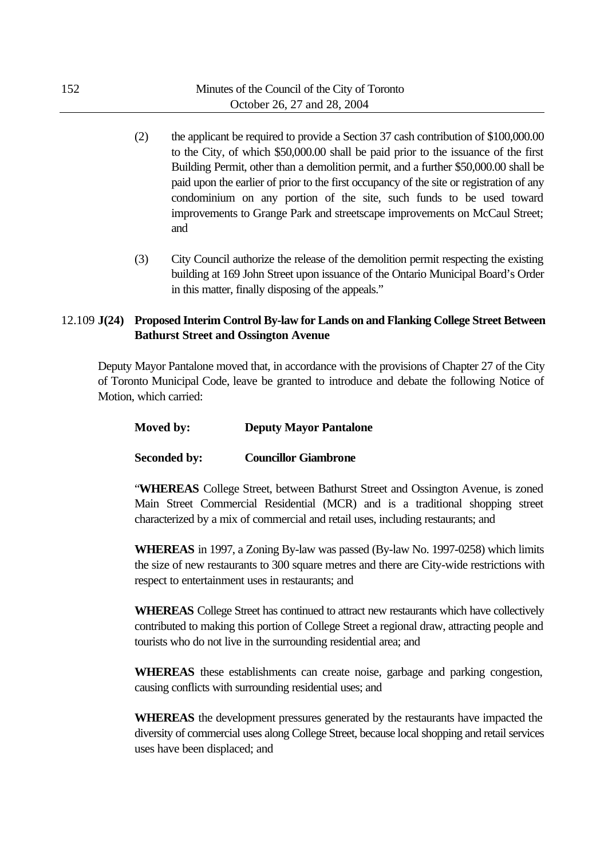- (2) the applicant be required to provide a Section 37 cash contribution of \$100,000.00 to the City, of which \$50,000.00 shall be paid prior to the issuance of the first Building Permit, other than a demolition permit, and a further \$50,000.00 shall be paid upon the earlier of prior to the first occupancy of the site or registration of any condominium on any portion of the site, such funds to be used toward improvements to Grange Park and streetscape improvements on McCaul Street; and
- (3) City Council authorize the release of the demolition permit respecting the existing building at 169 John Street upon issuance of the Ontario Municipal Board's Order in this matter, finally disposing of the appeals."

# 12.109 **J(24) Proposed Interim Control By-law for Lands on and Flanking College Street Between Bathurst Street and Ossington Avenue**

Deputy Mayor Pantalone moved that, in accordance with the provisions of Chapter 27 of the City of Toronto Municipal Code, leave be granted to introduce and debate the following Notice of Motion, which carried:

# **Moved by: Deputy Mayor Pantalone**

#### **Seconded by: Councillor Giambrone**

"**WHEREAS** College Street, between Bathurst Street and Ossington Avenue, is zoned Main Street Commercial Residential (MCR) and is a traditional shopping street characterized by a mix of commercial and retail uses, including restaurants; and

**WHEREAS** in 1997, a Zoning By-law was passed (By-law No. 1997-0258) which limits the size of new restaurants to 300 square metres and there are City-wide restrictions with respect to entertainment uses in restaurants; and

**WHEREAS** College Street has continued to attract new restaurants which have collectively contributed to making this portion of College Street a regional draw, attracting people and tourists who do not live in the surrounding residential area; and

**WHEREAS** these establishments can create noise, garbage and parking congestion, causing conflicts with surrounding residential uses; and

**WHEREAS** the development pressures generated by the restaurants have impacted the diversity of commercial uses along College Street, because local shopping and retail services uses have been displaced; and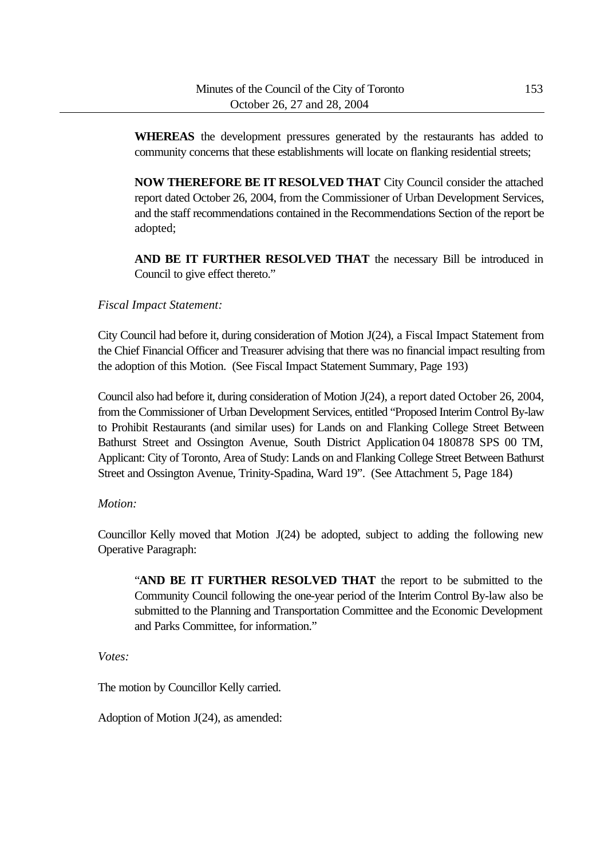**WHEREAS** the development pressures generated by the restaurants has added to community concerns that these establishments will locate on flanking residential streets;

**NOW THEREFORE BE IT RESOLVED THAT** City Council consider the attached report dated October 26, 2004, from the Commissioner of Urban Development Services, and the staff recommendations contained in the Recommendations Section of the report be adopted;

**AND BE IT FURTHER RESOLVED THAT** the necessary Bill be introduced in Council to give effect thereto."

# *Fiscal Impact Statement:*

City Council had before it, during consideration of Motion J(24), a Fiscal Impact Statement from the Chief Financial Officer and Treasurer advising that there was no financial impact resulting from the adoption of this Motion. (See Fiscal Impact Statement Summary, Page 193)

Council also had before it, during consideration of Motion J(24), a report dated October 26, 2004, from the Commissioner of Urban Development Services, entitled "Proposed Interim Control By-law to Prohibit Restaurants (and similar uses) for Lands on and Flanking College Street Between Bathurst Street and Ossington Avenue, South District Application 04 180878 SPS 00 TM, Applicant: City of Toronto, Area of Study: Lands on and Flanking College Street Between Bathurst Street and Ossington Avenue, Trinity-Spadina, Ward 19". (See Attachment 5, Page 184)

#### *Motion:*

Councillor Kelly moved that Motion J(24) be adopted, subject to adding the following new Operative Paragraph:

"**AND BE IT FURTHER RESOLVED THAT** the report to be submitted to the Community Council following the one-year period of the Interim Control By-law also be submitted to the Planning and Transportation Committee and the Economic Development and Parks Committee, for information."

*Votes:*

The motion by Councillor Kelly carried.

Adoption of Motion J(24), as amended: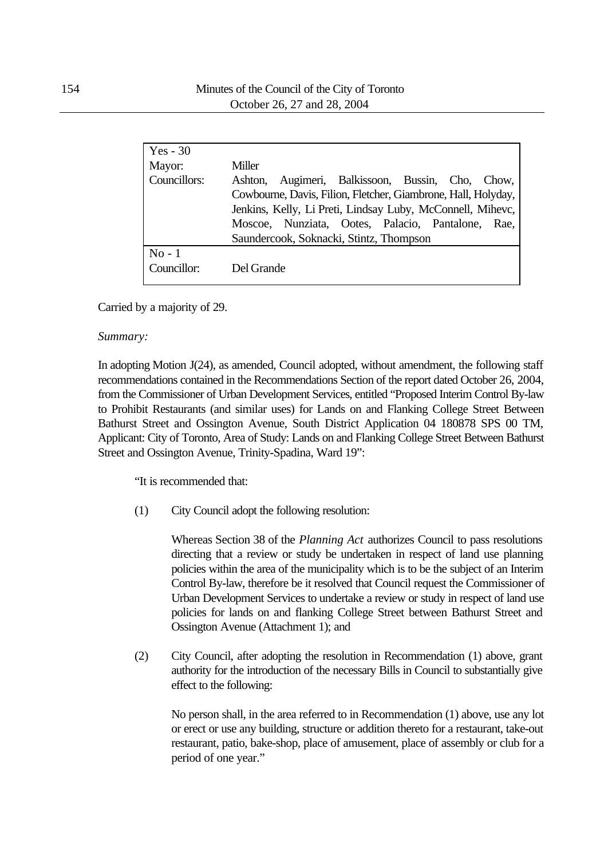| $Yes - 30$<br>Mayor:<br>Councillors: | Miller<br>Augimeri, Balkissoon, Bussin, Cho, Chow,<br>Ashton.<br>Cowbourne, Davis, Filion, Fletcher, Giambrone, Hall, Holyday,                             |
|--------------------------------------|------------------------------------------------------------------------------------------------------------------------------------------------------------|
|                                      | Jenkins, Kelly, Li Preti, Lindsay Luby, McConnell, Mihevc,<br>Moscoe, Nunziata, Ootes, Palacio, Pantalone, Rae,<br>Saundercook, Soknacki, Stintz, Thompson |
| $No-1$<br>Councillor:                | Del Grande                                                                                                                                                 |

Carried by a majority of 29.

#### *Summary:*

In adopting Motion J(24), as amended, Council adopted, without amendment, the following staff recommendations contained in the Recommendations Section of the report dated October 26, 2004, from the Commissioner of Urban Development Services, entitled "Proposed Interim Control By-law to Prohibit Restaurants (and similar uses) for Lands on and Flanking College Street Between Bathurst Street and Ossington Avenue, South District Application 04 180878 SPS 00 TM, Applicant: City of Toronto, Area of Study: Lands on and Flanking College Street Between Bathurst Street and Ossington Avenue, Trinity-Spadina, Ward 19":

"It is recommended that:

(1) City Council adopt the following resolution:

Whereas Section 38 of the *Planning Act* authorizes Council to pass resolutions directing that a review or study be undertaken in respect of land use planning policies within the area of the municipality which is to be the subject of an Interim Control By-law, therefore be it resolved that Council request the Commissioner of Urban Development Services to undertake a review or study in respect of land use policies for lands on and flanking College Street between Bathurst Street and Ossington Avenue (Attachment 1); and

(2) City Council, after adopting the resolution in Recommendation (1) above, grant authority for the introduction of the necessary Bills in Council to substantially give effect to the following:

No person shall, in the area referred to in Recommendation (1) above, use any lot or erect or use any building, structure or addition thereto for a restaurant, take-out restaurant, patio, bake-shop, place of amusement, place of assembly or club for a period of one year."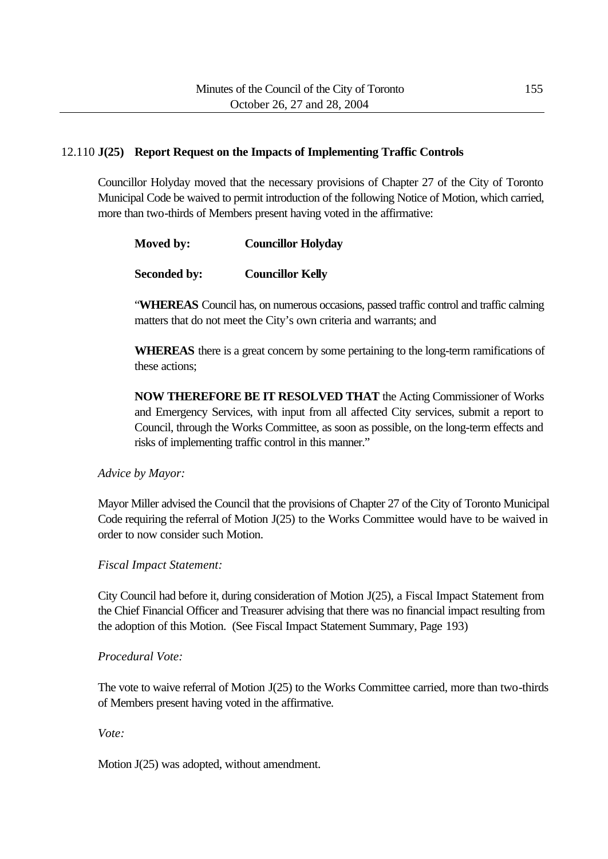# 12.110 **J(25) Report Request on the Impacts of Implementing Traffic Controls**

Councillor Holyday moved that the necessary provisions of Chapter 27 of the City of Toronto Municipal Code be waived to permit introduction of the following Notice of Motion, which carried, more than two-thirds of Members present having voted in the affirmative:

| Moved by: | <b>Councillor Holyday</b> |
|-----------|---------------------------|
|-----------|---------------------------|

# **Seconded by: Councillor Kelly**

"**WHEREAS** Council has, on numerous occasions, passed traffic control and traffic calming matters that do not meet the City's own criteria and warrants; and

**WHEREAS** there is a great concern by some pertaining to the long-term ramifications of these actions;

**NOW THEREFORE BE IT RESOLVED THAT** the Acting Commissioner of Works and Emergency Services, with input from all affected City services, submit a report to Council, through the Works Committee, as soon as possible, on the long-term effects and risks of implementing traffic control in this manner."

#### *Advice by Mayor:*

Mayor Miller advised the Council that the provisions of Chapter 27 of the City of Toronto Municipal Code requiring the referral of Motion J(25) to the Works Committee would have to be waived in order to now consider such Motion.

# *Fiscal Impact Statement:*

City Council had before it, during consideration of Motion J(25), a Fiscal Impact Statement from the Chief Financial Officer and Treasurer advising that there was no financial impact resulting from the adoption of this Motion. (See Fiscal Impact Statement Summary, Page 193)

# *Procedural Vote:*

The vote to waive referral of Motion J(25) to the Works Committee carried, more than two-thirds of Members present having voted in the affirmative.

*Vote:*

Motion J(25) was adopted, without amendment.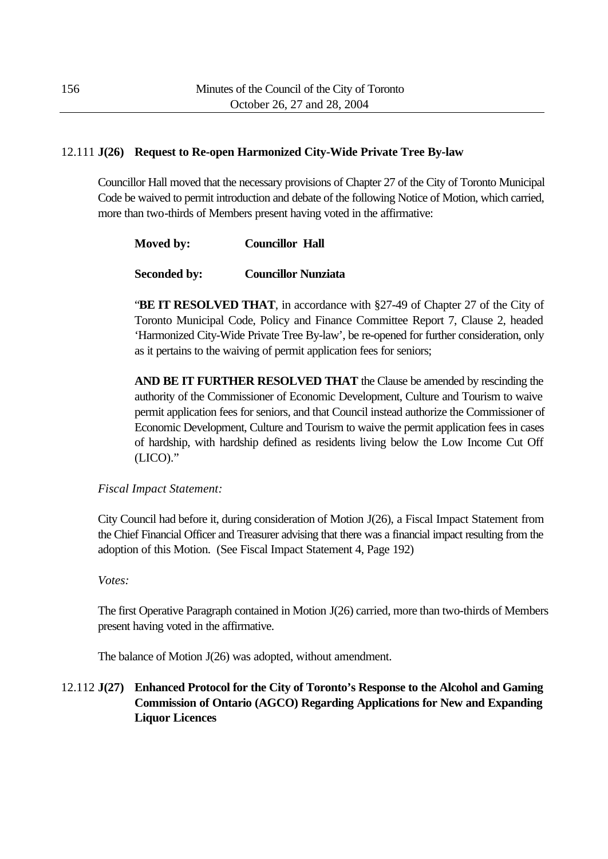# 12.111 **J(26) Request to Re-open Harmonized City-Wide Private Tree By-law**

Councillor Hall moved that the necessary provisions of Chapter 27 of the City of Toronto Municipal Code be waived to permit introduction and debate of the following Notice of Motion, which carried, more than two-thirds of Members present having voted in the affirmative:

| <b>Councillor Hall</b> |
|------------------------|

**Seconded by: Councillor Nunziata**

"**BE IT RESOLVED THAT**, in accordance with §27-49 of Chapter 27 of the City of Toronto Municipal Code, Policy and Finance Committee Report 7, Clause 2, headed 'Harmonized City-Wide Private Tree By-law', be re-opened for further consideration, only as it pertains to the waiving of permit application fees for seniors;

**AND BE IT FURTHER RESOLVED THAT** the Clause be amended by rescinding the authority of the Commissioner of Economic Development, Culture and Tourism to waive permit application fees for seniors, and that Council instead authorize the Commissioner of Economic Development, Culture and Tourism to waive the permit application fees in cases of hardship, with hardship defined as residents living below the Low Income Cut Off (LICO)."

*Fiscal Impact Statement:*

City Council had before it, during consideration of Motion J(26), a Fiscal Impact Statement from the Chief Financial Officer and Treasurer advising that there was a financial impact resulting from the adoption of this Motion. (See Fiscal Impact Statement 4, Page 192)

*Votes:*

The first Operative Paragraph contained in Motion J(26) carried, more than two-thirds of Members present having voted in the affirmative.

The balance of Motion J(26) was adopted, without amendment.

12.112 **J(27) Enhanced Protocol for the City of Toronto's Response to the Alcohol and Gaming Commission of Ontario (AGCO) Regarding Applications for New and Expanding Liquor Licences**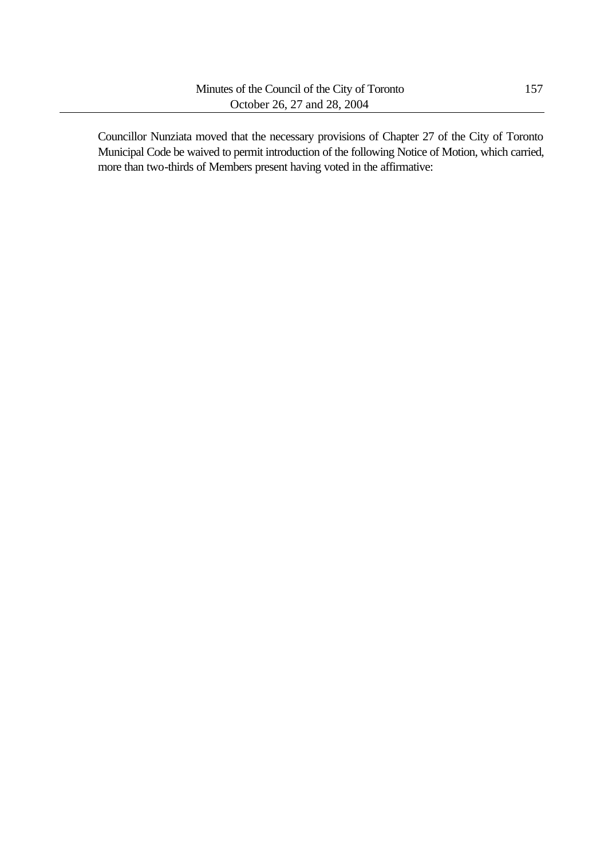Councillor Nunziata moved that the necessary provisions of Chapter 27 of the City of Toronto Municipal Code be waived to permit introduction of the following Notice of Motion, which carried, more than two-thirds of Members present having voted in the affirmative: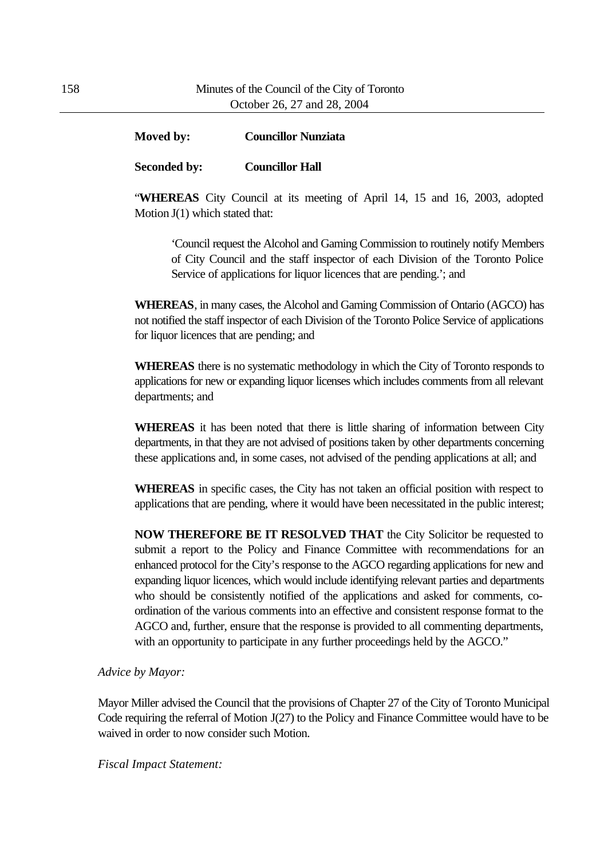# **Moved by: Councillor Nunziata**

# **Seconded by: Councillor Hall**

"**WHEREAS** City Council at its meeting of April 14, 15 and 16, 2003, adopted Motion J(1) which stated that:

'Council request the Alcohol and Gaming Commission to routinely notify Members of City Council and the staff inspector of each Division of the Toronto Police Service of applications for liquor licences that are pending.'; and

**WHEREAS**, in many cases, the Alcohol and Gaming Commission of Ontario (AGCO) has not notified the staff inspector of each Division of the Toronto Police Service of applications for liquor licences that are pending; and

**WHEREAS** there is no systematic methodology in which the City of Toronto responds to applications for new or expanding liquor licenses which includes comments from all relevant departments; and

**WHEREAS** it has been noted that there is little sharing of information between City departments, in that they are not advised of positions taken by other departments concerning these applications and, in some cases, not advised of the pending applications at all; and

**WHEREAS** in specific cases, the City has not taken an official position with respect to applications that are pending, where it would have been necessitated in the public interest;

**NOW THEREFORE BE IT RESOLVED THAT** the City Solicitor be requested to submit a report to the Policy and Finance Committee with recommendations for an enhanced protocol for the City's response to the AGCO regarding applications for new and expanding liquor licences, which would include identifying relevant parties and departments who should be consistently notified of the applications and asked for comments, coordination of the various comments into an effective and consistent response format to the AGCO and, further, ensure that the response is provided to all commenting departments, with an opportunity to participate in any further proceedings held by the AGCO."

#### *Advice by Mayor:*

Mayor Miller advised the Council that the provisions of Chapter 27 of the City of Toronto Municipal Code requiring the referral of Motion J(27) to the Policy and Finance Committee would have to be waived in order to now consider such Motion.

*Fiscal Impact Statement:*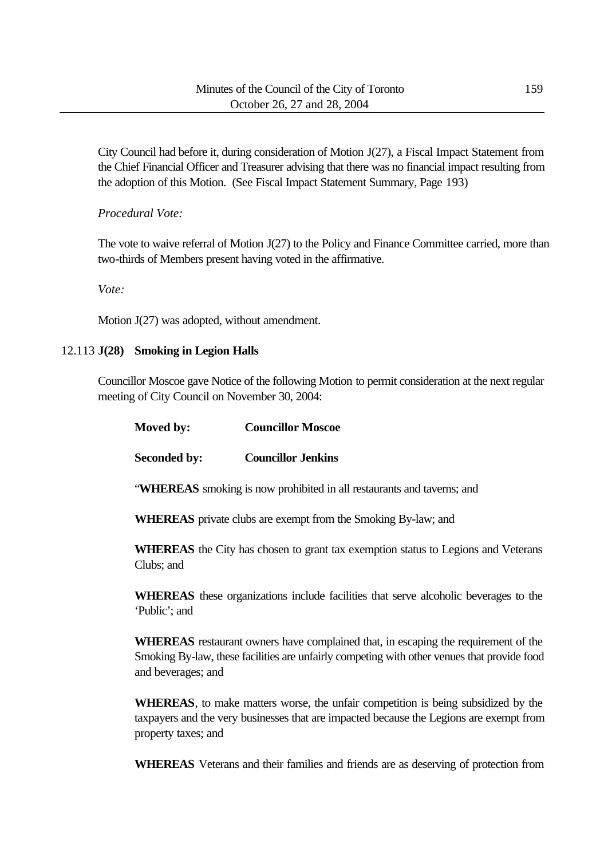City Council had before it, during consideration of Motion J(27), a Fiscal Impact Statement from the Chief Financial Officer and Treasurer advising that there was no financial impact resulting from the adoption of this Motion. (See Fiscal Impact Statement Summary, Page 193)

*Procedural Vote:*

The vote to waive referral of Motion J(27) to the Policy and Finance Committee carried, more than two-thirds of Members present having voted in the affirmative.

*Vote:*

Motion J(27) was adopted, without amendment.

#### 12.113 **J(28) Smoking in Legion Halls**

Clubs; and

Councillor Moscoe gave Notice of the following Motion to permit consideration at the next regular meeting of City Council on November 30, 2004:

| Moved by:           | <b>Councillor Moscoe</b>                                               |
|---------------------|------------------------------------------------------------------------|
| <b>Seconded by:</b> | <b>Councillor Jenkins</b>                                              |
|                     | "WHEREAS smoking is now prohibited in all restaurants and taverns; and |

**WHEREAS** private clubs are exempt from the Smoking By-law; and

**WHEREAS** the City has chosen to grant tax exemption status to Legions and Veterans

**WHEREAS** these organizations include facilities that serve alcoholic beverages to the 'Public'; and

**WHEREAS** restaurant owners have complained that, in escaping the requirement of the Smoking By-law, these facilities are unfairly competing with other venues that provide food and beverages; and

**WHEREAS**, to make matters worse, the unfair competition is being subsidized by the taxpayers and the very businesses that are impacted because the Legions are exempt from property taxes; and

**WHEREAS** Veterans and their families and friends are as deserving of protection from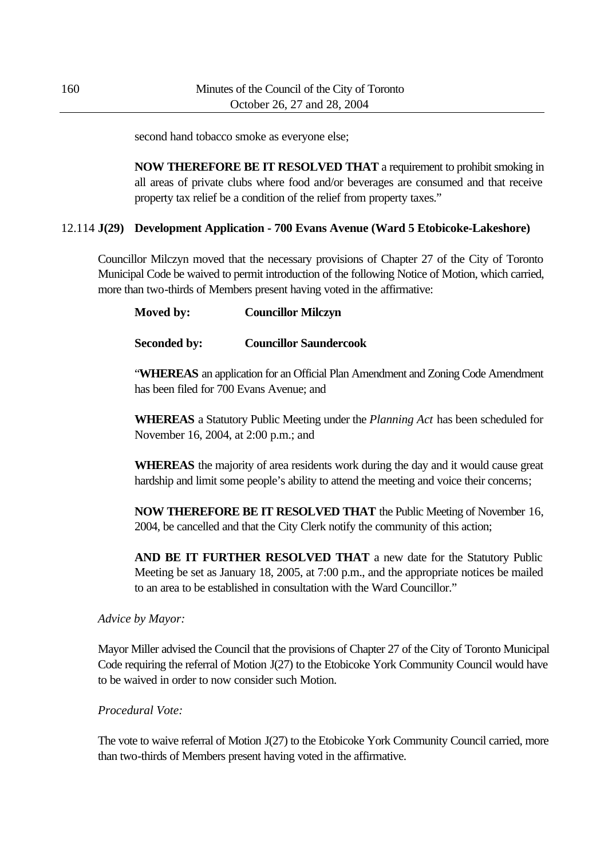second hand tobacco smoke as everyone else;

**NOW THEREFORE BE IT RESOLVED THAT** a requirement to prohibit smoking in all areas of private clubs where food and/or beverages are consumed and that receive property tax relief be a condition of the relief from property taxes."

# 12.114 **J(29) Development Application - 700 Evans Avenue (Ward 5 Etobicoke-Lakeshore)**

Councillor Milczyn moved that the necessary provisions of Chapter 27 of the City of Toronto Municipal Code be waived to permit introduction of the following Notice of Motion, which carried, more than two-thirds of Members present having voted in the affirmative:

## **Moved by: Councillor Milczyn**

## **Seconded by: Councillor Saundercook**

"**WHEREAS** an application for an Official Plan Amendment and Zoning Code Amendment has been filed for 700 Evans Avenue; and

**WHEREAS** a Statutory Public Meeting under the *Planning Act* has been scheduled for November 16, 2004, at 2:00 p.m.; and

**WHEREAS** the majority of area residents work during the day and it would cause great hardship and limit some people's ability to attend the meeting and voice their concerns;

**NOW THEREFORE BE IT RESOLVED THAT** the Public Meeting of November 16, 2004, be cancelled and that the City Clerk notify the community of this action;

**AND BE IT FURTHER RESOLVED THAT** a new date for the Statutory Public Meeting be set as January 18, 2005, at 7:00 p.m., and the appropriate notices be mailed to an area to be established in consultation with the Ward Councillor."

#### *Advice by Mayor:*

Mayor Miller advised the Council that the provisions of Chapter 27 of the City of Toronto Municipal Code requiring the referral of Motion J(27) to the Etobicoke York Community Council would have to be waived in order to now consider such Motion.

# *Procedural Vote:*

The vote to waive referral of Motion J(27) to the Etobicoke York Community Council carried, more than two-thirds of Members present having voted in the affirmative.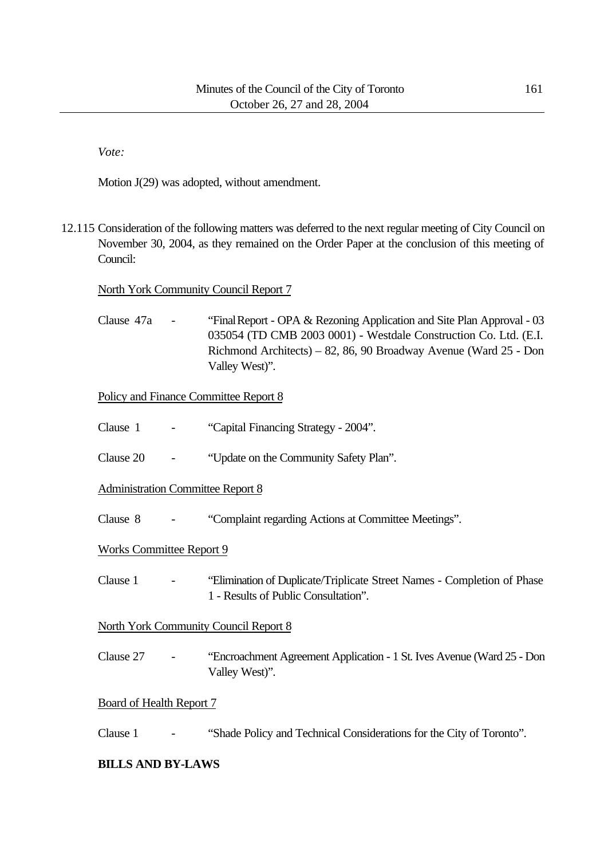*Vote:*

Motion J(29) was adopted, without amendment.

12.115 Consideration of the following matters was deferred to the next regular meeting of City Council on November 30, 2004, as they remained on the Order Paper at the conclusion of this meeting of Council:

## North York Community Council Report 7

Clause 47a - "Final Report - OPA & Rezoning Application and Site Plan Approval - 03 035054 (TD CMB 2003 0001) - Westdale Construction Co. Ltd. (E.I. Richmond Architects) – 82, 86, 90 Broadway Avenue (Ward 25 - Don Valley West)".

# Policy and Finance Committee Report 8

- Clause 1 "Capital Financing Strategy 2004".
- Clause 20 "Update on the Community Safety Plan".

Administration Committee Report 8

Clause 8 - "Complaint regarding Actions at Committee Meetings".

#### Works Committee Report 9

Clause 1 - "Elimination of Duplicate/Triplicate Street Names - Completion of Phase 1 - Results of Public Consultation".

#### North York Community Council Report 8

Clause 27 - "Encroachment Agreement Application - 1 St. Ives Avenue (Ward 25 - Don Valley West)".

#### Board of Health Report 7

Clause 1 - "Shade Policy and Technical Considerations for the City of Toronto".

# **BILLS AND BY-LAWS**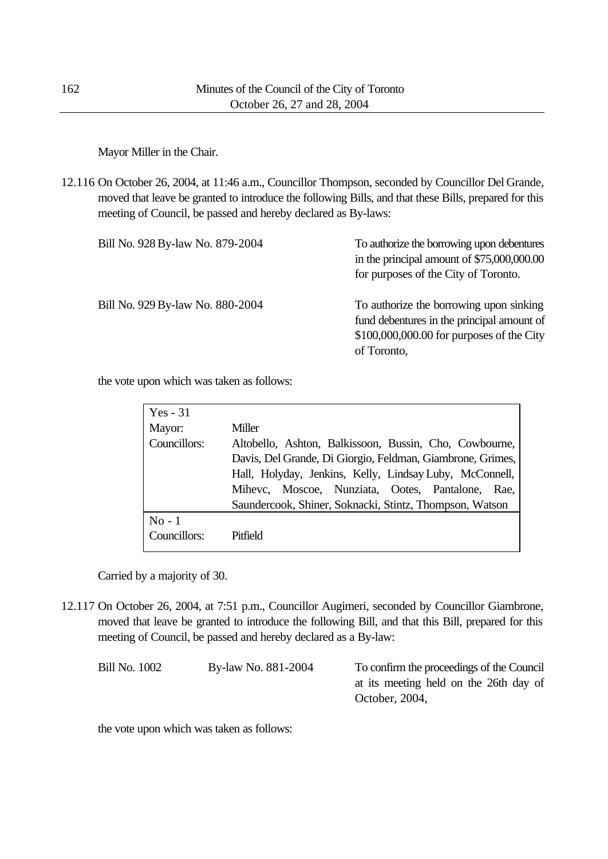Mayor Miller in the Chair.

12.116 On October 26, 2004, at 11:46 a.m., Councillor Thompson, seconded by Councillor Del Grande, moved that leave be granted to introduce the following Bills, and that these Bills, prepared for this meeting of Council, be passed and hereby declared as By-laws:

| Bill No. 928 By-law No. 879-2004 | To authorize the borrowing upon debentures<br>in the principal amount of $$75,000,000.00$<br>for purposes of the City of Toronto.                 |
|----------------------------------|---------------------------------------------------------------------------------------------------------------------------------------------------|
| Bill No. 929 By-law No. 880-2004 | To authorize the borrowing upon sinking<br>fund debentures in the principal amount of<br>\$100,000,000.00 for purposes of the City<br>of Toronto, |

the vote upon which was taken as follows:

| $Yes - 31$   |                                                            |
|--------------|------------------------------------------------------------|
| Mayor:       | Miller                                                     |
| Councillors: | Altobello, Ashton, Balkissoon, Bussin, Cho, Cowbourne,     |
|              | Davis, Del Grande, Di Giorgio, Feldman, Giambrone, Grimes, |
|              | Hall, Holyday, Jenkins, Kelly, Lindsay Luby, McConnell,    |
|              | Mihevc, Moscoe, Nunziata, Ootes, Pantalone, Rae,           |
|              | Saundercook, Shiner, Soknacki, Stintz, Thompson, Watson    |
| $No-1$       |                                                            |
| Councillors: | Pitfield                                                   |

Carried by a majority of 30.

12.117 On October 26, 2004, at 7:51 p.m., Councillor Augimeri, seconded by Councillor Giambrone, moved that leave be granted to introduce the following Bill, and that this Bill, prepared for this meeting of Council, be passed and hereby declared as a By-law:

| By-law No. 881-2004 | To confirm the proceedings of the Council |
|---------------------|-------------------------------------------|
|                     | at its meeting held on the 26th day of    |
|                     | October, 2004,                            |
|                     |                                           |

the vote upon which was taken as follows: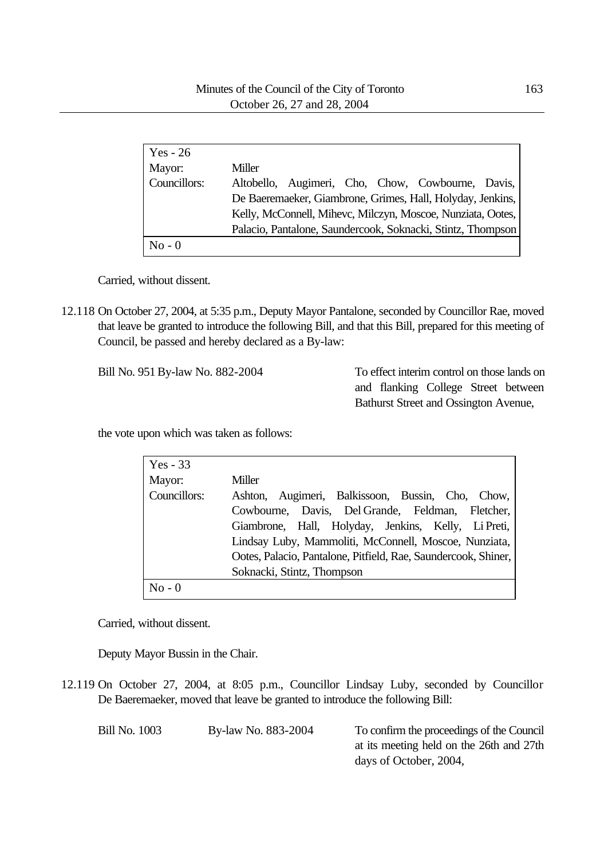| $Yes - 26$   |                                                             |
|--------------|-------------------------------------------------------------|
| Mayor:       | Miller                                                      |
| Councillors: | Altobello, Augimeri, Cho, Chow, Cowbourne, Davis,           |
|              | De Baeremaeker, Giambrone, Grimes, Hall, Holyday, Jenkins,  |
|              | Kelly, McConnell, Mihevc, Milczyn, Moscoe, Nunziata, Ootes, |
|              | Palacio, Pantalone, Saundercook, Soknacki, Stintz, Thompson |
| $No - 0$     |                                                             |

Carried, without dissent.

12.118 On October 27, 2004, at 5:35 p.m., Deputy Mayor Pantalone, seconded by Councillor Rae, moved that leave be granted to introduce the following Bill, and that this Bill, prepared for this meeting of Council, be passed and hereby declared as a By-law:

Bill No. 951 By-law No. 882-2004 To effect interim control on those lands on and flanking College Street between Bathurst Street and Ossington Avenue,

the vote upon which was taken as follows:

| $Yes - 33$   |                                                                |
|--------------|----------------------------------------------------------------|
| Mayor:       | Miller                                                         |
| Councillors: | Ashton, Augimeri, Balkissoon, Bussin, Cho, Chow,               |
|              | Cowbourne, Davis, Del Grande, Feldman, Fletcher,               |
|              | Giambrone, Hall, Holyday, Jenkins, Kelly, Li Preti,            |
|              | Lindsay Luby, Mammoliti, McConnell, Moscoe, Nunziata,          |
|              | Ootes, Palacio, Pantalone, Pitfield, Rae, Saundercook, Shiner, |
|              | Soknacki, Stintz, Thompson                                     |
| $No - 0$     |                                                                |

Carried, without dissent.

Deputy Mayor Bussin in the Chair.

12.119 On October 27, 2004, at 8:05 p.m., Councillor Lindsay Luby, seconded by Councillor De Baeremaeker, moved that leave be granted to introduce the following Bill:

| <b>Bill No. 1003</b> | By-law No. 883-2004 | To confirm the proceedings of the Council |
|----------------------|---------------------|-------------------------------------------|
|                      |                     | at its meeting held on the 26th and 27th  |
|                      |                     | days of October, 2004,                    |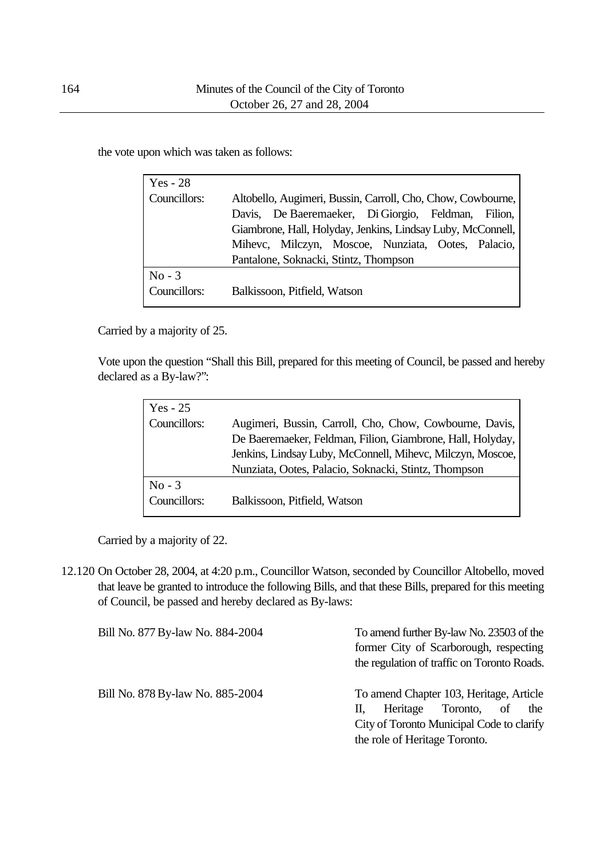the vote upon which was taken as follows:

| Yes - 28     |                                                             |
|--------------|-------------------------------------------------------------|
| Councillors: | Altobello, Augimeri, Bussin, Carroll, Cho, Chow, Cowbourne, |
|              | Davis, De Baeremaeker, Di Giorgio, Feldman, Filion,         |
|              | Giambrone, Hall, Holyday, Jenkins, Lindsay Luby, McConnell, |
|              | Mihevc, Milczyn, Moscoe, Nunziata, Ootes, Palacio,          |
|              | Pantalone, Soknacki, Stintz, Thompson                       |
| $No - 3$     |                                                             |
| Councillors: | Balkissoon, Pitfield, Watson                                |

Carried by a majority of 25.

Vote upon the question "Shall this Bill, prepared for this meeting of Council, be passed and hereby declared as a By-law?":

| Yes $-25$    |                                                                                                                       |
|--------------|-----------------------------------------------------------------------------------------------------------------------|
| Councillors: | Augimeri, Bussin, Carroll, Cho, Chow, Cowbourne, Davis,<br>De Baeremaeker, Feldman, Filion, Giambrone, Hall, Holyday, |
|              | Jenkins, Lindsay Luby, McConnell, Mihevc, Milczyn, Moscoe,<br>Nunziata, Ootes, Palacio, Soknacki, Stintz, Thompson    |
| $No - 3$     |                                                                                                                       |
| Councillors: | Balkissoon, Pitfield, Watson                                                                                          |

Carried by a majority of 22.

12.120 On October 28, 2004, at 4:20 p.m., Councillor Watson, seconded by Councillor Altobello, moved that leave be granted to introduce the following Bills, and that these Bills, prepared for this meeting of Council, be passed and hereby declared as By-laws:

| Bill No. 877 By-law No. 884-2004 | To amend further By-law No. 23503 of the<br>former City of Scarborough, respecting<br>the regulation of traffic on Toronto Roads.                                  |
|----------------------------------|--------------------------------------------------------------------------------------------------------------------------------------------------------------------|
| Bill No. 878 By-law No. 885-2004 | To amend Chapter 103, Heritage, Article<br>Heritage<br>Toronto,<br>the<br>- of<br>Н.<br>City of Toronto Municipal Code to clarify<br>the role of Heritage Toronto. |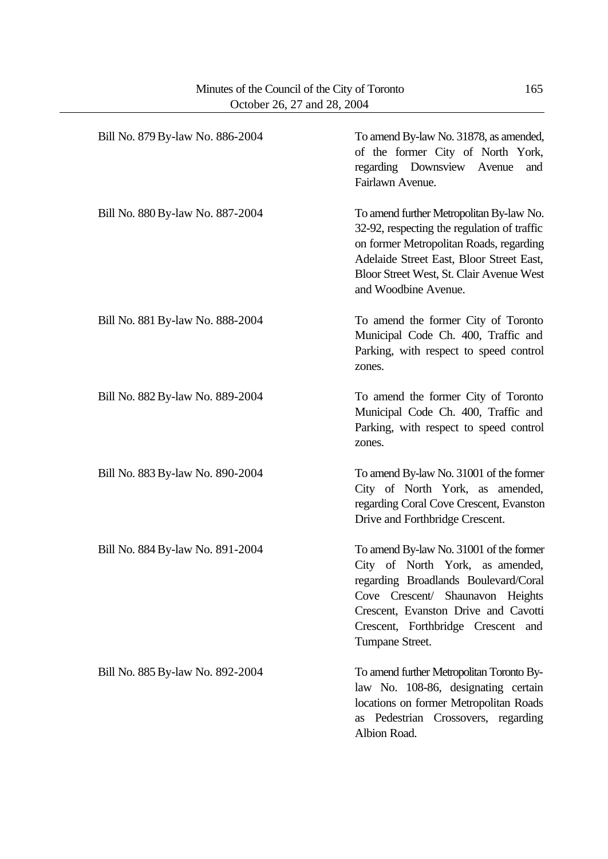| Bill No. 879 By-law No. 886-2004 | To amend By-law No. 31878, as amended,<br>of the former City of North York,<br>regarding Downsview Avenue<br>and<br>Fairlawn Avenue.                                                                                                                    |
|----------------------------------|---------------------------------------------------------------------------------------------------------------------------------------------------------------------------------------------------------------------------------------------------------|
| Bill No. 880 By-law No. 887-2004 | To amend further Metropolitan By-law No.<br>32-92, respecting the regulation of traffic<br>on former Metropolitan Roads, regarding<br>Adelaide Street East, Bloor Street East,<br>Bloor Street West, St. Clair Avenue West<br>and Woodbine Avenue.      |
| Bill No. 881 By-law No. 888-2004 | To amend the former City of Toronto<br>Municipal Code Ch. 400, Traffic and<br>Parking, with respect to speed control<br>zones.                                                                                                                          |
| Bill No. 882 By-law No. 889-2004 | To amend the former City of Toronto<br>Municipal Code Ch. 400, Traffic and<br>Parking, with respect to speed control<br>zones.                                                                                                                          |
| Bill No. 883 By-law No. 890-2004 | To amend By-law No. 31001 of the former<br>City of North York, as amended,<br>regarding Coral Cove Crescent, Evanston<br>Drive and Forthbridge Crescent.                                                                                                |
| Bill No. 884 By-law No. 891-2004 | To amend By-law No. 31001 of the former<br>City of North York, as amended,<br>regarding Broadlands Boulevard/Coral<br>Cove Crescent/ Shaunavon Heights<br>Crescent, Evanston Drive and Cavotti<br>Crescent, Forthbridge Crescent and<br>Tumpane Street. |
| Bill No. 885 By-law No. 892-2004 | To amend further Metropolitan Toronto By-<br>law No. 108-86, designating certain<br>locations on former Metropolitan Roads<br>as Pedestrian Crossovers, regarding<br>Albion Road.                                                                       |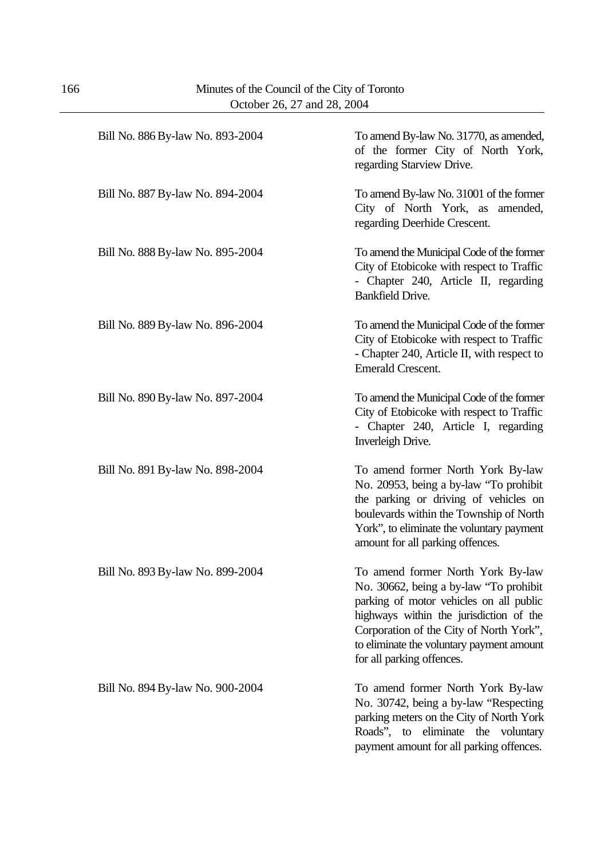| Bill No. 886 By-law No. 893-2004 | To amend By-law No. 31770, as amended,<br>of the former City of North York,<br>regarding Starview Drive.                                                                                                                                                                               |
|----------------------------------|----------------------------------------------------------------------------------------------------------------------------------------------------------------------------------------------------------------------------------------------------------------------------------------|
| Bill No. 887 By-law No. 894-2004 | To amend By-law No. 31001 of the former<br>City of North York, as amended,<br>regarding Deerhide Crescent.                                                                                                                                                                             |
| Bill No. 888 By-law No. 895-2004 | To amend the Municipal Code of the former<br>City of Etobicoke with respect to Traffic<br>- Chapter 240, Article II, regarding<br><b>Bankfield Drive.</b>                                                                                                                              |
| Bill No. 889 By-law No. 896-2004 | To amend the Municipal Code of the former<br>City of Etobicoke with respect to Traffic<br>- Chapter 240, Article II, with respect to<br><b>Emerald Crescent.</b>                                                                                                                       |
| Bill No. 890 By-law No. 897-2004 | To amend the Municipal Code of the former<br>City of Etobicoke with respect to Traffic<br>- Chapter 240, Article I, regarding<br>Inverleigh Drive.                                                                                                                                     |
| Bill No. 891 By-law No. 898-2004 | To amend former North York By-law<br>No. 20953, being a by-law "To prohibit<br>the parking or driving of vehicles on<br>boulevards within the Township of North<br>York", to eliminate the voluntary payment<br>amount for all parking offences.                                       |
| Bill No. 893 By-law No. 899-2004 | To amend former North York By-law<br>No. 30662, being a by-law "To prohibit<br>parking of motor vehicles on all public<br>highways within the jurisdiction of the<br>Corporation of the City of North York",<br>to eliminate the voluntary payment amount<br>for all parking offences. |
| Bill No. 894 By-law No. 900-2004 | To amend former North York By-law<br>No. 30742, being a by-law "Respecting"<br>parking meters on the City of North York<br>Roads", to eliminate the voluntary<br>payment amount for all parking offences.                                                                              |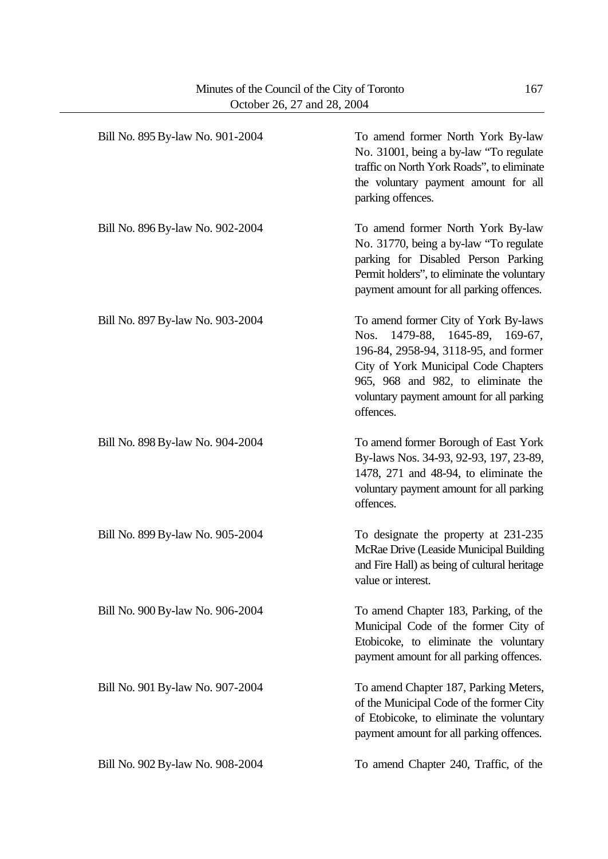| Bill No. 895 By-law No. 901-2004 | To amend former North York By-law<br>No. 31001, being a by-law "To regulate<br>traffic on North York Roads", to eliminate<br>the voluntary payment amount for all<br>parking offences.                                                                   |
|----------------------------------|----------------------------------------------------------------------------------------------------------------------------------------------------------------------------------------------------------------------------------------------------------|
| Bill No. 896 By-law No. 902-2004 | To amend former North York By-law<br>No. 31770, being a by-law "To regulate<br>parking for Disabled Person Parking<br>Permit holders", to eliminate the voluntary<br>payment amount for all parking offences.                                            |
| Bill No. 897 By-law No. 903-2004 | To amend former City of York By-laws<br>1479-88, 1645-89, 169-67,<br>Nos.<br>196-84, 2958-94, 3118-95, and former<br>City of York Municipal Code Chapters<br>965, 968 and 982, to eliminate the<br>voluntary payment amount for all parking<br>offences. |
| Bill No. 898 By-law No. 904-2004 | To amend former Borough of East York<br>By-laws Nos. 34-93, 92-93, 197, 23-89,<br>1478, 271 and 48-94, to eliminate the<br>voluntary payment amount for all parking<br>offences.                                                                         |
| Bill No. 899 By-law No. 905-2004 | To designate the property at 231-235<br>McRae Drive (Leaside Municipal Building<br>and Fire Hall) as being of cultural heritage<br>value or interest.                                                                                                    |
| Bill No. 900 By-law No. 906-2004 | To amend Chapter 183, Parking, of the<br>Municipal Code of the former City of<br>Etobicoke, to eliminate the voluntary<br>payment amount for all parking offences.                                                                                       |
| Bill No. 901 By-law No. 907-2004 | To amend Chapter 187, Parking Meters,<br>of the Municipal Code of the former City<br>of Etobicoke, to eliminate the voluntary<br>payment amount for all parking offences.                                                                                |
| Bill No. 902 By-law No. 908-2004 | To amend Chapter 240, Traffic, of the                                                                                                                                                                                                                    |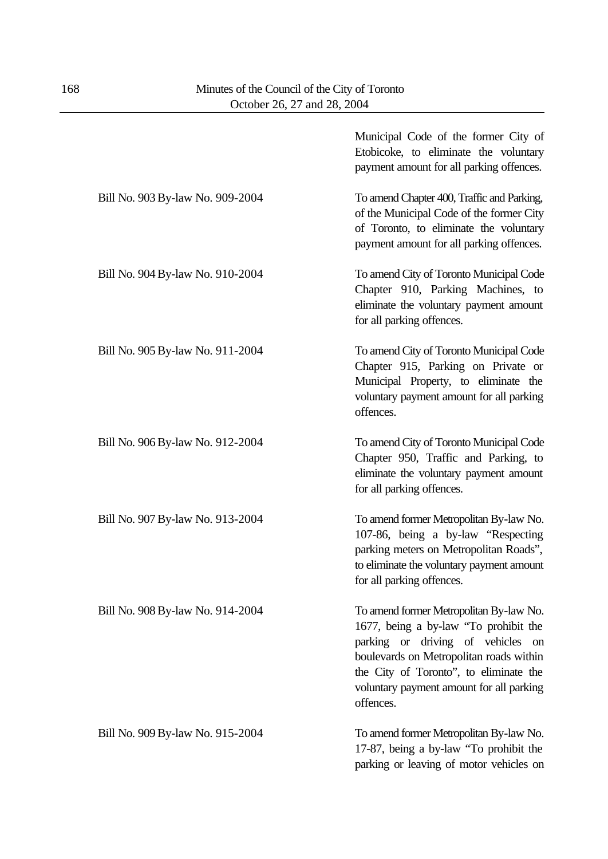|                                  | Municipal Code of the former City of<br>Etobicoke, to eliminate the voluntary<br>payment amount for all parking offences.                                                                                                                                           |
|----------------------------------|---------------------------------------------------------------------------------------------------------------------------------------------------------------------------------------------------------------------------------------------------------------------|
| Bill No. 903 By-law No. 909-2004 | To amend Chapter 400, Traffic and Parking,<br>of the Municipal Code of the former City<br>of Toronto, to eliminate the voluntary<br>payment amount for all parking offences.                                                                                        |
| Bill No. 904 By-law No. 910-2004 | To amend City of Toronto Municipal Code<br>Chapter 910, Parking Machines, to<br>eliminate the voluntary payment amount<br>for all parking offences.                                                                                                                 |
| Bill No. 905 By-law No. 911-2004 | To amend City of Toronto Municipal Code<br>Chapter 915, Parking on Private or<br>Municipal Property, to eliminate the<br>voluntary payment amount for all parking<br>offences.                                                                                      |
| Bill No. 906 By-law No. 912-2004 | To amend City of Toronto Municipal Code<br>Chapter 950, Traffic and Parking, to<br>eliminate the voluntary payment amount<br>for all parking offences.                                                                                                              |
| Bill No. 907 By-law No. 913-2004 | To amend former Metropolitan By-law No.<br>107-86, being a by-law "Respecting<br>parking meters on Metropolitan Roads",<br>to eliminate the voluntary payment amount<br>for all parking offences.                                                                   |
| Bill No. 908 By-law No. 914-2004 | To amend former Metropolitan By-law No.<br>1677, being a by-law "To prohibit the<br>parking or driving of vehicles on<br>boulevards on Metropolitan roads within<br>the City of Toronto", to eliminate the<br>voluntary payment amount for all parking<br>offences. |
| Bill No. 909 By-law No. 915-2004 | To amend former Metropolitan By-law No.<br>17-87, being a by-law "To prohibit the<br>parking or leaving of motor vehicles on                                                                                                                                        |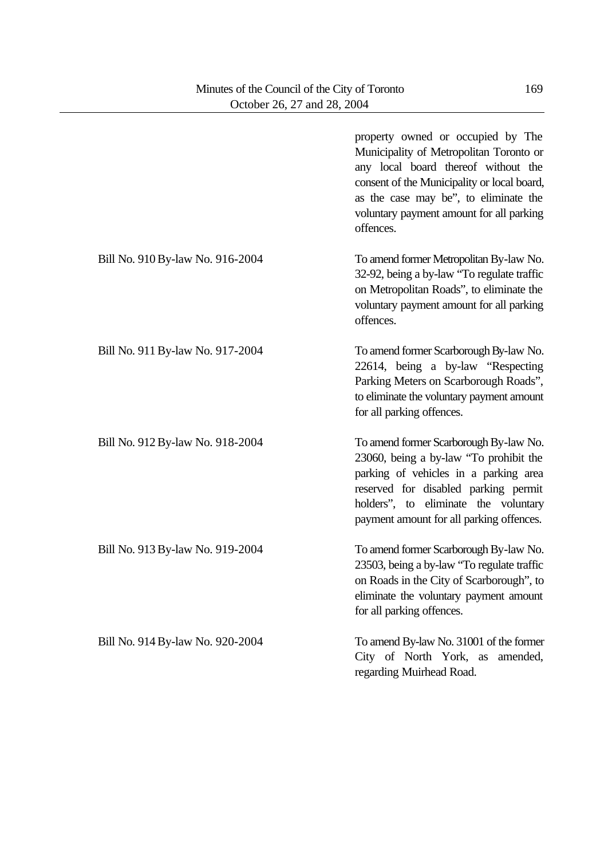|                                  | property owned or occupied by The<br>Municipality of Metropolitan Toronto or<br>any local board thereof without the<br>consent of the Municipality or local board,<br>as the case may be", to eliminate the<br>voluntary payment amount for all parking<br>offences. |
|----------------------------------|----------------------------------------------------------------------------------------------------------------------------------------------------------------------------------------------------------------------------------------------------------------------|
| Bill No. 910 By-law No. 916-2004 | To amend former Metropolitan By-law No.<br>32-92, being a by-law "To regulate traffic<br>on Metropolitan Roads", to eliminate the<br>voluntary payment amount for all parking<br>offences.                                                                           |
| Bill No. 911 By-law No. 917-2004 | To amend former Scarborough By-law No.<br>22614, being a by-law "Respecting<br>Parking Meters on Scarborough Roads",<br>to eliminate the voluntary payment amount<br>for all parking offences.                                                                       |
| Bill No. 912 By-law No. 918-2004 | To amend former Scarborough By-law No.<br>23060, being a by-law "To prohibit the<br>parking of vehicles in a parking area<br>reserved for disabled parking permit<br>holders", to eliminate the voluntary<br>payment amount for all parking offences.                |
| Bill No. 913 By-law No. 919-2004 | To amend former Scarborough By-law No.<br>23503, being a by-law "To regulate traffic<br>on Roads in the City of Scarborough", to<br>eliminate the voluntary payment amount<br>for all parking offences.                                                              |
| Bill No. 914 By-law No. 920-2004 | To amend By-law No. 31001 of the former<br>City of North York, as amended,<br>regarding Muirhead Road.                                                                                                                                                               |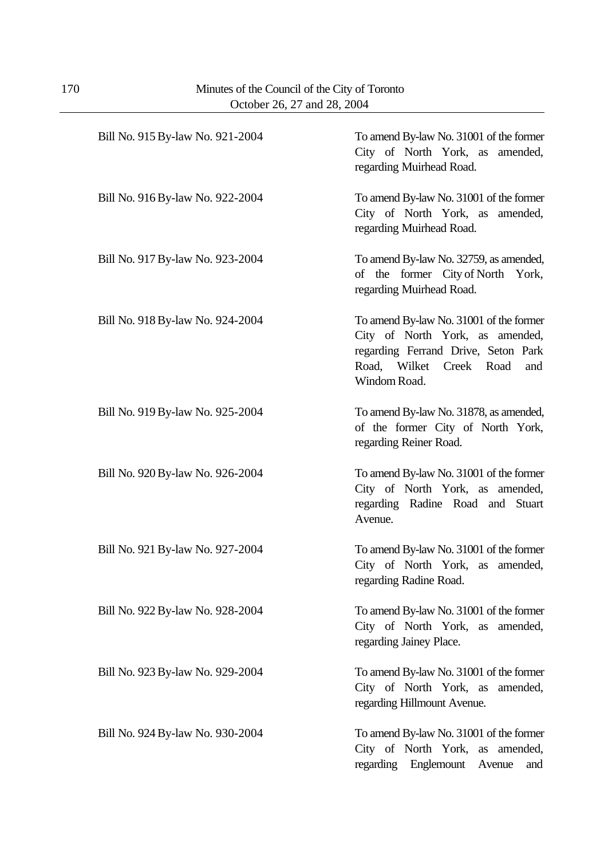| Bill No. 915 By-law No. 921-2004 | To amend By-law No. 31001 of the former<br>City of North York, as amended,<br>regarding Muirhead Road.                                                              |
|----------------------------------|---------------------------------------------------------------------------------------------------------------------------------------------------------------------|
| Bill No. 916 By-law No. 922-2004 | To amend By-law No. 31001 of the former<br>City of North York, as amended,<br>regarding Muirhead Road.                                                              |
| Bill No. 917 By-law No. 923-2004 | To amend By-law No. 32759, as amended,<br>of the former City of North York,<br>regarding Muirhead Road.                                                             |
| Bill No. 918 By-law No. 924-2004 | To amend By-law No. 31001 of the former<br>City of North York, as amended,<br>regarding Ferrand Drive, Seton Park<br>Road, Wilket Creek Road<br>and<br>Windom Road. |
| Bill No. 919 By-law No. 925-2004 | To amend By-law No. 31878, as amended,<br>of the former City of North York,<br>regarding Reiner Road.                                                               |
| Bill No. 920 By-law No. 926-2004 | To amend By-law No. 31001 of the former<br>City of North York, as amended,<br>regarding Radine Road and Stuart<br>Avenue.                                           |
| Bill No. 921 By-law No. 927-2004 | To amend By-law No. 31001 of the former<br>City of North York, as amended,<br>regarding Radine Road.                                                                |
| Bill No. 922 By-law No. 928-2004 | To amend By-law No. 31001 of the former<br>City of North York, as amended,<br>regarding Jainey Place.                                                               |
| Bill No. 923 By-law No. 929-2004 | To amend By-law No. 31001 of the former<br>City of North York, as amended,<br>regarding Hillmount Avenue.                                                           |
| Bill No. 924 By-law No. 930-2004 | To amend By-law No. 31001 of the former<br>City of North York, as amended,<br>regarding Englemount<br>Avenue<br>and                                                 |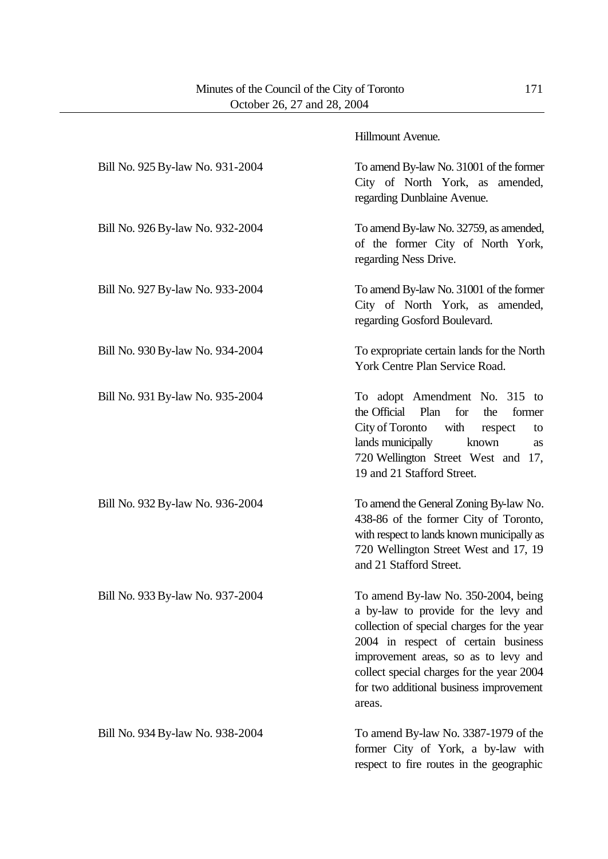|                                  | Hillmount Avenue.                                                                                                                                                                                                                                                                                          |
|----------------------------------|------------------------------------------------------------------------------------------------------------------------------------------------------------------------------------------------------------------------------------------------------------------------------------------------------------|
| Bill No. 925 By-law No. 931-2004 | To amend By-law No. 31001 of the former<br>City of North York, as amended,<br>regarding Dunblaine Avenue.                                                                                                                                                                                                  |
| Bill No. 926 By-law No. 932-2004 | To amend By-law No. 32759, as amended,<br>of the former City of North York,<br>regarding Ness Drive.                                                                                                                                                                                                       |
| Bill No. 927 By-law No. 933-2004 | To amend By-law No. 31001 of the former<br>City of North York, as amended,<br>regarding Gosford Boulevard.                                                                                                                                                                                                 |
| Bill No. 930 By-law No. 934-2004 | To expropriate certain lands for the North<br>York Centre Plan Service Road.                                                                                                                                                                                                                               |
| Bill No. 931 By-law No. 935-2004 | To adopt Amendment No. 315 to<br>the Official Plan<br>for<br>the<br>former<br>City of Toronto<br>with<br>respect<br>to<br>lands municipally<br>known<br>as<br>720 Wellington Street West and 17,<br>19 and 21 Stafford Street.                                                                             |
| Bill No. 932 By-law No. 936-2004 | To amend the General Zoning By-law No.<br>438-86 of the former City of Toronto,<br>with respect to lands known municipally as<br>720 Wellington Street West and 17, 19<br>and 21 Stafford Street.                                                                                                          |
| Bill No. 933 By-law No. 937-2004 | To amend By-law No. 350-2004, being<br>a by-law to provide for the levy and<br>collection of special charges for the year<br>2004 in respect of certain business<br>improvement areas, so as to levy and<br>collect special charges for the year 2004<br>for two additional business improvement<br>areas. |
| Bill No. 934 By-law No. 938-2004 | To amend By-law No. 3387-1979 of the<br>former City of York, a by-law with<br>respect to fire routes in the geographic                                                                                                                                                                                     |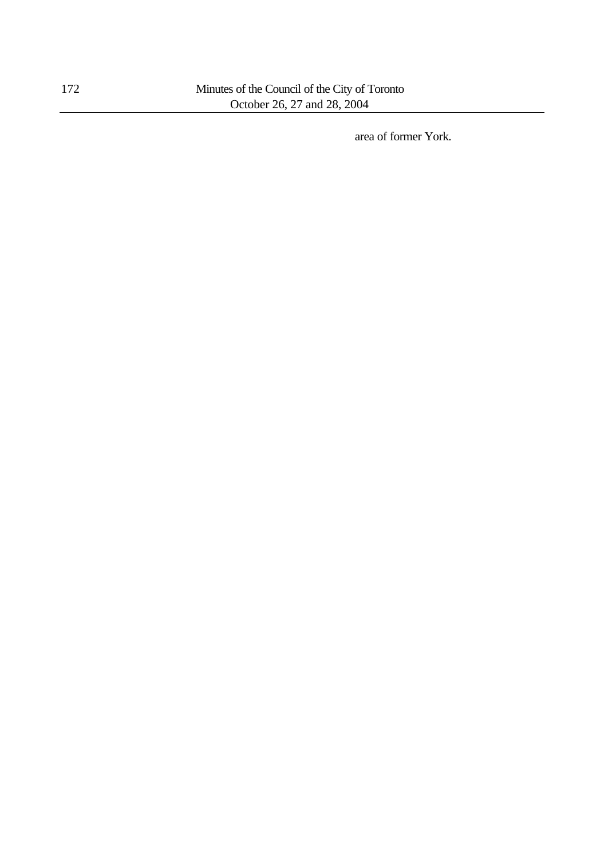area of former York.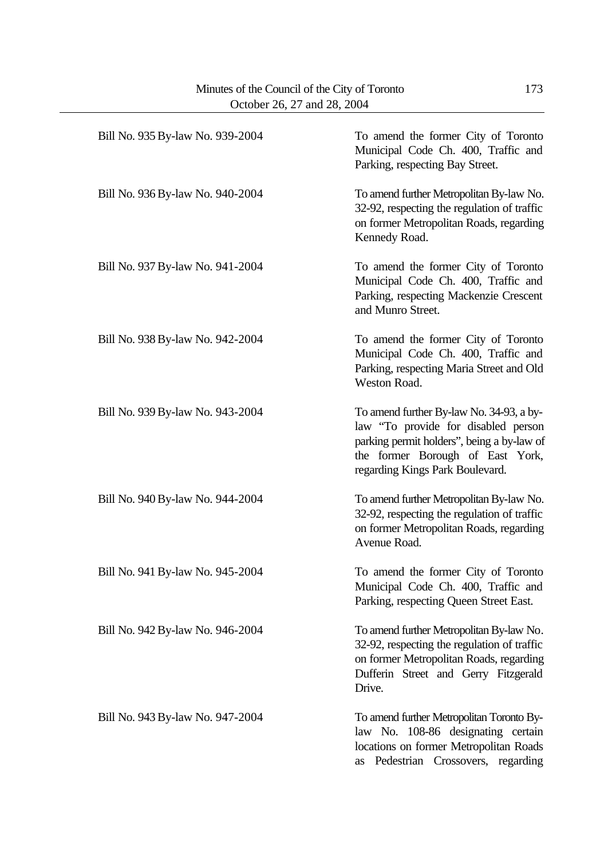| Bill No. 935 By-law No. 939-2004 | To amend the former City of Toronto<br>Municipal Code Ch. 400, Traffic and<br>Parking, respecting Bay Street.                                                                                        |
|----------------------------------|------------------------------------------------------------------------------------------------------------------------------------------------------------------------------------------------------|
| Bill No. 936 By-law No. 940-2004 | To amend further Metropolitan By-law No.<br>32-92, respecting the regulation of traffic<br>on former Metropolitan Roads, regarding<br>Kennedy Road.                                                  |
| Bill No. 937 By-law No. 941-2004 | To amend the former City of Toronto<br>Municipal Code Ch. 400, Traffic and<br>Parking, respecting Mackenzie Crescent<br>and Munro Street.                                                            |
| Bill No. 938 By-law No. 942-2004 | To amend the former City of Toronto<br>Municipal Code Ch. 400, Traffic and<br>Parking, respecting Maria Street and Old<br>Weston Road.                                                               |
| Bill No. 939 By-law No. 943-2004 | To amend further By-law No. 34-93, a by-<br>law "To provide for disabled person<br>parking permit holders", being a by-law of<br>the former Borough of East York,<br>regarding Kings Park Boulevard. |
| Bill No. 940 By-law No. 944-2004 | To amend further Metropolitan By-law No.<br>32-92, respecting the regulation of traffic<br>on former Metropolitan Roads, regarding<br>Avenue Road.                                                   |
| Bill No. 941 By-law No. 945-2004 | To amend the former City of Toronto<br>Municipal Code Ch. 400, Traffic and<br>Parking, respecting Queen Street East.                                                                                 |
| Bill No. 942 By-law No. 946-2004 | To amend further Metropolitan By-law No.<br>32-92, respecting the regulation of traffic<br>on former Metropolitan Roads, regarding<br>Dufferin Street and Gerry Fitzgerald<br>Drive.                 |
| Bill No. 943 By-law No. 947-2004 | To amend further Metropolitan Toronto By-<br>law No. 108-86 designating certain<br>locations on former Metropolitan Roads<br>as Pedestrian Crossovers, regarding                                     |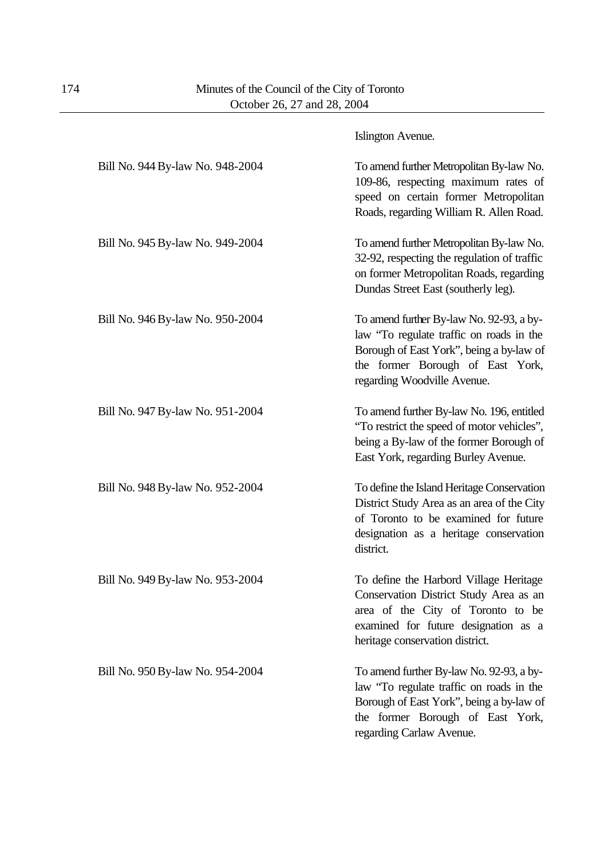|                                  | Islington Avenue.                                                                                                                                                                                   |
|----------------------------------|-----------------------------------------------------------------------------------------------------------------------------------------------------------------------------------------------------|
| Bill No. 944 By-law No. 948-2004 | To amend further Metropolitan By-law No.<br>109-86, respecting maximum rates of<br>speed on certain former Metropolitan<br>Roads, regarding William R. Allen Road.                                  |
| Bill No. 945 By-law No. 949-2004 | To amend further Metropolitan By-law No.<br>32-92, respecting the regulation of traffic<br>on former Metropolitan Roads, regarding<br>Dundas Street East (southerly leg).                           |
| Bill No. 946 By-law No. 950-2004 | To amend further By-law No. 92-93, a by-<br>law "To regulate traffic on roads in the<br>Borough of East York", being a by-law of<br>the former Borough of East York,<br>regarding Woodville Avenue. |
| Bill No. 947 By-law No. 951-2004 | To amend further By-law No. 196, entitled<br>"To restrict the speed of motor vehicles",<br>being a By-law of the former Borough of<br>East York, regarding Burley Avenue.                           |
| Bill No. 948 By-law No. 952-2004 | To define the Island Heritage Conservation<br>District Study Area as an area of the City<br>of Toronto to be examined for future<br>designation as a heritage conservation<br>district.             |
| Bill No. 949 By-law No. 953-2004 | To define the Harbord Village Heritage<br>Conservation District Study Area as an<br>area of the City of Toronto to be<br>examined for future designation as a<br>heritage conservation district.    |
| Bill No. 950 By-law No. 954-2004 | To amend further By-law No. 92-93, a by-<br>law "To regulate traffic on roads in the<br>Borough of East York", being a by-law of<br>the former Borough of East York,<br>regarding Carlaw Avenue.    |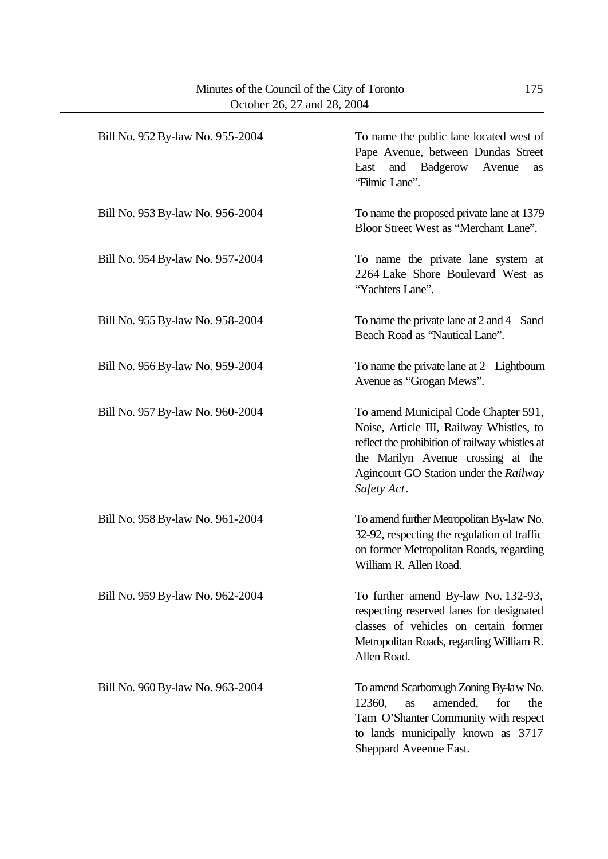| Bill No. 952 By-law No. 955-2004 | To name the public lane located west of<br>Pape Avenue, between Dundas Street<br>Badgerow<br>East<br>and<br>Avenue<br>as<br>'Filmic Lane''.                                                                                       |
|----------------------------------|-----------------------------------------------------------------------------------------------------------------------------------------------------------------------------------------------------------------------------------|
| Bill No. 953 By-law No. 956-2004 | To name the proposed private lane at 1379<br>Bloor Street West as "Merchant Lane".                                                                                                                                                |
| Bill No. 954 By-law No. 957-2004 | To name the private lane system at<br>2264 Lake Shore Boulevard West as<br>"Yachters Lane".                                                                                                                                       |
| Bill No. 955 By-law No. 958-2004 | To name the private lane at 2 and 4 Sand<br>Beach Road as "Nautical Lane".                                                                                                                                                        |
| Bill No. 956 By-law No. 959-2004 | To name the private lane at 2 Lightbourn<br>Avenue as "Grogan Mews".                                                                                                                                                              |
| Bill No. 957 By-law No. 960-2004 | To amend Municipal Code Chapter 591,<br>Noise, Article III, Railway Whistles, to<br>reflect the prohibition of railway whistles at<br>the Marilyn Avenue crossing at the<br>Agincourt GO Station under the Railway<br>Safety Act. |
| Bill No. 958 By-law No. 961-2004 | To amend further Metropolitan By-law No.<br>32-92, respecting the regulation of traffic<br>on former Metropolitan Roads, regarding<br>William R. Allen Road.                                                                      |
| Bill No. 959 By-law No. 962-2004 | To further amend By-law No. 132-93,<br>respecting reserved lanes for designated<br>classes of vehicles on certain former<br>Metropolitan Roads, regarding William R.<br>Allen Road.                                               |
| Bill No. 960 By-law No. 963-2004 | To amend Scarborough Zoning By-law No.<br>amended,<br>12360,<br>for<br>the<br>as<br>Tam O'Shanter Community with respect<br>to lands municipally known as 3717<br>Sheppard Aveenue East.                                          |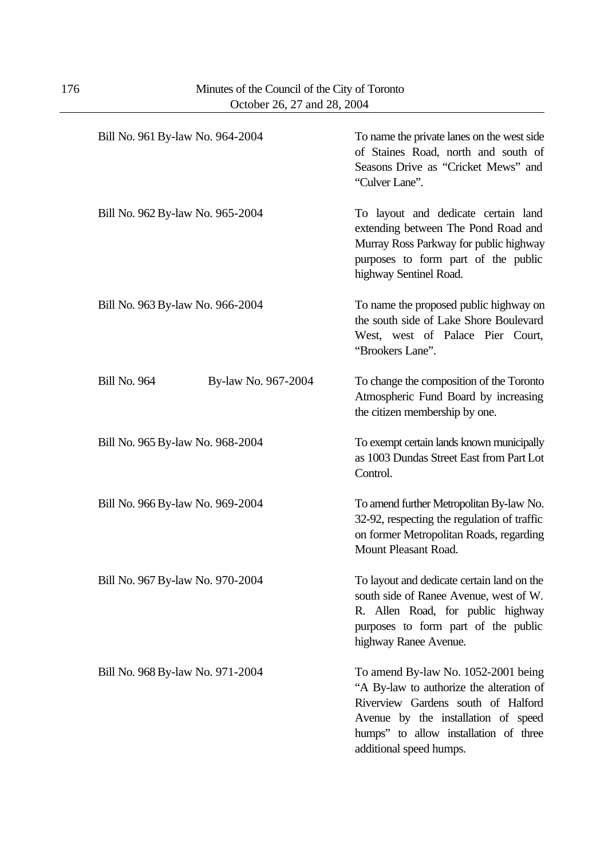| Bill No. 961 By-law No. 964-2004           | To name the private lanes on the west side<br>of Staines Road, north and south of<br>Seasons Drive as "Cricket Mews" and<br>"Culver Lane".                                                                                       |
|--------------------------------------------|----------------------------------------------------------------------------------------------------------------------------------------------------------------------------------------------------------------------------------|
| Bill No. 962 By-law No. 965-2004           | To layout and dedicate certain land<br>extending between The Pond Road and<br>Murray Ross Parkway for public highway<br>purposes to form part of the public<br>highway Sentinel Road.                                            |
| Bill No. 963 By-law No. 966-2004           | To name the proposed public highway on<br>the south side of Lake Shore Boulevard<br>West, west of Palace Pier Court,<br>"Brookers Lane".                                                                                         |
| <b>Bill No. 964</b><br>By-law No. 967-2004 | To change the composition of the Toronto<br>Atmospheric Fund Board by increasing<br>the citizen membership by one.                                                                                                               |
| Bill No. 965 By-law No. 968-2004           | To exempt certain lands known municipally<br>as 1003 Dundas Street East from Part Lot<br>Control.                                                                                                                                |
| Bill No. 966 By-law No. 969-2004           | To amend further Metropolitan By-law No.<br>32-92, respecting the regulation of traffic<br>on former Metropolitan Roads, regarding<br>Mount Pleasant Road.                                                                       |
| Bill No. 967 By-law No. 970-2004           | To layout and dedicate certain land on the<br>south side of Ranee Avenue, west of W.<br>R. Allen Road, for public highway<br>purposes to form part of the public<br>highway Ranee Avenue.                                        |
| Bill No. 968 By-law No. 971-2004           | To amend By-law No. 1052-2001 being<br>"A By-law to authorize the alteration of<br>Riverview Gardens south of Halford<br>Avenue by the installation of speed<br>humps" to allow installation of three<br>additional speed humps. |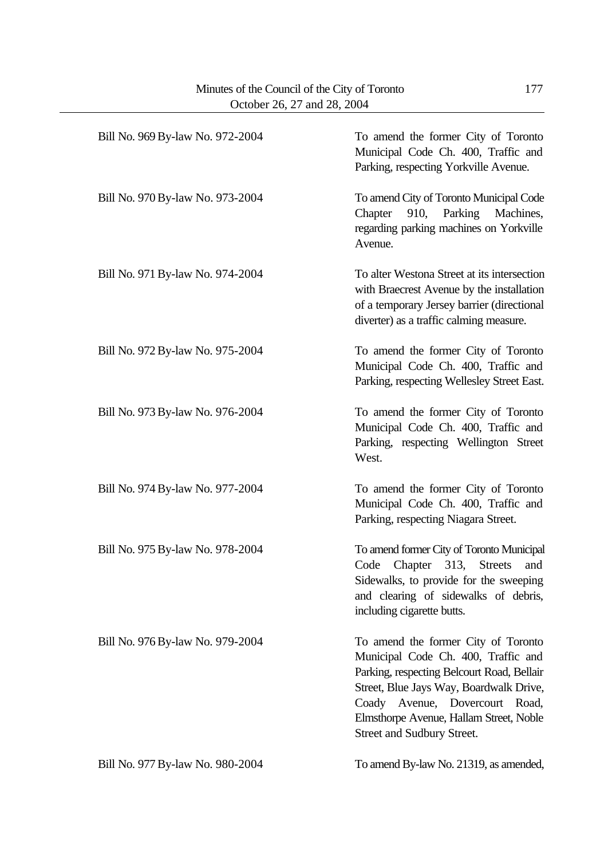| Bill No. 969 By-law No. 972-2004 | To amend the former City of Toronto<br>Municipal Code Ch. 400, Traffic and<br>Parking, respecting Yorkville Avenue.                                                                                                                                                            |
|----------------------------------|--------------------------------------------------------------------------------------------------------------------------------------------------------------------------------------------------------------------------------------------------------------------------------|
| Bill No. 970 By-law No. 973-2004 | To amend City of Toronto Municipal Code<br>Parking<br>910,<br>Machines,<br>Chapter<br>regarding parking machines on Yorkville<br>Avenue.                                                                                                                                       |
| Bill No. 971 By-law No. 974-2004 | To alter Westona Street at its intersection<br>with Braecrest Avenue by the installation<br>of a temporary Jersey barrier (directional<br>diverter) as a traffic calming measure.                                                                                              |
| Bill No. 972 By-law No. 975-2004 | To amend the former City of Toronto<br>Municipal Code Ch. 400, Traffic and<br>Parking, respecting Wellesley Street East.                                                                                                                                                       |
| Bill No. 973 By-law No. 976-2004 | To amend the former City of Toronto<br>Municipal Code Ch. 400, Traffic and<br>Parking, respecting Wellington Street<br>West.                                                                                                                                                   |
| Bill No. 974 By-law No. 977-2004 | To amend the former City of Toronto<br>Municipal Code Ch. 400, Traffic and<br>Parking, respecting Niagara Street.                                                                                                                                                              |
| Bill No. 975 By-law No. 978-2004 | To amend former City of Toronto Municipal<br>Chapter 313,<br><b>Streets</b><br>Code<br>and<br>Sidewalks, to provide for the sweeping<br>and clearing of sidewalks of debris,<br>including cigarette butts.                                                                     |
| Bill No. 976 By-law No. 979-2004 | To amend the former City of Toronto<br>Municipal Code Ch. 400, Traffic and<br>Parking, respecting Belcourt Road, Bellair<br>Street, Blue Jays Way, Boardwalk Drive,<br>Coady Avenue, Dovercourt Road,<br>Elmsthorpe Avenue, Hallam Street, Noble<br>Street and Sudbury Street. |
| Bill No. 977 By-law No. 980-2004 | To amend By-law No. 21319, as amended,                                                                                                                                                                                                                                         |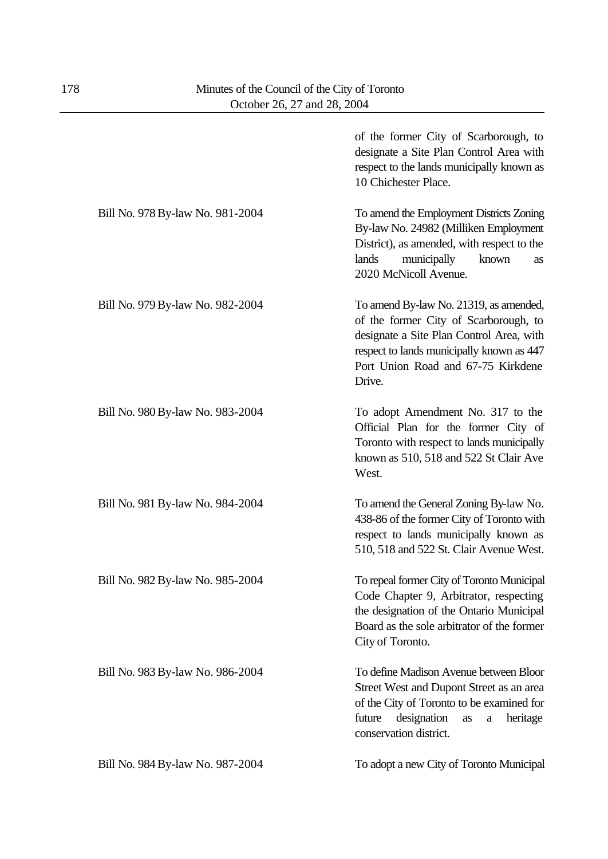|                                  | of the former City of Scarborough, to<br>designate a Site Plan Control Area with<br>respect to the lands municipally known as<br>10 Chichester Place.                                                                    |
|----------------------------------|--------------------------------------------------------------------------------------------------------------------------------------------------------------------------------------------------------------------------|
| Bill No. 978 By-law No. 981-2004 | To amend the Employment Districts Zoning<br>By-law No. 24982 (Milliken Employment<br>District), as amended, with respect to the<br>lands<br>municipally<br>known<br>as<br>2020 McNicoll Avenue.                          |
| Bill No. 979 By-law No. 982-2004 | To amend By-law No. 21319, as amended,<br>of the former City of Scarborough, to<br>designate a Site Plan Control Area, with<br>respect to lands municipally known as 447<br>Port Union Road and 67-75 Kirkdene<br>Drive. |
| Bill No. 980 By-law No. 983-2004 | To adopt Amendment No. 317 to the<br>Official Plan for the former City of<br>Toronto with respect to lands municipally<br>known as 510, 518 and 522 St Clair Ave<br>West.                                                |
| Bill No. 981 By-law No. 984-2004 | To amend the General Zoning By-law No.<br>438-86 of the former City of Toronto with<br>respect to lands municipally known as<br>510, 518 and 522 St. Clair Avenue West.                                                  |
| Bill No. 982 By-law No. 985-2004 | To repeal former City of Toronto Municipal<br>Code Chapter 9, Arbitrator, respecting<br>the designation of the Ontario Municipal<br>Board as the sole arbitrator of the former<br>City of Toronto.                       |
| Bill No. 983 By-law No. 986-2004 | To define Madison Avenue between Bloor<br>Street West and Dupont Street as an area<br>of the City of Toronto to be examined for<br>designation<br>future<br>heritage<br>as<br>$\rm{a}$<br>conservation district.         |
| Bill No. 984 By-law No. 987-2004 | To adopt a new City of Toronto Municipal                                                                                                                                                                                 |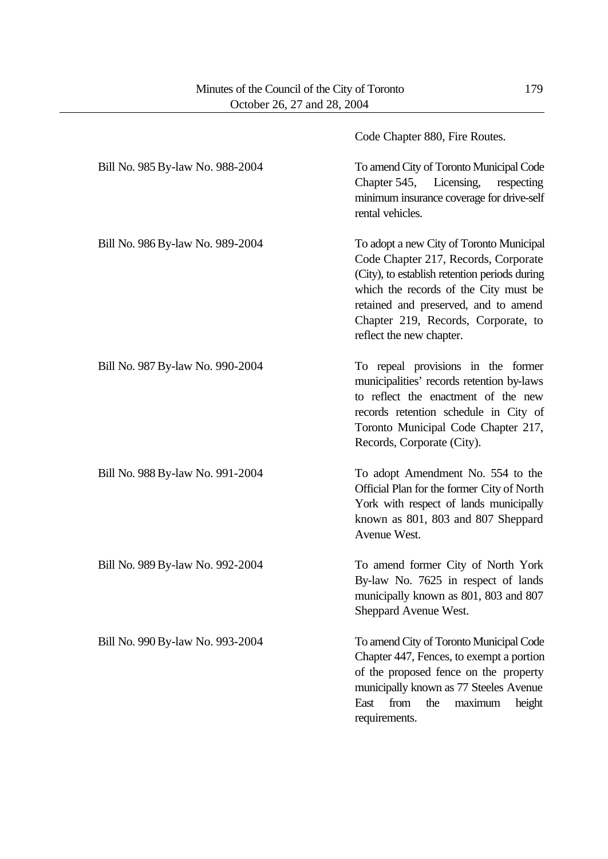|                                  | Code Chapter 880, Fire Routes.                                                                                                                                                                                                                                                        |
|----------------------------------|---------------------------------------------------------------------------------------------------------------------------------------------------------------------------------------------------------------------------------------------------------------------------------------|
| Bill No. 985 By-law No. 988-2004 | To amend City of Toronto Municipal Code<br>Chapter 545, Licensing,<br>respecting<br>minimum insurance coverage for drive-self<br>rental vehicles.                                                                                                                                     |
| Bill No. 986 By-law No. 989-2004 | To adopt a new City of Toronto Municipal<br>Code Chapter 217, Records, Corporate<br>(City), to establish retention periods during<br>which the records of the City must be<br>retained and preserved, and to amend<br>Chapter 219, Records, Corporate, to<br>reflect the new chapter. |
| Bill No. 987 By-law No. 990-2004 | To repeal provisions in the former<br>municipalities' records retention by-laws<br>to reflect the enactment of the new<br>records retention schedule in City of<br>Toronto Municipal Code Chapter 217,<br>Records, Corporate (City).                                                  |
| Bill No. 988 By-law No. 991-2004 | To adopt Amendment No. 554 to the<br>Official Plan for the former City of North<br>York with respect of lands municipally<br>known as 801, 803 and 807 Sheppard<br>Avenue West.                                                                                                       |
| Bill No. 989 By-law No. 992-2004 | To amend former City of North York<br>By-law No. 7625 in respect of lands<br>municipally known as 801, 803 and 807<br>Sheppard Avenue West.                                                                                                                                           |
| Bill No. 990 By-law No. 993-2004 | To amend City of Toronto Municipal Code<br>Chapter 447, Fences, to exempt a portion<br>of the proposed fence on the property<br>municipally known as 77 Steeles Avenue<br>East<br>from<br>maximum<br>the<br>height<br>requirements.                                                   |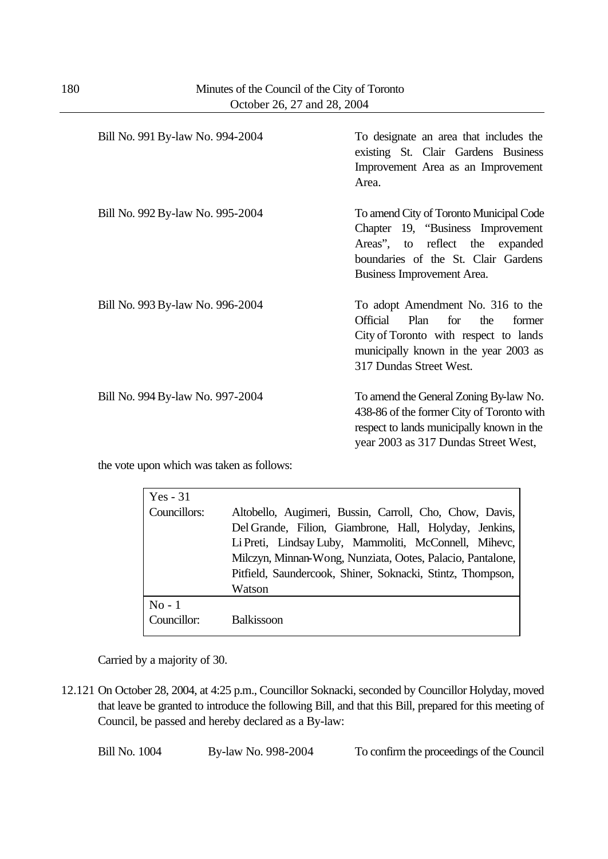| Bill No. 991 By-law No. 994-2004 | To designate an area that includes the<br>existing St. Clair Gardens Business<br>Improvement Area as an Improvement<br>Area.                                                                      |
|----------------------------------|---------------------------------------------------------------------------------------------------------------------------------------------------------------------------------------------------|
| Bill No. 992 By-law No. 995-2004 | To amend City of Toronto Municipal Code<br>Chapter 19, "Business Improvement<br>Areas", to reflect the expanded<br>boundaries of the St. Clair Gardens<br>Business Improvement Area.              |
| Bill No. 993 By-law No. 996-2004 | To adopt Amendment No. 316 to the<br><b>Official</b><br>Plan<br>for<br>the<br>former<br>City of Toronto with respect to lands<br>municipally known in the year 2003 as<br>317 Dundas Street West. |
| Bill No. 994 By-law No. 997-2004 | To amend the General Zoning By-law No.<br>438-86 of the former City of Toronto with<br>respect to lands municipally known in the<br>year 2003 as 317 Dundas Street West,                          |

the vote upon which was taken as follows:

| Yes $-31$             |                                                                                                                                                                                                                                                                                                                  |
|-----------------------|------------------------------------------------------------------------------------------------------------------------------------------------------------------------------------------------------------------------------------------------------------------------------------------------------------------|
| Councillors:          | Altobello, Augimeri, Bussin, Carroll, Cho, Chow, Davis,<br>Del Grande, Filion, Giambrone, Hall, Holyday, Jenkins,<br>Li Preti, Lindsay Luby, Mammoliti, McConnell, Mihevc,<br>Milczyn, Minnan-Wong, Nunziata, Ootes, Palacio, Pantalone,<br>Pitfield, Saundercook, Shiner, Soknacki, Stintz, Thompson,<br>Watson |
| $No-1$<br>Councillor: | <b>Balkissoon</b>                                                                                                                                                                                                                                                                                                |

Carried by a majority of 30.

12.121 On October 28, 2004, at 4:25 p.m., Councillor Soknacki, seconded by Councillor Holyday, moved that leave be granted to introduce the following Bill, and that this Bill, prepared for this meeting of Council, be passed and hereby declared as a By-law:

Bill No. 1004 By-law No. 998-2004 To confirm the proceedings of the Council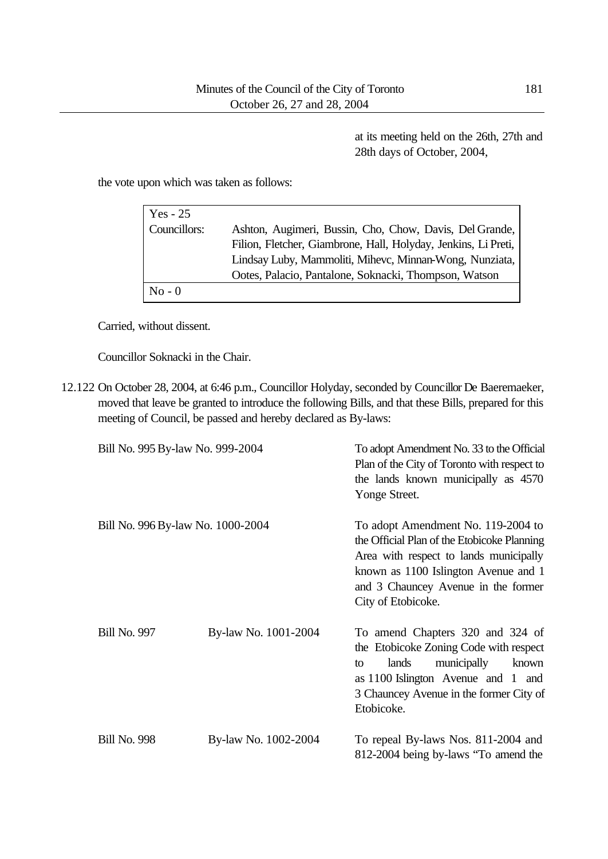at its meeting held on the 26th, 27th and 28th days of October, 2004,

the vote upon which was taken as follows:

| $Yes - 25$   |                                                                |
|--------------|----------------------------------------------------------------|
| Councillors: | Ashton, Augimeri, Bussin, Cho, Chow, Davis, Del Grande,        |
|              | Filion, Fletcher, Giambrone, Hall, Holyday, Jenkins, Li Preti, |
|              | Lindsay Luby, Mammoliti, Mihevc, Minnan-Wong, Nunziata,        |
|              | Ootes, Palacio, Pantalone, Soknacki, Thompson, Watson          |
| $No - 0$     |                                                                |

Carried, without dissent.

Councillor Soknacki in the Chair.

12.122 On October 28, 2004, at 6:46 p.m., Councillor Holyday, seconded by Councillor De Baeremaeker, moved that leave be granted to introduce the following Bills, and that these Bills, prepared for this meeting of Council, be passed and hereby declared as By-laws:

| Bill No. 995 By-law No. 999-2004  |                      | To adopt Amendment No. 33 to the Official<br>Plan of the City of Toronto with respect to<br>the lands known municipally as 4570<br>Yonge Street.                                                                                 |
|-----------------------------------|----------------------|----------------------------------------------------------------------------------------------------------------------------------------------------------------------------------------------------------------------------------|
| Bill No. 996 By-law No. 1000-2004 |                      | To adopt Amendment No. 119-2004 to<br>the Official Plan of the Etobicoke Planning<br>Area with respect to lands municipally<br>known as 1100 Islington Avenue and 1<br>and 3 Chauncey Avenue in the former<br>City of Etobicoke. |
| <b>Bill No. 997</b>               | By-law No. 1001-2004 | To amend Chapters 320 and 324 of<br>the Etobicoke Zoning Code with respect<br>municipally<br>lands<br>known<br>to<br>as $1100$ Islington Avenue and 1 and<br>3 Chauncey Avenue in the former City of<br>Etobicoke.               |
| <b>Bill No. 998</b>               | By-law No. 1002-2004 | To repeal By-laws Nos. 811-2004 and<br>812-2004 being by-laws "To amend the                                                                                                                                                      |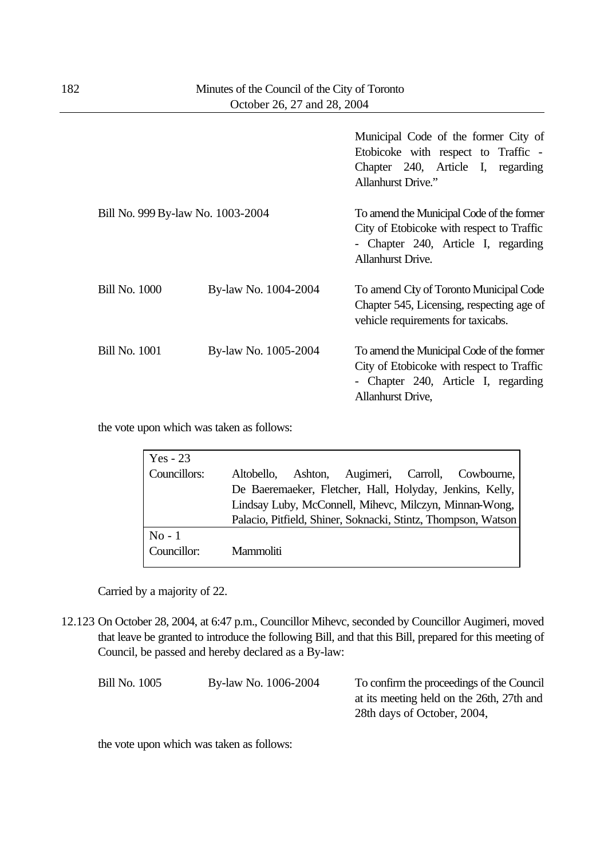|                                   |                      | Municipal Code of the former City of<br>Etobicoke with respect to Traffic -<br>Chapter 240, Article I, regarding<br><b>Allanhurst Drive."</b>             |
|-----------------------------------|----------------------|-----------------------------------------------------------------------------------------------------------------------------------------------------------|
| Bill No. 999 By-law No. 1003-2004 |                      | To amend the Municipal Code of the former<br>City of Etobicoke with respect to Traffic<br>- Chapter 240, Article I, regarding<br><b>Allanhurst Drive.</b> |
| <b>Bill No. 1000</b>              | By-law No. 1004-2004 | To amend Cty of Toronto Municipal Code<br>Chapter 545, Licensing, respecting age of<br>vehicle requirements for taxicabs.                                 |
| <b>Bill No. 1001</b>              | By-law No. 1005-2004 | To amend the Municipal Code of the former<br>City of Etobicoke with respect to Traffic<br>- Chapter 240, Article I, regarding<br><b>Allanhurst Drive,</b> |

the vote upon which was taken as follows:

| Yes - 23     |                                                               |
|--------------|---------------------------------------------------------------|
| Councillors: | Augimeri, Carroll, Cowbourne,<br>Ashton,<br>Altobello,        |
|              | De Baeremaeker, Fletcher, Hall, Holyday, Jenkins, Kelly,      |
|              | Lindsay Luby, McConnell, Mihevc, Milczyn, Minnan-Wong,        |
|              | Palacio, Pitfield, Shiner, Soknacki, Stintz, Thompson, Watson |
| $No-1$       |                                                               |
| Councillor:  | Mammoliti                                                     |

Carried by a majority of 22.

12.123 On October 28, 2004, at 6:47 p.m., Councillor Mihevc, seconded by Councillor Augimeri, moved that leave be granted to introduce the following Bill, and that this Bill, prepared for this meeting of Council, be passed and hereby declared as a By-law:

| Bill No. 1005 | By-law No. 1006-2004 | To confirm the proceedings of the Council |
|---------------|----------------------|-------------------------------------------|
|               |                      | at its meeting held on the 26th, 27th and |
|               |                      | 28th days of October, 2004,               |
|               |                      |                                           |

the vote upon which was taken as follows: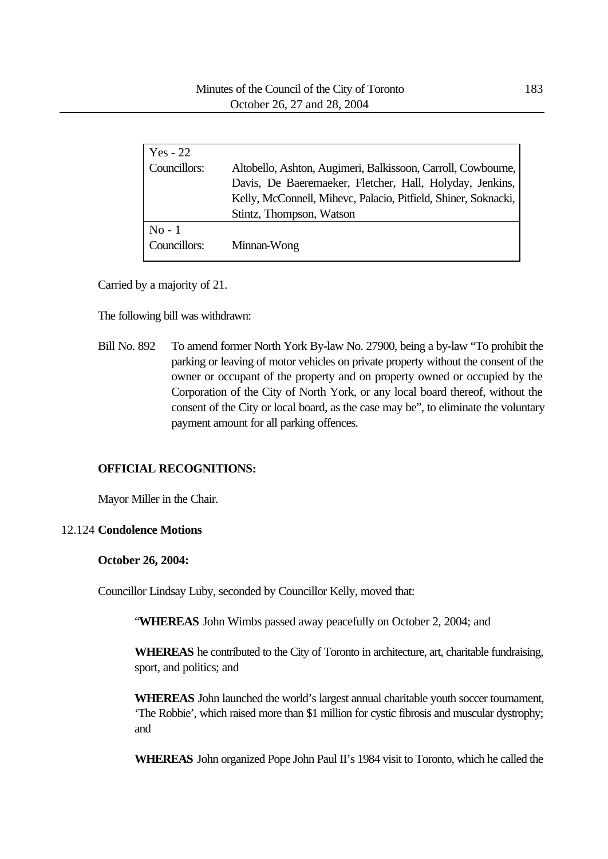| $Yes - 22$               |                                                                                                                                                                                                                        |
|--------------------------|------------------------------------------------------------------------------------------------------------------------------------------------------------------------------------------------------------------------|
| Councillors:             | Altobello, Ashton, Augimeri, Balkissoon, Carroll, Cowbourne,<br>Davis, De Baeremaeker, Fletcher, Hall, Holyday, Jenkins,<br>Kelly, McConnell, Mihevc, Palacio, Pitfield, Shiner, Soknacki,<br>Stintz, Thompson, Watson |
| $No - 1$<br>Councillors: | Minnan-Wong                                                                                                                                                                                                            |

Carried by a majority of 21.

The following bill was withdrawn:

Bill No. 892 To amend former North York By-law No. 27900, being a by-law "To prohibit the parking or leaving of motor vehicles on private property without the consent of the owner or occupant of the property and on property owned or occupied by the Corporation of the City of North York, or any local board thereof, without the consent of the City or local board, as the case may be", to eliminate the voluntary payment amount for all parking offences.

#### **OFFICIAL RECOGNITIONS:**

Mayor Miller in the Chair.

#### 12.124 **Condolence Motions**

#### **October 26, 2004:**

Councillor Lindsay Luby, seconded by Councillor Kelly, moved that:

"**WHEREAS** John Wimbs passed away peacefully on October 2, 2004; and

**WHEREAS** he contributed to the City of Toronto in architecture, art, charitable fundraising, sport, and politics; and

**WHEREAS** John launched the world's largest annual charitable youth soccer tournament, 'The Robbie', which raised more than \$1 million for cystic fibrosis and muscular dystrophy; and

**WHEREAS** John organized Pope John Paul II's 1984 visit to Toronto, which he called the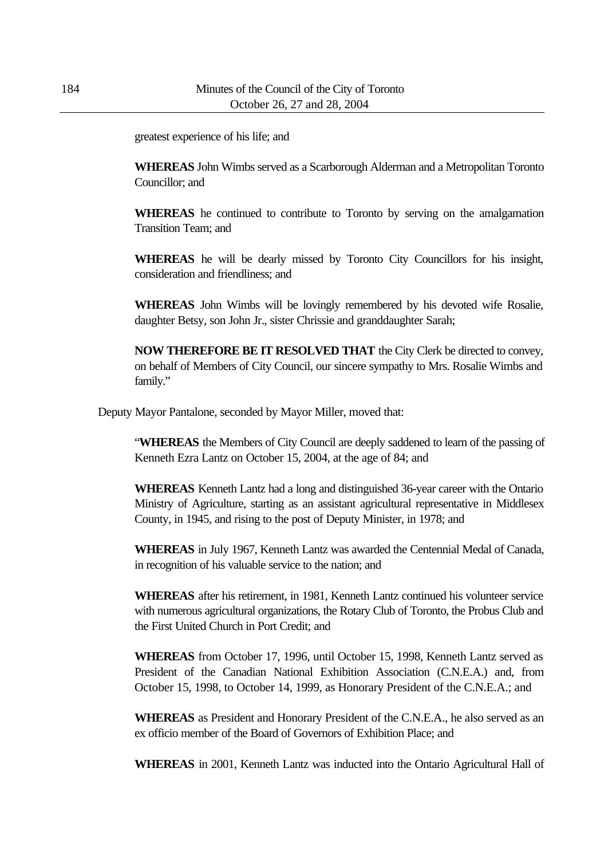greatest experience of his life; and

**WHEREAS** John Wimbs served as a Scarborough Alderman and a Metropolitan Toronto Councillor; and

**WHEREAS** he continued to contribute to Toronto by serving on the amalgamation Transition Team; and

**WHEREAS** he will be dearly missed by Toronto City Councillors for his insight, consideration and friendliness; and

**WHEREAS** John Wimbs will be lovingly remembered by his devoted wife Rosalie, daughter Betsy, son John Jr., sister Chrissie and granddaughter Sarah;

**NOW THEREFORE BE IT RESOLVED THAT** the City Clerk be directed to convey, on behalf of Members of City Council, our sincere sympathy to Mrs. Rosalie Wimbs and family."

Deputy Mayor Pantalone, seconded by Mayor Miller, moved that:

"**WHEREAS** the Members of City Council are deeply saddened to learn of the passing of Kenneth Ezra Lantz on October 15, 2004, at the age of 84; and

**WHEREAS** Kenneth Lantz had a long and distinguished 36-year career with the Ontario Ministry of Agriculture, starting as an assistant agricultural representative in Middlesex County, in 1945, and rising to the post of Deputy Minister, in 1978; and

**WHEREAS** in July 1967, Kenneth Lantz was awarded the Centennial Medal of Canada, in recognition of his valuable service to the nation; and

**WHEREAS** after his retirement, in 1981, Kenneth Lantz continued his volunteer service with numerous agricultural organizations, the Rotary Club of Toronto, the Probus Club and the First United Church in Port Credit; and

**WHEREAS** from October 17, 1996, until October 15, 1998, Kenneth Lantz served as President of the Canadian National Exhibition Association (C.N.E.A.) and, from October 15, 1998, to October 14, 1999, as Honorary President of the C.N.E.A.; and

**WHEREAS** as President and Honorary President of the C.N.E.A., he also served as an ex officio member of the Board of Governors of Exhibition Place; and

**WHEREAS** in 2001, Kenneth Lantz was inducted into the Ontario Agricultural Hall of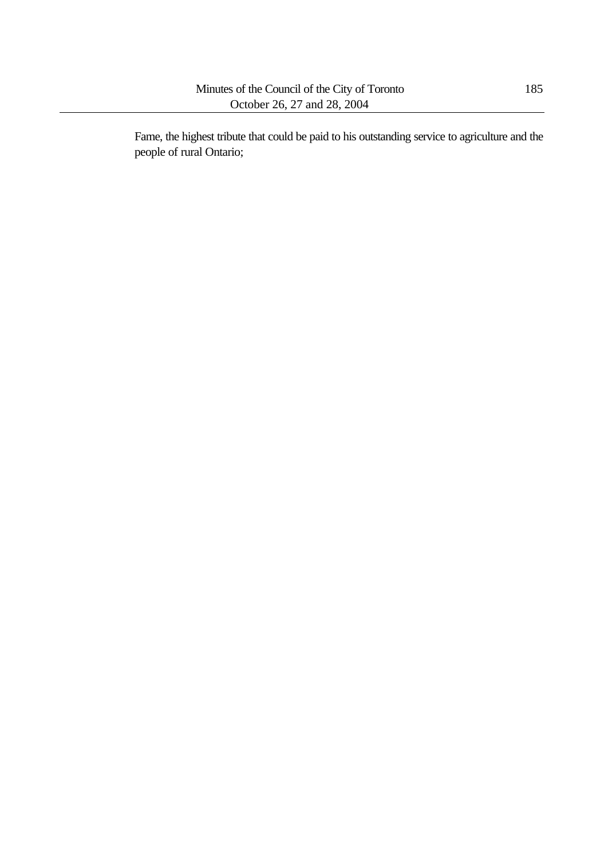Fame, the highest tribute that could be paid to his outstanding service to agriculture and the people of rural Ontario;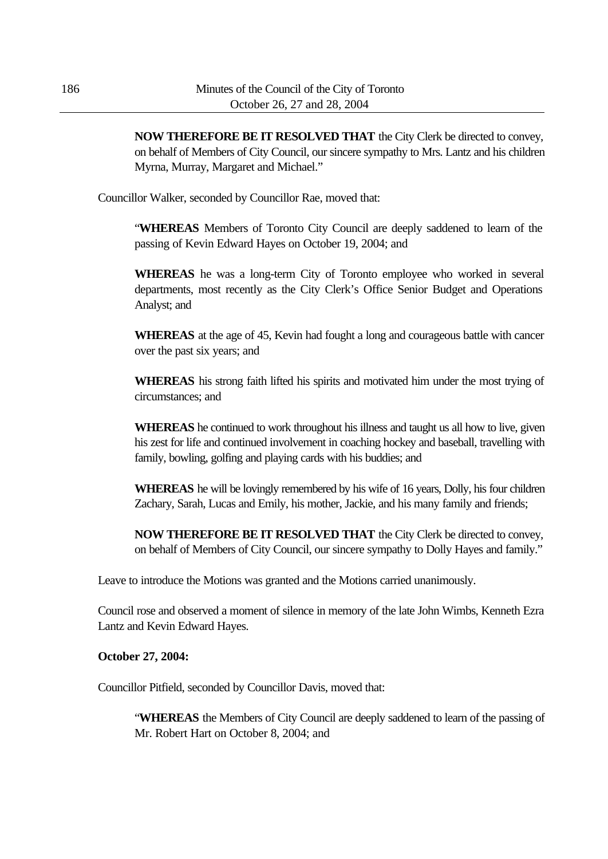**NOW THEREFORE BE IT RESOLVED THAT** the City Clerk be directed to convey, on behalf of Members of City Council, our sincere sympathy to Mrs. Lantz and his children Myrna, Murray, Margaret and Michael."

Councillor Walker, seconded by Councillor Rae, moved that:

"**WHEREAS** Members of Toronto City Council are deeply saddened to learn of the passing of Kevin Edward Hayes on October 19, 2004; and

**WHEREAS** he was a long-term City of Toronto employee who worked in several departments, most recently as the City Clerk's Office Senior Budget and Operations Analyst; and

**WHEREAS** at the age of 45, Kevin had fought a long and courageous battle with cancer over the past six years; and

**WHEREAS** his strong faith lifted his spirits and motivated him under the most trying of circumstances; and

**WHEREAS** he continued to work throughout his illness and taught us all how to live, given his zest for life and continued involvement in coaching hockey and baseball, travelling with family, bowling, golfing and playing cards with his buddies; and

**WHEREAS** he will be lovingly remembered by his wife of 16 years, Dolly, his four children Zachary, Sarah, Lucas and Emily, his mother, Jackie, and his many family and friends;

**NOW THEREFORE BE IT RESOLVED THAT** the City Clerk be directed to convey, on behalf of Members of City Council, our sincere sympathy to Dolly Hayes and family."

Leave to introduce the Motions was granted and the Motions carried unanimously.

Council rose and observed a moment of silence in memory of the late John Wimbs, Kenneth Ezra Lantz and Kevin Edward Hayes.

#### **October 27, 2004:**

Councillor Pitfield, seconded by Councillor Davis, moved that:

"**WHEREAS** the Members of City Council are deeply saddened to learn of the passing of Mr. Robert Hart on October 8, 2004; and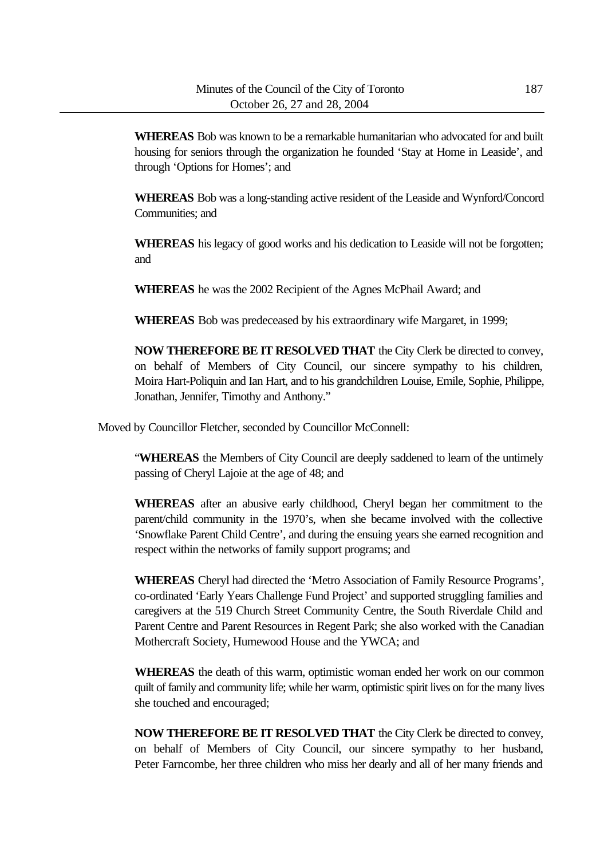**WHEREAS** Bob was known to be a remarkable humanitarian who advocated for and built housing for seniors through the organization he founded 'Stay at Home in Leaside', and through 'Options for Homes'; and

**WHEREAS** Bob was a long-standing active resident of the Leaside and Wynford/Concord Communities; and

**WHEREAS** his legacy of good works and his dedication to Leaside will not be forgotten; and

**WHEREAS** he was the 2002 Recipient of the Agnes McPhail Award; and

**WHEREAS** Bob was predeceased by his extraordinary wife Margaret, in 1999;

**NOW THEREFORE BE IT RESOLVED THAT** the City Clerk be directed to convey, on behalf of Members of City Council, our sincere sympathy to his children, Moira Hart-Poliquin and Ian Hart, and to his grandchildren Louise, Emile, Sophie, Philippe, Jonathan, Jennifer, Timothy and Anthony."

Moved by Councillor Fletcher, seconded by Councillor McConnell:

"**WHEREAS** the Members of City Council are deeply saddened to learn of the untimely passing of Cheryl Lajoie at the age of 48; and

**WHEREAS** after an abusive early childhood, Cheryl began her commitment to the parent/child community in the 1970's, when she became involved with the collective 'Snowflake Parent Child Centre', and during the ensuing years she earned recognition and respect within the networks of family support programs; and

**WHEREAS** Cheryl had directed the 'Metro Association of Family Resource Programs', co-ordinated 'Early Years Challenge Fund Project' and supported struggling families and caregivers at the 519 Church Street Community Centre, the South Riverdale Child and Parent Centre and Parent Resources in Regent Park; she also worked with the Canadian Mothercraft Society, Humewood House and the YWCA; and

**WHEREAS** the death of this warm, optimistic woman ended her work on our common quilt of family and community life; while her warm, optimistic spirit lives on for the many lives she touched and encouraged;

**NOW THEREFORE BE IT RESOLVED THAT** the City Clerk be directed to convey, on behalf of Members of City Council, our sincere sympathy to her husband, Peter Farncombe, her three children who miss her dearly and all of her many friends and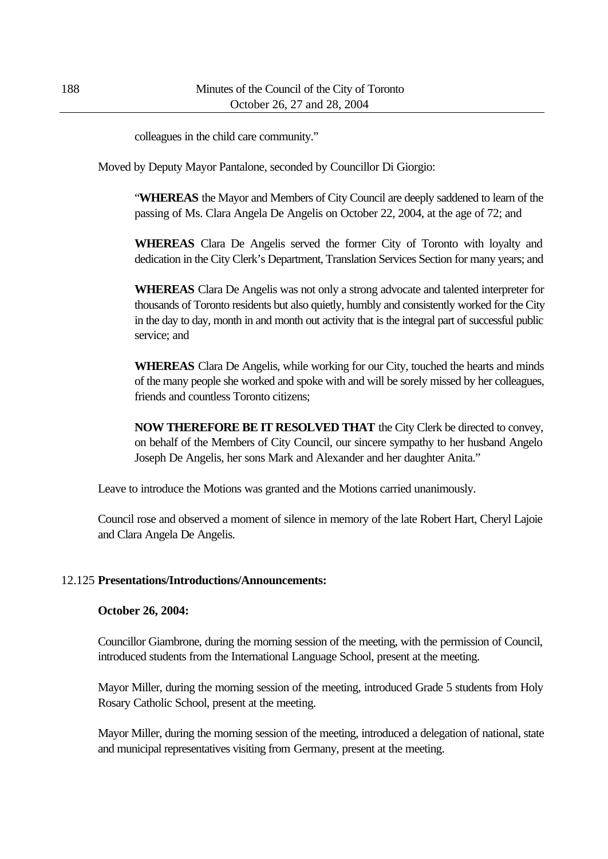colleagues in the child care community."

Moved by Deputy Mayor Pantalone, seconded by Councillor Di Giorgio:

"**WHEREAS** the Mayor and Members of City Council are deeply saddened to learn of the passing of Ms. Clara Angela De Angelis on October 22, 2004, at the age of 72; and

**WHEREAS** Clara De Angelis served the former City of Toronto with loyalty and dedication in the City Clerk's Department, Translation Services Section for many years; and

**WHEREAS** Clara De Angelis was not only a strong advocate and talented interpreter for thousands of Toronto residents but also quietly, humbly and consistently worked for the City in the day to day, month in and month out activity that is the integral part of successful public service; and

**WHEREAS** Clara De Angelis, while working for our City, touched the hearts and minds of the many people she worked and spoke with and will be sorely missed by her colleagues, friends and countless Toronto citizens;

**NOW THEREFORE BE IT RESOLVED THAT** the City Clerk be directed to convey, on behalf of the Members of City Council, our sincere sympathy to her husband Angelo Joseph De Angelis, her sons Mark and Alexander and her daughter Anita."

Leave to introduce the Motions was granted and the Motions carried unanimously.

Council rose and observed a moment of silence in memory of the late Robert Hart, Cheryl Lajoie and Clara Angela De Angelis.

#### 12.125 **Presentations/Introductions/Announcements:**

#### **October 26, 2004:**

Councillor Giambrone, during the morning session of the meeting, with the permission of Council, introduced students from the International Language School, present at the meeting.

Mayor Miller, during the morning session of the meeting, introduced Grade 5 students from Holy Rosary Catholic School, present at the meeting.

Mayor Miller, during the morning session of the meeting, introduced a delegation of national, state and municipal representatives visiting from Germany, present at the meeting.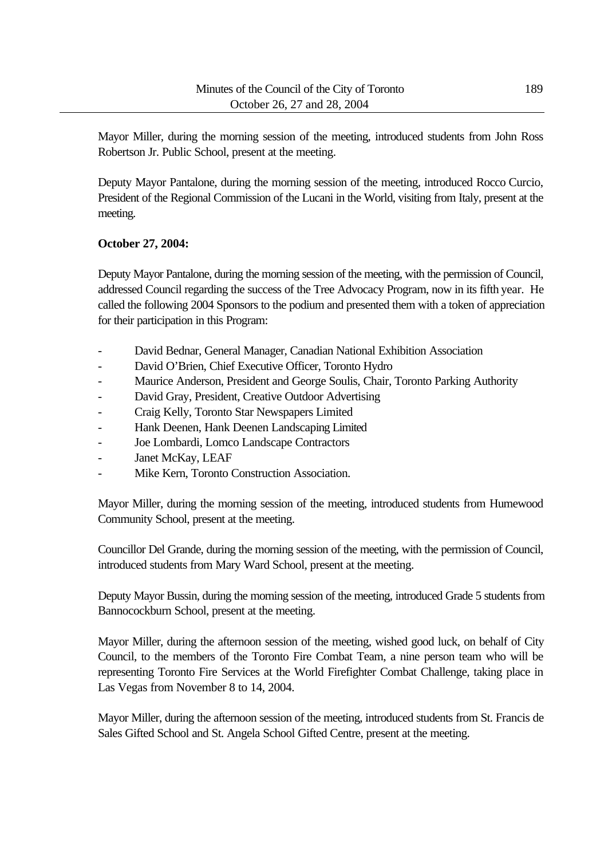Mayor Miller, during the morning session of the meeting, introduced students from John Ross Robertson Jr. Public School, present at the meeting.

Deputy Mayor Pantalone, during the morning session of the meeting, introduced Rocco Curcio, President of the Regional Commission of the Lucani in the World, visiting from Italy, present at the meeting.

#### **October 27, 2004:**

Deputy Mayor Pantalone, during the morning session of the meeting, with the permission of Council, addressed Council regarding the success of the Tree Advocacy Program, now in its fifth year. He called the following 2004 Sponsors to the podium and presented them with a token of appreciation for their participation in this Program:

- David Bednar, General Manager, Canadian National Exhibition Association
- David O'Brien, Chief Executive Officer, Toronto Hydro
- Maurice Anderson, President and George Soulis, Chair, Toronto Parking Authority
- David Gray, President, Creative Outdoor Advertising
- Craig Kelly, Toronto Star Newspapers Limited
- Hank Deenen, Hank Deenen Landscaping Limited
- Joe Lombardi, Lomco Landscape Contractors
- Janet McKay, LEAF
- Mike Kern, Toronto Construction Association.

Mayor Miller, during the morning session of the meeting, introduced students from Humewood Community School, present at the meeting.

Councillor Del Grande, during the morning session of the meeting, with the permission of Council, introduced students from Mary Ward School, present at the meeting.

Deputy Mayor Bussin, during the morning session of the meeting, introduced Grade 5 students from Bannocockburn School, present at the meeting.

Mayor Miller, during the afternoon session of the meeting, wished good luck, on behalf of City Council, to the members of the Toronto Fire Combat Team, a nine person team who will be representing Toronto Fire Services at the World Firefighter Combat Challenge, taking place in Las Vegas from November 8 to 14, 2004.

Mayor Miller, during the afternoon session of the meeting, introduced students from St. Francis de Sales Gifted School and St. Angela School Gifted Centre, present at the meeting.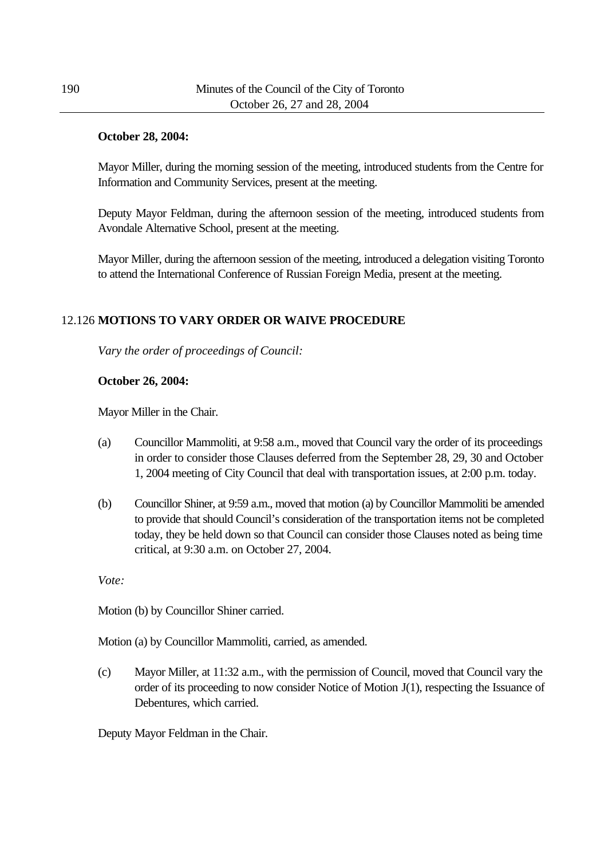#### **October 28, 2004:**

Mayor Miller, during the morning session of the meeting, introduced students from the Centre for Information and Community Services, present at the meeting.

Deputy Mayor Feldman, during the afternoon session of the meeting, introduced students from Avondale Alternative School, present at the meeting.

Mayor Miller, during the afternoon session of the meeting, introduced a delegation visiting Toronto to attend the International Conference of Russian Foreign Media, present at the meeting.

#### 12.126 **MOTIONS TO VARY ORDER OR WAIVE PROCEDURE**

*Vary the order of proceedings of Council:*

#### **October 26, 2004:**

Mayor Miller in the Chair.

- (a) Councillor Mammoliti, at 9:58 a.m., moved that Council vary the order of its proceedings in order to consider those Clauses deferred from the September 28, 29, 30 and October 1, 2004 meeting of City Council that deal with transportation issues, at 2:00 p.m. today.
- (b) Councillor Shiner, at 9:59 a.m., moved that motion (a) by Councillor Mammoliti be amended to provide that should Council's consideration of the transportation items not be completed today, they be held down so that Council can consider those Clauses noted as being time critical, at 9:30 a.m. on October 27, 2004.

*Vote:*

Motion (b) by Councillor Shiner carried.

Motion (a) by Councillor Mammoliti, carried, as amended.

(c) Mayor Miller, at 11:32 a.m., with the permission of Council, moved that Council vary the order of its proceeding to now consider Notice of Motion J(1), respecting the Issuance of Debentures, which carried.

Deputy Mayor Feldman in the Chair.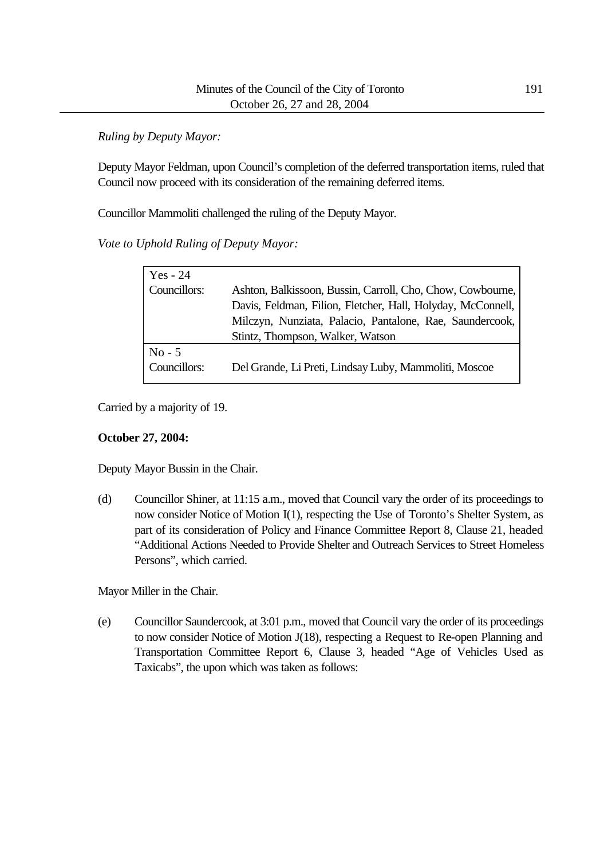*Ruling by Deputy Mayor:*

Deputy Mayor Feldman, upon Council's completion of the deferred transportation items, ruled that Council now proceed with its consideration of the remaining deferred items.

Councillor Mammoliti challenged the ruling of the Deputy Mayor.

*Vote to Uphold Ruling of Deputy Mayor:*

| Yes - 24     |                                                             |
|--------------|-------------------------------------------------------------|
| Councillors: | Ashton, Balkissoon, Bussin, Carroll, Cho, Chow, Cowbourne,  |
|              | Davis, Feldman, Filion, Fletcher, Hall, Holyday, McConnell, |
|              | Milczyn, Nunziata, Palacio, Pantalone, Rae, Saundercook,    |
|              | Stintz, Thompson, Walker, Watson                            |
| $No - 5$     |                                                             |
| Councillors: | Del Grande, Li Preti, Lindsay Luby, Mammoliti, Moscoe       |

Carried by a majority of 19.

#### **October 27, 2004:**

Deputy Mayor Bussin in the Chair.

(d) Councillor Shiner, at 11:15 a.m., moved that Council vary the order of its proceedings to now consider Notice of Motion I(1), respecting the Use of Toronto's Shelter System, as part of its consideration of Policy and Finance Committee Report 8, Clause 21, headed "Additional Actions Needed to Provide Shelter and Outreach Services to Street Homeless Persons", which carried.

Mayor Miller in the Chair.

(e) Councillor Saundercook, at 3:01 p.m., moved that Council vary the order of its proceedings to now consider Notice of Motion J(18), respecting a Request to Re-open Planning and Transportation Committee Report 6, Clause 3, headed "Age of Vehicles Used as Taxicabs", the upon which was taken as follows: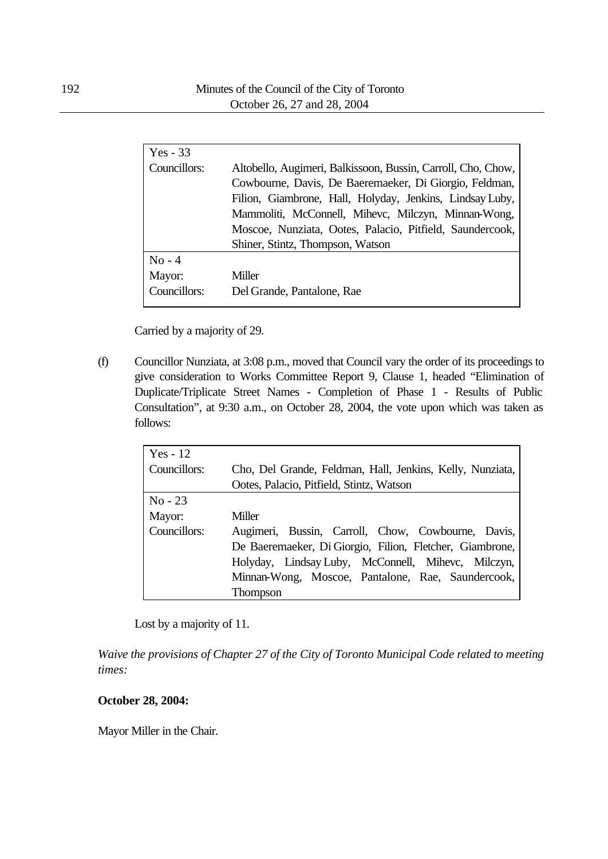| $Yes - 33$             |                                                                                                                                                                                                                                                                                                       |
|------------------------|-------------------------------------------------------------------------------------------------------------------------------------------------------------------------------------------------------------------------------------------------------------------------------------------------------|
| Councillors:           | Altobello, Augimeri, Balkissoon, Bussin, Carroll, Cho, Chow,<br>Cowbourne, Davis, De Baeremaeker, Di Giorgio, Feldman,<br>Filion, Giambrone, Hall, Holyday, Jenkins, Lindsay Luby,<br>Mammoliti, McConnell, Mihevc, Milczyn, Minnan-Wong,<br>Moscoe, Nunziata, Ootes, Palacio, Pitfield, Saundercook, |
|                        | Shiner, Stintz, Thompson, Watson                                                                                                                                                                                                                                                                      |
| $No - 4$               |                                                                                                                                                                                                                                                                                                       |
| Mayor:<br>Councillors: | Miller<br>Del Grande, Pantalone, Rae                                                                                                                                                                                                                                                                  |
|                        |                                                                                                                                                                                                                                                                                                       |

Carried by a majority of 29.

(f) Councillor Nunziata, at 3:08 p.m., moved that Council vary the order of its proceedings to give consideration to Works Committee Report 9, Clause 1, headed "Elimination of Duplicate/Triplicate Street Names - Completion of Phase 1 - Results of Public Consultation", at 9:30 a.m., on October 28, 2004, the vote upon which was taken as follows:

| $Yes - 12$   |                                                           |  |  |  |  |  |
|--------------|-----------------------------------------------------------|--|--|--|--|--|
| Councillors: | Cho, Del Grande, Feldman, Hall, Jenkins, Kelly, Nunziata, |  |  |  |  |  |
|              | Ootes, Palacio, Pitfield, Stintz, Watson                  |  |  |  |  |  |
| $No - 23$    |                                                           |  |  |  |  |  |
| Mayor:       | Miller                                                    |  |  |  |  |  |
| Councillors: | Augimeri, Bussin, Carroll, Chow, Cowbourne, Davis,        |  |  |  |  |  |
|              | De Baeremaeker, Di Giorgio, Filion, Fletcher, Giambrone,  |  |  |  |  |  |
|              | Holyday, Lindsay Luby, McConnell, Mihevc, Milczyn,        |  |  |  |  |  |
|              | Minnan-Wong, Moscoe, Pantalone, Rae, Saundercook,         |  |  |  |  |  |
|              | Thompson                                                  |  |  |  |  |  |

Lost by a majority of 11.

*Waive the provisions of Chapter 27 of the City of Toronto Municipal Code related to meeting times:*

#### **October 28, 2004:**

Mayor Miller in the Chair.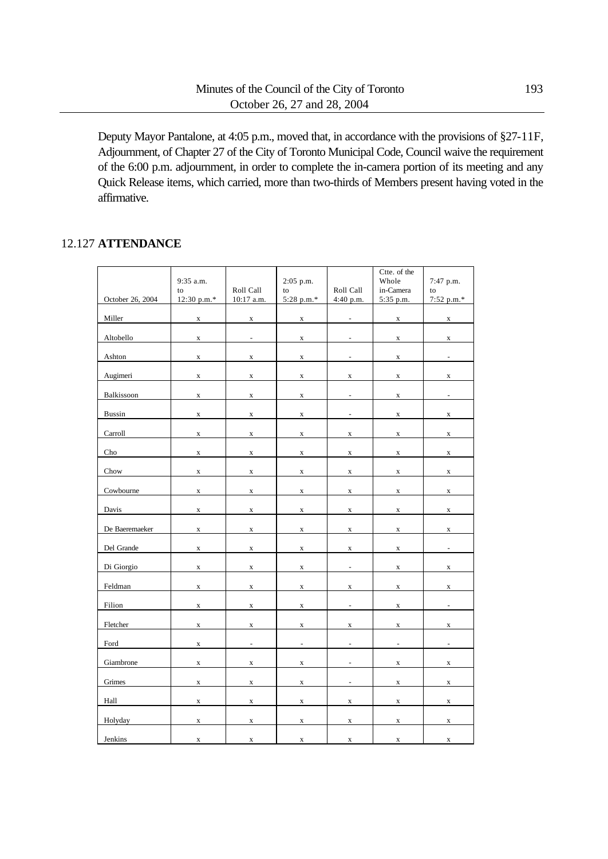Deputy Mayor Pantalone, at 4:05 p.m., moved that, in accordance with the provisions of §27-11F, Adjournment, of Chapter 27 of the City of Toronto Municipal Code, Council waive the requirement of the 6:00 p.m. adjournment, in order to complete the in-camera portion of its meeting and any Quick Release items, which carried, more than two-thirds of Members present having voted in the affirmative.

#### 12.127 **ATTENDANCE**

|                  |                   |                          |                          |                          | Ctte. of the             |                          |
|------------------|-------------------|--------------------------|--------------------------|--------------------------|--------------------------|--------------------------|
|                  | 9:35 a.m.         |                          | 2:05 p.m.                |                          | Whole                    | 7:47 p.m.                |
| October 26, 2004 | to<br>12:30 p.m.* | Roll Call<br>10:17 a.m.  | to<br>5:28 p.m.*         | Roll Call<br>4:40 p.m.   | in-Camera<br>5:35 p.m.   | to<br>7:52 p.m.*         |
|                  |                   |                          |                          |                          |                          |                          |
| Miller           | $\mathbf X$       | $\mathbf X$              | $\mathbf X$              | $\overline{a}$           | $\mathbf X$              | $\mathbf X$              |
|                  |                   |                          |                          |                          |                          |                          |
| Altobello        | $\mathbf X$       | $\overline{\phantom{a}}$ | $\mathbf X$              | $\frac{1}{2}$            | $\mathbf X$              | $\mathbf X$              |
|                  |                   |                          |                          |                          |                          |                          |
| Ashton           | $\mathbf X$       | $\mathbf X$              | $\mathbf X$              | $\overline{\phantom{0}}$ | $\mathbf X$              | $\overline{\phantom{a}}$ |
|                  |                   |                          |                          |                          |                          |                          |
| Augimeri         | $\mathbf x$       | $\mathbf X$              | $\mathbf X$              | $\mathbf x$              | $\mathbf X$              | $\mathbf X$              |
|                  |                   |                          |                          |                          |                          |                          |
| Balkissoon       | $\mathbf x$       | $\mathbf X$              | $\mathbf X$              | $\frac{1}{2}$            | $\mathbf X$              | $\overline{\phantom{a}}$ |
|                  |                   |                          |                          |                          |                          |                          |
| <b>Bussin</b>    | $\mathbf x$       | $\mathbf X$              | $\mathbf X$              | $\frac{1}{2}$            | $\mathbf x$              | $\mathbf X$              |
|                  |                   |                          |                          |                          |                          |                          |
| Carroll          | $\mathbf X$       | $\mathbf X$              | $\mathbf X$              | $\mathbf x$              | $\mathbf X$              | $\mathbf x$              |
|                  |                   |                          |                          |                          |                          |                          |
| Cho              | $\mathbf X$       | $\mathbf X$              | $\mathbf X$              | $\mathbf X$              | $\mathbf X$              | $\mathbf X$              |
|                  |                   |                          |                          |                          |                          |                          |
| Chow             | $\mathbf X$       | $\mathbf X$              | $\mathbf X$              | $\mathbf X$              | $\mathbf X$              | $\mathbf X$              |
|                  |                   |                          |                          |                          |                          |                          |
| Cowbourne        | $\mathbf X$       | $\mathbf X$              | $\mathbf X$              | $\mathbf X$              | $\mathbf X$              | $\mathbf X$              |
|                  |                   |                          |                          |                          |                          |                          |
| Davis            | $\mathbf X$       | $\mathbf X$              | $\mathbf X$              | $\mathbf X$              | $\mathbf X$              | $\mathbf X$              |
|                  |                   |                          |                          |                          |                          |                          |
| De Baeremaeker   | $\mathbf X$       | $\mathbf X$              | $\mathbf X$              | $\mathbf X$              | $\mathbf X$              | $\mathbf X$              |
|                  |                   |                          |                          |                          |                          |                          |
| Del Grande       | $\mathbf X$       | $\mathbf x$              | $\mathbf x$              | $\mathbf x$              | $\mathbf X$              | $\overline{\phantom{a}}$ |
| Di Giorgio       | $\mathbf X$       |                          |                          | $\blacksquare$           |                          |                          |
|                  |                   | $\mathbf X$              | $\mathbf X$              |                          | $\mathbf x$              | $\mathbf X$              |
| Feldman          | $\mathbf X$       | $\mathbf x$              | $\mathbf x$              | $\mathbf x$              | $\mathbf X$              | $\mathbf X$              |
|                  |                   |                          |                          |                          |                          |                          |
| Filion           | $\mathbf x$       | $\mathbf X$              | $\mathbf X$              | $\overline{\phantom{a}}$ | $\mathbf X$              | $\blacksquare$           |
|                  |                   |                          |                          |                          |                          |                          |
| Fletcher         | $\mathbf X$       | $\mathbf X$              | $\mathbf X$              | $\mathbf x$              | $\mathbf X$              | $\mathbf X$              |
|                  |                   |                          |                          |                          |                          |                          |
| Ford             | $\mathbf X$       | $\Box$                   | $\overline{\phantom{a}}$ | $\blacksquare$           | $\overline{\phantom{a}}$ | $\overline{\phantom{a}}$ |
|                  |                   |                          |                          |                          |                          |                          |
| Giambrone        | $\mathbf X$       | $\mathbf X$              | $\mathbf X$              | $\blacksquare$           | X                        | $\mathbf X$              |
|                  |                   |                          |                          |                          |                          |                          |
| Grimes           | $\mathbf X$       | $\mathbf x$              | $\mathbf X$              | $\blacksquare$           | X                        | $\mathbf X$              |
|                  |                   |                          |                          |                          |                          |                          |
| Hall             | X                 | $\mathbf X$              | $\mathbf X$              | X                        | $\mathbf X$              | $\mathbf X$              |
|                  |                   |                          |                          |                          |                          |                          |
| Holyday          | x                 | $\mathbf X$              | $\mathbf x$              | x                        | X                        | x                        |
|                  |                   |                          |                          |                          |                          |                          |
| Jenkins          | X                 | $\mathbf X$              | $\mathbf x$              | x                        | $\mathbf X$              | X                        |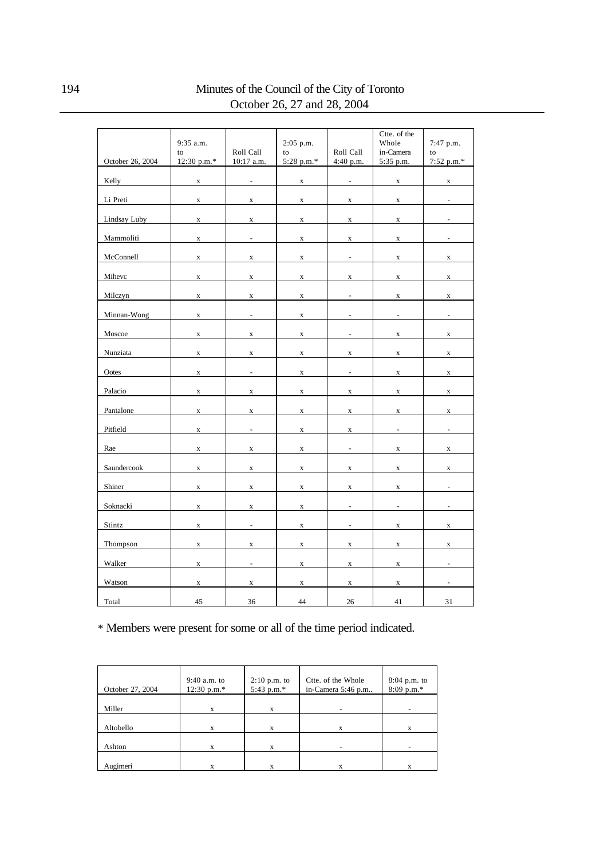|                     | 9:35 a.m.   |                          | 2:05 p.m.   |                              | Ctte. of the<br>Whole    | 7:47 p.m.                |
|---------------------|-------------|--------------------------|-------------|------------------------------|--------------------------|--------------------------|
|                     | to          | Roll Call                | to          | Roll Call                    | in-Camera                | to                       |
| October 26, 2004    | 12:30 p.m.* | 10:17 a.m.               | 5:28 p.m.*  | 4:40 p.m.                    | 5:35 p.m.                | 7:52 p.m.*               |
|                     |             |                          |             |                              |                          |                          |
| Kelly               | X           | ÷                        | $\mathbf X$ | $\qquad \qquad \blacksquare$ | $\mathbf X$              | $\mathbf X$              |
| Li Preti            | $\mathbf X$ | $\mathbf X$              | $\mathbf X$ | $\mathbf X$                  | $\mathbf x$              |                          |
| <b>Lindsay Luby</b> | X           | $\mathbf X$              | $\mathbf X$ | $\mathbf x$                  | $\mathbf X$              |                          |
| Mammoliti           | $\mathbf X$ | $\frac{1}{2}$            | $\mathbf X$ | $\mathbf X$                  | $\mathbf X$              |                          |
| McConnell           | X           | $\mathbf X$              | $\mathbf x$ | $\overline{\phantom{a}}$     | $\mathbf X$              | $\mathbf X$              |
| Mihevc              | $\mathbf X$ | $\mathbf X$              | $\mathbf X$ | $\mathbf X$                  | $\mathbf X$              | $\mathbf X$              |
| Milczyn             | $\mathbf x$ | $\mathbf X$              | $\mathbf X$ | $\overline{a}$               | $\mathbf X$              | $\mathbf X$              |
| Minnan-Wong         | $\mathbf x$ | $\frac{1}{2}$            | $\mathbf X$ | $\overline{a}$               | $\frac{1}{2}$            | $\overline{\phantom{0}}$ |
| Moscoe              | $\mathbf x$ | $\mathbf X$              | $\mathbf X$ | $\overline{\phantom{a}}$     | $\mathbf x$              | $\mathbf X$              |
| Nunziata            | $\mathbf x$ | $\mathbf X$              | $\mathbf X$ | $\mathbf X$                  | $\mathbf X$              | $\mathbf X$              |
| Ootes               | X           | $\frac{1}{2}$            | $\mathbf X$ | ÷,                           | $\mathbf X$              | $\mathbf X$              |
| Palacio             | $\mathbf X$ | $\mathbf X$              | $\mathbf X$ | $\mathbf X$                  | $\mathbf X$              | $\mathbf X$              |
| Pantalone           | $\mathbf X$ | $\mathbf X$              | $\mathbf X$ | $\mathbf X$                  | $\mathbf X$              | $\mathbf X$              |
| Pitfield            | $\mathbf X$ | $\overline{a}$           | $\mathbf X$ | $\mathbf X$                  | $\overline{\phantom{a}}$ | $\overline{\phantom{a}}$ |
| Rae                 | X           | $\mathbf X$              | $\mathbf X$ | $\overline{a}$               | $\mathbf X$              | $\mathbf X$              |
| Saundercook         | $\mathbf X$ | $\mathbf X$              | $\mathbf X$ | $\mathbf X$                  | $\mathbf X$              | $\mathbf X$              |
| Shiner              | $\mathbf X$ | $\mathbf X$              | $\mathbf X$ | $\mathbf X$                  | $\mathbf X$              | $\overline{a}$           |
| Soknacki            | X           | $\mathbf x$              | $\mathbf X$ | $\blacksquare$               | $\blacksquare$           | $\overline{\phantom{a}}$ |
| Stintz              | X           | $\overline{\phantom{a}}$ | $\mathbf X$ | $\overline{\phantom{m}}$     | $\mathbf X$              | $\mathbf X$              |
| Thompson            | X           | $\mathbf X$              | $\mathbf X$ | X                            | x                        | $\mathbf x$              |
| Walker              | X           | $\overline{\phantom{a}}$ | $\mathbf X$ | $\mathbf X$                  | $\mathbf X$              | $\overline{\phantom{a}}$ |
| Watson              | X           | $\mathbf X$              | $\mathbf X$ | $\mathbf X$                  | $\mathbf X$              |                          |
| Total               | 45          | 36                       | 44          | $26\,$                       | 41                       | 31                       |

\* Members were present for some or all of the time period indicated.

| October 27, 2004 | $9:40$ a.m. to<br>$12:30 p.m.*$ | $2:10$ p.m. to<br>5:43 p.m.* | Ctte. of the Whole<br>in-Camera 5:46 p.m | 8:04 p.m. to<br>$8:09$ p.m.* |
|------------------|---------------------------------|------------------------------|------------------------------------------|------------------------------|
| Miller           | X                               | X                            |                                          |                              |
| Altobello        | X                               | X                            | x                                        | X                            |
| Ashton           | X                               | X                            |                                          |                              |
| Augimeri         |                                 | X                            |                                          | X                            |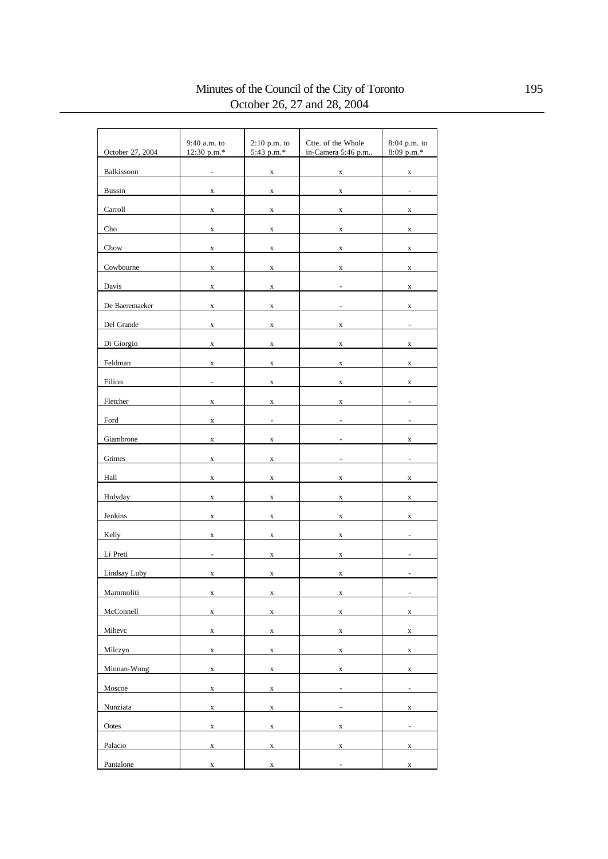#### Minutes of the Council of the City of Toronto 195 October 26, 27 and 28, 2004

| October 27, 2004 | 9:40 a.m. to<br>12:30 p.m.* | $2:10$ p.m. to<br>5:43 p.m.* | Ctte. of the Whole<br>in-Camera 5:46 p.m | 8:04 p.m. to<br>8:09 p.m.* |
|------------------|-----------------------------|------------------------------|------------------------------------------|----------------------------|
| Balkissoon       | $\overline{a}$              | $\mathbf X$                  | $\mathbf X$                              | $\mathbf X$                |
| <b>Bussin</b>    | X                           | X                            | $\mathbf X$                              | $\overline{a}$             |
| Carroll          | $\mathbf x$                 | $\mathbf X$                  | $\mathbf x$                              | $\mathbf X$                |
| Cho              | $\mathbf x$                 | $\mathbf X$                  | $\mathbf X$                              | $\mathbf X$                |
| Chow             | $\mathbf X$                 | $\mathbf X$                  | $\mathbf X$                              | $\mathbf X$                |
| Cowbourne        | $\mathbf X$                 | X                            | $\mathbf X$                              | $\mathbf X$                |
| Davis            | $\mathbf X$                 | X                            |                                          | $\mathbf X$                |
| De Baeremaeker   | $\mathbf X$                 | $\mathbf X$                  |                                          | $\mathbf x$                |
| Del Grande       |                             |                              |                                          |                            |
|                  | $\mathbf X$                 | X                            | $\mathbf X$                              |                            |
| Di Giorgio       | $\mathbf X$                 | $\mathbf X$                  | $\mathbf X$                              | $\mathbf X$                |
| Feldman          | $\mathbf X$                 | X                            | $\mathbf X$                              | $\mathbf X$                |
| Filion           | $\overline{a}$              | $\mathbf X$                  | $\mathbf x$                              | $\mathbf X$                |
| Fletcher         | $\mathbf X$                 | $\mathbf X$                  | $\mathbf x$                              |                            |
| Ford             | x                           | $\frac{1}{2}$                |                                          |                            |
| Giambrone        | $\mathbf X$                 | X                            |                                          | X                          |
| Grimes           | $\mathbf X$                 | $\mathbf X$                  |                                          |                            |
| Hall             | $\mathbf X$                 | $\mathbf X$                  | $\mathbf X$                              | $\mathbf X$                |
| Holyday          | $\mathbf X$                 | $\mathbf x$                  | $\mathbf X$                              | $\mathbf X$                |
| Jenkins          | $\mathbf x$                 | X                            | $\mathbf x$                              | $\mathbf X$                |
| Kelly            | $\mathbf x$                 | $\mathbf X$                  | $\mathbf x$                              |                            |
| Li Preti         | $\frac{1}{2}$               | $\mathbf X$                  | $\mathbf x$                              |                            |
| Lindsay Luby     | $\mathbf X$                 | X                            | $\mathbf X$                              |                            |
| Mammoliti        | $\mathbf X$                 | $\mathbf X$                  | $\mathbf X$                              | $\overline{\phantom{a}}$   |
| McConnell        | $\mathbf X$                 | $\mathbf X$                  | $\mathbf{x}$                             | $\mathbf X$                |
| Mihevc           | $\mathbf X$                 | $\mathbf X$                  | $\mathbf X$                              | $\mathbf X$                |
| Milczyn          | $\mathbf X$                 | $\mathbf X$                  | $\mathbf X$                              | $\mathbf X$                |
| Minnan-Wong      | $\mathbf X$                 | $\mathbf X$                  | $\mathbf X$                              | $\mathbf X$                |
| Moscoe           | $\mathbf X$                 | $\mathbf X$                  | $\overline{\phantom{a}}$                 | $\Box$                     |
| Nunziata         | $\mathbf X$                 | $\mathbf X$                  | $\frac{1}{2}$                            | $\mathbf X$                |
| Ootes            | $\mathbf X$                 | $\mathbf X$                  | $\mathbf X$                              | $\overline{a}$             |
| Palacio          | $\mathbf X$                 | $\mathbf x$                  | $\mathbf x$                              | $\mathbf x$                |
| Pantalone        | $\mathbf X$                 | $\mathbf X$                  | $\overline{a}$                           | $\mathbf X$                |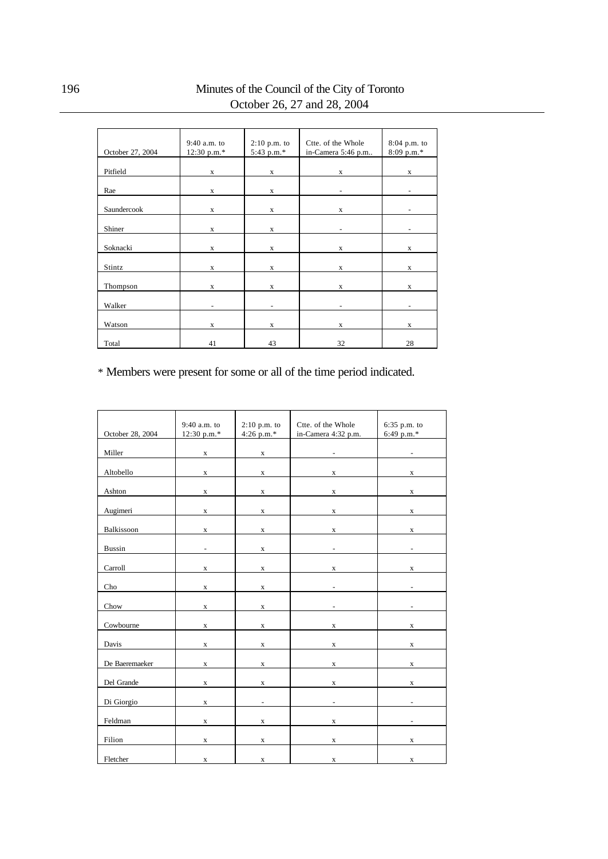#### 196 Minutes of the Council of the City of Toronto October 26, 27 and 28, 2004

| October 27, 2004 | 9:40 a.m. to<br>12:30 p.m.* | $2:10$ p.m. to<br>5:43 p.m.* | Ctte. of the Whole<br>in-Camera 5:46 p.m | $8:04$ p.m. to<br>$8:09$ p.m.* |
|------------------|-----------------------------|------------------------------|------------------------------------------|--------------------------------|
| Pitfield         | $\mathbf X$                 | $\mathbf X$                  | $\mathbf X$                              | $\mathbf X$                    |
| Rae              | X                           | $\mathbf X$                  |                                          |                                |
| Saundercook      | $\mathbf x$                 | $\mathbf X$                  | $\mathbf X$                              | $\overline{\phantom{0}}$       |
| Shiner           | $\mathbf x$                 | $\mathbf x$                  |                                          |                                |
| Soknacki         | $\mathbf X$                 | $\mathbf X$                  | X                                        | $\mathbf X$                    |
| Stintz           | $\mathbf X$                 | $\mathbf X$                  | $\mathbf X$                              | $\mathbf X$                    |
| Thompson         | X                           | $\mathbf X$                  | X                                        | X                              |
| Walker           | ٠                           | -                            | ۰                                        |                                |
| Watson           | X                           | $\mathbf X$                  | X                                        | $\mathbf X$                    |
| Total            | 41                          | 43                           | 32                                       | 28                             |

\* Members were present for some or all of the time period indicated.

|                  | 9:40 a.m. to | 2:10 p.m. to             | Ctte. of the Whole  | 6:35 p.m. to |
|------------------|--------------|--------------------------|---------------------|--------------|
| October 28, 2004 | 12:30 p.m.*  | 4:26 p.m. $*$            | in-Camera 4:32 p.m. | 6:49 p.m.*   |
| Miller           | $\mathbf X$  | $\mathbf X$              |                     |              |
| Altobello        | $\mathbf X$  | $\mathbf x$              | $\mathbf X$         | $\mathbf X$  |
| Ashton           | $\mathbf X$  | $\mathbf X$              | $\mathbf X$         | $\mathbf X$  |
| Augimeri         | $\mathbf x$  | $\mathbf X$              | $\mathbf X$         | $\mathbf x$  |
| Balkissoon       | $\mathbf x$  | $\mathbf X$              | $\mathbf X$         | $\mathbf X$  |
| <b>Bussin</b>    |              | $\mathbf X$              |                     |              |
| Carroll          | $\mathbf x$  | $\mathbf X$              | $\mathbf X$         | $\mathbf x$  |
| Cho              | $\mathbf x$  | $\mathbf X$              |                     |              |
| Chow             | $\mathbf x$  | $\mathbf X$              |                     |              |
| Cowbourne        | $\mathbf x$  | $\mathbf X$              | $\mathbf x$         | $\mathbf X$  |
| Davis            | $\mathbf X$  | $\mathbf X$              | $\mathbf x$         | $\mathbf X$  |
| De Baeremaeker   | $\mathbf X$  | $\mathbf x$              | $\mathbf X$         | $\mathbf X$  |
| Del Grande       | $\mathbf X$  | $\mathbf X$              | $\mathbf X$         | $\mathbf X$  |
| Di Giorgio       | X            | $\overline{\phantom{a}}$ |                     |              |
| Feldman          | X            | $\mathbf x$              | X                   |              |
| Filion           | $\mathbf X$  | $\mathbf X$              | $\mathbf x$         | X            |
| Fletcher         | $\mathbf X$  | $\mathbf x$              | $\mathbf x$         | $\mathbf x$  |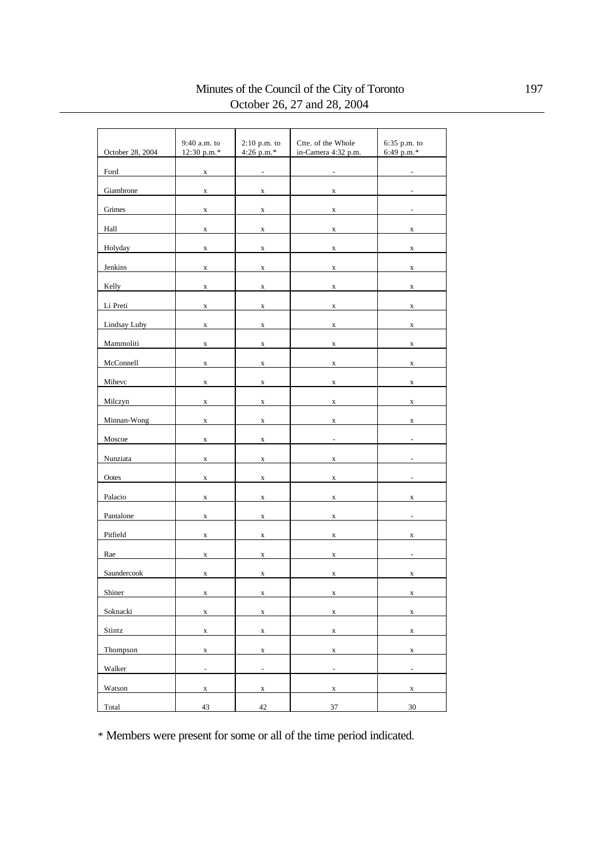### Minutes of the Council of the City of Toronto 197 October 26, 27 and 28, 2004

| October 28, 2004 | 9:40 a.m. to<br>12:30 p.m.* | $2:10$ p.m. to<br>4:26 p.m. $*$ | Ctte. of the Whole<br>in-Camera 4:32 p.m. | 6:35 p.m. to<br>6:49 p.m.* |
|------------------|-----------------------------|---------------------------------|-------------------------------------------|----------------------------|
| Ford             | $\mathbf x$                 | $\frac{1}{2}$                   | $\overline{a}$                            | $\overline{a}$             |
| Giambrone        | X                           | $\mathbf x$                     | $\mathbf X$                               |                            |
| Grimes           | $\mathbf X$                 | $\mathbf X$                     | $\mathbf X$                               |                            |
| Hall             | $\mathbf X$                 | $\mathbf x$                     | $\mathbf X$                               | $\mathbf x$                |
| Holyday          | $\mathbf x$                 | $\mathbf x$                     | $\mathbf X$                               | $\mathbf x$                |
| Jenkins          | $\mathbf x$                 | $\mathbf X$                     | $\mathbf x$                               | $\mathbf x$                |
| Kelly            | $\mathbf X$                 | $\mathbf X$                     | $\mathbf X$                               | $\mathbf X$                |
| Li Preti         | $\mathbf x$                 | $\mathbf x$                     | $\mathbf X$                               | $\mathbf X$                |
| Lindsay Luby     | X                           | $\mathbf X$                     | $\mathbf X$                               | $\mathbf X$                |
| Mammoliti        | $\mathbf X$                 | $\mathbf X$                     | $\mathbf X$                               | $\mathbf X$                |
| McConnell        | $\mathbf X$                 | $\mathbf X$                     | $\mathbf X$                               | $\mathbf X$                |
| Mihevc           | $\mathbf X$                 | $\mathbf X$                     | $\mathbf X$                               | $\mathbf X$                |
| Milczyn          | $\mathbf x$                 | $\mathbf X$                     | $\mathbf X$                               | $\mathbf x$                |
| Minnan-Wong      | $\mathbf X$                 | $\mathbf X$                     | $\mathbf X$                               | $\mathbf X$                |
| Moscoe           | $\mathbf x$                 | $\mathbf x$                     |                                           |                            |
| Nunziata         | X                           | $\mathbf x$                     | $\mathbf x$                               |                            |
| Ootes            | X                           | $\mathbf x$                     | $\mathbf X$                               |                            |
| Palacio          | X                           | $\mathbf X$                     | $\mathbf X$                               | $\mathbf X$                |
| Pantalone        | $\mathbf X$                 | $\mathbf X$                     | $\mathbf x$                               | ÷,                         |
| Pitfield         | $\mathbf x$                 | $\mathbf x$                     | $\mathbf X$                               | $\mathbf x$                |
| Rae              | $\mathbf x$                 | $\mathbf x$                     | $\mathbf X$                               | $\overline{\phantom{a}}$   |
| Saundercook      | $\mathbf x$                 | $\mathbf X$                     | $\mathbf X$                               | X                          |
| Shiner           | $\mathbf X$                 | $\mathbf X$                     | $\mathbf X$                               | $\mathbf X$                |
| Soknacki         | $\mathbf X$                 | $\mathbf X$                     | $\mathbf X$                               | $\mathbf X$                |
| Stintz           | $\mathbf X$                 | $\mathbf X$                     | $\mathbf X$                               | $\mathbf X$                |
| Thompson         | $\mathbf X$                 | $\mathbf X$                     | $\mathbf X$                               | $\mathbf X$                |
| Walker           | $\overline{\phantom{a}}$    | $\overline{\phantom{a}}$        | $\blacksquare$                            | $\blacksquare$             |
| Watson           | $\mathbf X$                 | $\mathbf X$                     | $\mathbf X$                               | $\mathbf X$                |
| Total            | 43                          | 42                              | 37                                        | 30                         |

\* Members were present for some or all of the time period indicated.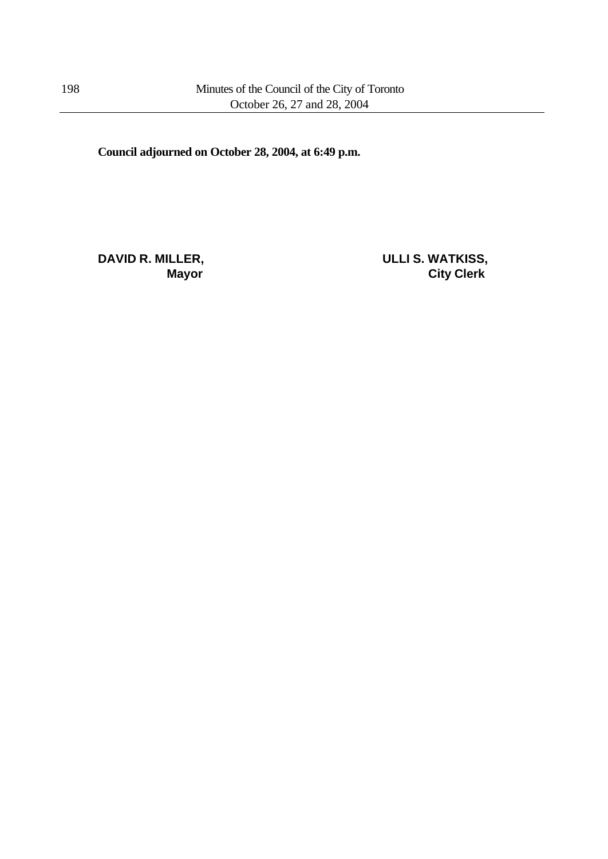**Council adjourned on October 28, 2004, at 6:49 p.m.**

**DAVID R. MILLER, ULLI S. WATKISS,**

**Mayor City Clerk**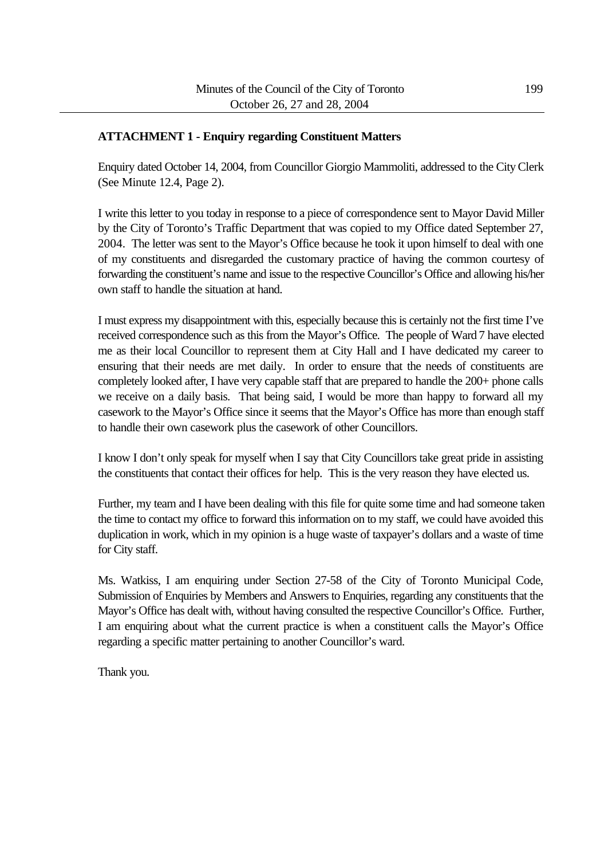#### **ATTACHMENT 1 - Enquiry regarding Constituent Matters**

Enquiry dated October 14, 2004, from Councillor Giorgio Mammoliti, addressed to the City Clerk (See Minute 12.4, Page 2).

I write this letter to you today in response to a piece of correspondence sent to Mayor David Miller by the City of Toronto's Traffic Department that was copied to my Office dated September 27, 2004. The letter was sent to the Mayor's Office because he took it upon himself to deal with one of my constituents and disregarded the customary practice of having the common courtesy of forwarding the constituent's name and issue to the respective Councillor's Office and allowing his/her own staff to handle the situation at hand.

I must express my disappointment with this, especially because this is certainly not the first time I've received correspondence such as this from the Mayor's Office. The people of Ward 7 have elected me as their local Councillor to represent them at City Hall and I have dedicated my career to ensuring that their needs are met daily. In order to ensure that the needs of constituents are completely looked after, I have very capable staff that are prepared to handle the 200+ phone calls we receive on a daily basis. That being said, I would be more than happy to forward all my casework to the Mayor's Office since it seems that the Mayor's Office has more than enough staff to handle their own casework plus the casework of other Councillors.

I know I don't only speak for myself when I say that City Councillors take great pride in assisting the constituents that contact their offices for help. This is the very reason they have elected us.

Further, my team and I have been dealing with this file for quite some time and had someone taken the time to contact my office to forward this information on to my staff, we could have avoided this duplication in work, which in my opinion is a huge waste of taxpayer's dollars and a waste of time for City staff.

Ms. Watkiss, I am enquiring under Section 27-58 of the City of Toronto Municipal Code, Submission of Enquiries by Members and Answers to Enquiries, regarding any constituents that the Mayor's Office has dealt with, without having consulted the respective Councillor's Office. Further, I am enquiring about what the current practice is when a constituent calls the Mayor's Office regarding a specific matter pertaining to another Councillor's ward.

Thank you.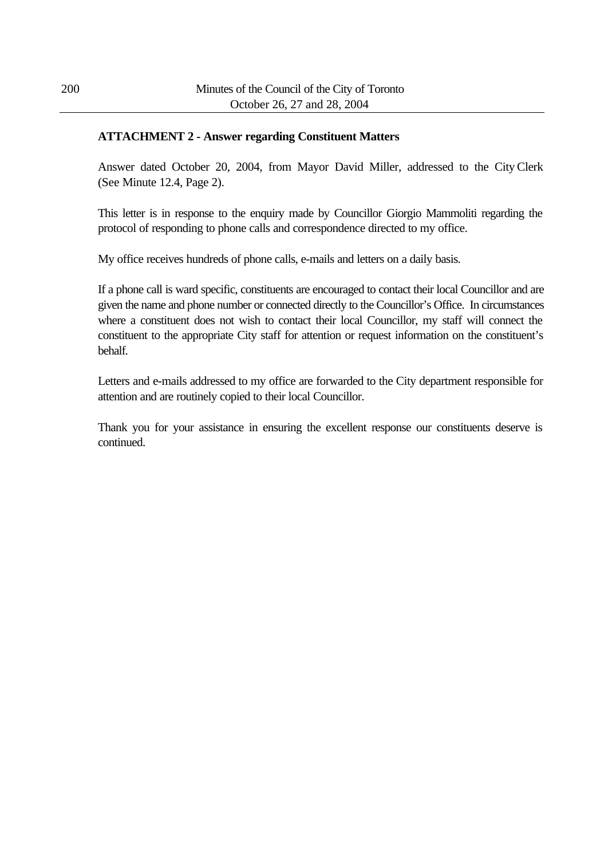#### **ATTACHMENT 2 - Answer regarding Constituent Matters**

Answer dated October 20, 2004, from Mayor David Miller, addressed to the City Clerk (See Minute 12.4, Page 2).

This letter is in response to the enquiry made by Councillor Giorgio Mammoliti regarding the protocol of responding to phone calls and correspondence directed to my office.

My office receives hundreds of phone calls, e-mails and letters on a daily basis.

If a phone call is ward specific, constituents are encouraged to contact their local Councillor and are given the name and phone number or connected directly to the Councillor's Office. In circumstances where a constituent does not wish to contact their local Councillor, my staff will connect the constituent to the appropriate City staff for attention or request information on the constituent's behalf.

Letters and e-mails addressed to my office are forwarded to the City department responsible for attention and are routinely copied to their local Councillor.

Thank you for your assistance in ensuring the excellent response our constituents deserve is continued.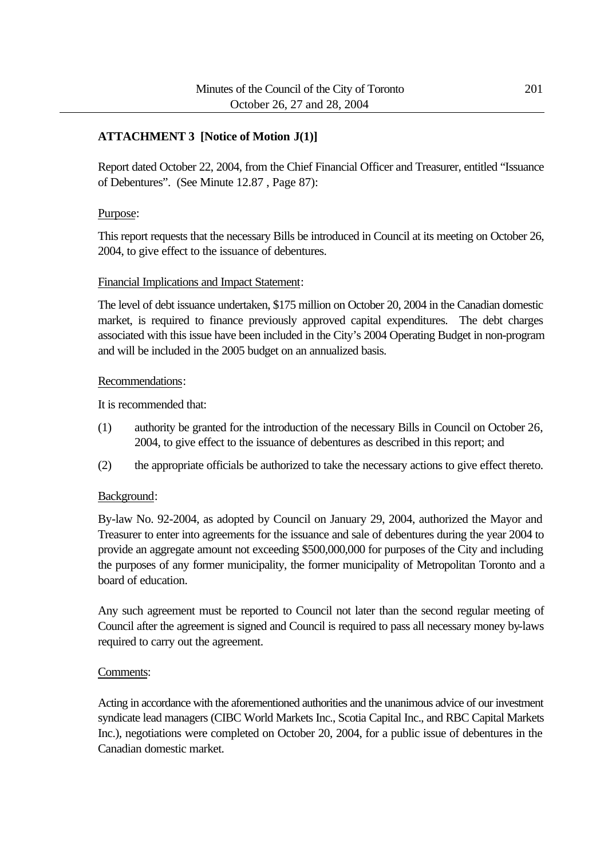#### **ATTACHMENT 3 [Notice of Motion J(1)]**

Report dated October 22, 2004, from the Chief Financial Officer and Treasurer, entitled "Issuance of Debentures". (See Minute 12.87 , Page 87):

#### Purpose:

This report requests that the necessary Bills be introduced in Council at its meeting on October 26, 2004, to give effect to the issuance of debentures.

#### Financial Implications and Impact Statement:

The level of debt issuance undertaken, \$175 million on October 20, 2004 in the Canadian domestic market, is required to finance previously approved capital expenditures. The debt charges associated with this issue have been included in the City's 2004 Operating Budget in non-program and will be included in the 2005 budget on an annualized basis.

#### Recommendations:

It is recommended that:

- (1) authority be granted for the introduction of the necessary Bills in Council on October 26, 2004, to give effect to the issuance of debentures as described in this report; and
- (2) the appropriate officials be authorized to take the necessary actions to give effect thereto.

#### Background:

By-law No. 92-2004, as adopted by Council on January 29, 2004, authorized the Mayor and Treasurer to enter into agreements for the issuance and sale of debentures during the year 2004 to provide an aggregate amount not exceeding \$500,000,000 for purposes of the City and including the purposes of any former municipality, the former municipality of Metropolitan Toronto and a board of education.

Any such agreement must be reported to Council not later than the second regular meeting of Council after the agreement is signed and Council is required to pass all necessary money by-laws required to carry out the agreement.

#### Comments:

Acting in accordance with the aforementioned authorities and the unanimous advice of our investment syndicate lead managers (CIBC World Markets Inc., Scotia Capital Inc., and RBC Capital Markets Inc.), negotiations were completed on October 20, 2004, for a public issue of debentures in the Canadian domestic market.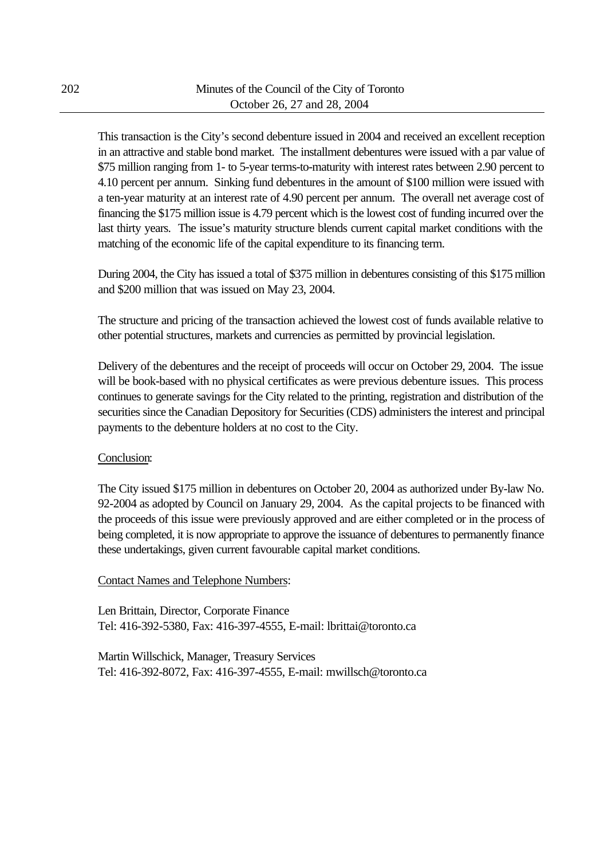This transaction is the City's second debenture issued in 2004 and received an excellent reception in an attractive and stable bond market. The installment debentures were issued with a par value of \$75 million ranging from 1- to 5-year terms-to-maturity with interest rates between 2.90 percent to 4.10 percent per annum. Sinking fund debentures in the amount of \$100 million were issued with a ten-year maturity at an interest rate of 4.90 percent per annum. The overall net average cost of financing the \$175 million issue is 4.79 percent which is the lowest cost of funding incurred over the last thirty years. The issue's maturity structure blends current capital market conditions with the matching of the economic life of the capital expenditure to its financing term.

During 2004, the City has issued a total of \$375 million in debentures consisting of this \$175 million and \$200 million that was issued on May 23, 2004.

The structure and pricing of the transaction achieved the lowest cost of funds available relative to other potential structures, markets and currencies as permitted by provincial legislation.

Delivery of the debentures and the receipt of proceeds will occur on October 29, 2004. The issue will be book-based with no physical certificates as were previous debenture issues. This process continues to generate savings for the City related to the printing, registration and distribution of the securities since the Canadian Depository for Securities (CDS) administers the interest and principal payments to the debenture holders at no cost to the City.

#### Conclusion:

The City issued \$175 million in debentures on October 20, 2004 as authorized under By-law No. 92-2004 as adopted by Council on January 29, 2004. As the capital projects to be financed with the proceeds of this issue were previously approved and are either completed or in the process of being completed, it is now appropriate to approve the issuance of debentures to permanently finance these undertakings, given current favourable capital market conditions.

#### Contact Names and Telephone Numbers:

Len Brittain, Director, Corporate Finance Tel: 416-392-5380, Fax: 416-397-4555, E-mail: lbrittai@toronto.ca

Martin Willschick, Manager, Treasury Services Tel: 416-392-8072, Fax: 416-397-4555, E-mail: mwillsch@toronto.ca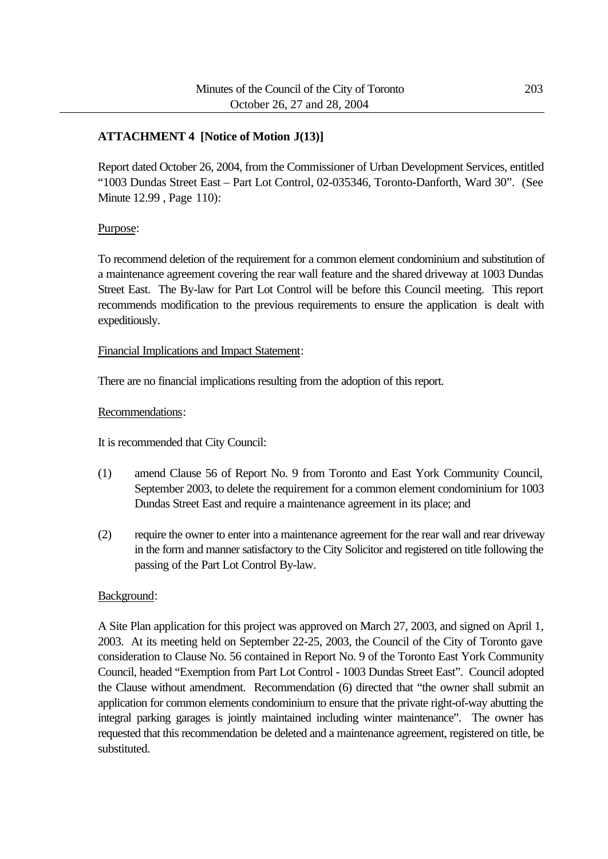#### **ATTACHMENT 4 [Notice of Motion J(13)]**

Report dated October 26, 2004, from the Commissioner of Urban Development Services, entitled "1003 Dundas Street East – Part Lot Control, 02-035346, Toronto-Danforth, Ward 30". (See Minute 12.99 , Page 110):

#### Purpose:

To recommend deletion of the requirement for a common element condominium and substitution of a maintenance agreement covering the rear wall feature and the shared driveway at 1003 Dundas Street East. The By-law for Part Lot Control will be before this Council meeting. This report recommends modification to the previous requirements to ensure the application is dealt with expeditiously.

#### Financial Implications and Impact Statement:

There are no financial implications resulting from the adoption of this report.

#### Recommendations:

It is recommended that City Council:

- (1) amend Clause 56 of Report No. 9 from Toronto and East York Community Council, September 2003, to delete the requirement for a common element condominium for 1003 Dundas Street East and require a maintenance agreement in its place; and
- (2) require the owner to enter into a maintenance agreement for the rear wall and rear driveway in the form and manner satisfactory to the City Solicitor and registered on title following the passing of the Part Lot Control By-law.

#### Background:

A Site Plan application for this project was approved on March 27, 2003, and signed on April 1, 2003. At its meeting held on September 22-25, 2003, the Council of the City of Toronto gave consideration to Clause No. 56 contained in Report No. 9 of the Toronto East York Community Council, headed "Exemption from Part Lot Control - 1003 Dundas Street East". Council adopted the Clause without amendment. Recommendation (6) directed that "the owner shall submit an application for common elements condominium to ensure that the private right-of-way abutting the integral parking garages is jointly maintained including winter maintenance". The owner has requested that this recommendation be deleted and a maintenance agreement, registered on title, be substituted.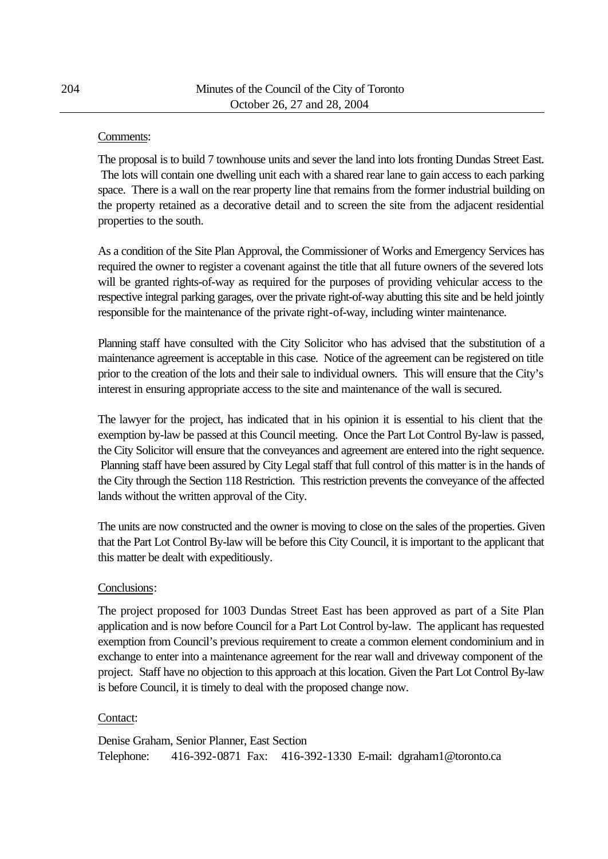#### Comments:

The proposal is to build 7 townhouse units and sever the land into lots fronting Dundas Street East. The lots will contain one dwelling unit each with a shared rear lane to gain access to each parking space. There is a wall on the rear property line that remains from the former industrial building on the property retained as a decorative detail and to screen the site from the adjacent residential properties to the south.

As a condition of the Site Plan Approval, the Commissioner of Works and Emergency Services has required the owner to register a covenant against the title that all future owners of the severed lots will be granted rights-of-way as required for the purposes of providing vehicular access to the respective integral parking garages, over the private right-of-way abutting this site and be held jointly responsible for the maintenance of the private right-of-way, including winter maintenance.

Planning staff have consulted with the City Solicitor who has advised that the substitution of a maintenance agreement is acceptable in this case. Notice of the agreement can be registered on title prior to the creation of the lots and their sale to individual owners. This will ensure that the City's interest in ensuring appropriate access to the site and maintenance of the wall is secured.

The lawyer for the project, has indicated that in his opinion it is essential to his client that the exemption by-law be passed at this Council meeting. Once the Part Lot Control By-law is passed, the City Solicitor will ensure that the conveyances and agreement are entered into the right sequence. Planning staff have been assured by City Legal staff that full control of this matter is in the hands of the City through the Section 118 Restriction. This restriction prevents the conveyance of the affected lands without the written approval of the City.

The units are now constructed and the owner is moving to close on the sales of the properties. Given that the Part Lot Control By-law will be before this City Council, it is important to the applicant that this matter be dealt with expeditiously.

#### Conclusions:

The project proposed for 1003 Dundas Street East has been approved as part of a Site Plan application and is now before Council for a Part Lot Control by-law. The applicant has requested exemption from Council's previous requirement to create a common element condominium and in exchange to enter into a maintenance agreement for the rear wall and driveway component of the project. Staff have no objection to this approach at this location. Given the Part Lot Control By-law is before Council, it is timely to deal with the proposed change now.

#### Contact:

Denise Graham, Senior Planner, East Section Telephone: 416-392-0871 Fax: 416-392-1330 E-mail: dgraham1@toronto.ca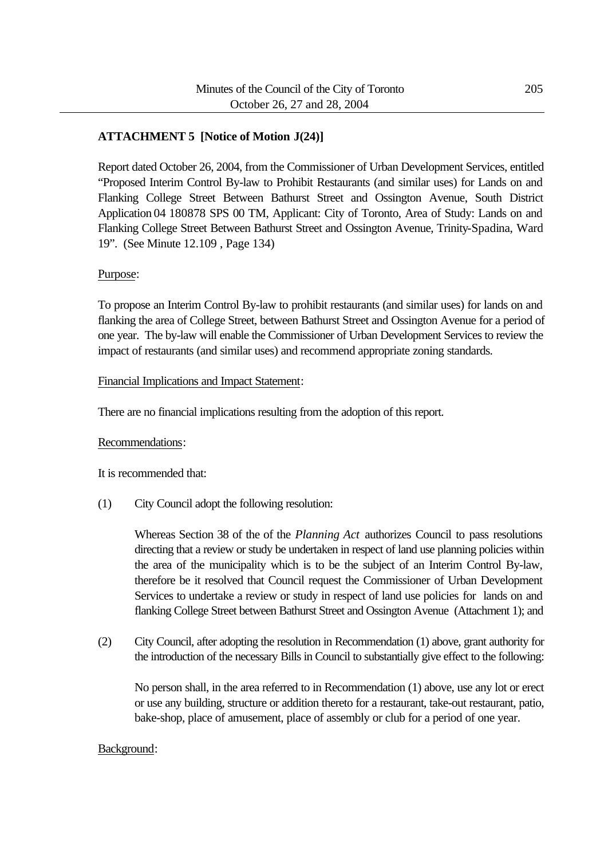#### **ATTACHMENT 5 [Notice of Motion J(24)]**

Report dated October 26, 2004, from the Commissioner of Urban Development Services, entitled "Proposed Interim Control By-law to Prohibit Restaurants (and similar uses) for Lands on and Flanking College Street Between Bathurst Street and Ossington Avenue, South District Application 04 180878 SPS 00 TM, Applicant: City of Toronto, Area of Study: Lands on and Flanking College Street Between Bathurst Street and Ossington Avenue, Trinity-Spadina, Ward 19". (See Minute 12.109 , Page 134)

#### Purpose:

To propose an Interim Control By-law to prohibit restaurants (and similar uses) for lands on and flanking the area of College Street, between Bathurst Street and Ossington Avenue for a period of one year. The by-law will enable the Commissioner of Urban Development Services to review the impact of restaurants (and similar uses) and recommend appropriate zoning standards.

#### Financial Implications and Impact Statement:

There are no financial implications resulting from the adoption of this report.

#### Recommendations:

It is recommended that:

(1) City Council adopt the following resolution:

Whereas Section 38 of the of the *Planning Act* authorizes Council to pass resolutions directing that a review or study be undertaken in respect of land use planning policies within the area of the municipality which is to be the subject of an Interim Control By-law, therefore be it resolved that Council request the Commissioner of Urban Development Services to undertake a review or study in respect of land use policies for lands on and flanking College Street between Bathurst Street and Ossington Avenue (Attachment 1); and

(2) City Council, after adopting the resolution in Recommendation (1) above, grant authority for the introduction of the necessary Bills in Council to substantially give effect to the following:

No person shall, in the area referred to in Recommendation (1) above, use any lot or erect or use any building, structure or addition thereto for a restaurant, take-out restaurant, patio, bake-shop, place of amusement, place of assembly or club for a period of one year.

#### Background: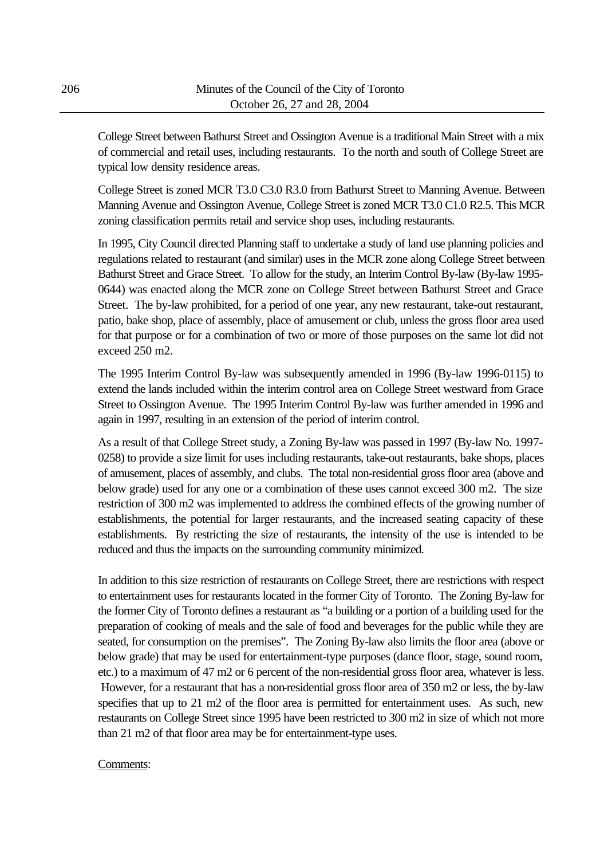College Street between Bathurst Street and Ossington Avenue is a traditional Main Street with a mix of commercial and retail uses, including restaurants. To the north and south of College Street are typical low density residence areas.

College Street is zoned MCR T3.0 C3.0 R3.0 from Bathurst Street to Manning Avenue. Between Manning Avenue and Ossington Avenue, College Street is zoned MCR T3.0 C1.0 R2.5. This MCR zoning classification permits retail and service shop uses, including restaurants.

In 1995, City Council directed Planning staff to undertake a study of land use planning policies and regulations related to restaurant (and similar) uses in the MCR zone along College Street between Bathurst Street and Grace Street. To allow for the study, an Interim Control By-law (By-law 1995- 0644) was enacted along the MCR zone on College Street between Bathurst Street and Grace Street. The by-law prohibited, for a period of one year, any new restaurant, take-out restaurant, patio, bake shop, place of assembly, place of amusement or club, unless the gross floor area used for that purpose or for a combination of two or more of those purposes on the same lot did not exceed 250 m2.

The 1995 Interim Control By-law was subsequently amended in 1996 (By-law 1996-0115) to extend the lands included within the interim control area on College Street westward from Grace Street to Ossington Avenue. The 1995 Interim Control By-law was further amended in 1996 and again in 1997, resulting in an extension of the period of interim control.

As a result of that College Street study, a Zoning By-law was passed in 1997 (By-law No. 1997- 0258) to provide a size limit for uses including restaurants, take-out restaurants, bake shops, places of amusement, places of assembly, and clubs. The total non-residential gross floor area (above and below grade) used for any one or a combination of these uses cannot exceed 300 m2. The size restriction of 300 m2 was implemented to address the combined effects of the growing number of establishments, the potential for larger restaurants, and the increased seating capacity of these establishments. By restricting the size of restaurants, the intensity of the use is intended to be reduced and thus the impacts on the surrounding community minimized.

In addition to this size restriction of restaurants on College Street, there are restrictions with respect to entertainment uses for restaurants located in the former City of Toronto. The Zoning By-law for the former City of Toronto defines a restaurant as "a building or a portion of a building used for the preparation of cooking of meals and the sale of food and beverages for the public while they are seated, for consumption on the premises". The Zoning By-law also limits the floor area (above or below grade) that may be used for entertainment-type purposes (dance floor, stage, sound room, etc.) to a maximum of 47 m2 or 6 percent of the non-residential gross floor area, whatever is less. However, for a restaurant that has a non-residential gross floor area of 350 m2 or less, the by-law specifies that up to 21 m2 of the floor area is permitted for entertainment uses. As such, new restaurants on College Street since 1995 have been restricted to 300 m2 in size of which not more than 21 m2 of that floor area may be for entertainment-type uses.

#### Comments: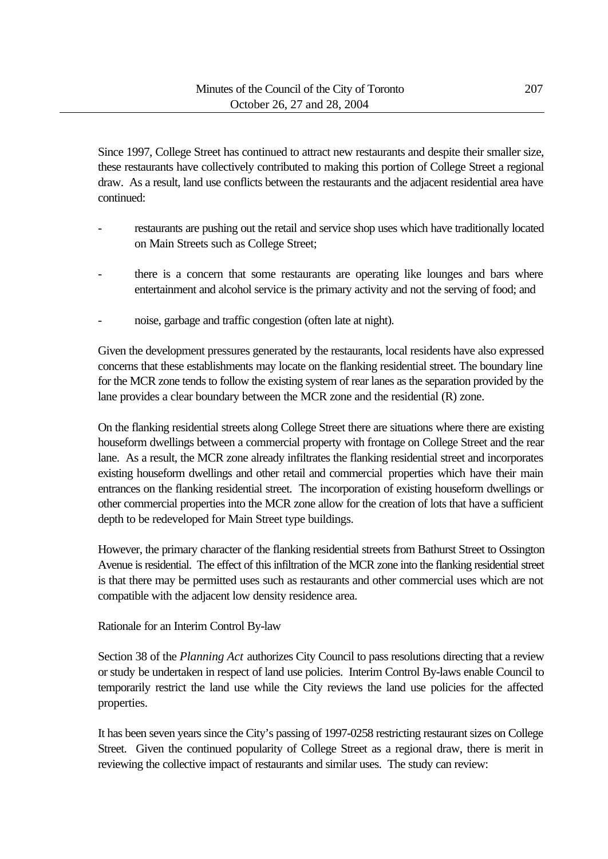Since 1997, College Street has continued to attract new restaurants and despite their smaller size, these restaurants have collectively contributed to making this portion of College Street a regional draw. As a result, land use conflicts between the restaurants and the adjacent residential area have continued:

- restaurants are pushing out the retail and service shop uses which have traditionally located on Main Streets such as College Street;
- there is a concern that some restaurants are operating like lounges and bars where entertainment and alcohol service is the primary activity and not the serving of food; and
- noise, garbage and traffic congestion (often late at night).

Given the development pressures generated by the restaurants, local residents have also expressed concerns that these establishments may locate on the flanking residential street. The boundary line for the MCR zone tends to follow the existing system of rear lanes as the separation provided by the lane provides a clear boundary between the MCR zone and the residential (R) zone.

On the flanking residential streets along College Street there are situations where there are existing houseform dwellings between a commercial property with frontage on College Street and the rear lane. As a result, the MCR zone already infiltrates the flanking residential street and incorporates existing houseform dwellings and other retail and commercial properties which have their main entrances on the flanking residential street. The incorporation of existing houseform dwellings or other commercial properties into the MCR zone allow for the creation of lots that have a sufficient depth to be redeveloped for Main Street type buildings.

However, the primary character of the flanking residential streets from Bathurst Street to Ossington Avenue is residential. The effect of this infiltration of the MCR zone into the flanking residential street is that there may be permitted uses such as restaurants and other commercial uses which are not compatible with the adjacent low density residence area.

Rationale for an Interim Control By-law

Section 38 of the *Planning Act* authorizes City Council to pass resolutions directing that a review or study be undertaken in respect of land use policies. Interim Control By-laws enable Council to temporarily restrict the land use while the City reviews the land use policies for the affected properties.

It has been seven years since the City's passing of 1997-0258 restricting restaurant sizes on College Street. Given the continued popularity of College Street as a regional draw, there is merit in reviewing the collective impact of restaurants and similar uses. The study can review: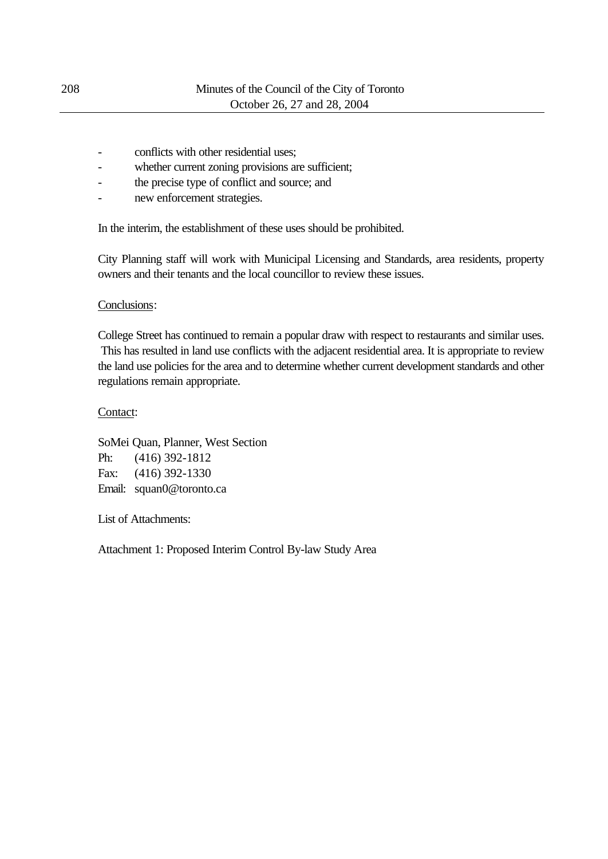- conflicts with other residential uses:
- whether current zoning provisions are sufficient;
- the precise type of conflict and source; and
- new enforcement strategies.

In the interim, the establishment of these uses should be prohibited.

City Planning staff will work with Municipal Licensing and Standards, area residents, property owners and their tenants and the local councillor to review these issues.

#### Conclusions:

College Street has continued to remain a popular draw with respect to restaurants and similar uses. This has resulted in land use conflicts with the adjacent residential area. It is appropriate to review the land use policies for the area and to determine whether current development standards and other regulations remain appropriate.

#### Contact:

SoMei Quan, Planner, West Section Ph: (416) 392-1812 Fax: (416) 392-1330 Email: squan0@toronto.ca

List of Attachments:

Attachment 1: Proposed Interim Control By-law Study Area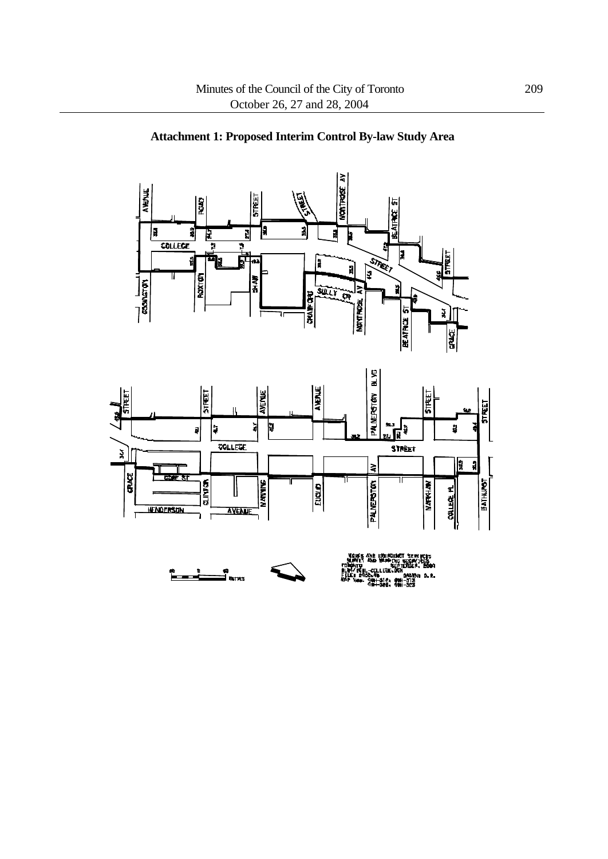





≪।<br>⊒ ‱πes

Ĩ.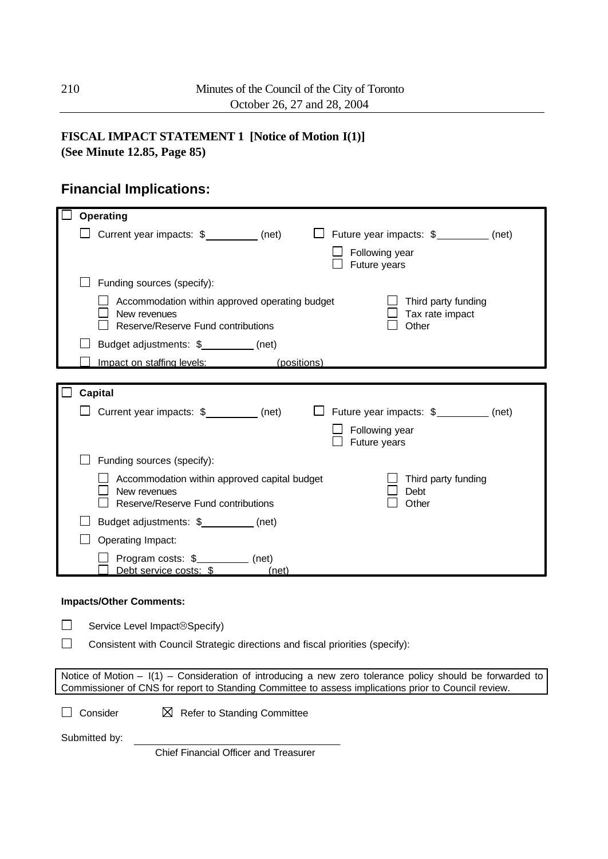### **FISCAL IMPACT STATEMENT 1 [Notice of Motion I(1)]**

**(See Minute 12.85, Page 85)**

# **Financial Implications:**

| <b>Operating</b>               |                                                                               |  |                |                                                                                                                                                                                                                         |  |
|--------------------------------|-------------------------------------------------------------------------------|--|----------------|-------------------------------------------------------------------------------------------------------------------------------------------------------------------------------------------------------------------------|--|
|                                | Current year impacts: \$_________ (net)                                       |  |                | $\Box$ Future year impacts: $\frac{1}{2}$ (net)                                                                                                                                                                         |  |
|                                |                                                                               |  | Following year |                                                                                                                                                                                                                         |  |
|                                |                                                                               |  | Future years   |                                                                                                                                                                                                                         |  |
|                                | Funding sources (specify):                                                    |  |                |                                                                                                                                                                                                                         |  |
|                                | Accommodation within approved operating budget                                |  |                | Third party funding                                                                                                                                                                                                     |  |
| New revenues                   | Reserve/Reserve Fund contributions                                            |  |                | Tax rate impact<br>Other                                                                                                                                                                                                |  |
|                                | Budget adjustments: \$___________ (net)                                       |  |                |                                                                                                                                                                                                                         |  |
|                                | Impact on staffing levels: (positions)                                        |  |                |                                                                                                                                                                                                                         |  |
|                                |                                                                               |  |                |                                                                                                                                                                                                                         |  |
| <b>Capital</b>                 |                                                                               |  |                |                                                                                                                                                                                                                         |  |
|                                | $\Box$ Current year impacts: $\$ ________ (net)                               |  |                | $\Box$ Future year impacts: $\frac{1}{2}$ (net)                                                                                                                                                                         |  |
|                                |                                                                               |  | Following year |                                                                                                                                                                                                                         |  |
|                                |                                                                               |  | Future years   |                                                                                                                                                                                                                         |  |
|                                | Funding sources (specify):                                                    |  |                |                                                                                                                                                                                                                         |  |
| New revenues                   | Accommodation within approved capital budget                                  |  |                | Third party funding                                                                                                                                                                                                     |  |
|                                | Reserve/Reserve Fund contributions                                            |  |                | Debt<br>Other                                                                                                                                                                                                           |  |
|                                | Budget adjustments: \$__________ (net)                                        |  |                |                                                                                                                                                                                                                         |  |
| Operating Impact:              |                                                                               |  |                |                                                                                                                                                                                                                         |  |
|                                | Program costs: \$____________ (net)                                           |  |                |                                                                                                                                                                                                                         |  |
|                                | Debt service costs: \$ (net)                                                  |  |                |                                                                                                                                                                                                                         |  |
| <b>Impacts/Other Comments:</b> |                                                                               |  |                |                                                                                                                                                                                                                         |  |
|                                |                                                                               |  |                |                                                                                                                                                                                                                         |  |
|                                | Service Level Impact <sup>®</sup> Specify)                                    |  |                |                                                                                                                                                                                                                         |  |
|                                | Consistent with Council Strategic directions and fiscal priorities (specify): |  |                |                                                                                                                                                                                                                         |  |
|                                |                                                                               |  |                |                                                                                                                                                                                                                         |  |
|                                |                                                                               |  |                | Notice of Motion $ \vert$ (1) – Consideration of introducing a new zero tolerance policy should be forwarded to<br>Commissioner of CNS for report to Standing Committee to assess implications prior to Council review. |  |
|                                |                                                                               |  |                |                                                                                                                                                                                                                         |  |
| Consider                       | <b>Refer to Standing Committee</b><br>⊠                                       |  |                |                                                                                                                                                                                                                         |  |
| Submitted by:                  |                                                                               |  |                |                                                                                                                                                                                                                         |  |

Chief Financial Officer and Treasurer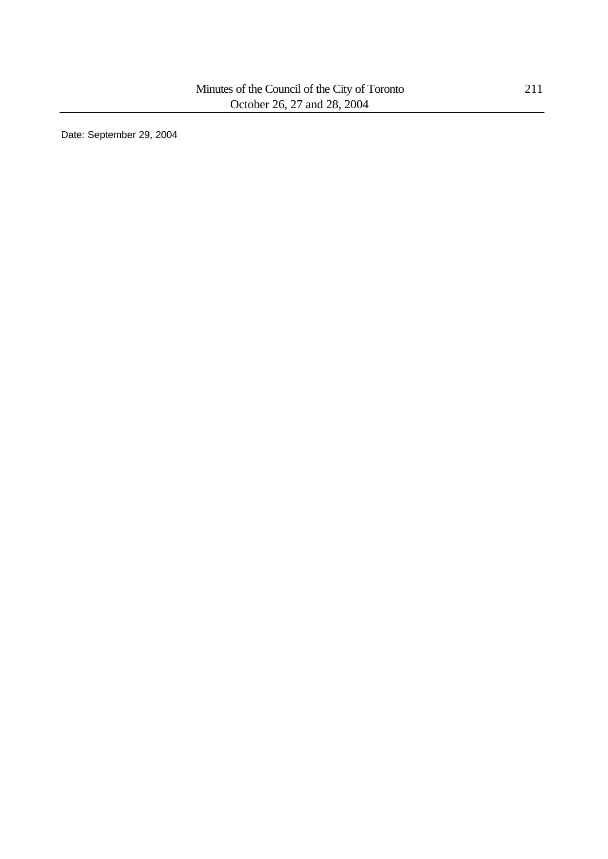Date: September 29, 2004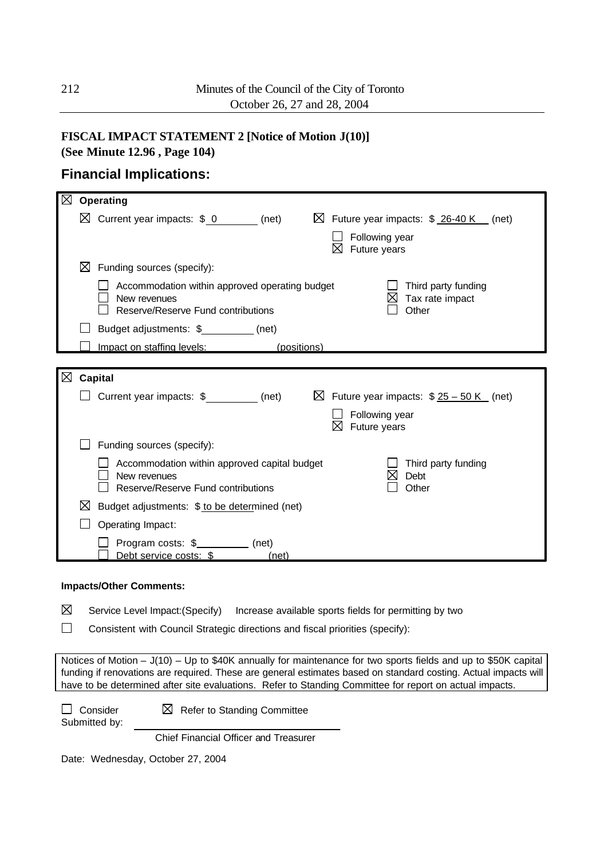## **FISCAL IMPACT STATEMENT 2 [Notice of Motion J(10)]**

**(See Minute 12.96 , Page 104)**

### **Financial Implications:**

| $\boxtimes$ | Operating                                                                                                                                               |
|-------------|---------------------------------------------------------------------------------------------------------------------------------------------------------|
|             | $\boxtimes$ Future year impacts: $$26-40 K$ (net)<br>$\boxtimes$ Current year impacts: \$ 0 (net)                                                       |
|             | Following year<br>⋈<br>Future years                                                                                                                     |
|             | ⊠<br>Funding sources (specify):                                                                                                                         |
|             | Accommodation within approved operating budget<br>Third party funding<br>Tax rate impact<br>New revenues<br>Reserve/Reserve Fund contributions<br>Other |
|             | Budget adjustments: \$___________(net)                                                                                                                  |
|             | Impact on staffing levels:<br>(positions)                                                                                                               |
|             |                                                                                                                                                         |
| ⊠           | Capital                                                                                                                                                 |
|             | Current year impacts: \$________ (net)<br>$\boxtimes$ Future year impacts: $$25 - 50 K$ (net)                                                           |
|             | Following year<br>⋈<br>Future years                                                                                                                     |
|             | Funding sources (specify):                                                                                                                              |
|             | Accommodation within approved capital budget<br>Third party funding<br>Debt<br>New revenues<br>Reserve/Reserve Fund contributions<br>Other              |
|             | ⋈<br>Budget adjustments: \$ to be determined (net)                                                                                                      |
|             | Operating Impact:                                                                                                                                       |
|             | Program costs: \$____________ (net)<br>Debt service costs: \$<br>(net)                                                                                  |
|             |                                                                                                                                                         |

#### **Impacts/Other Comments:**

⊠ Service Level Impact:(Specify) Increase available sports fields for permitting by two

 $\Box$ Consistent with Council Strategic directions and fiscal priorities (specify):

Notices of Motion – J(10) – Up to \$40K annually for maintenance for two sports fields and up to \$50K capital funding if renovations are required. These are general estimates based on standard costing. Actual impacts will have to be determined after site evaluations. Refer to Standing Committee for report on actual impacts.

 $\Box$  Consider  $\boxtimes$  Refer to Standing Committee

Submitted by:

Chief Financial Officer and Treasurer

Date: Wednesday, October 27, 2004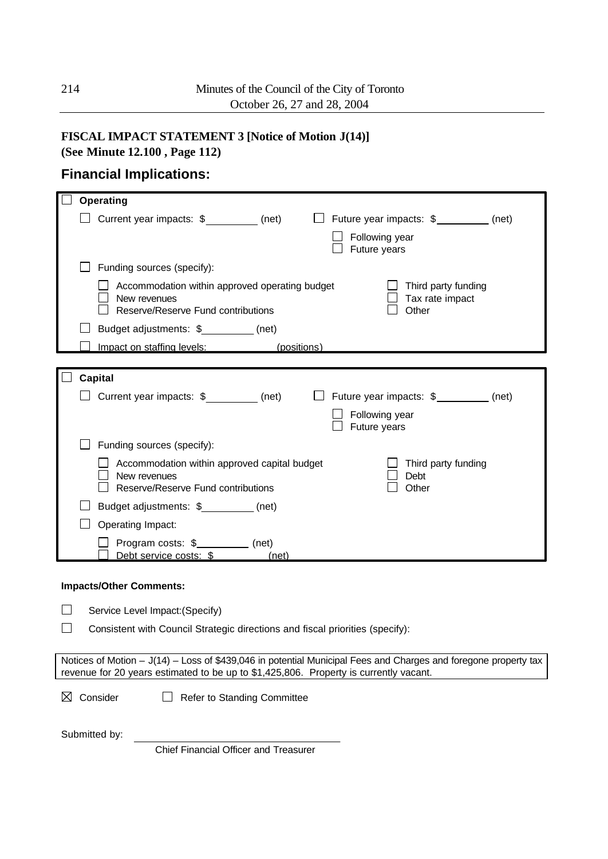# **FISCAL IMPACT STATEMENT 3 [Notice of Motion J(14)]**

**(See Minute 12.100 , Page 112)**

## **Financial Implications:**

| <b>Operating</b>                                                                                                                                                                                         |                                                 |
|----------------------------------------------------------------------------------------------------------------------------------------------------------------------------------------------------------|-------------------------------------------------|
| Current year impacts: \$__________(net)                                                                                                                                                                  | $\Box$ Future year impacts: $\frac{1}{2}$ (net) |
|                                                                                                                                                                                                          | Following year                                  |
|                                                                                                                                                                                                          | Future years                                    |
| Funding sources (specify):                                                                                                                                                                               |                                                 |
| Accommodation within approved operating budget<br>New revenues                                                                                                                                           | Third party funding<br>Tax rate impact          |
| Reserve/Reserve Fund contributions                                                                                                                                                                       | Other                                           |
| Budget adjustments: \$__________ (net)                                                                                                                                                                   |                                                 |
| Impact on staffing levels: (positions)                                                                                                                                                                   |                                                 |
|                                                                                                                                                                                                          |                                                 |
| <b>Capital</b>                                                                                                                                                                                           |                                                 |
| $\Box$ Current year impacts: $\$\underline{\hspace{2cm}}$ (net)                                                                                                                                          | $\Box$ Future year impacts: $\frac{1}{2}$ (net) |
|                                                                                                                                                                                                          | Following year<br>Future years                  |
| Funding sources (specify):                                                                                                                                                                               |                                                 |
| Accommodation within approved capital budget                                                                                                                                                             | Third party funding                             |
| New revenues<br>Reserve/Reserve Fund contributions                                                                                                                                                       | Debt<br>Other                                   |
| Budget adjustments: \$__________(net)                                                                                                                                                                    |                                                 |
| Operating Impact:                                                                                                                                                                                        |                                                 |
| Program costs: \$___________ (net)                                                                                                                                                                       |                                                 |
| Debt service costs: \$ (net)                                                                                                                                                                             |                                                 |
| <b>Impacts/Other Comments:</b>                                                                                                                                                                           |                                                 |
| Service Level Impact: (Specify)                                                                                                                                                                          |                                                 |
| Consistent with Council Strategic directions and fiscal priorities (specify):                                                                                                                            |                                                 |
|                                                                                                                                                                                                          |                                                 |
| Notices of Motion - J(14) - Loss of \$439,046 in potential Municipal Fees and Charges and foregone property tax<br>revenue for 20 years estimated to be up to \$1,425,806. Property is currently vacant. |                                                 |
| Consider<br>Refer to Standing Committee<br>⊠                                                                                                                                                             |                                                 |

Submitted by:

Chief Financial Officer and Treasurer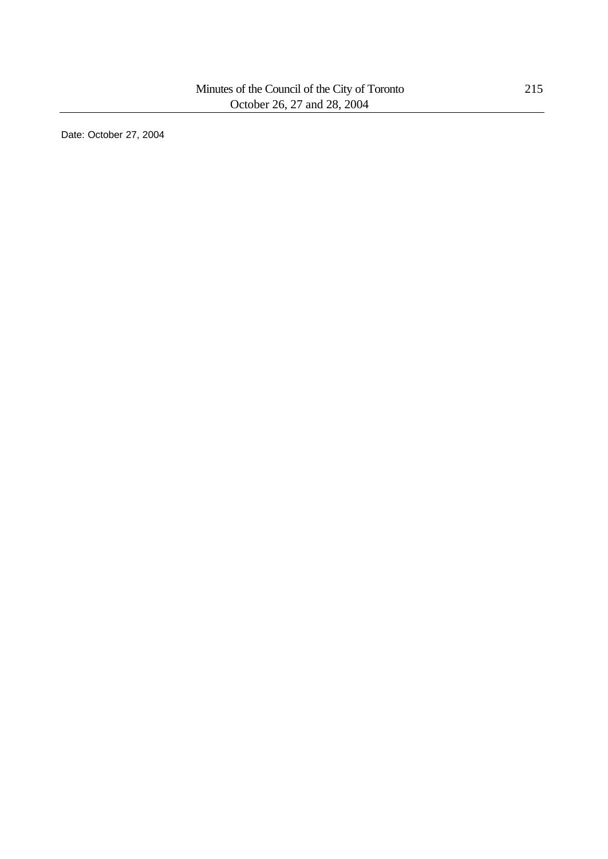Date: October 27, 2004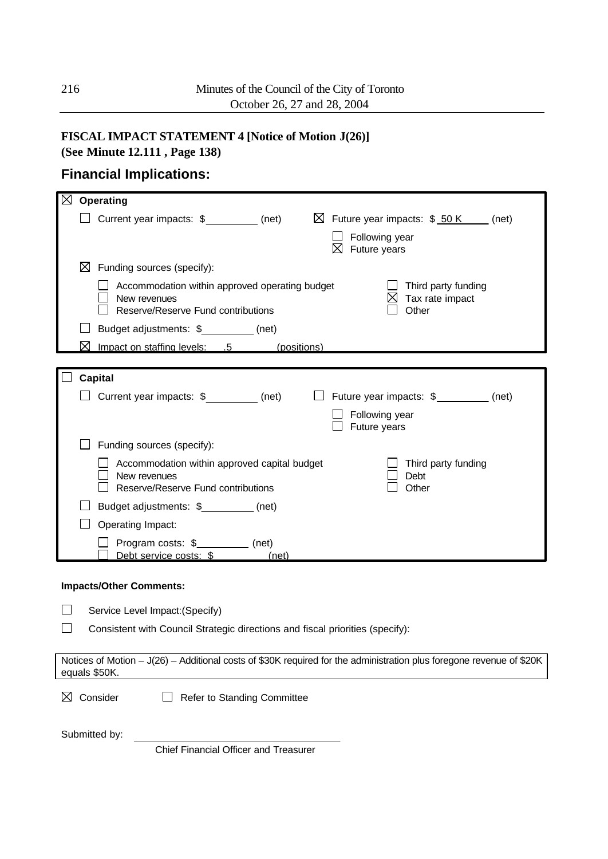# **FISCAL IMPACT STATEMENT 4 [Notice of Motion J(26)]**

**(See Minute 12.111 , Page 138)**

# **Financial Implications:**

| ⊠<br>Operating                                                                                                                                              |
|-------------------------------------------------------------------------------------------------------------------------------------------------------------|
| □ Current year impacts: \$<br>□ Current year impacts: \$<br>$\boxtimes$ Future year impacts: \$ 50 K (net)<br>Following year<br>$\boxtimes$ Future years    |
| $\boxtimes$ Funding sources (specify):                                                                                                                      |
| Accommodation within approved operating budget<br>Third party funding<br>New revenues<br>Tax rate impact<br>Reserve/Reserve Fund contributions<br>Other     |
| Budget adjustments: \$__________(net)                                                                                                                       |
| ⋈<br>Impact on staffing levels: .5 (positions)                                                                                                              |
|                                                                                                                                                             |
| <b>Capital</b><br>$\Box$ Current year impacts: $\frac{1}{2}$ (net)<br>□ Future year impacts: \$<br><sub>(net)</sub> (net)<br>Following year<br>Future years |
| Funding sources (specify):                                                                                                                                  |
| Accommodation within approved capital budget<br>Third party funding<br>New revenues<br>Debt<br>Reserve/Reserve Fund contributions<br>Other                  |
| Budget adjustments: \$__________(net)                                                                                                                       |
| Operating Impact:                                                                                                                                           |
| Program costs: \$__________ (net)<br>Debt service costs: \$ (net)                                                                                           |
| <b>Impacts/Other Comments:</b>                                                                                                                              |
| Service Level Impact: (Specify)                                                                                                                             |
| Consistent with Council Strategic directions and fiscal priorities (specify):                                                                               |
| Notices of Motion - J(26) - Additional costs of \$30K required for the administration plus foregone revenue of \$20K<br>equals \$50K.                       |
| Consider<br>Refer to Standing Committee<br>⊠                                                                                                                |
| Submitted by:<br>Chief Financial Officer and Treasurer                                                                                                      |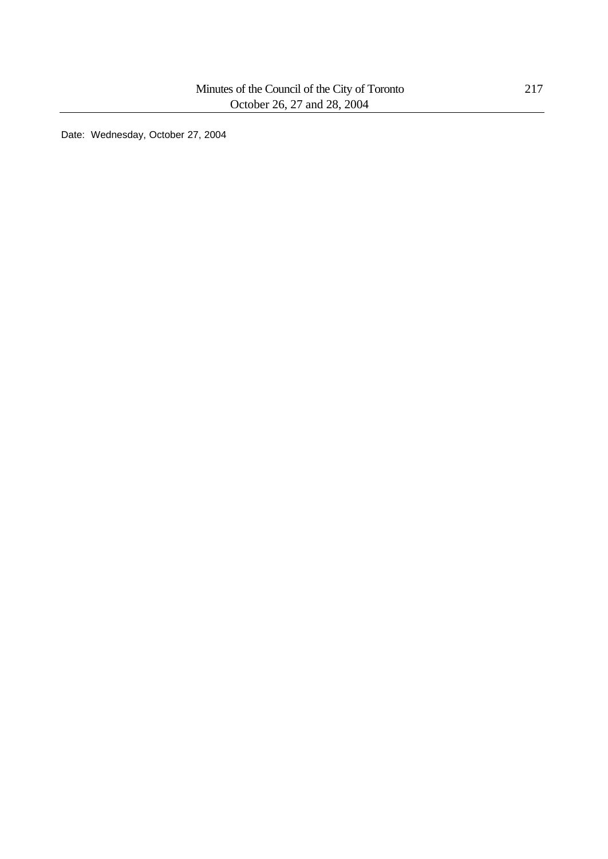Date: Wednesday, October 27, 2004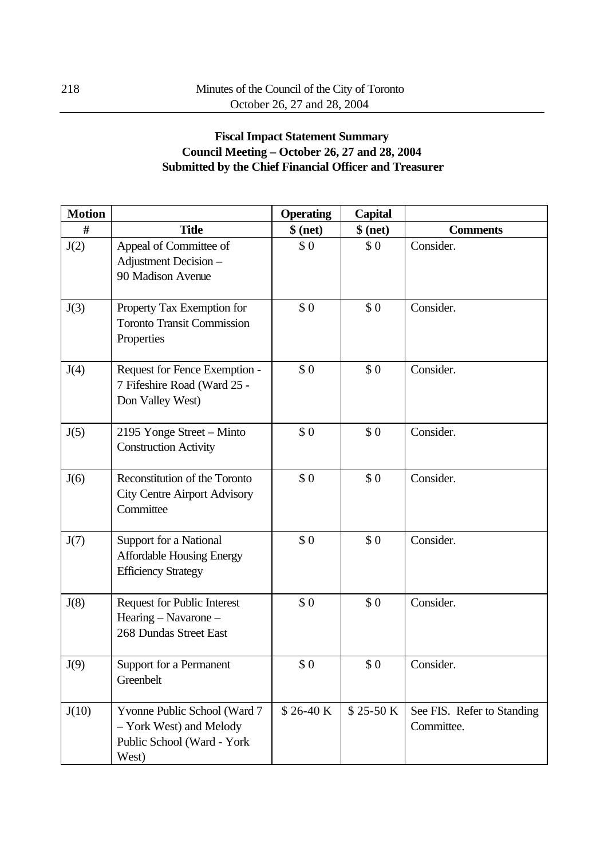## **Fiscal Impact Statement Summary Council Meeting – October 26, 27 and 28, 2004 Submitted by the Chief Financial Officer and Treasurer**

| <b>Motion</b> |                                                                                                | <b>Operating</b> | <b>Capital</b> |                                          |
|---------------|------------------------------------------------------------------------------------------------|------------------|----------------|------------------------------------------|
| #             | <b>Title</b>                                                                                   | $$$ (net)        | $$$ (net)      | <b>Comments</b>                          |
| J(2)          | Appeal of Committee of<br>Adjustment Decision -<br>90 Madison Avenue                           | \$0              | \$0            | Consider.                                |
| J(3)          | Property Tax Exemption for<br><b>Toronto Transit Commission</b><br>Properties                  | \$0              | \$0            | Consider.                                |
| J(4)          | Request for Fence Exemption -<br>7 Fifeshire Road (Ward 25 -<br>Don Valley West)               | \$0              | \$0            | Consider.                                |
| J(5)          | 2195 Yonge Street - Minto<br><b>Construction Activity</b>                                      | \$0              | \$0            | Consider.                                |
| J(6)          | Reconstitution of the Toronto<br><b>City Centre Airport Advisory</b><br>Committee              | \$0              | \$0            | Consider.                                |
| J(7)          | Support for a National<br><b>Affordable Housing Energy</b><br><b>Efficiency Strategy</b>       | \$0              | \$0            | Consider.                                |
| J(8)          | <b>Request for Public Interest</b><br>Hearing - Navarone -<br>268 Dundas Street East           | \$0              | \$0            | Consider.                                |
| J(9)          | Support for a Permanent<br>Greenbelt                                                           | \$0              | \$0            | Consider.                                |
| J(10)         | Yvonne Public School (Ward 7<br>- York West) and Melody<br>Public School (Ward - York<br>West) | $$26-40 K$       | $$25-50 K$     | See FIS. Refer to Standing<br>Committee. |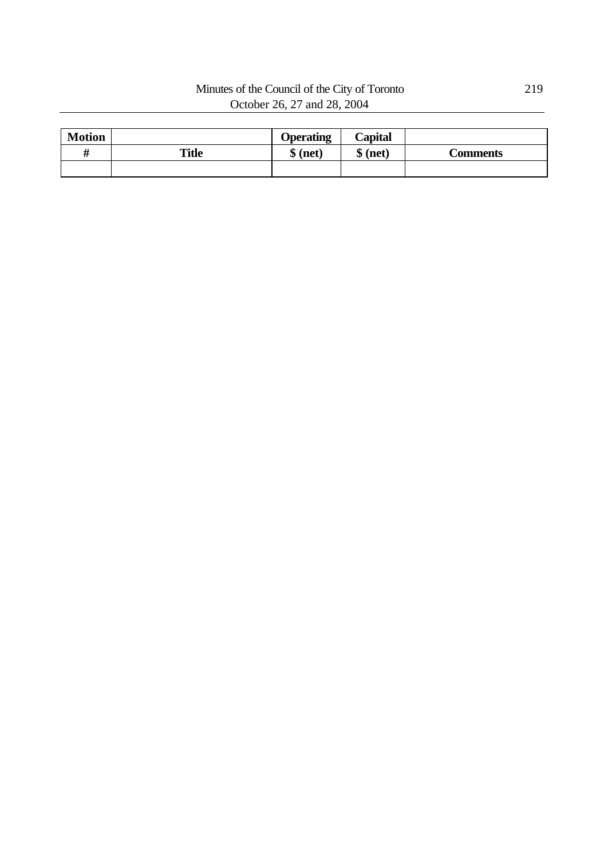## Minutes of the Council of the City of Toronto 219 October 26, 27 and 28, 2004

| <b>Motion</b> |              | <b>Operating</b> | Capital   |                 |
|---------------|--------------|------------------|-----------|-----------------|
|               | <b>Title</b> | $$$ (net)        | $$$ (net) | <b>Comments</b> |
|               |              |                  |           |                 |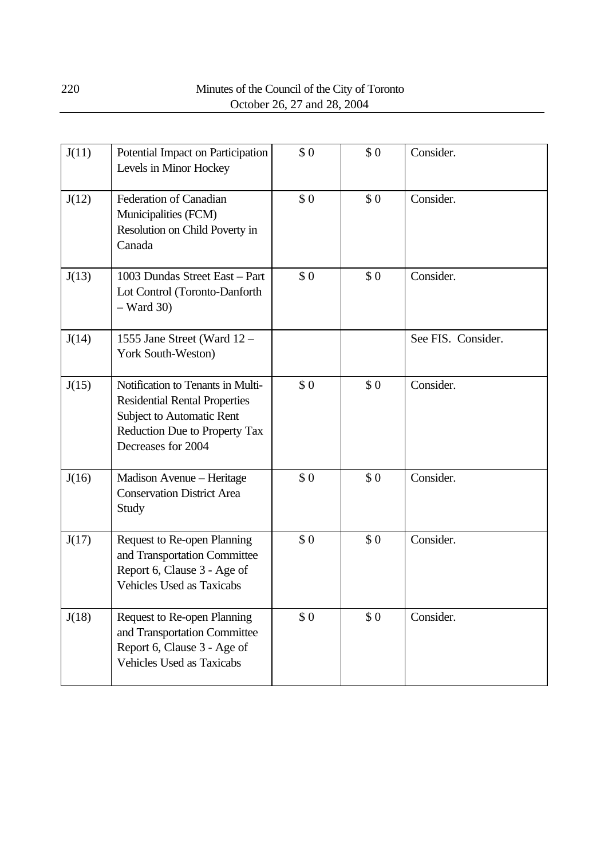| J(11) | Potential Impact on Participation<br>Levels in Minor Hockey                                                                                                   | \$0 | \$0 | Consider.          |
|-------|---------------------------------------------------------------------------------------------------------------------------------------------------------------|-----|-----|--------------------|
| J(12) | Federation of Canadian<br>Municipalities (FCM)<br>Resolution on Child Poverty in<br>Canada                                                                    | \$0 | \$0 | Consider.          |
| J(13) | 1003 Dundas Street East - Part<br>Lot Control (Toronto-Danforth<br>$-$ Ward 30)                                                                               | \$0 | \$0 | Consider.          |
| J(14) | 1555 Jane Street (Ward 12 -<br>York South-Weston)                                                                                                             |     |     | See FIS. Consider. |
| J(15) | Notification to Tenants in Multi-<br><b>Residential Rental Properties</b><br>Subject to Automatic Rent<br>Reduction Due to Property Tax<br>Decreases for 2004 | \$0 | \$0 | Consider.          |
| J(16) | Madison Avenue - Heritage<br><b>Conservation District Area</b><br>Study                                                                                       | \$0 | \$0 | Consider.          |
| J(17) | Request to Re-open Planning<br>and Transportation Committee<br>Report 6, Clause 3 - Age of<br><b>Vehicles Used as Taxicabs</b>                                | \$0 | \$0 | Consider.          |
| J(18) | Request to Re-open Planning<br>and Transportation Committee<br>Report 6, Clause 3 - Age of<br><b>Vehicles Used as Taxicabs</b>                                | \$0 | \$0 | Consider.          |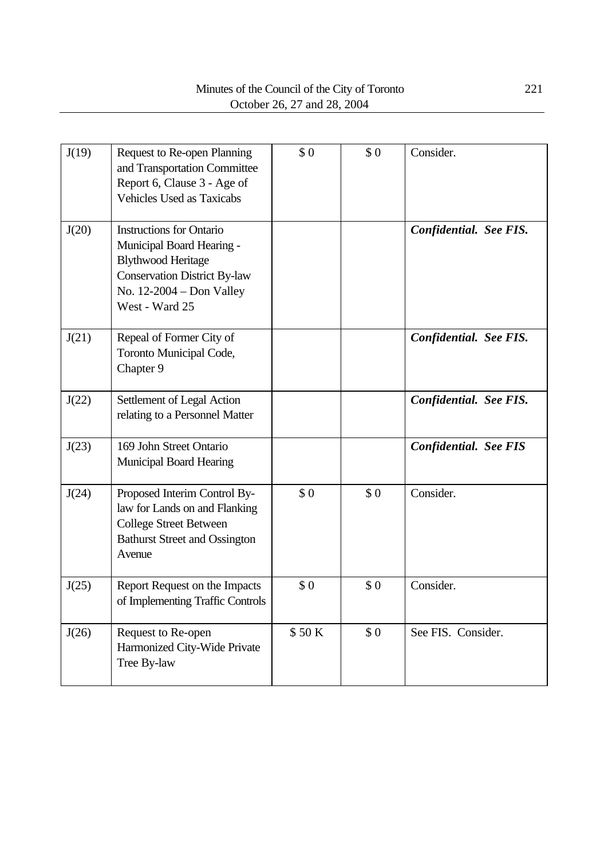| J(19) | Request to Re-open Planning<br>and Transportation Committee<br>Report 6, Clause 3 - Age of<br><b>Vehicles Used as Taxicabs</b>                                                   | \$0   | \$0 | Consider.                    |
|-------|----------------------------------------------------------------------------------------------------------------------------------------------------------------------------------|-------|-----|------------------------------|
| J(20) | <b>Instructions for Ontario</b><br>Municipal Board Hearing -<br><b>Blythwood Heritage</b><br><b>Conservation District By-law</b><br>No. $12-2004$ – Don Valley<br>West - Ward 25 |       |     | Confidential. See FIS.       |
| J(21) | Repeal of Former City of<br>Toronto Municipal Code,<br>Chapter 9                                                                                                                 |       |     | Confidential. See FIS.       |
| J(22) | Settlement of Legal Action<br>relating to a Personnel Matter                                                                                                                     |       |     | Confidential. See FIS.       |
| J(23) | 169 John Street Ontario<br><b>Municipal Board Hearing</b>                                                                                                                        |       |     | <b>Confidential. See FIS</b> |
| J(24) | Proposed Interim Control By-<br>law for Lands on and Flanking<br><b>College Street Between</b><br><b>Bathurst Street and Ossington</b><br>Avenue                                 | \$0   | \$0 | Consider.                    |
| J(25) | Report Request on the Impacts<br>of Implementing Traffic Controls                                                                                                                | \$0   | \$0 | Consider.                    |
| J(26) | Request to Re-open<br>Harmonized City-Wide Private<br>Tree By-law                                                                                                                | \$50K | \$0 | See FIS. Consider.           |